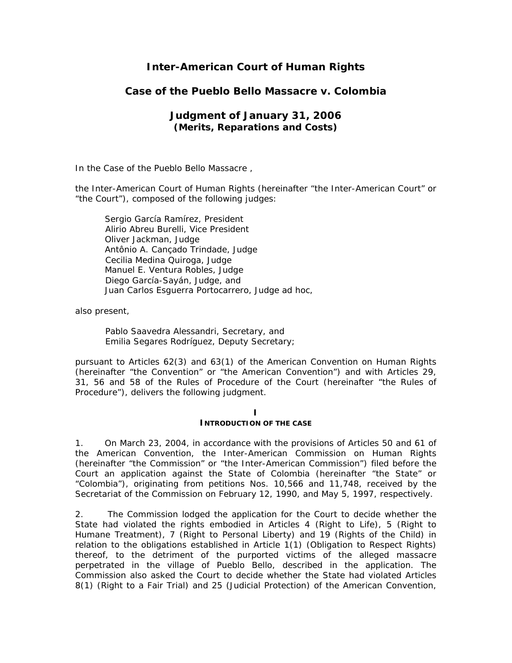# **Inter-American Court of Human Rights**

# **Case of the Pueblo Bello Massacre** *v.* **Colombia**

# **Judgment of January 31, 2006**  *(Merits, Reparations and Costs)*

In the *Case of the Pueblo Bello Massacre* ,

the Inter-American Court of Human Rights (hereinafter "the Inter-American Court" or "the Court"), composed of the following judges:

 Sergio García Ramírez, President Alirio Abreu Burelli, Vice President Oliver Jackman, Judge Antônio A. Cançado Trindade, Judge Cecilia Medina Quiroga, Judge Manuel E. Ventura Robles, Judge Diego García-Sayán, Judge, and Juan Carlos Esguerra Portocarrero, Judge *ad hoc*,

also present,

Pablo Saavedra Alessandri, Secretary, and Emilia Segares Rodríguez, Deputy Secretary;

pursuant to Articles 62(3) and 63(1) of the American Convention on Human Rights (hereinafter "the Convention" or "the American Convention") and with Articles 29, 31, 56 and 58 of the Rules of Procedure of the Court (hereinafter "the Rules of Procedure")*,* delivers the following judgment.

#### **I INTRODUCTION OF THE CASE**

1. On March 23, 2004, in accordance with the provisions of Articles 50 and 61 of the American Convention, the Inter-American Commission on Human Rights (hereinafter "the Commission" or "the Inter-American Commission") filed before the Court an application against the State of Colombia (hereinafter "the State" or "Colombia"), originating from petitions Nos. 10,566 and 11,748, received by the Secretariat of the Commission on February 12, 1990, and May 5, 1997, respectively.

2. The Commission lodged the application for the Court to decide whether the State had violated the rights embodied in Articles 4 (Right to Life), 5 (Right to Humane Treatment), 7 (Right to Personal Liberty) and 19 (Rights of the Child) in relation to the obligations established in Article 1(1) (Obligation to Respect Rights) thereof, to the detriment of the purported victims of the alleged massacre perpetrated in the village of Pueblo Bello, described in the application. The Commission also asked the Court to decide whether the State had violated Articles 8(1) (Right to a Fair Trial) and 25 (Judicial Protection) of the American Convention,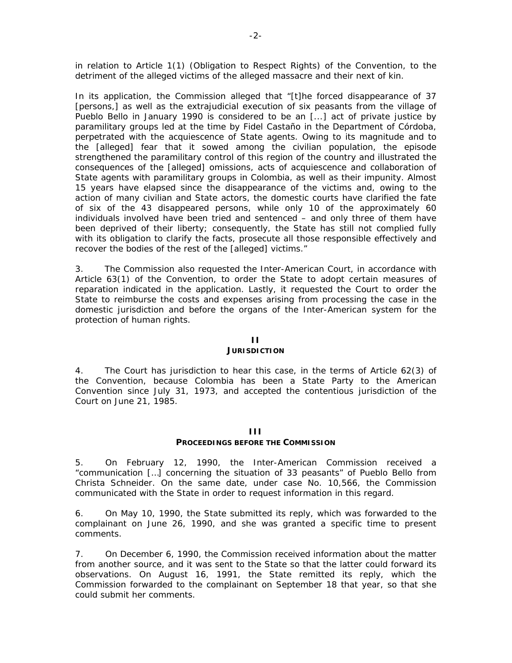in relation to Article 1(1) (Obligation to Respect Rights) of the Convention, to the detriment of the alleged victims of the alleged massacre and their next of kin.

In its application, the Commission alleged that "[t]he forced disappearance of 37 [persons,] as well as the extrajudicial execution of six peasants from the village of Pueblo Bello in January 1990 is considered to be an [...] act of private justice by paramilitary groups led at the time by Fidel Castaño in the Department of Córdoba, perpetrated with the acquiescence of State agents. Owing to its magnitude and to the [alleged] fear that it sowed among the civilian population, the episode strengthened the paramilitary control of this region of the country and illustrated the consequences of the [alleged] omissions, acts of acquiescence and collaboration of State agents with paramilitary groups in Colombia, as well as their impunity. Almost 15 years have elapsed since the disappearance of the victims and, owing to the action of many civilian and State actors, the domestic courts have clarified the fate of six of the 43 disappeared persons, while only 10 of the approximately 60 individuals involved have been tried and sentenced – and only three of them have been deprived of their liberty; consequently, the State has still not complied fully with its obligation to clarify the facts, prosecute all those responsible effectively and recover the bodies of the rest of the [alleged] victims."

3. The Commission also requested the Inter-American Court, in accordance with Article 63(1) of the Convention, to order the State to adopt certain measures of reparation indicated in the application. Lastly, it requested the Court to order the State to reimburse the costs and expenses arising from processing the case in the domestic jurisdiction and before the organs of the Inter-American system for the protection of human rights.

#### **II**

#### **JURISDICTION**

4. The Court has jurisdiction to hear this case, in the terms of Article 62(3) of the Convention, because Colombia has been a State Party to the American Convention since July 31, 1973, and accepted the contentious jurisdiction of the Court on June 21, 1985.

#### **III**

#### **PROCEEDINGS BEFORE THE COMMISSION**

5. On February 12, 1990, the Inter-American Commission received a "communication […] concerning the situation of 33 peasants" of Pueblo Bello from Christa Schneider. On the same date, under case No. 10,566, the Commission communicated with the State in order to request information in this regard.

6. On May 10, 1990, the State submitted its reply, which was forwarded to the complainant on June 26, 1990, and she was granted a specific time to present comments.

7. On December 6, 1990, the Commission received information about the matter from another source, and it was sent to the State so that the latter could forward its observations. On August 16, 1991, the State remitted its reply, which the Commission forwarded to the complainant on September 18 that year, so that she could submit her comments.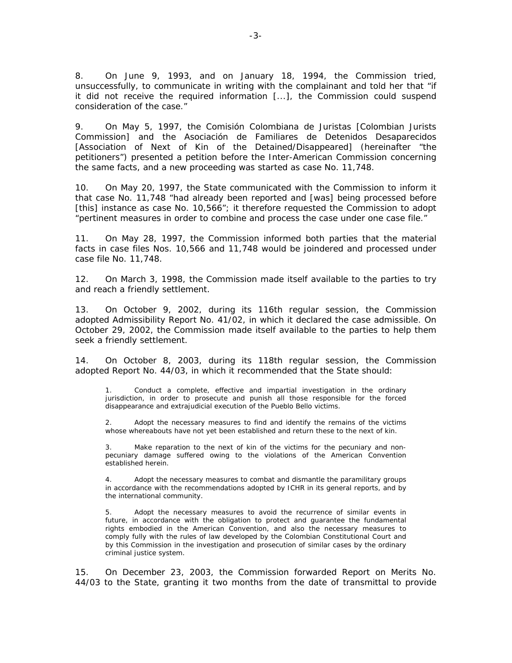8. On June 9, 1993, and on January 18, 1994, the Commission tried, unsuccessfully, to communicate in writing with the complainant and told her that "if it did not receive the required information [...], the Commission could suspend consideration of the case."

9. On May 5, 1997, the *Comisión Colombiana de Juristas* [Colombian Jurists Commission] and the *Asociación de Familiares de Detenidos Desaparecidos* [Association of Next of Kin of the Detained/Disappeared] (hereinafter "the petitioners") presented a petition before the Inter-American Commission concerning the same facts, and a new proceeding was started as case No. 11,748.

10. On May 20, 1997, the State communicated with the Commission to inform it that case No. 11,748 "had already been reported and [was] being processed before [this] instance as case No. 10,566"; it therefore requested the Commission to adopt "pertinent measures in order to combine and process the case under one case file."

11. On May 28, 1997, the Commission informed both parties that the material facts in case files Nos. 10,566 and 11,748 would be joindered and processed under case file No. 11,748.

12. On March 3, 1998, the Commission made itself available to the parties to try and reach a friendly settlement.

13. On October 9, 2002, during its 116th regular session, the Commission adopted Admissibility Report No. 41/02, in which it declared the case admissible. On October 29, 2002, the Commission made itself available to the parties to help them seek a friendly settlement.

14. On October 8, 2003, during its 118th regular session, the Commission adopted Report No. 44/03, in which it recommended that the State should:

1. Conduct a complete, effective and impartial investigation in the ordinary jurisdiction, in order to prosecute and punish all those responsible for the forced disappearance and extrajudicial execution of the Pueblo Bello victims.

2. Adopt the necessary measures to find and identify the remains of the victims whose whereabouts have not yet been established and return these to the next of kin.

3. Make reparation to the next of kin of the victims for the pecuniary and nonpecuniary damage suffered owing to the violations of the American Convention established herein.

4. Adopt the necessary measures to combat and dismantle the paramilitary groups in accordance with the recommendations adopted by ICHR in its general reports, and by the international community.

Adopt the necessary measures to avoid the recurrence of similar events in future, in accordance with the obligation to protect and guarantee the fundamental rights embodied in the American Convention, and also the necessary measures to comply fully with the rules of law developed by the Colombian Constitutional Court and by this Commission in the investigation and prosecution of similar cases by the ordinary criminal justice system.

15. On December 23, 2003, the Commission forwarded Report on Merits No. 44/03 to the State, granting it two months from the date of transmittal to provide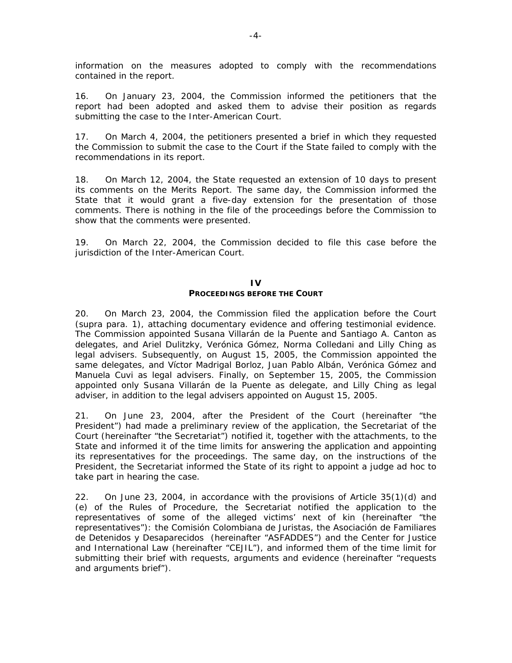information on the measures adopted to comply with the recommendations contained in the report.

16. On January 23, 2004, the Commission informed the petitioners that the report had been adopted and asked them to advise their position as regards submitting the case to the Inter-American Court.

17. On March 4, 2004, the petitioners presented a brief in which they requested the Commission to submit the case to the Court if the State failed to comply with the recommendations in its report.

18. On March 12, 2004, the State requested an extension of 10 days to present its comments on the Merits Report. The same day, the Commission informed the State that it would grant a five-day extension for the presentation of those comments. There is nothing in the file of the proceedings before the Commission to show that the comments were presented.

19. On March 22, 2004, the Commission decided to file this case before the jurisdiction of the Inter-American Court.

### **IV**

#### **PROCEEDINGS BEFORE THE COURT**

20. On March 23, 2004, the Commission filed the application before the Court (*supra* para. 1), attaching documentary evidence and offering testimonial evidence. The Commission appointed Susana Villarán de la Puente and Santiago A. Canton as delegates, and Ariel Dulitzky, Verónica Gómez, Norma Colledani and Lilly Ching as legal advisers. Subsequently, on August 15, 2005, the Commission appointed the same delegates, and Víctor Madrigal Borloz, Juan Pablo Albán, Verónica Gómez and Manuela Cuvi as legal advisers. Finally, on September 15, 2005, the Commission appointed only Susana Villarán de la Puente as delegate, and Lilly Ching as legal adviser, in addition to the legal advisers appointed on August 15, 2005.

21. On June 23, 2004, after the President of the Court (hereinafter "the President") had made a preliminary review of the application, the Secretariat of the Court (hereinafter "the Secretariat") notified it, together with the attachments, to the State and informed it of the time limits for answering the application and appointing its representatives for the proceedings. The same day, on the instructions of the President, the Secretariat informed the State of its right to appoint a judge *ad hoc* to take part in hearing the case.

22. On June 23, 2004, in accordance with the provisions of Article 35(1)(d) and (e) of the Rules of Procedure, the Secretariat notified the application to the representatives of some of the alleged victims' next of kin (hereinafter "the representatives"): the *Comisión Colombiana de Juristas*, the *Asociación de Familiares de Detenidos y Desaparecidos* (hereinafter "ASFADDES") and the Center for Justice and International Law (hereinafter "CEJIL"), and informed them of the time limit for submitting their brief with requests, arguments and evidence (hereinafter "requests and arguments brief").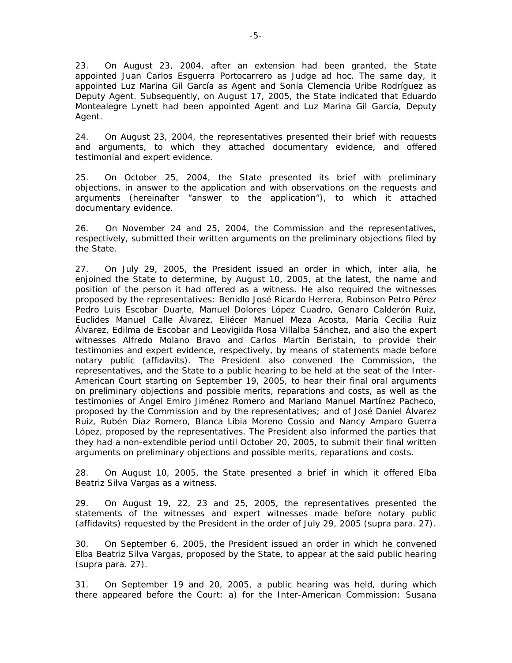23. On August 23, 2004, after an extension had been granted, the State appointed Juan Carlos Esguerra Portocarrero as Judge *ad hoc.* The same day, it appointed Luz Marina Gil García as Agent and Sonia Clemencia Uribe Rodríguez as Deputy Agent. Subsequently, on August 17, 2005, the State indicated that Eduardo Montealegre Lynett had been appointed Agent and Luz Marina Gil García, Deputy Agent.

24. On August 23, 2004, the representatives presented their brief with requests and arguments, to which they attached documentary evidence, and offered testimonial and expert evidence.

25. On October 25, 2004, the State presented its brief with preliminary objections, in answer to the application and with observations on the requests and arguments (hereinafter "answer to the application"), to which it attached documentary evidence.

26. On November 24 and 25, 2004, the Commission and the representatives, respectively, submitted their written arguments on the preliminary objections filed by the State.

27. On July 29, 2005, the President issued an order in which, *inter alia,* he enjoined the State to determine, by August 10, 2005, at the latest, the name and position of the person it had offered as a witness. He also required the witnesses proposed by the representatives: Benidlo José Ricardo Herrera, Robinson Petro Pérez Pedro Luis Escobar Duarte, Manuel Dolores López Cuadro, Genaro Calderón Ruiz, Euclides Manuel Calle Álvarez, Eliécer Manuel Meza Acosta, María Cecilia Ruiz Álvarez, Edilma de Escobar and Leovigilda Rosa Villalba Sánchez, and also the expert witnesses Alfredo Molano Bravo and Carlos Martín Beristain, to provide their testimonies and expert evidence, respectively, by means of statements made before notary public (affidavits). The President also convened the Commission, the representatives, and the State to a public hearing to be held at the seat of the Inter-American Court starting on September 19, 2005, to hear their final oral arguments on preliminary objections and possible merits, reparations and costs, as well as the testimonies of Ángel Emiro Jiménez Romero and Mariano Manuel Martínez Pacheco, proposed by the Commission and by the representatives; and of José Daniel Álvarez Ruiz, Rubén Díaz Romero, Blanca Libia Moreno Cossio and Nancy Amparo Guerra López, proposed by the representatives. The President also informed the parties that they had a non-extendible period until October 20, 2005, to submit their final written arguments on preliminary objections and possible merits, reparations and costs.

28. On August 10, 2005, the State presented a brief in which it offered Elba Beatriz Silva Vargas as a witness.

29. On August 19, 22, 23 and 25, 2005, the representatives presented the statements of the witnesses and expert witnesses made before notary public (affidavits) requested by the President in the order of July 29, 2005 (*supra* para. 27).

30. On September 6, 2005, the President issued an order in which he convened Elba Beatriz Silva Vargas, proposed by the State, to appear at the said public hearing (*supra* para. 27).

31. On September 19 and 20, 2005, a public hearing was held, during which there appeared before the Court: a) for the Inter-American Commission: Susana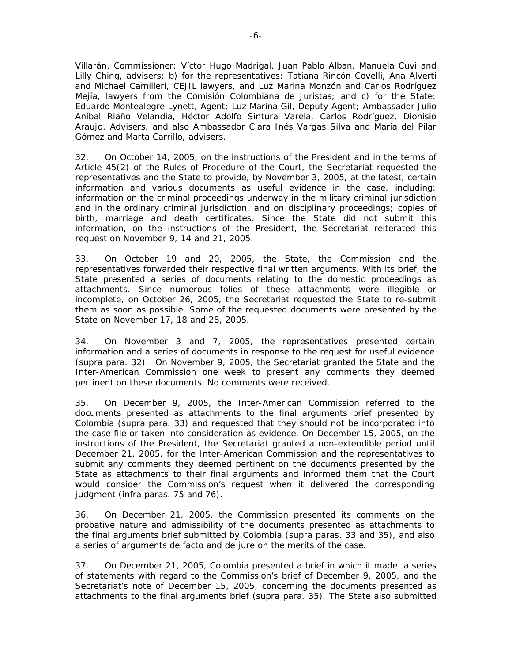Villarán, Commissioner; Víctor Hugo Madrigal, Juan Pablo Alban, Manuela Cuvi and Lilly Ching, advisers; b) for the representatives: Tatiana Rincón Covelli, Ana Alverti and Michael Camilleri, CEJIL lawyers, and Luz Marina Monzón and Carlos Rodríguez Mejía, lawyers from the *Comisión Colombiana de Juristas*; and c) for the State: Eduardo Montealegre Lynett, Agent; Luz Marina Gil, Deputy Agent; Ambassador Julio Aníbal Riaño Velandia, Héctor Adolfo Sintura Varela, Carlos Rodríguez, Dionisio Araujo, Advisers, and also Ambassador Clara Inés Vargas Silva and María del Pilar Gómez and Marta Carrillo, advisers.

32. On October 14, 2005, on the instructions of the President and in the terms of Article 45(2) of the Rules of Procedure of the Court, the Secretariat requested the representatives and the State to provide, by November 3, 2005, at the latest, certain information and various documents as useful evidence in the case, including: information on the criminal proceedings underway in the military criminal jurisdiction and in the ordinary criminal jurisdiction, and on disciplinary proceedings; copies of birth, marriage and death certificates. Since the State did not submit this information, on the instructions of the President, the Secretariat reiterated this request on November 9, 14 and 21, 2005.

33. On October 19 and 20, 2005, the State, the Commission and the representatives forwarded their respective final written arguments. With its brief, the State presented a series of documents relating to the domestic proceedings as attachments. Since numerous folios of these attachments were illegible or incomplete, on October 26, 2005, the Secretariat requested the State to re-submit them as soon as possible. Some of the requested documents were presented by the State on November 17, 18 and 28, 2005.

34. On November 3 and 7, 2005, the representatives presented certain information and a series of documents in response to the request for useful evidence (*supra* para. 32). On November 9, 2005, the Secretariat granted the State and the Inter-American Commission one week to present any comments they deemed pertinent on these documents. No comments were received.

35. On December 9, 2005, the Inter-American Commission referred to the documents presented as attachments to the final arguments brief presented by Colombia (*supra* para. 33) and requested that they should not be incorporated into the case file or taken into consideration as evidence. On December 15, 2005, on the instructions of the President, the Secretariat granted a non-extendible period until December 21, 2005, for the Inter-American Commission and the representatives to submit any comments they deemed pertinent on the documents presented by the State as attachments to their final arguments and informed them that the Court would consider the Commission's request when it delivered the corresponding judgment (*infra* paras. 75 and 76).

36. On December 21, 2005, the Commission presented its comments on the probative nature and admissibility of the documents presented as attachments to the final arguments brief submitted by Colombia (*supra* paras. 33 and 35), and also a series of arguments *de facto* and *de jure* on the merits of the case.

37. On December 21, 2005, Colombia presented a brief in which it made a series of statements with regard to the Commission's brief of December 9, 2005, and the Secretariat's note of December 15, 2005, concerning the documents presented as attachments to the final arguments brief (*supra* para. 35). The State also submitted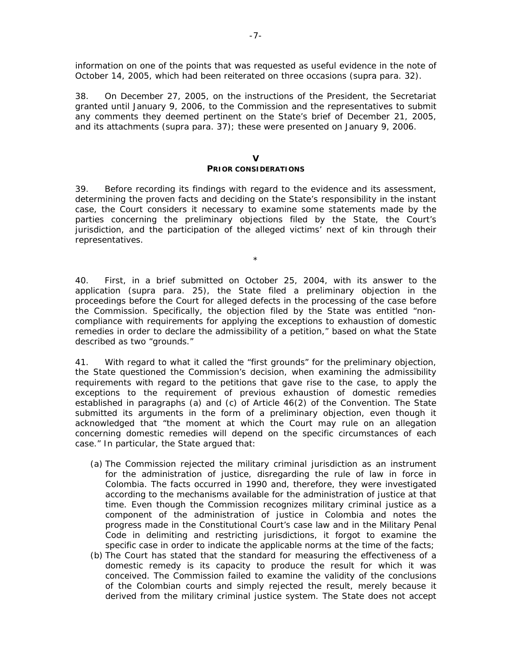information on one of the points that was requested as useful evidence in the note of October 14, 2005, which had been reiterated on three occasions (*supra* para. 32).

38. On December 27, 2005, on the instructions of the President, the Secretariat granted until January 9, 2006, to the Commission and the representatives to submit any comments they deemed pertinent on the State's brief of December 21, 2005, and its attachments (*supra* para. 37); these were presented on January 9, 2006.

#### $\mathbf{v}$

#### **PRIOR CONSIDERATIONS**

39.Before recording its findings with regard to the evidence and its assessment, determining the proven facts and deciding on the State's responsibility in the instant case, the Court considers it necessary to examine some statements made by the parties concerning the preliminary objections filed by the State, the Court's jurisdiction, and the participation of the alleged victims' next of kin through their representatives.

\*

40. First, in a brief submitted on October 25, 2004, with its answer to the application (*supra* para. 25), the State filed a preliminary objection in the proceedings before the Court for alleged defects in the processing of the case before the Commission. Specifically, the objection filed by the State was entitled "noncompliance with requirements for applying the exceptions to exhaustion of domestic remedies in order to declare the admissibility of a petition," based on what the State described as two "grounds."

41. With regard to what it called the "first grounds" for the preliminary objection, the State questioned the Commission's decision, when examining the admissibility requirements with regard to the petitions that gave rise to the case, to apply the exceptions to the requirement of previous exhaustion of domestic remedies established in paragraphs (a) and (c) of Article 46(2) of the Convention. The State submitted its arguments in the form of a preliminary objection, even though it acknowledged that "the moment at which the Court may rule on an allegation concerning domestic remedies will depend on the specific circumstances of each case." In particular, the State argued that:

- (a) The Commission rejected the military criminal jurisdiction as an instrument for the administration of justice, disregarding the rule of law in force in Colombia. The facts occurred in 1990 and, therefore, they were investigated according to the mechanisms available for the administration of justice at that time. Even though the Commission recognizes military criminal justice as a component of the administration of justice in Colombia and notes the progress made in the Constitutional Court's case law and in the Military Penal Code in delimiting and restricting jurisdictions, it forgot to examine the specific case in order to indicate the applicable norms at the time of the facts;
- (b) The Court has stated that the standard for measuring the effectiveness of a domestic remedy is its capacity to produce the result for which it was conceived. The Commission failed to examine the validity of the conclusions of the Colombian courts and simply rejected the result, merely because it derived from the military criminal justice system. The State does not accept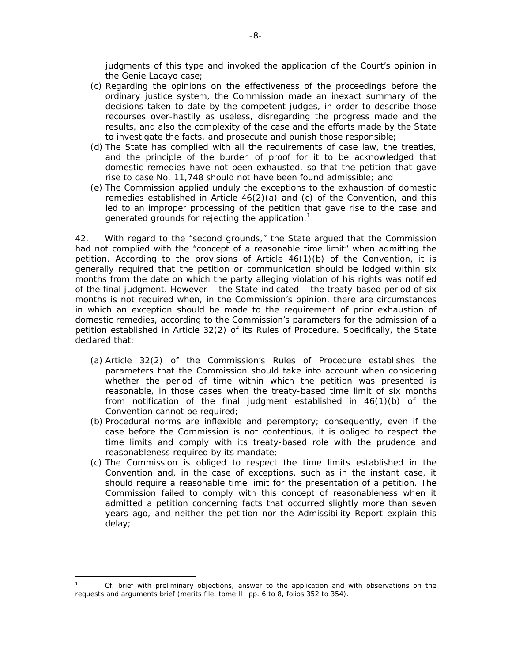judgments of this type and invoked the application of the Court's opinion in the *Genie Lacayo case*;

- (c) Regarding the opinions on the effectiveness of the proceedings before the ordinary justice system, the Commission made an inexact summary of the decisions taken to date by the competent judges, in order to describe those recourses over-hastily as useless, disregarding the progress made and the results, and also the complexity of the case and the efforts made by the State to investigate the facts, and prosecute and punish those responsible;
- (d) The State has complied with all the requirements of case law, the treaties, and the principle of the burden of proof for it to be acknowledged that domestic remedies have not been exhausted, so that the petition that gave rise to case No. 11,748 should not have been found admissible; and
- (e) The Commission applied unduly the exceptions to the exhaustion of domestic remedies established in Article 46(2)(a) and (c) of the Convention, and this led to an improper processing of the petition that gave rise to the case and generated grounds for rejecting the application.<sup>1</sup>

42. With regard to the "second grounds," the State argued that the Commission had not complied with the "concept of a reasonable time limit" when admitting the petition. According to the provisions of Article 46(1)(b) of the Convention, it is generally required that the petition or communication should be lodged within six months from the date on which the party alleging violation of his rights was notified of the final judgment. However – the State indicated – the treaty-based period of six months is not required when, in the Commission's opinion, there are circumstances in which an exception should be made to the requirement of prior exhaustion of domestic remedies, according to the Commission's parameters for the admission of a petition established in Article 32(2) of its Rules of Procedure. Specifically, the State declared that:

- (a) Article 32(2) of the Commission's Rules of Procedure establishes the parameters that the Commission should take into account when considering whether the period of time within which the petition was presented is reasonable, in those cases when the treaty-based time limit of six months from notification of the final judgment established in 46(1)(b) of the Convention cannot be required;
- (b) Procedural norms are inflexible and peremptory; consequently, even if the case before the Commission is not contentious, it is obliged to respect the time limits and comply with its treaty-based role with the prudence and reasonableness required by its mandate;
- (c) The Commission is obliged to respect the time limits established in the Convention and, in the case of exceptions, such as in the instant case, it should require a reasonable time limit for the presentation of a petition. The Commission failed to comply with this concept of reasonableness when it admitted a petition concerning facts that occurred slightly more than seven years ago, and neither the petition nor the Admissibility Report explain this delay;

 $\overline{a}$ 

<sup>1</sup> *Cf.* brief with preliminary objections, answer to the application and with observations on the requests and arguments brief (merits file, tome II, pp. 6 to 8, folios 352 to 354).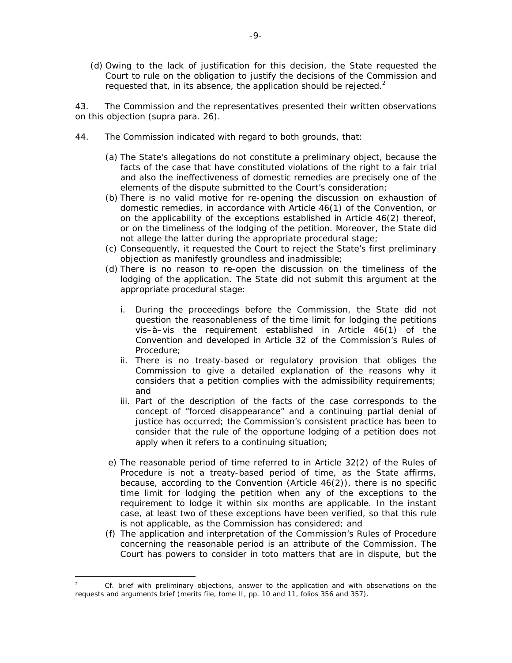(d) Owing to the lack of justification for this decision, the State requested the Court to rule on the obligation to justify the decisions of the Commission and requested that, in its absence, the application should be rejected. $2^2$ 

43. The Commission and the representatives presented their written observations on this objection (*supra* para. 26).

- 44. The Commission indicated with regard to both grounds, that:
	- (a) The State's allegations do not constitute a preliminary object, because the facts of the case that have constituted violations of the right to a fair trial and also the ineffectiveness of domestic remedies are precisely one of the elements of the dispute submitted to the Court's consideration;
	- (b) There is no valid motive for re-opening the discussion on exhaustion of domestic remedies, in accordance with Article 46(1) of the Convention, or on the applicability of the exceptions established in Article 46(2) thereof, or on the timeliness of the lodging of the petition. Moreover, the State did not allege the latter during the appropriate procedural stage;
	- (c) Consequently, it requested the Court to reject the State's first preliminary objection as manifestly groundless and inadmissible;
	- (d) There is no reason to re-open the discussion on the timeliness of the lodging of the application. The State did not submit this argument at the appropriate procedural stage:
		- i. During the proceedings before the Commission, the State did not question the reasonableness of the time limit for lodging the petitions *vis*–*à*–*vis* the requirement established in Article 46(1) of the Convention and developed in Article 32 of the Commission's Rules of Procedure;
		- ii. There is no treaty-based or regulatory provision that obliges the Commission to give a detailed explanation of the reasons why it considers that a petition complies with the admissibility requirements; and
		- iii. Part of the description of the facts of the case corresponds to the concept of "forced disappearance" and a continuing partial denial of justice has occurred; the Commission's consistent practice has been to consider that the rule of the opportune lodging of a petition does not apply when it refers to a continuing situation;
	- e) The reasonable period of time referred to in Article 32(2) of the Rules of Procedure is not a treaty-based period of time, as the State affirms, because, according to the Convention (Article 46(2)), there is no specific time limit for lodging the petition when any of the exceptions to the requirement to lodge it within six months are applicable. In the instant case, at least two of these exceptions have been verified, so that this rule is not applicable, as the Commission has considered; and
	- (f) The application and interpretation of the Commission's Rules of Procedure concerning the reasonable period is an attribute of the Commission. The Court has powers to consider *in toto* matters that are in dispute, but the

 $\overline{a}$ 

<sup>2</sup> *Cf.* brief with preliminary objections, answer to the application and with observations on the requests and arguments brief (merits file, tome II, pp. 10 and 11, folios 356 and 357).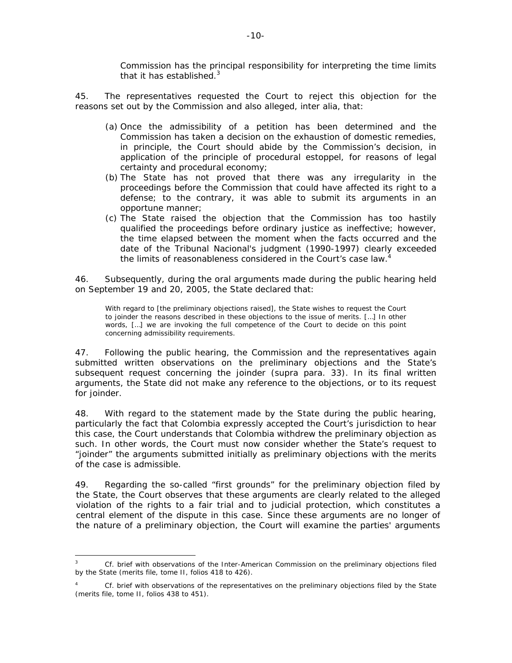Commission has the principal responsibility for interpreting the time limits that it has established. $3$ 

45. The representatives requested the Court to reject this objection for the reasons set out by the Commission and also alleged, *inter alia,* that:

- (a) Once the admissibility of a petition has been determined and the Commission has taken a decision on the exhaustion of domestic remedies, in principle, the Court should abide by the Commission's decision, in application of the principle of procedural estoppel, for reasons of legal certainty and procedural economy;
- (b) The State has not proved that there was any irregularity in the proceedings before the Commission that could have affected its right to a defense; to the contrary, it was able to submit its arguments in an opportune manner;
- (c) The State raised the objection that the Commission has too hastily qualified the proceedings before ordinary justice as ineffective; however, the time elapsed between the moment when the facts occurred and the date of the *Tribunal Nacional*'s judgment (1990-1997) clearly exceeded the limits of reasonableness considered in the Court's case law.<sup>4</sup>

46. Subsequently, during the oral arguments made during the public hearing held on September 19 and 20, 2005, the State declared that:

With regard to [the preliminary objections raised], the State wishes to request the Court to joinder the reasons described in these objections to the issue of merits. […] In other words, […] we are invoking the full competence of the Court to decide on this point concerning admissibility requirements.

47. Following the public hearing, the Commission and the representatives again submitted written observations on the preliminary objections and the State's subsequent request concerning the joinder (*supra* para. 33). In its final written arguments, the State did not make any reference to the objections, or to its request for joinder.

48. With regard to the statement made by the State during the public hearing, particularly the fact that Colombia expressly accepted the Court's jurisdiction to hear this case, the Court understands that Colombia withdrew the preliminary objection as such. In other words, the Court must now consider whether the State's request to "joinder" the arguments submitted initially as preliminary objections with the merits of the case is admissible.

49. Regarding the so-called "first grounds" for the preliminary objection filed by the State, the Court observes that these arguments are clearly related to the alleged violation of the rights to a fair trial and to judicial protection, which constitutes a central element of the dispute in this case. Since these arguments are no longer of the nature of a preliminary objection, the Court will examine the parties' arguments

 $\overline{a}$ <sup>3</sup> *Cf.* brief with observations of the Inter-American Commission on the preliminary objections filed by the State (merits file, tome II, folios 418 to 426).

<sup>4</sup> *Cf.* brief with observations of the representatives on the preliminary objections filed by the State (merits file, tome II, folios 438 to 451).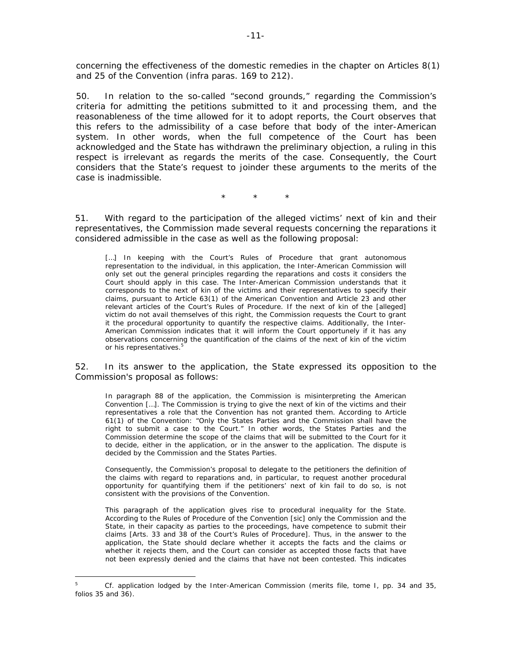concerning the effectiveness of the domestic remedies in the chapter on Articles 8(1) and 25 of the Convention (*infra* paras. 169 to 212).

50. In relation to the so-called "second grounds," regarding the Commission's criteria for admitting the petitions submitted to it and processing them, and the reasonableness of the time allowed for it to adopt reports, the Court observes that this refers to the admissibility of a case before that body of the inter-American system. In other words, when the full competence of the Court has been acknowledged and the State has withdrawn the preliminary objection, a ruling in this respect is irrelevant as regards the merits of the case. Consequently, the Court considers that the State's request to joinder these arguments to the merits of the case is inadmissible.

\* \* \*

51. With regard to the participation of the alleged victims' next of kin and their representatives, the Commission made several requests concerning the reparations it considered admissible in the case as well as the following proposal:

[...] In keeping with the Court's Rules of Procedure that grant autonomous representation to the individual, in this application, the Inter-American Commission will only set out the general principles regarding the reparations and costs it considers the Court should apply in this case. The Inter-American Commission understands that it corresponds to the next of kin of the victims and their representatives to specify their claims, pursuant to Article 63(1) of the American Convention and Article 23 and other relevant articles of the Court's Rules of Procedure. If the next of kin of the [alleged] victim do not avail themselves of this right, the Commission requests the Court to grant it the procedural opportunity to quantify the respective claims. Additionally, the Inter-American Commission indicates that it will inform the Court opportunely if it has any observations concerning the quantification of the claims of the next of kin of the victim or his representatives.<sup>5</sup>

#### 52. In its answer to the application, the State expressed its opposition to the Commission's proposal as follows:

In paragraph 88 of the application, the Commission is misinterpreting the American Convention […]. The Commission is trying to give the next of kin of the victims and their representatives a role that the Convention has not granted them. According to Article 61(1) of the Convention: "Only the States Parties and the Commission shall have the right to submit a case to the Court." In other words, the States Parties and the Commission determine the scope of the claims that will be submitted to the Court for it to decide, either in the application, or in the answer to the application. The dispute is decided by the Commission and the States Parties.

Consequently, the Commission's proposal to delegate to the petitioners the definition of the claims with regard to reparations and, in particular, to request another procedural opportunity for quantifying them if the petitioners' next of kin fail to do so, is not consistent with the provisions of the Convention.

This paragraph of the application gives rise to procedural inequality for the State. According to the Rules of Procedure of the Convention [sic] only the Commission and the State, in their capacity as parties to the proceedings, have competence to submit their claims [Arts. 33 and 38 of the Court's Rules of Procedure]. Thus, in the answer to the application, the State should declare whether it accepts the facts and the claims or whether it rejects them, and the Court can consider as accepted those facts that have not been expressly denied and the claims that have not been contested. This indicates

 $\overline{a}$ 

<sup>5</sup> *Cf.* application lodged by the Inter-American Commission (merits file, tome I, pp. 34 and 35, folios 35 and 36).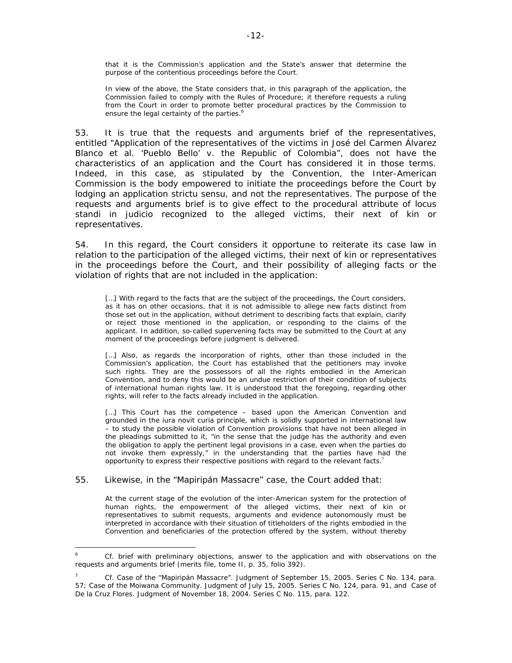that it is the Commission's application and the State's answer that determine the purpose of the contentious proceedings before the Court.

In view of the above, the State considers that, in this paragraph of the application, the Commission failed to comply with the Rules of Procedure; it therefore requests a ruling from the Court in order to promote better procedural practices by the Commission to ensure the legal certainty of the parties.<sup>6</sup>

53. It is true that the requests and arguments brief of the representatives, entitled "Application of the representatives of the victims in José del Carmen Álvarez Blanco *et al*. 'Pueblo Bello' *v.* the Republic of Colombia", does not have the characteristics of an application and the Court has considered it in those terms. Indeed, in this case, as stipulated by the Convention, the Inter-American Commission is the body empowered to initiate the proceedings before the Court by lodging an application *strictu sensu*, and not the representatives. The purpose of the requests and arguments brief is to give effect to the procedural attribute of *locus standi in judicio* recognized to the alleged victims, their next of kin or representatives.

54. In this regard, the Court considers it opportune to reiterate its case law in relation to the participation of the alleged victims, their next of kin or representatives in the proceedings before the Court, and their possibility of alleging facts or the violation of rights that are not included in the application:

[...] With regard to the facts that are the subject of the proceedings, the Court considers, as it has on other occasions, that it is not admissible to allege new facts distinct from those set out in the application, without detriment to describing facts that explain, clarify or reject those mentioned in the application, or responding to the claims of the applicant. In addition, so-called supervening facts may be submitted to the Court at any moment of the proceedings before judgment is delivered.

[...] Also, as regards the incorporation of rights, other than those included in the Commission's application, the Court has established that the petitioners may invoke such rights. They are the possessors of all the rights embodied in the American Convention, and to deny this would be an undue restriction of their condition of subjects of international human rights law. It is understood that the foregoing, regarding other rights, will refer to the facts already included in the application.

[...] This Court has the competence – based upon the American Convention and grounded in the *iura novit curia* principle, which is solidly supported in international law – to study the possible violation of Convention provisions that have not been alleged in the pleadings submitted to it, "in the sense that the judge has the authority and even the obligation to apply the pertinent legal provisions in a case, even when the parties do not invoke them expressly," in the understanding that the parties have had the opportunity to express their respective positions with regard to the relevant facts.<sup>7</sup>

#### 55. Likewise, in the *"Mapiripán Massacre"* case, the Court added that:

At the current stage of the evolution of the inter-American system for the protection of human rights, the empowerment of the alleged victims, their next of kin or representatives to submit requests, arguments and evidence autonomously must be interpreted in accordance with their situation of titleholders of the rights embodied in the Convention and beneficiaries of the protection offered by the system, without thereby

 $\overline{6}$  *Cf.* brief with preliminary objections, answer to the application and with observations on the requests and arguments brief (merits file, tome II, p. 35, folio 392).

<sup>7</sup> *Cf. Case of the "Mapiripán Massacre"*. Judgment of September 15, 2005. Series C No. 134, para. 57; *Case of the Moiwana Community*. Judgment of July 15, 2005. Series C No. 124, para. 91, and *Case of De la Cruz Flores*. Judgment of November 18, 2004. Series C No. 115, para. 122.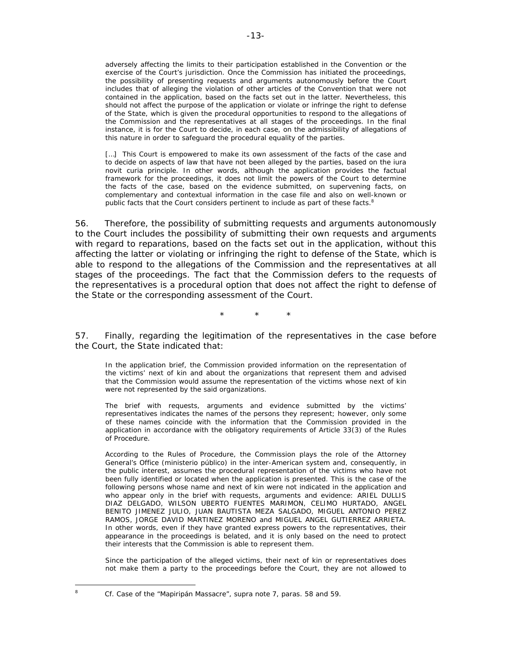adversely affecting the limits to their participation established in the Convention or the exercise of the Court's jurisdiction. Once the Commission has initiated the proceedings, the possibility of presenting requests and arguments autonomously before the Court includes that of alleging the violation of other articles of the Convention that were not contained in the application, based on the facts set out in the latter. Nevertheless, this should not affect the purpose of the application or violate or infringe the right to defense of the State, which is given the procedural opportunities to respond to the allegations of the Commission and the representatives at all stages of the proceedings. In the final instance, it is for the Court to decide, in each case, on the admissibility of allegations of this nature in order to safeguard the procedural equality of the parties.

[...] This Court is empowered to make its own assessment of the facts of the case and to decide on aspects of law that have not been alleged by the parties, based on the *iura novit curia* principle. In other words, although the application provides the factual framework for the proceedings, it does not limit the powers of the Court to determine the facts of the case, based on the evidence submitted, on supervening facts, on complementary and contextual information in the case file and also on well-known or public facts that the Court considers pertinent to include as part of these facts.<sup>8</sup>

56. Therefore, the possibility of submitting requests and arguments autonomously to the Court includes the possibility of submitting their own requests and arguments with regard to reparations, based on the facts set out in the application, without this affecting the latter or violating or infringing the right to defense of the State, which is able to respond to the allegations of the Commission and the representatives at all stages of the proceedings. The fact that the Commission defers to the requests of the representatives is a procedural option that does not affect the right to defense of the State or the corresponding assessment of the Court.

\* \* \*

57. Finally, regarding the legitimation of the representatives in the case before the Court, the State indicated that:

In the application brief, the Commission provided information on the representation of the victims' next of kin and about the organizations that represent them and advised that the Commission would assume the representation of the victims whose next of kin were not represented by the said organizations.

The brief with requests, arguments and evidence submitted by the victims' representatives indicates the names of the persons they represent; however, only some of these names coincide with the information that the Commission provided in the application in accordance with the obligatory requirements of Article 33(3) of the Rules of Procedure.

According to the Rules of Procedure, the Commission plays the role of the Attorney General's Office (*ministerio público*) in the inter-American system and, consequently, in the public interest, assumes the procedural representation of the victims who have not been fully identified or located when the application is presented. This is the case of the following persons whose name and next of kin were not indicated in the application and who appear only in the brief with requests, arguments and evidence: ARIEL DULLIS DIAZ DELGADO, WILSON UBERTO FUENTES MARIMON, CELIMO HURTADO, ANGEL BENITO JIMENEZ JULIO, JUAN BAUTISTA MEZA SALGADO, MIGUEL ANTONIO PEREZ RAMOS, JORGE DAVID MARTINEZ MORENO and MIGUEL ANGEL GUTIERREZ ARRIETA. In other words, even if they have granted express powers to the representatives, their appearance in the proceedings is belated, and it is only based on the need to protect their interests that the Commission is able to represent them.

Since the participation of the alleged victims, their next of kin or representatives does not make them a party to the proceedings before the Court, they are not allowed to

 $\overline{a}$ 8

*Cf. Case of the "Mapiripán Massacre", supra note* 7, paras. 58 and 59.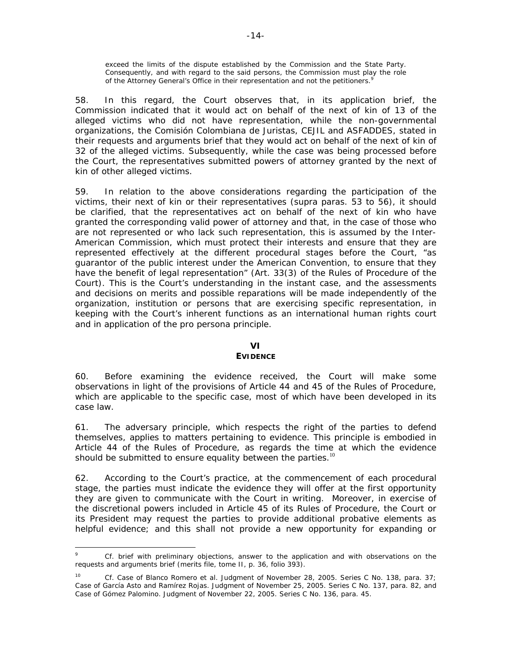exceed the limits of the dispute established by the Commission and the State Party. Consequently, and with regard to the said persons, the Commission must play the role of the Attorney General's Office in their representation and not the petitioners.<sup>9</sup>

58. In this regard, the Court observes that, in its application brief, the Commission indicated that it would act on behalf of the next of kin of 13 of the alleged victims who did not have representation, while the non-governmental organizations, the *Comisión Colombiana de Juristas*, CEJIL and ASFADDES, stated in their requests and arguments brief that they would act on behalf of the next of kin of 32 of the alleged victims. Subsequently, while the case was being processed before the Court, the representatives submitted powers of attorney granted by the next of kin of other alleged victims.

59. In relation to the above considerations regarding the participation of the victims, their next of kin or their representatives (*supra* paras. 53 to 56), it should be clarified, that the representatives act on behalf of the next of kin who have granted the corresponding valid power of attorney and that, in the case of those who are not represented or who lack such representation, this is assumed by the Inter-American Commission, which must protect their interests and ensure that they are represented effectively at the different procedural stages before the Court, "as guarantor of the public interest under the American Convention, to ensure that they have the benefit of legal representation" (Art. 33(3) of the Rules of Procedure of the Court). This is the Court's understanding in the instant case, and the assessments and decisions on merits and possible reparations will be made independently of the organization, institution or persons that are exercising specific representation, in keeping with the Court's inherent functions as an international human rights court and in application of the *pro persona* principle.

#### **VI**

#### **EVIDENCE**

60. Before examining the evidence received, the Court will make some observations in light of the provisions of Article 44 and 45 of the Rules of Procedure, which are applicable to the specific case, most of which have been developed in its case law.

61. The adversary principle, which respects the right of the parties to defend themselves, applies to matters pertaining to evidence. This principle is embodied in Article 44 of the Rules of Procedure, as regards the time at which the evidence should be submitted to ensure equality between the parties. $10$ 

62. According to the Court's practice, at the commencement of each procedural stage, the parties must indicate the evidence they will offer at the first opportunity they are given to communicate with the Court in writing. Moreover, in exercise of the discretional powers included in Article 45 of its Rules of Procedure, the Court or its President may request the parties to provide additional probative elements as helpful evidence; and this shall not provide a new opportunity for expanding or

 $\overline{9}$ Cf. brief with preliminary objections, answer to the application and with observations on the requests and arguments brief (merits file, tome II, p. 36, folio 393).

*<sup>10</sup> Cf. Case of Blanco Romero et al.* Judgment of November 28, 2005. Series C No. 138, para. 37; *Case of García Asto and Ramírez Rojas.* Judgment of November 25, 2005. Series C No. 137, para. 82, and *Case of Gómez Palomino.* Judgment of November 22, 2005. Series C No. 136, para. 45.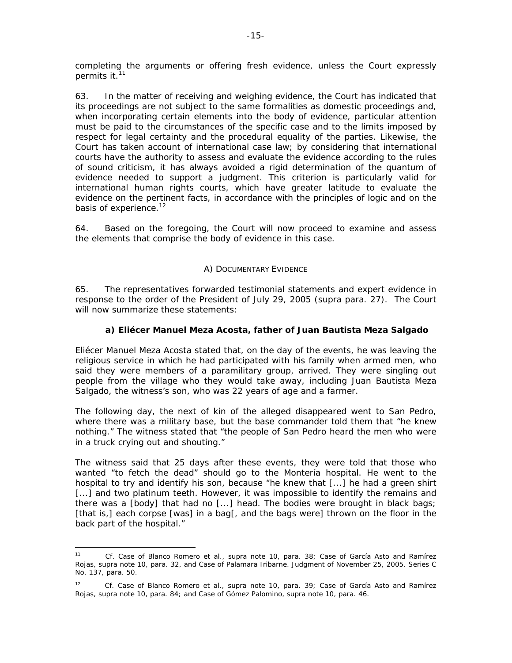completing the arguments or offering fresh evidence, unless the Court expressly permits it.<sup>11</sup>

63. In the matter of receiving and weighing evidence, the Court has indicated that its proceedings are not subject to the same formalities as domestic proceedings and, when incorporating certain elements into the body of evidence, particular attention must be paid to the circumstances of the specific case and to the limits imposed by respect for legal certainty and the procedural equality of the parties. Likewise, the Court has taken account of international case law; by considering that international courts have the authority to assess and evaluate the evidence according to the rules of sound criticism, it has always avoided a rigid determination of the *quantum* of evidence needed to support a judgment. This criterion is particularly valid for international human rights courts, which have greater latitude to evaluate the evidence on the pertinent facts, in accordance with the principles of logic and on the basis of experience.<sup>12</sup>

64. Based on the foregoing, the Court will now proceed to examine and assess the elements that comprise the body of evidence in this case.

## *A) DOCUMENTARY EVIDENCE*

65. The representatives forwarded testimonial statements and expert evidence in response to the order of the President of July 29, 2005 (*supra* para. 27). The Court will now summarize these statements:

### **a) Eliécer Manuel Meza Acosta, father of Juan Bautista Meza Salgado**

Eliécer Manuel Meza Acosta stated that, on the day of the events, he was leaving the religious service in which he had participated with his family when armed men, who said they were members of a paramilitary group, arrived. They were singling out people from the village who they would take away, including Juan Bautista Meza Salgado, the witness's son, who was 22 years of age and a farmer.

The following day, the next of kin of the alleged disappeared went to San Pedro, where there was a military base, but the base commander told them that "he knew nothing." The witness stated that "the people of San Pedro heard the men who were in a truck crying out and shouting."

The witness said that 25 days after these events, they were told that those who wanted "to fetch the dead" should go to the Montería hospital. He went to the hospital to try and identify his son, because "he knew that [...] he had a green shirt [...] and two platinum teeth. However, it was impossible to identify the remains and there was a [body] that had no [...] head. The bodies were brought in black bags; [that is,] each corpse [was] in a bag[, and the bags were] thrown on the floor in the back part of the hospital."

 $11$ <sup>11</sup> *Cf. Case of Blanco Romero et al., supra note* 10, para. 38; *Case of García Asto and Ramírez Rojas, supra note* 10, para. 32, and *Case of Palamara Iribarne.* Judgment of November 25, 2005. Series C No. 137, para. 50.

*<sup>12</sup> Cf. Case of Blanco Romero et al., supra note* 10, para. 39*; Case of García Asto and Ramírez Rojas, supra note* 10, para. 84; and *Case of Gómez Palomino, supra note* 10, para. 46.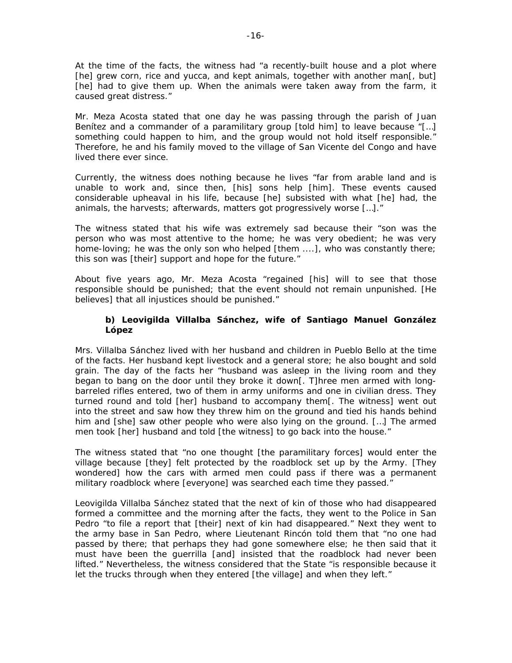At the time of the facts, the witness had "a recently-built house and a plot where [he] grew corn, rice and yucca, and kept animals, together with another man[, but] [he] had to give them up. When the animals were taken away from the farm, it caused great distress."

Mr. Meza Acosta stated that one day he was passing through the parish of Juan Benítez and a commander of a paramilitary group [told him] to leave because "[…] something could happen to him, and the group would not hold itself responsible." Therefore, he and his family moved to the village of San Vicente del Congo and have lived there ever since.

Currently, the witness does nothing because he lives "far from arable land and is unable to work and, since then, [his] sons help [him]. These events caused considerable upheaval in his life, because [he] subsisted with what [he] had, the animals, the harvests; afterwards, matters got progressively worse […]."

The witness stated that his wife was extremely sad because their "son was the person who was most attentive to the home; he was very obedient; he was very home-loving; he was the only son who helped [them ....], who was constantly there; this son was [their] support and hope for the future."

About five years ago, Mr. Meza Acosta "regained [his] will to see that those responsible should be punished; that the event should not remain unpunished. [He believes] that all injustices should be punished."

## **b) Leovigilda Villalba Sánchez, wife of Santiago Manuel González López**

Mrs. Villalba Sánchez lived with her husband and children in Pueblo Bello at the time of the facts. Her husband kept livestock and a general store; he also bought and sold grain. The day of the facts her "husband was asleep in the living room and they began to bang on the door until they broke it down[. T]hree men armed with longbarreled rifles entered, two of them in army uniforms and one in civilian dress. They turned round and told [her] husband to accompany them[. The witness] went out into the street and saw how they threw him on the ground and tied his hands behind him and [she] saw other people who were also lying on the ground. […] The armed men took [her] husband and told [the witness] to go back into the house."

The witness stated that "no one thought [the paramilitary forces] would enter the village because [they] felt protected by the roadblock set up by the Army. [They wondered] how the cars with armed men could pass if there was a permanent military roadblock where [everyone] was searched each time they passed."

Leovigilda Villalba Sánchez stated that the next of kin of those who had disappeared formed a committee and the morning after the facts, they went to the Police in San Pedro "to file a report that [their] next of kin had disappeared." Next they went to the army base in San Pedro, where Lieutenant Rincón told them that "no one had passed by there; that perhaps they had gone somewhere else; he then said that it must have been the guerrilla [and] insisted that the roadblock had never been lifted." Nevertheless, the witness considered that the State "is responsible because it let the trucks through when they entered [the village] and when they left."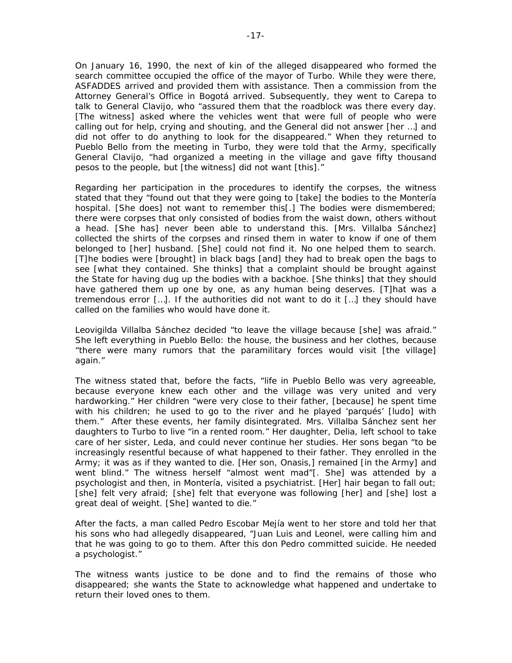On January 16, 1990, the next of kin of the alleged disappeared who formed the search committee occupied the office of the mayor of Turbo. While they were there, ASFADDES arrived and provided them with assistance. Then a commission from the Attorney General's Office in Bogotá arrived. Subsequently, they went to Carepa to talk to General Clavijo, who "assured them that the roadblock was there every day. [The witness] asked where the vehicles went that were full of people who were calling out for help, crying and shouting, and the General did not answer [her …] and did not offer to do anything to look for the disappeared." When they returned to Pueblo Bello from the meeting in Turbo, they were told that the Army, specifically General Clavijo, "had organized a meeting in the village and gave fifty thousand pesos to the people, but [the witness] did not want [this]."

Regarding her participation in the procedures to identify the corpses, the witness stated that they "found out that they were going to [take] the bodies to the Montería hospital. [She does] not want to remember this[.] The bodies were dismembered; there were corpses that only consisted of bodies from the waist down, others without a head. [She has] never been able to understand this. [Mrs. Villalba Sánchez] collected the shirts of the corpses and rinsed them in water to know if one of them belonged to [her] husband. [She] could not find it. No one helped them to search. [T]he bodies were [brought] in black bags [and] they had to break open the bags to see [what they contained. She thinks] that a complaint should be brought against the State for having dug up the bodies with a backhoe. [She thinks] that they should have gathered them up one by one, as any human being deserves. [T]hat was a tremendous error […]. If the authorities did not want to do it […] they should have called on the families who would have done it.

Leovigilda Villalba Sánchez decided "to leave the village because [she] was afraid." She left everything in Pueblo Bello: the house, the business and her clothes, because "there were many rumors that the paramilitary forces would visit [the village] again."

The witness stated that, before the facts, "life in Pueblo Bello was very agreeable, because everyone knew each other and the village was very united and very hardworking." Her children "were very close to their father, [because] he spent time with his children; he used to go to the river and he played '*parqués*' [ludo] with them." After these events, her family disintegrated. Mrs. Villalba Sánchez sent her daughters to Turbo to live "in a rented room." Her daughter, Delia, left school to take care of her sister, Leda, and could never continue her studies. Her sons began "to be increasingly resentful because of what happened to their father. They enrolled in the Army; it was as if they wanted to die. [Her son, Onasis,] remained [in the Army] and went blind." The witness herself "almost went mad"[. She] was attended by a psychologist and then, in Montería, visited a psychiatrist. [Her] hair began to fall out; [she] felt very afraid; [she] felt that everyone was following [her] and [she] lost a great deal of weight. [She] wanted to die."

After the facts, a man called Pedro Escobar Mejía went to her store and told her that his sons who had allegedly disappeared, "Juan Luis and Leonel, were calling him and that he was going to go to them. After this don Pedro committed suicide. He needed a psychologist."

The witness wants justice to be done and to find the remains of those who disappeared; she wants the State to acknowledge what happened and undertake to return their loved ones to them.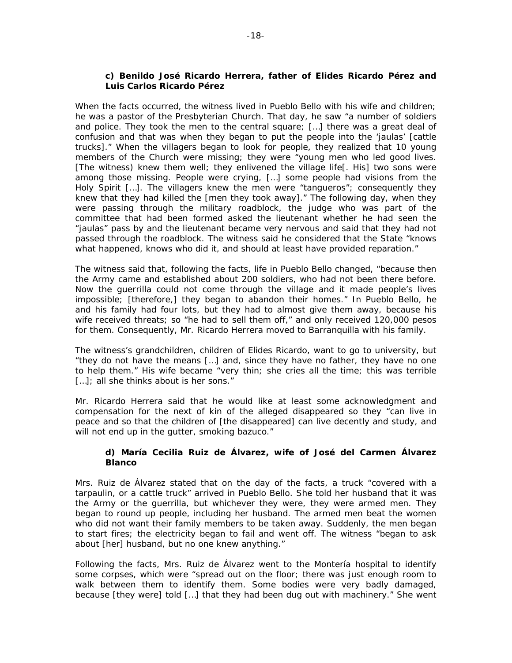#### **c) Benildo José Ricardo Herrera, father of Elides Ricardo Pérez and Luis Carlos Ricardo Pérez**

When the facts occurred, the witness lived in Pueblo Bello with his wife and children; he was a pastor of the Presbyterian Church. That day, he saw "a number of soldiers and police. They took the men to the central square; […] there was a great deal of confusion and that was when they began to put the people into the '*jaulas*' [cattle trucks]." When the villagers began to look for people, they realized that 10 young members of the Church were missing; they were "young men who led good lives. [The witness) knew them well; they enlivened the village life[. His] two sons were among those missing. People were crying, […] some people had visions from the Holy Spirit […]. The villagers knew the men were "*tangueros*"; consequently they knew that they had killed the [men they took away]." The following day, when they were passing through the military roadblock, the judge who was part of the committee that had been formed asked the lieutenant whether he had seen the "*jaulas"* pass by and the lieutenant became very nervous and said that they had not passed through the roadblock. The witness said he considered that the State "knows what happened, knows who did it, and should at least have provided reparation."

The witness said that, following the facts, life in Pueblo Bello changed, "because then the Army came and established about 200 soldiers, who had not been there before. Now the guerrilla could not come through the village and it made people's lives impossible; [therefore,] they began to abandon their homes." In Pueblo Bello, he and his family had four lots, but they had to almost give them away, because his wife received threats; so "he had to sell them off," and only received 120,000 pesos for them. Consequently, Mr. Ricardo Herrera moved to Barranquilla with his family.

The witness's grandchildren, children of Elides Ricardo, want to go to university, but "they do not have the means […] and, since they have no father, they have no one to help them." His wife became "very thin; she cries all the time; this was terrible [...]; all she thinks about is her sons."

Mr. Ricardo Herrera said that he would like at least some acknowledgment and compensation for the next of kin of the alleged disappeared so they "can live in peace and so that the children of [the disappeared] can live decently and study, and will not end up in the gutter, smoking bazuco."

#### **d) María Cecilia Ruiz de Álvarez, wife of José del Carmen Álvarez Blanco**

Mrs. Ruiz de Álvarez stated that on the day of the facts, a truck "covered with a tarpaulin, or a cattle truck" arrived in Pueblo Bello. She told her husband that it was the Army or the guerrilla, but whichever they were, they were armed men. They began to round up people, including her husband. The armed men beat the women who did not want their family members to be taken away. Suddenly, the men began to start fires; the electricity began to fail and went off. The witness "began to ask about [her] husband, but no one knew anything."

Following the facts, Mrs. Ruiz de Álvarez went to the Montería hospital to identify some corpses, which were "spread out on the floor; there was just enough room to walk between them to identify them. Some bodies were very badly damaged, because [they were] told […] that they had been dug out with machinery." She went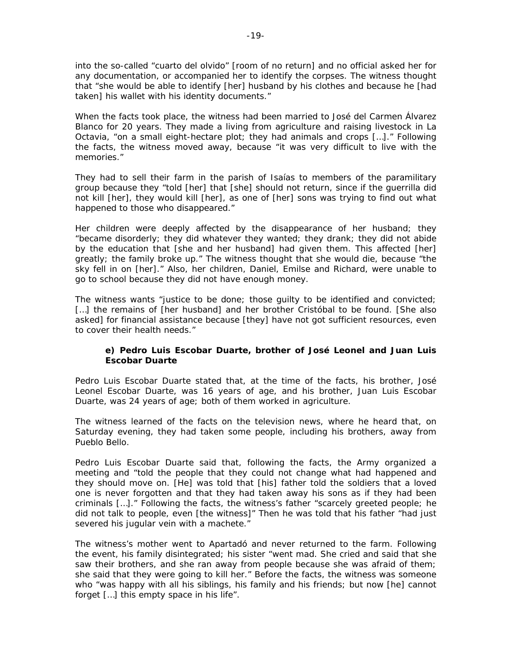into the so-called "*cuarto del olvido*" [room of no return] and no official asked her for any documentation, or accompanied her to identify the corpses. The witness thought that "she would be able to identify [her] husband by his clothes and because he [had taken] his wallet with his identity documents."

When the facts took place, the witness had been married to José del Carmen Álvarez Blanco for 20 years. They made a living from agriculture and raising livestock in La Octavia, "on a small eight-hectare plot; they had animals and crops […]." Following the facts, the witness moved away, because "it was very difficult to live with the memories."

They had to sell their farm in the parish of Isaías to members of the paramilitary group because they "told [her] that [she] should not return, since if the guerrilla did not kill [her], they would kill [her], as one of [her] sons was trying to find out what happened to those who disappeared."

Her children were deeply affected by the disappearance of her husband; they "became disorderly; they did whatever they wanted; they drank; they did not abide by the education that [she and her husband] had given them. This affected [her] greatly; the family broke up." The witness thought that she would die, because "the sky fell in on [her]." Also, her children, Daniel, Emilse and Richard, were unable to go to school because they did not have enough money.

The witness wants "justice to be done; those guilty to be identified and convicted; [...] the remains of [her husband] and her brother Cristóbal to be found. [She also asked] for financial assistance because [they] have not got sufficient resources, even to cover their health needs."

### **e) Pedro Luis Escobar Duarte, brother of José Leonel and Juan Luis Escobar Duarte**

Pedro Luis Escobar Duarte stated that, at the time of the facts, his brother, José Leonel Escobar Duarte, was 16 years of age, and his brother, Juan Luis Escobar Duarte, was 24 years of age; both of them worked in agriculture.

The witness learned of the facts on the television news, where he heard that, on Saturday evening, they had taken some people, including his brothers, away from Pueblo Bello.

Pedro Luis Escobar Duarte said that, following the facts, the Army organized a meeting and "told the people that they could not change what had happened and they should move on. [He] was told that [his] father told the soldiers that a loved one is never forgotten and that they had taken away his sons as if they had been criminals […]." Following the facts, the witness's father "scarcely greeted people; he did not talk to people, even [the witness]" Then he was told that his father "had just severed his jugular vein with a machete."

The witness's mother went to Apartadó and never returned to the farm. Following the event, his family disintegrated; his sister "went mad. She cried and said that she saw their brothers, and she ran away from people because she was afraid of them; she said that they were going to kill her." Before the facts, the witness was someone who "was happy with all his siblings, his family and his friends; but now [he] cannot forget [...] this empty space in his life".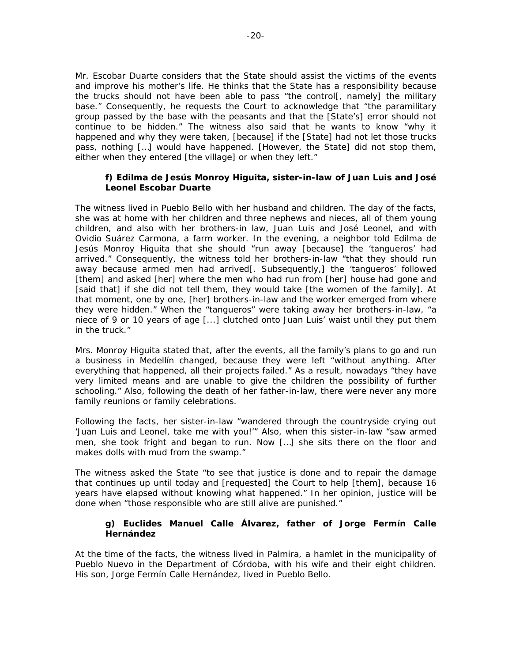Mr. Escobar Duarte considers that the State should assist the victims of the events and improve his mother's life. He thinks that the State has a responsibility because the trucks should not have been able to pass "the control[, namely] the military base." Consequently, he requests the Court to acknowledge that "the paramilitary group passed by the base with the peasants and that the [State's] error should not continue to be hidden." The witness also said that he wants to know "why it happened and why they were taken, [because] if the [State] had not let those trucks pass, nothing […] would have happened. [However, the State] did not stop them, either when they entered [the village] or when they left."

#### **f) Edilma de Jesús Monroy Higuita, sister-in-law of Juan Luis and José Leonel Escobar Duarte**

The witness lived in Pueblo Bello with her husband and children. The day of the facts, she was at home with her children and three nephews and nieces, all of them young children, and also with her brothers-in law, Juan Luis and José Leonel, and with Ovidio Suárez Carmona, a farm worker. In the evening, a neighbor told Edilma de Jesús Monroy Higuita that she should "run away [because] the '*tangueros*' had arrived." Consequently, the witness told her brothers-in-law "that they should run away because armed men had arrived[. Subsequently,] the '*tangueros*' followed [them] and asked [her] where the men who had run from [her] house had gone and [said that] if she did not tell them, they would take [the women of the family]. At that moment, one by one, [her] brothers-in-law and the worker emerged from where they were hidden." When the "*tangueros*" were taking away her brothers-in-law, "a niece of 9 or 10 years of age [...] clutched onto Juan Luis' waist until they put them in the truck."

Mrs. Monroy Higuita stated that, after the events, all the family's plans to go and run a business in Medellín changed, because they were left "without anything. After everything that happened, all their projects failed." As a result, nowadays "they have very limited means and are unable to give the children the possibility of further schooling." Also, following the death of her father-in-law, there were never any more family reunions or family celebrations.

Following the facts, her sister-in-law "wandered through the countryside crying out 'Juan Luis and Leonel, take me with you!'" Also, when this sister-in-law "saw armed men, she took fright and began to run. Now […] she sits there on the floor and makes dolls with mud from the swamp."

The witness asked the State "to see that justice is done and to repair the damage that continues up until today and [requested] the Court to help [them], because 16 years have elapsed without knowing what happened." In her opinion, justice will be done when "those responsible who are still alive are punished."

### **g) Euclides Manuel Calle Álvarez, father of Jorge Fermín Calle Hernández**

At the time of the facts, the witness lived in Palmira, a hamlet in the municipality of Pueblo Nuevo in the Department of Córdoba, with his wife and their eight children. His son, Jorge Fermín Calle Hernández, lived in Pueblo Bello.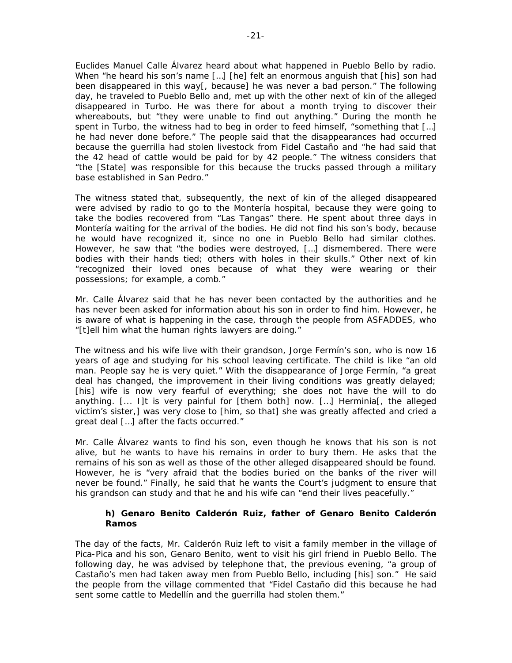Euclides Manuel Calle Álvarez heard about what happened in Pueblo Bello by radio. When "he heard his son's name […] [he] felt an enormous anguish that [his] son had been disappeared in this way[, because] he was never a bad person." The following day, he traveled to Pueblo Bello and, met up with the other next of kin of the alleged disappeared in Turbo. He was there for about a month trying to discover their whereabouts, but "they were unable to find out anything." During the month he spent in Turbo, the witness had to beg in order to feed himself, "something that […] he had never done before." The people said that the disappearances had occurred because the guerrilla had stolen livestock from Fidel Castaño and "he had said that the 42 head of cattle would be paid for by 42 people." The witness considers that "the [State] was responsible for this because the trucks passed through a military base established in San Pedro."

The witness stated that, subsequently, the next of kin of the alleged disappeared were advised by radio to go to the Montería hospital, because they were going to take the bodies recovered from "*Las Tangas*" there. He spent about three days in Montería waiting for the arrival of the bodies. He did not find his son's body, because he would have recognized it, since no one in Pueblo Bello had similar clothes. However, he saw that "the bodies were destroyed, […] dismembered. There were bodies with their hands tied; others with holes in their skulls." Other next of kin "recognized their loved ones because of what they were wearing or their possessions; for example, a comb."

Mr. Calle Álvarez said that he has never been contacted by the authorities and he has never been asked for information about his son in order to find him. However, he is aware of what is happening in the case, through the people from ASFADDES, who "[t]ell him what the human rights lawyers are doing."

The witness and his wife live with their grandson, Jorge Fermín's son, who is now 16 years of age and studying for his school leaving certificate. The child is like "an old man. People say he is very quiet." With the disappearance of Jorge Fermín, "a great deal has changed, the improvement in their living conditions was greatly delayed; [his] wife is now very fearful of everything; she does not have the will to do anything. [... I]t is very painful for [them both] now. […] Herminia[, the alleged victim's sister,] was very close to [him, so that] she was greatly affected and cried a great deal […] after the facts occurred."

Mr. Calle Álvarez wants to find his son, even though he knows that his son is not alive, but he wants to have his remains in order to bury them. He asks that the remains of his son as well as those of the other alleged disappeared should be found. However, he is "very afraid that the bodies buried on the banks of the river will never be found." Finally, he said that he wants the Court's judgment to ensure that his grandson can study and that he and his wife can "end their lives peacefully."

### **h) Genaro Benito Calderón Ruiz, father of Genaro Benito Calderón Ramos**

The day of the facts, Mr. Calderón Ruiz left to visit a family member in the village of Pica-Pica and his son, Genaro Benito, went to visit his girl friend in Pueblo Bello. The following day, he was advised by telephone that, the previous evening, "a group of Castaño's men had taken away men from Pueblo Bello, including [his] son." He said the people from the village commented that "Fidel Castaño did this because he had sent some cattle to Medellín and the guerrilla had stolen them."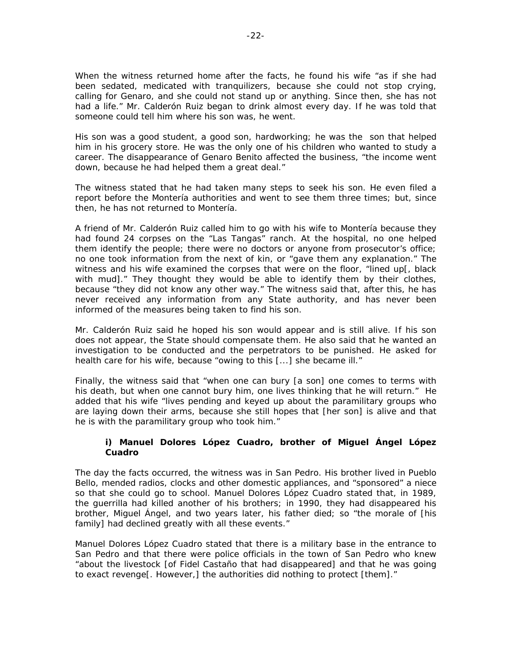When the witness returned home after the facts, he found his wife "as if she had been sedated, medicated with tranquilizers, because she could not stop crying, calling for Genaro, and she could not stand up or anything. Since then, she has not had a life." Mr. Calderón Ruiz began to drink almost every day. If he was told that someone could tell him where his son was, he went.

His son was a good student, a good son, hardworking; he was the son that helped him in his grocery store. He was the only one of his children who wanted to study a career. The disappearance of Genaro Benito affected the business, "the income went down, because he had helped them a great deal."

The witness stated that he had taken many steps to seek his son. He even filed a report before the Montería authorities and went to see them three times; but, since then, he has not returned to Montería.

A friend of Mr. Calderón Ruiz called him to go with his wife to Montería because they had found 24 corpses on the "*Las Tangas"* ranch. At the hospital, no one helped them identify the people; there were no doctors or anyone from prosecutor's office; no one took information from the next of kin, or "gave them any explanation." The witness and his wife examined the corpses that were on the floor, "lined up[, black with mud]." They thought they would be able to identify them by their clothes, because "they did not know any other way." The witness said that, after this, he has never received any information from any State authority, and has never been informed of the measures being taken to find his son.

Mr. Calderón Ruiz said he hoped his son would appear and is still alive. If his son does not appear, the State should compensate them. He also said that he wanted an investigation to be conducted and the perpetrators to be punished. He asked for health care for his wife, because "owing to this [...] she became ill."

Finally, the witness said that "when one can bury [a son] one comes to terms with his death, but when one cannot bury him, one lives thinking that he will return." He added that his wife "lives pending and keyed up about the paramilitary groups who are laying down their arms, because she still hopes that [her son] is alive and that he is with the paramilitary group who took him."

#### **i) Manuel Dolores López Cuadro, brother of Miguel Ángel López Cuadro**

The day the facts occurred, the witness was in San Pedro. His brother lived in Pueblo Bello, mended radios, clocks and other domestic appliances, and "sponsored" a niece so that she could go to school. Manuel Dolores López Cuadro stated that, in 1989, the guerrilla had killed another of his brothers; in 1990, they had disappeared his brother, Miguel Ángel, and two years later, his father died; so "the morale of [his family] had declined greatly with all these events."

Manuel Dolores López Cuadro stated that there is a military base in the entrance to San Pedro and that there were police officials in the town of San Pedro who knew "about the livestock [of Fidel Castaño that had disappeared] and that he was going to exact revenge[. However,] the authorities did nothing to protect [them]."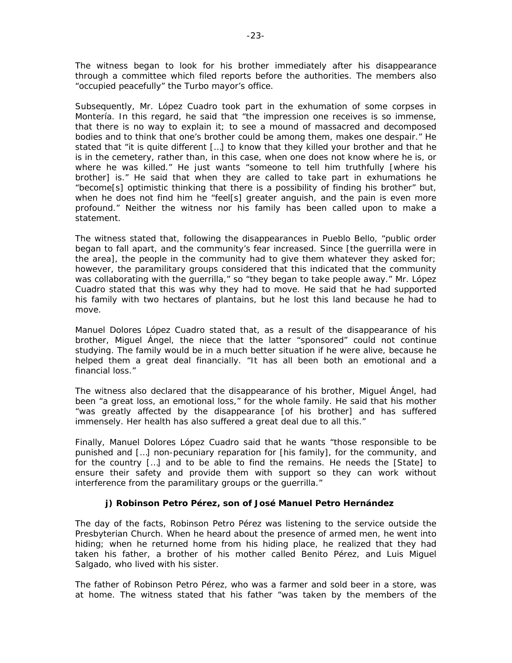The witness began to look for his brother immediately after his disappearance through a committee which filed reports before the authorities. The members also "occupied peacefully" the Turbo mayor's office.

Subsequently, Mr. López Cuadro took part in the exhumation of some corpses in Montería. In this regard, he said that "the impression one receives is so immense, that there is no way to explain it; to see a mound of massacred and decomposed bodies and to think that one's brother could be among them, makes one despair." He stated that "it is quite different […] to know that they killed your brother and that he is in the cemetery, rather than, in this case, when one does not know where he is, or where he was killed." He just wants "someone to tell him truthfully [where his brother] is." He said that when they are called to take part in exhumations he "become[s] optimistic thinking that there is a possibility of finding his brother" but, when he does not find him he "feel[s] greater anguish, and the pain is even more profound." Neither the witness nor his family has been called upon to make a statement.

The witness stated that, following the disappearances in Pueblo Bello, "public order began to fall apart, and the community's fear increased. Since [the guerrilla were in the area], the people in the community had to give them whatever they asked for; however, the paramilitary groups considered that this indicated that the community was collaborating with the guerrilla," so "they began to take people away." Mr. López Cuadro stated that this was why they had to move. He said that he had supported his family with two hectares of plantains, but he lost this land because he had to move.

Manuel Dolores López Cuadro stated that, as a result of the disappearance of his brother, Miguel Ángel, the niece that the latter "sponsored" could not continue studying. The family would be in a much better situation if he were alive, because he helped them a great deal financially. "It has all been both an emotional and a financial loss."

The witness also declared that the disappearance of his brother, Miguel Ángel, had been "a great loss, an emotional loss," for the whole family. He said that his mother "was greatly affected by the disappearance [of his brother] and has suffered immensely. Her health has also suffered a great deal due to all this."

Finally, Manuel Dolores López Cuadro said that he wants "those responsible to be punished and […] non-pecuniary reparation for [his family], for the community, and for the country […] and to be able to find the remains. He needs the [State] to ensure their safety and provide them with support so they can work without interference from the paramilitary groups or the guerrilla."

## **j) Robinson Petro Pérez, son of José Manuel Petro Hernández**

The day of the facts, Robinson Petro Pérez was listening to the service outside the Presbyterian Church. When he heard about the presence of armed men, he went into hiding; when he returned home from his hiding place, he realized that they had taken his father, a brother of his mother called Benito Pérez, and Luis Miguel Salgado, who lived with his sister.

The father of Robinson Petro Pérez, who was a farmer and sold beer in a store, was at home. The witness stated that his father "was taken by the members of the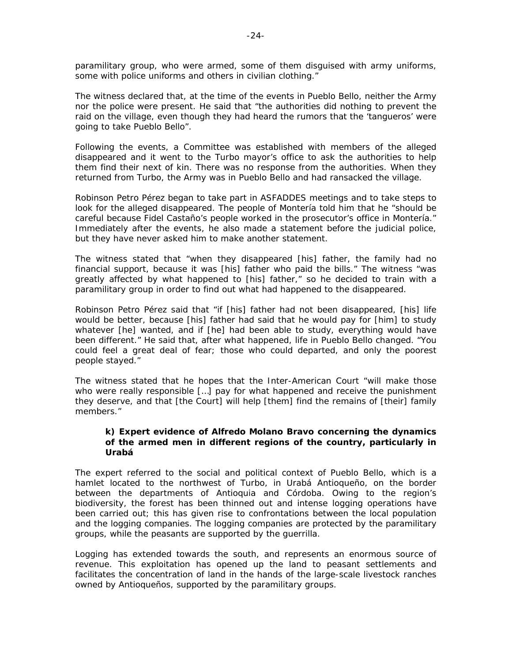paramilitary group, who were armed, some of them disguised with army uniforms, some with police uniforms and others in civilian clothing."

The witness declared that, at the time of the events in Pueblo Bello, neither the Army nor the police were present. He said that "the authorities did nothing to prevent the raid on the village, even though they had heard the rumors that the '*tangueros*' were going to take Pueblo Bello".

Following the events, a Committee was established with members of the alleged disappeared and it went to the Turbo mayor's office to ask the authorities to help them find their next of kin. There was no response from the authorities. When they returned from Turbo, the Army was in Pueblo Bello and had ransacked the village.

Robinson Petro Pérez began to take part in ASFADDES meetings and to take steps to look for the alleged disappeared. The people of Montería told him that he "should be careful because Fidel Castaño's people worked in the prosecutor's office in Montería." Immediately after the events, he also made a statement before the judicial police, but they have never asked him to make another statement.

The witness stated that "when they disappeared [his] father, the family had no financial support, because it was [his] father who paid the bills." The witness "was greatly affected by what happened to [his] father," so he decided to train with a paramilitary group in order to find out what had happened to the disappeared.

Robinson Petro Pérez said that "if [his] father had not been disappeared, [his] life would be better, because [his] father had said that he would pay for [him] to study whatever [he] wanted, and if [he] had been able to study, everything would have been different." He said that, after what happened, life in Pueblo Bello changed. "You could feel a great deal of fear; those who could departed, and only the poorest people stayed."

The witness stated that he hopes that the Inter-American Court "will make those who were really responsible […] pay for what happened and receive the punishment they deserve, and that [the Court] will help [them] find the remains of [their] family members."

#### **k) Expert evidence of Alfredo Molano Bravo concerning the dynamics of the armed men in different regions of the country, particularly in Urabá**

The expert referred to the social and political context of Pueblo Bello, which is a hamlet located to the northwest of Turbo, in Urabá Antioqueño, on the border between the departments of Antioquia and Córdoba. Owing to the region's biodiversity, the forest has been thinned out and intense logging operations have been carried out; this has given rise to confrontations between the local population and the logging companies. The logging companies are protected by the paramilitary groups, while the peasants are supported by the guerrilla.

Logging has extended towards the south, and represents an enormous source of revenue. This exploitation has opened up the land to peasant settlements and facilitates the concentration of land in the hands of the large-scale livestock ranches owned by Antioqueños, supported by the paramilitary groups.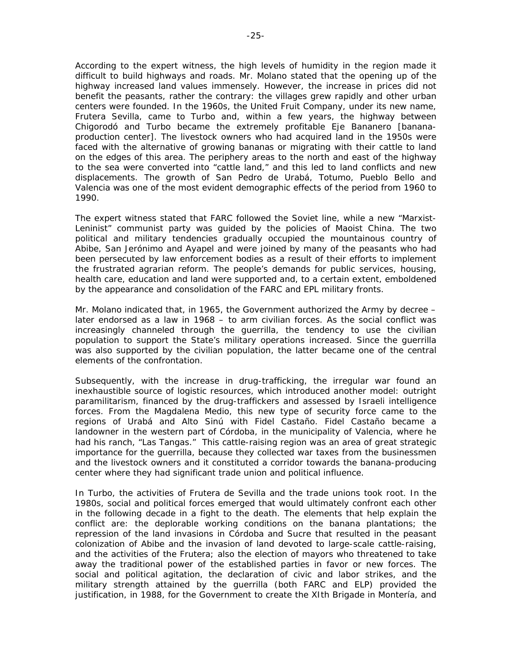According to the expert witness, the high levels of humidity in the region made it difficult to build highways and roads. Mr. Molano stated that the opening up of the highway increased land values immensely. However, the increase in prices did not benefit the peasants, rather the contrary: the villages grew rapidly and other urban centers were founded. In the 1960s, the United Fruit Company, under its new name, *Frutera Sevilla*, came to Turbo and, within a few years, the highway between Chigorodó and Turbo became the extremely profitable *Eje Bananero* [bananaproduction center]*.* The livestock owners who had acquired land in the 1950s were faced with the alternative of growing bananas or migrating with their cattle to land on the edges of this area. The periphery areas to the north and east of the highway to the sea were converted into "cattle land," and this led to land conflicts and new displacements. The growth of San Pedro de Urabá, Totumo, Pueblo Bello and Valencia was one of the most evident demographic effects of the period from 1960 to 1990.

The expert witness stated that FARC followed the Soviet line, while a new "Marxist-Leninist" communist party was guided by the policies of Maoist China. The two political and military tendencies gradually occupied the mountainous country of Abibe, San Jerónimo and Ayapel and were joined by many of the peasants who had been persecuted by law enforcement bodies as a result of their efforts to implement the frustrated agrarian reform. The people's demands for public services, housing, health care, education and land were supported and, to a certain extent, emboldened by the appearance and consolidation of the FARC and EPL military fronts.

Mr. Molano indicated that, in 1965, the Government authorized the Army by decree – later endorsed as a law in 1968 – to arm civilian forces. As the social conflict was increasingly channeled through the guerrilla, the tendency to use the civilian population to support the State's military operations increased. Since the guerrilla was also supported by the civilian population, the latter became one of the central elements of the confrontation.

Subsequently, with the increase in drug-trafficking, the irregular war found an inexhaustible source of logistic resources, which introduced another model: outright paramilitarism, financed by the drug-traffickers and assessed by Israeli intelligence forces. From the Magdalena Medio, this new type of security force came to the regions of Urabá and Alto Sinú with Fidel Castaño. Fidel Castaño became a landowner in the western part of Córdoba, in the municipality of Valencia, where he had his ranch, "*Las Tangas*." This cattle-raising region was an area of great strategic importance for the guerrilla, because they collected war taxes from the businessmen and the livestock owners and it constituted a corridor towards the banana-producing center where they had significant trade union and political influence.

In Turbo, the activities of *Frutera de Sevilla* and the trade unions took root. In the 1980s, social and political forces emerged that would ultimately confront each other in the following decade in a fight to the death. The elements that help explain the conflict are: the deplorable working conditions on the banana plantations; the repression of the land invasions in Córdoba and Sucre that resulted in the peasant colonization of Abibe and the invasion of land devoted to large-scale cattle-raising, and the activities of the *Frutera*; also the election of mayors who threatened to take away the traditional power of the established parties in favor or new forces. The social and political agitation, the declaration of civic and labor strikes, and the military strength attained by the guerrilla (both FARC and ELP) provided the justification, in 1988, for the Government to create the XIth Brigade in Montería, and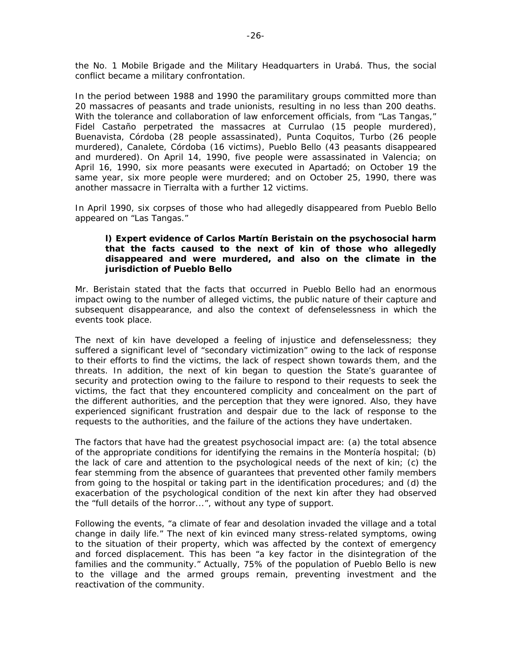the No. 1 Mobile Brigade and the Military Headquarters in Urabá. Thus, the social conflict became a military confrontation.

In the period between 1988 and 1990 the paramilitary groups committed more than 20 massacres of peasants and trade unionists, resulting in no less than 200 deaths. With the tolerance and collaboration of law enforcement officials, from "*Las Tangas,*" Fidel Castaño perpetrated the massacres at Currulao (15 people murdered), Buenavista, Córdoba (28 people assassinated), Punta Coquitos, Turbo (26 people murdered), Canalete, Córdoba (16 victims), Pueblo Bello (43 peasants disappeared and murdered). On April 14, 1990, five people were assassinated in Valencia; on April 16, 1990, six more peasants were executed in Apartadó; on October 19 the same year, six more people were murdered; and on October 25, 1990, there was another massacre in Tierralta with a further 12 victims.

In April 1990, six corpses of those who had allegedly disappeared from Pueblo Bello appeared on "*Las Tangas*."

#### **l) Expert evidence of Carlos Martín Beristain on the psychosocial harm that the facts caused to the next of kin of those who allegedly disappeared and were murdered, and also on the climate in the jurisdiction of Pueblo Bello**

Mr. Beristain stated that the facts that occurred in Pueblo Bello had an enormous impact owing to the number of alleged victims, the public nature of their capture and subsequent disappearance, and also the context of defenselessness in which the events took place.

The next of kin have developed a feeling of injustice and defenselessness; they suffered a significant level of "secondary victimization" owing to the lack of response to their efforts to find the victims, the lack of respect shown towards them, and the threats. In addition, the next of kin began to question the State's guarantee of security and protection owing to the failure to respond to their requests to seek the victims, the fact that they encountered complicity and concealment on the part of the different authorities, and the perception that they were ignored. Also, they have experienced significant frustration and despair due to the lack of response to the requests to the authorities, and the failure of the actions they have undertaken.

The factors that have had the greatest psychosocial impact are: (a) the total absence of the appropriate conditions for identifying the remains in the Montería hospital; (b) the lack of care and attention to the psychological needs of the next of kin; (c) the fear stemming from the absence of guarantees that prevented other family members from going to the hospital or taking part in the identification procedures; and (d) the exacerbation of the psychological condition of the next kin after they had observed the "full details of the horror...", without any type of support.

Following the events, "a climate of fear and desolation invaded the village and a total change in daily life." The next of kin evinced many stress-related symptoms, owing to the situation of their property, which was affected by the context of emergency and forced displacement. This has been "a key factor in the disintegration of the families and the community." Actually, 75% of the population of Pueblo Bello is new to the village and the armed groups remain, preventing investment and the reactivation of the community.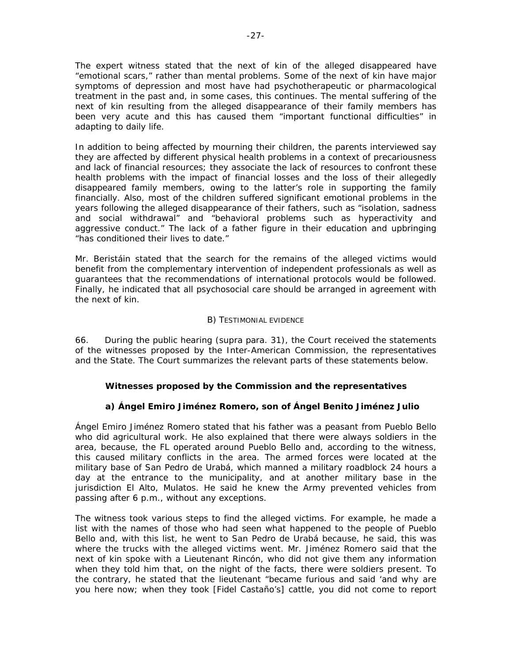The expert witness stated that the next of kin of the alleged disappeared have "emotional scars," rather than mental problems. Some of the next of kin have major symptoms of depression and most have had psychotherapeutic or pharmacological treatment in the past and, in some cases, this continues. The mental suffering of the next of kin resulting from the alleged disappearance of their family members has been very acute and this has caused them "important functional difficulties" in adapting to daily life.

In addition to being affected by mourning their children, the parents interviewed say they are affected by different physical health problems in a context of precariousness and lack of financial resources; they associate the lack of resources to confront these health problems with the impact of financial losses and the loss of their allegedly disappeared family members, owing to the latter's role in supporting the family financially. Also, most of the children suffered significant emotional problems in the years following the alleged disappearance of their fathers, such as "isolation, sadness and social withdrawal" and "behavioral problems such as hyperactivity and aggressive conduct." The lack of a father figure in their education and upbringing "has conditioned their lives to date."

Mr. Beristáin stated that the search for the remains of the alleged victims would benefit from the complementary intervention of independent professionals as well as guarantees that the recommendations of international protocols would be followed. Finally, he indicated that all psychosocial care should be arranged in agreement with the next of kin.

### *B) TESTIMONIAL EVIDENCE*

66. During the public hearing (*supra* para. 31), the Court received the statements of the witnesses proposed by the Inter-American Commission, the representatives and the State. The Court summarizes the relevant parts of these statements below.

### **Witnesses proposed by the Commission and the representatives**

### **a) Ángel Emiro Jiménez Romero, son of Ángel Benito Jiménez Julio**

Ángel Emiro Jiménez Romero stated that his father was a peasant from Pueblo Bello who did agricultural work. He also explained that there were always soldiers in the area, because, the FL operated around Pueblo Bello and, according to the witness, this caused military conflicts in the area. The armed forces were located at the military base of San Pedro de Urabá, which manned a military roadblock 24 hours a day at the entrance to the municipality, and at another military base in the jurisdiction El Alto, Mulatos. He said he knew the Army prevented vehicles from passing after 6 p.m., without any exceptions.

The witness took various steps to find the alleged victims. For example, he made a list with the names of those who had seen what happened to the people of Pueblo Bello and, with this list, he went to San Pedro de Urabá because, he said, this was where the trucks with the alleged victims went. Mr. Jiménez Romero said that the next of kin spoke with a Lieutenant Rincón, who did not give them any information when they told him that, on the night of the facts, there were soldiers present. To the contrary, he stated that the lieutenant "became furious and said 'and why are you here now; when they took [Fidel Castaño's] cattle, you did not come to report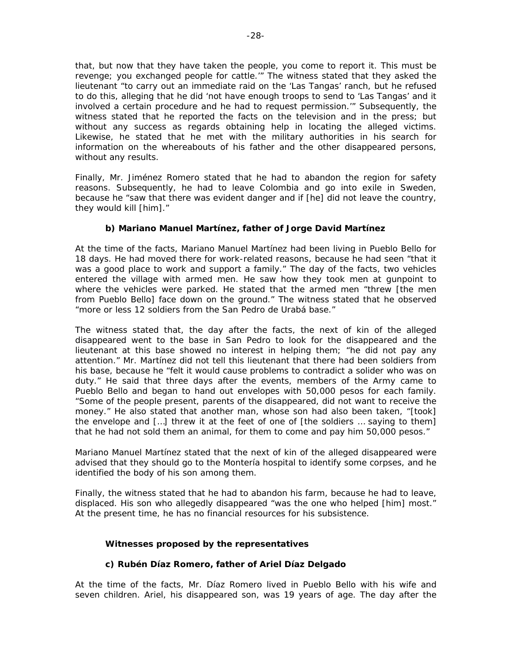that, but now that they have taken the people, you come to report it. This must be revenge; you exchanged people for cattle.'" The witness stated that they asked the lieutenant "to carry out an immediate raid on the '*Las Tangas'* ranch, but he refused to do this, alleging that he did 'not have enough troops to send to '*Las Tangas'* and it involved a certain procedure and he had to request permission.'" Subsequently, the witness stated that he reported the facts on the television and in the press; but without any success as regards obtaining help in locating the alleged victims. Likewise, he stated that he met with the military authorities in his search for information on the whereabouts of his father and the other disappeared persons, without any results.

Finally, Mr. Jiménez Romero stated that he had to abandon the region for safety reasons. Subsequently, he had to leave Colombia and go into exile in Sweden, because he "saw that there was evident danger and if [he] did not leave the country, they would kill [him]."

## **b) Mariano Manuel Martínez, father of Jorge David Martínez**

At the time of the facts, Mariano Manuel Martínez had been living in Pueblo Bello for 18 days. He had moved there for work-related reasons, because he had seen "that it was a good place to work and support a family." The day of the facts, two vehicles entered the village with armed men. He saw how they took men at gunpoint to where the vehicles were parked. He stated that the armed men "threw [the men from Pueblo Bello] face down on the ground." The witness stated that he observed "more or less 12 soldiers from the San Pedro de Urabá base."

The witness stated that, the day after the facts, the next of kin of the alleged disappeared went to the base in San Pedro to look for the disappeared and the lieutenant at this base showed no interest in helping them; "he did not pay any attention." Mr. Martínez did not tell this lieutenant that there had been soldiers from his base, because he "felt it would cause problems to contradict a solider who was on duty." He said that three days after the events, members of the Army came to Pueblo Bello and began to hand out envelopes with 50,000 pesos for each family. "Some of the people present, parents of the disappeared, did not want to receive the money." He also stated that another man, whose son had also been taken, "[took] the envelope and […] threw it at the feet of one of [the soldiers … saying to them] that he had not sold them an animal, for them to come and pay him 50,000 pesos."

Mariano Manuel Martínez stated that the next of kin of the alleged disappeared were advised that they should go to the Montería hospital to identify some corpses, and he identified the body of his son among them.

Finally, the witness stated that he had to abandon his farm, because he had to leave, displaced. His son who allegedly disappeared "was the one who helped [him] most." At the present time, he has no financial resources for his subsistence.

### **Witnesses proposed by the representatives**

### **c) Rubén Díaz Romero, father of Ariel Díaz Delgado**

At the time of the facts, Mr. Díaz Romero lived in Pueblo Bello with his wife and seven children. Ariel, his disappeared son, was 19 years of age. The day after the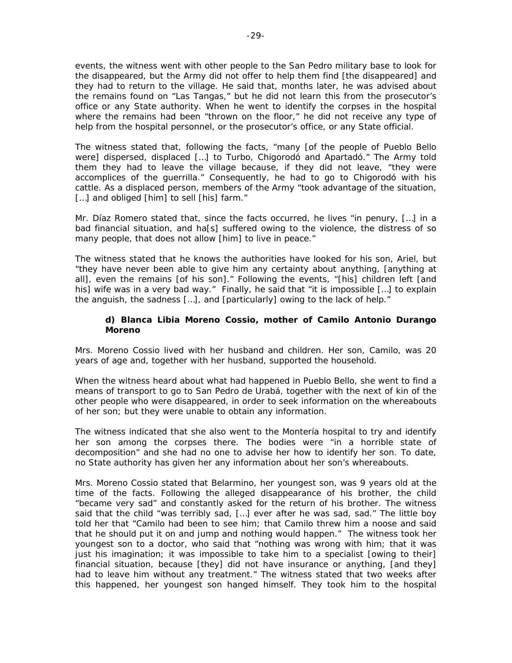events, the witness went with other people to the San Pedro military base to look for the disappeared, but the Army did not offer to help them find [the disappeared] and they had to return to the village. He said that, months later, he was advised about the remains found on "*Las Tangas,*" but he did not learn this from the prosecutor's office or any State authority. When he went to identify the corpses in the hospital where the remains had been "thrown on the floor," he did not receive any type of help from the hospital personnel, or the prosecutor's office, or any State official.

The witness stated that, following the facts, "many [of the people of Pueblo Bello were] dispersed, displaced […] to Turbo, Chigorodó and Apartadó." The Army told them they had to leave the village because, if they did not leave, "they were accomplices of the guerrilla." Consequently, he had to go to Chigorodó with his cattle. As a displaced person, members of the Army "took advantage of the situation, [...] and obliged [him] to sell [his] farm."

Mr. Díaz Romero stated that, since the facts occurred, he lives "in penury, […] in a bad financial situation, and ha[s] suffered owing to the violence, the distress of so many people, that does not allow [him] to live in peace."

The witness stated that he knows the authorities have looked for his son, Ariel, but "they have never been able to give him any certainty about anything, [anything at all], even the remains [of his son]." Following the events, "[his] children left [and his] wife was in a very bad way." Finally, he said that "it is impossible […] to explain the anguish, the sadness […], and [particularly] owing to the lack of help."

## **d) Blanca Libia Moreno Cossio, mother of Camilo Antonio Durango Moreno**

Mrs. Moreno Cossio lived with her husband and children. Her son, Camilo, was 20 years of age and, together with her husband, supported the household.

When the witness heard about what had happened in Pueblo Bello, she went to find a means of transport to go to San Pedro de Urabá, together with the next of kin of the other people who were disappeared, in order to seek information on the whereabouts of her son; but they were unable to obtain any information.

The witness indicated that she also went to the Montería hospital to try and identify her son among the corpses there. The bodies were "in a horrible state of decomposition" and she had no one to advise her how to identify her son. To date, no State authority has given her any information about her son's whereabouts.

Mrs. Moreno Cossio stated that Belarmino, her youngest son, was 9 years old at the time of the facts. Following the alleged disappearance of his brother, the child "became very sad" and constantly asked for the return of his brother. The witness said that the child "was terribly sad, […] ever after he was sad, sad." The little boy told her that "Camilo had been to see him; that Camilo threw him a noose and said that he should put it on and jump and nothing would happen." The witness took her youngest son to a doctor, who said that "nothing was wrong with him; that it was just his imagination; it was impossible to take him to a specialist [owing to their] financial situation, because [they] did not have insurance or anything, [and they] had to leave him without any treatment." The witness stated that two weeks after this happened, her youngest son hanged himself. They took him to the hospital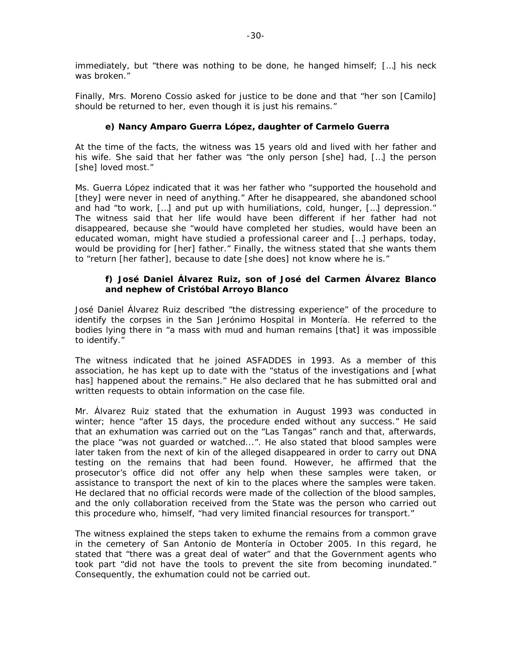immediately, but "there was nothing to be done, he hanged himself; […] his neck was broken."

Finally, Mrs. Moreno Cossio asked for justice to be done and that "her son [Camilo] should be returned to her, even though it is just his remains."

### **e) Nancy Amparo Guerra López, daughter of Carmelo Guerra**

At the time of the facts, the witness was 15 years old and lived with her father and his wife. She said that her father was "the only person [she] had, […] the person [she] loved most."

Ms. Guerra López indicated that it was her father who "supported the household and [they] were never in need of anything." After he disappeared, she abandoned school and had "to work, […] and put up with humiliations, cold, hunger, […] depression." The witness said that her life would have been different if her father had not disappeared, because she "would have completed her studies, would have been an educated woman, might have studied a professional career and […] perhaps, today, would be providing for [her] father." Finally, the witness stated that she wants them to "return [her father], because to date [she does] not know where he is."

### **f) José Daniel Álvarez Ruiz, son of José del Carmen Álvarez Blanco and nephew of Cristóbal Arroyo Blanco**

José Daniel Álvarez Ruiz described "the distressing experience" of the procedure to identify the corpses in the San Jerónimo Hospital in Montería. He referred to the bodies lying there in "a mass with mud and human remains [that] it was impossible to identify."

The witness indicated that he joined ASFADDES in 1993. As a member of this association, he has kept up to date with the "status of the investigations and [what has] happened about the remains." He also declared that he has submitted oral and written requests to obtain information on the case file.

Mr. Álvarez Ruiz stated that the exhumation in August 1993 was conducted in winter; hence "after 15 days, the procedure ended without any success." He said that an exhumation was carried out on the "*Las Tangas*" ranch and that, afterwards, the place "was not guarded or watched...". He also stated that blood samples were later taken from the next of kin of the alleged disappeared in order to carry out DNA testing on the remains that had been found. However, he affirmed that the prosecutor's office did not offer any help when these samples were taken, or assistance to transport the next of kin to the places where the samples were taken. He declared that no official records were made of the collection of the blood samples, and the only collaboration received from the State was the person who carried out this procedure who, himself, "had very limited financial resources for transport."

The witness explained the steps taken to exhume the remains from a common grave in the cemetery of San Antonio de Montería in October 2005. In this regard, he stated that "there was a great deal of water" and that the Government agents who took part "did not have the tools to prevent the site from becoming inundated." Consequently, the exhumation could not be carried out.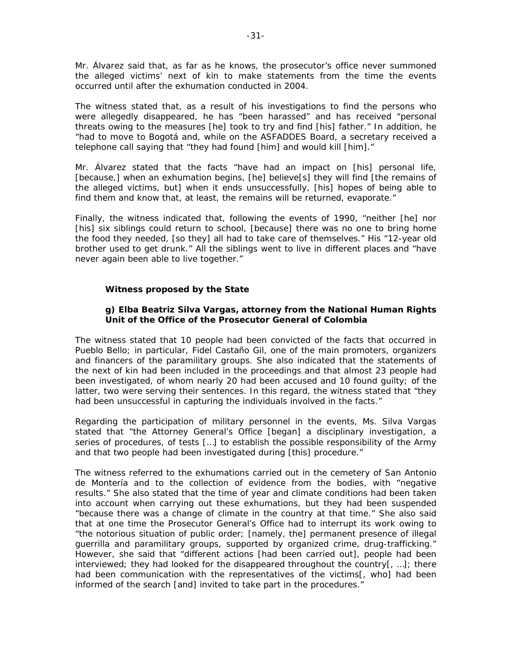Mr. Álvarez said that, as far as he knows, the prosecutor's office never summoned the alleged victims' next of kin to make statements from the time the events occurred until after the exhumation conducted in 2004.

The witness stated that, as a result of his investigations to find the persons who were allegedly disappeared, he has "been harassed" and has received "personal threats owing to the measures [he] took to try and find [his] father." In addition, he "had to move to Bogotá and, while on the ASFADDES Board, a secretary received a telephone call saying that "they had found [him] and would kill [him]."

Mr. Álvarez stated that the facts "have had an impact on [his] personal life, [because,] when an exhumation begins, [he] believe[s] they will find [the remains of the alleged victims, but] when it ends unsuccessfully, [his] hopes of being able to find them and know that, at least, the remains will be returned, evaporate."

Finally, the witness indicated that, following the events of 1990, "neither [he] nor [his] six siblings could return to school, [because] there was no one to bring home the food they needed, [so they] all had to take care of themselves." His "12-year old brother used to get drunk." All the siblings went to live in different places and "have never again been able to live together."

### **Witness proposed by the State**

#### **g) Elba Beatriz Silva Vargas, attorney from the National Human Rights Unit of the Office of the Prosecutor General of Colombia**

The witness stated that 10 people had been convicted of the facts that occurred in Pueblo Bello; in particular, Fidel Castaño Gil, one of the main promoters, organizers and financers of the paramilitary groups. She also indicated that the statements of the next of kin had been included in the proceedings and that almost 23 people had been investigated, of whom nearly 20 had been accused and 10 found guilty; of the latter, two were serving their sentences. In this regard, the witness stated that "they had been unsuccessful in capturing the individuals involved in the facts."

Regarding the participation of military personnel in the events, Ms. Silva Vargas stated that "the Attorney General's Office [began] a disciplinary investigation, a series of procedures, of tests […] to establish the possible responsibility of the Army and that two people had been investigated during [this] procedure."

The witness referred to the exhumations carried out in the cemetery of San Antonio de Montería and to the collection of evidence from the bodies, with "negative results." She also stated that the time of year and climate conditions had been taken into account when carrying out these exhumations, but they had been suspended "because there was a change of climate in the country at that time." She also said that at one time the Prosecutor General's Office had to interrupt its work owing to "the notorious situation of public order; [namely, the] permanent presence of illegal guerrilla and paramilitary groups, supported by organized crime, drug-trafficking." However, she said that "different actions [had been carried out], people had been interviewed; they had looked for the disappeared throughout the country[, …]; there had been communication with the representatives of the victims[, who] had been informed of the search [and] invited to take part in the procedures."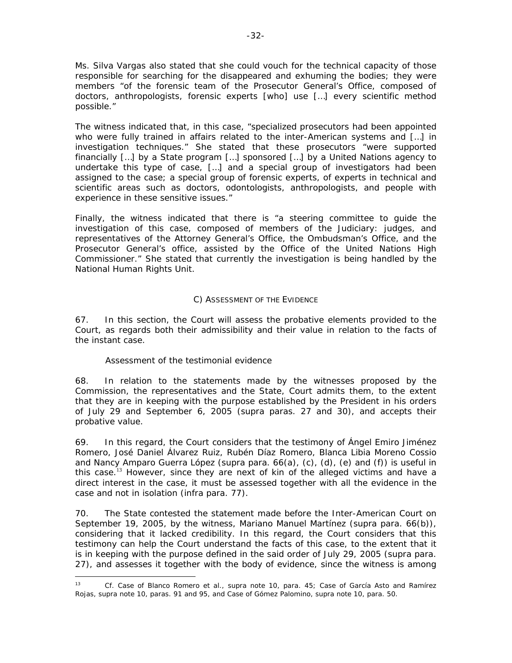Ms. Silva Vargas also stated that she could vouch for the technical capacity of those responsible for searching for the disappeared and exhuming the bodies; they were members "of the forensic team of the Prosecutor General's Office, composed of doctors, anthropologists, forensic experts [who] use […] every scientific method possible."

The witness indicated that, in this case, "specialized prosecutors had been appointed who were fully trained in affairs related to the inter-American systems and […] in investigation techniques." She stated that these prosecutors "were supported financially […] by a State program […] sponsored […] by a United Nations agency to undertake this type of case, […] and a special group of investigators had been assigned to the case; a special group of forensic experts, of experts in technical and scientific areas such as doctors, odontologists, anthropologists, and people with experience in these sensitive issues."

Finally, the witness indicated that there is "a steering committee to guide the investigation of this case, composed of members of the Judiciary: judges, and representatives of the Attorney General's Office, the Ombudsman's Office, and the Prosecutor General's office, assisted by the Office of the United Nations High Commissioner." She stated that currently the investigation is being handled by the National Human Rights Unit.

## *C) ASSESSMENT OF THE EVIDENCE*

67. In this section, the Court will assess the probative elements provided to the Court, as regards both their admissibility and their value in relation to the facts of the instant case.

### *Assessment of the testimonial evidence*

 $\overline{a}$ 

68. In relation to the statements made by the witnesses proposed by the Commission, the representatives and the State, Court admits them, to the extent that they are in keeping with the purpose established by the President in his orders of July 29 and September 6, 2005 (*supra* paras. 27 and 30), and accepts their probative value.

69. In this regard, the Court considers that the testimony of Ángel Emiro Jiménez Romero, José Daniel Álvarez Ruiz, Rubén Díaz Romero, Blanca Libia Moreno Cossio and Nancy Amparo Guerra López (*supra* para. 66(a), (c), (d), (e) and (f)) is useful in this case.<sup>13</sup> However, since they are next of kin of the alleged victims and have a direct interest in the case, it must be assessed together with all the evidence in the case and not in isolation (*infra* para. 77).

70. The State contested the statement made before the Inter-American Court on September 19, 2005, by the witness, Mariano Manuel Martínez (*supra* para. 66(b)), considering that it lacked credibility. In this regard, the Court considers that this testimony can help the Court understand the facts of this case, to the extent that it is in keeping with the purpose defined in the said order of July 29, 2005 (*supra* para. 27), and assesses it together with the body of evidence, since the witness is among

<sup>13</sup> *Cf. Case of Blanco Romero et al., supra note* 10, para. 45; *Case of García Asto and Ramírez Rojas, supra note* 10, paras. 91 and 95, and *Case of Gómez Palomino, supra note* 10, para. 50.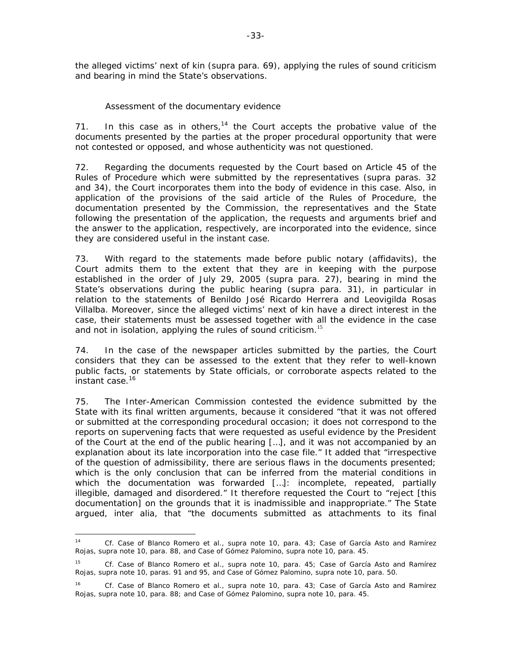the alleged victims' next of kin (*supra* para. 69), applying the rules of sound criticism and bearing in mind the State's observations.

### *Assessment of the documentary evidence*

71. In this case as in others,<sup>14</sup> the Court accepts the probative value of the documents presented by the parties at the proper procedural opportunity that were not contested or opposed, and whose authenticity was not questioned.

72. Regarding the documents requested by the Court based on Article 45 of the Rules of Procedure which were submitted by the representatives (*supra* paras. 32 and 34), the Court incorporates them into the body of evidence in this case. Also, in application of the provisions of the said article of the Rules of Procedure, the documentation presented by the Commission, the representatives and the State following the presentation of the application, the requests and arguments brief and the answer to the application, respectively, are incorporated into the evidence, since they are considered useful in the instant case.

73. With regard to the statements made before public notary (affidavits), the Court admits them to the extent that they are in keeping with the purpose established in the order of July 29, 2005 (*supra* para. 27), bearing in mind the State's observations during the public hearing (*supra* para. 31), in particular in relation to the statements of Benildo José Ricardo Herrera and Leovigilda Rosas Villalba. Moreover, since the alleged victims' next of kin have a direct interest in the case, their statements must be assessed together with all the evidence in the case and not in isolation, applying the rules of sound criticism.<sup>15</sup>

74. In the case of the newspaper articles submitted by the parties, the Court considers that they can be assessed to the extent that they refer to well-known public facts, or statements by State officials, or corroborate aspects related to the instant case.<sup>16</sup>

75. The Inter-American Commission contested the evidence submitted by the State with its final written arguments, because it considered "that it was not offered or submitted at the corresponding procedural occasion; it does not correspond to the reports on supervening facts that were requested as useful evidence by the President of the Court at the end of the public hearing […], and it was not accompanied by an explanation about its late incorporation into the case file." It added that "irrespective of the question of admissibility, there are serious flaws in the documents presented; which is the only conclusion that can be inferred from the material conditions in which the documentation was forwarded [...]: incomplete, repeated, partially illegible, damaged and disordered." It therefore requested the Court to "reject [this documentation] on the grounds that it is inadmissible and inappropriate." The State argued, *inter alia*, that "the documents submitted as attachments to its final

 $14$ 14 *Cf. Case of Blanco Romero et al., supra note* 10, para. 43*; Case of García Asto and Ramírez Rojas, supra note* 10, para. 88, and *Case of Gómez Palomino, supra note* 10, para. 45.

<sup>15</sup> *Cf. Case of Blanco Romero et al., supra note* 10, para. 45; *Case of García Asto and Ramírez Rojas, supra note* 10, paras. 91 and 95, and *Case of Gómez Palomino, supra note* 10, para. 50.

<sup>16</sup> *Cf. Case of Blanco Romero et al., supra note* 10, para. 43*; Case of García Asto and Ramírez Rojas, supra note* 10, para. 88; and *Case of Gómez Palomino, supra note* 10, para. 45.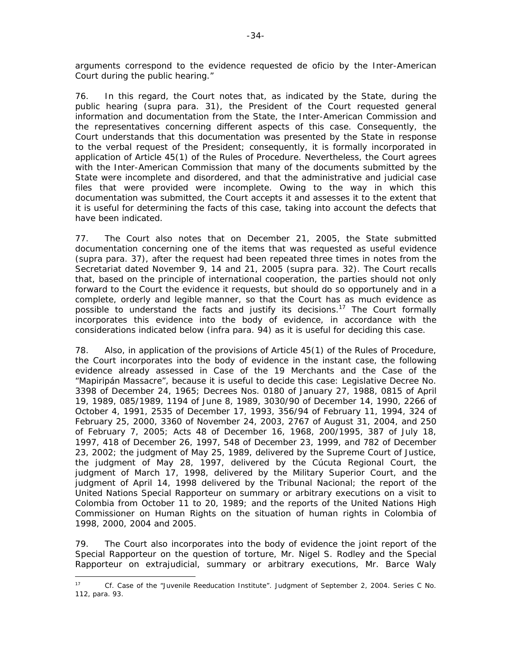arguments correspond to the evidence requested *de oficio* by the Inter-American Court during the public hearing."

76. In this regard, the Court notes that, as indicated by the State, during the public hearing (*supra* para. 31), the President of the Court requested general information and documentation from the State, the Inter-American Commission and the representatives concerning different aspects of this case. Consequently, the Court understands that this documentation was presented by the State in response to the verbal request of the President; consequently, it is formally incorporated in application of Article 45(1) of the Rules of Procedure. Nevertheless, the Court agrees with the Inter-American Commission that many of the documents submitted by the State were incomplete and disordered, and that the administrative and judicial case files that were provided were incomplete. Owing to the way in which this documentation was submitted, the Court accepts it and assesses it to the extent that it is useful for determining the facts of this case, taking into account the defects that have been indicated.

77. The Court also notes that on December 21, 2005, the State submitted documentation concerning one of the items that was requested as useful evidence (*supra* para. 37), after the request had been repeated three times in notes from the Secretariat dated November 9, 14 and 21, 2005 (*supra* para. 32). The Court recalls that, based on the principle of international cooperation, the parties should not only forward to the Court the evidence it requests, but should do so opportunely and in a complete, orderly and legible manner, so that the Court has as much evidence as possible to understand the facts and justify its decisions.17 The Court formally incorporates this evidence into the body of evidence, in accordance with the considerations indicated below (*infra* para. 94) as it is useful for deciding this case.

78. Also, in application of the provisions of Article 45(1) of the Rules of Procedure, the Court incorporates into the body of evidence in the instant case, the following evidence already assessed in *Case of the 19 Merchants* and the *Case of the "Mapiripán Massacre"*, because it is useful to decide this case: Legislative Decree No. 3398 of December 24, 1965; Decrees Nos. 0180 of January 27, 1988, 0815 of April 19, 1989, 085/1989, 1194 of June 8, 1989, 3030/90 of December 14, 1990, 2266 of October 4, 1991, 2535 of December 17, 1993, 356/94 of February 11, 1994, 324 of February 25, 2000, 3360 of November 24, 2003, 2767 of August 31, 2004, and 250 of February 7, 2005; Acts 48 of December 16, 1968, 200/1995, 387 of July 18, 1997, 418 of December 26, 1997, 548 of December 23, 1999, and 782 of December 23, 2002; the judgment of May 25, 1989, delivered by the Supreme Court of Justice, the judgment of May 28, 1997, delivered by the Cúcuta Regional Court, the judgment of March 17, 1998, delivered by the Military Superior Court, and the judgment of April 14, 1998 delivered by the *Tribunal Nacional*; the report of the United Nations Special Rapporteur on summary or arbitrary executions on a visit to Colombia from October 11 to 20, 1989; and the reports of the United Nations High Commissioner on Human Rights on the situation of human rights in Colombia of 1998, 2000, 2004 and 2005.

79. The Court also incorporates into the body of evidence the joint report of the Special Rapporteur on the question of torture, Mr. Nigel S. Rodley and the Special Rapporteur on extrajudicial, summary or arbitrary executions, Mr. Barce Waly

 $17$ 17 *Cf. Case of the "Juvenile Reeducation Institute"*. Judgment of September 2, 2004. Series C No. 112, para. 93.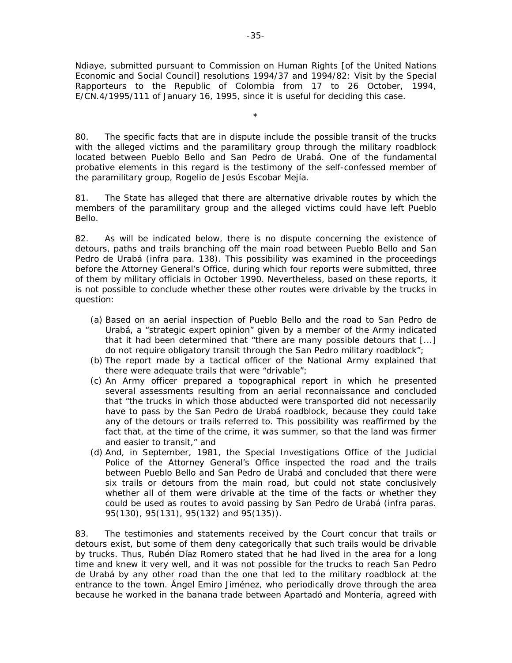Ndiaye, submitted pursuant to Commission on Human Rights [of the United Nations Economic and Social Council] resolutions 1994/37 and 1994/82: Visit by the Special Rapporteurs to the Republic of Colombia from 17 to 26 October, 1994, E/CN.4/1995/111 of January 16, 1995, since it is useful for deciding this case.

\*

80. The specific facts that are in dispute include the possible transit of the trucks with the alleged victims and the paramilitary group through the military roadblock located between Pueblo Bello and San Pedro de Urabá. One of the fundamental probative elements in this regard is the testimony of the self-confessed member of the paramilitary group, Rogelio de Jesús Escobar Mejía.

81*.* The State has alleged that there are alternative drivable routes by which the members of the paramilitary group and the alleged victims could have left Pueblo Bello.

82. As will be indicated below, there is no dispute concerning the existence of detours, paths and trails branching off the main road between Pueblo Bello and San Pedro de Urabá (*infra* para. 138). This possibility was examined in the proceedings before the Attorney General's Office, during which four reports were submitted, three of them by military officials in October 1990. Nevertheless, based on these reports, it is not possible to conclude whether these other routes were drivable by the trucks in question:

- (a) Based on an aerial inspection of Pueblo Bello and the road to San Pedro de Urabá, a "strategic expert opinion" given by a member of the Army indicated that it had been determined that "there are many possible detours that [...] do not require obligatory transit through the San Pedro military roadblock";
- (b) The report made by a tactical officer of the National Army explained that there were adequate trails that were "drivable";
- (c) An Army officer prepared a topographical report in which he presented several assessments resulting from an aerial reconnaissance and concluded that "the trucks in which those abducted were transported did not necessarily have to pass by the San Pedro de Urabá roadblock, because they could take any of the detours or trails referred to. This possibility was reaffirmed by the fact that, at the time of the crime, it was summer, so that the land was firmer and easier to transit," and
- (d) And, in September, 1981, the Special Investigations Office of the Judicial Police of the Attorney General's Office inspected the road and the trails between Pueblo Bello and San Pedro de Urabá and concluded that there were six trails or detours from the main road, but could not state conclusively whether all of them were drivable at the time of the facts or whether they could be used as routes to avoid passing by San Pedro de Urabá (*infra* paras. 95(130), 95(131), 95(132) and 95(135)).

83. The testimonies and statements received by the Court concur that trails or detours exist, but some of them deny categorically that such trails would be drivable by trucks. Thus, Rubén Díaz Romero stated that he had lived in the area for a long time and knew it very well, and it was not possible for the trucks to reach San Pedro de Urabá by any other road than the one that led to the military roadblock at the entrance to the town. Ángel Emiro Jiménez, who periodically drove through the area because he worked in the banana trade between Apartadó and Montería, agreed with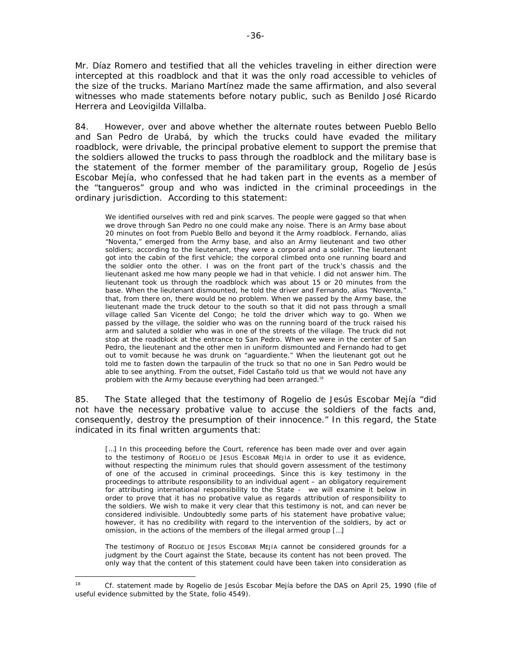Mr. Díaz Romero and testified that all the vehicles traveling in either direction were intercepted at this roadblock and that it was the only road accessible to vehicles of the size of the trucks. Mariano Martínez made the same affirmation, and also several witnesses who made statements before notary public, such as Benildo José Ricardo Herrera and Leovigilda Villalba.

84. However, over and above whether the alternate routes between Pueblo Bello and San Pedro de Urabá, by which the trucks could have evaded the military roadblock, were drivable, the principal probative element to support the premise that the soldiers allowed the trucks to pass through the roadblock and the military base is the statement of the former member of the paramilitary group, Rogelio de Jesús Escobar Mejía, who confessed that he had taken part in the events as a member of the "*tangueros*" group and who was indicted in the criminal proceedings in the ordinary jurisdiction. According to this statement:

We identified ourselves with red and pink scarves. The people were gagged so that when we drove through San Pedro no one could make any noise. There is an Army base about 20 minutes on foot from Pueblo Bello and beyond it the Army roadblock. Fernando, alias "*Noventa,*" emerged from the Army base, and also an Army lieutenant and two other soldiers; according to the lieutenant, they were a corporal and a soldier. The lieutenant got into the cabin of the first vehicle; the corporal climbed onto one running board and the soldier onto the other. I was on the front part of the truck's chassis and the lieutenant asked me how many people we had in that vehicle. I did not answer him. The lieutenant took us through the roadblock which was about 15 or 20 minutes from the base. When the lieutenant dismounted, he told the driver and Fernando, alias "*Noventa,*" that, from there on, there would be no problem. When we passed by the Army base, the lieutenant made the truck detour to the south so that it did not pass through a small village called San Vicente del Congo; he told the driver which way to go. When we passed by the village, the soldier who was on the running board of the truck raised his arm and saluted a soldier who was in one of the streets of the village. The truck did not stop at the roadblock at the entrance to San Pedro. When we were in the center of San Pedro, the lieutenant and the other men in uniform dismounted and Fernando had to get out to vomit because he was drunk on "*aguardiente.*" When the lieutenant got out he told me to fasten down the tarpaulin of the truck so that no one in San Pedro would be able to see anything. From the outset, Fidel Castaño told us that we would not have any problem with the Army because everything had been arranged.<sup>18</sup>

85. The State alleged that the testimony of Rogelio de Jesús Escobar Mejía "did not have the necessary probative value to accuse the soldiers of the facts and, consequently, destroy the presumption of their innocence." In this regard, the State indicated in its final written arguments that:

[...] In this proceeding before the Court, reference has been made over and over again to the testimony of ROGELIO DE JESÚS ESCOBAR MEJÍA in order to use it as evidence, without respecting the minimum rules that should govern assessment of the testimony of one of the accused in criminal proceedings. Since this is key testimony in the proceedings to attribute responsibility to an individual agent – an obligatory requirement for attributing international responsibility to the State - we will examine it below in order to prove that it has no probative value as regards attribution of responsibility to the soldiers. We wish to make it very clear that this testimony is not, and can never be considered indivisible. Undoubtedly some parts of his statement have probative value; however, it has no credibility with regard to the intervention of the soldiers, by act or omission, in the actions of the members of the illegal armed group […]

The testimony of ROGELIO DE JESÚS ESCOBAR MEJÍA cannot be considered grounds for a judgment by the Court against the State, because its content has not been proved. The only way that the content of this statement could have been taken into consideration as

 $\overline{a}$ 

<sup>18</sup> *Cf.* statement made by Rogelio de Jesús Escobar Mejía before the DAS on April 25, 1990 (file of useful evidence submitted by the State, folio 4549).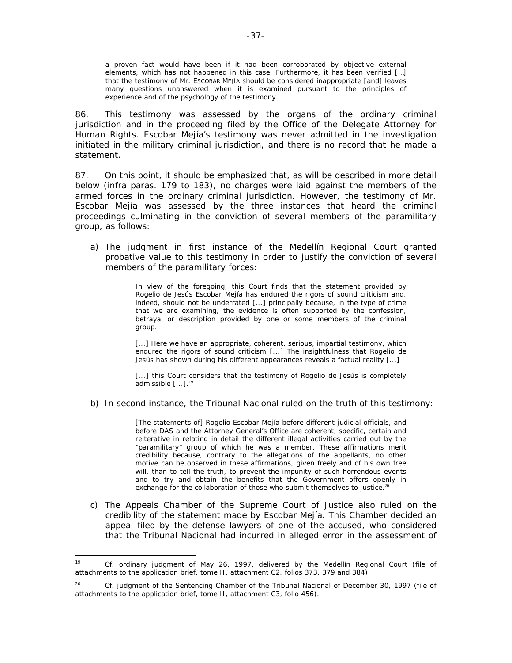a proven fact would have been if it had been corroborated by objective external elements, which has not happened in this case. Furthermore, it has been verified […] that the testimony of Mr. ESCOBAR MEJÍA should be considered inappropriate [and] leaves many questions unanswered when it is examined pursuant to the principles of experience and of the psychology of the testimony.

86. This testimony was assessed by the organs of the ordinary criminal jurisdiction and in the proceeding filed by the Office of the Delegate Attorney for Human Rights. Escobar Mejía's testimony was never admitted in the investigation initiated in the military criminal jurisdiction, and there is no record that he made a statement.

87. On this point, it should be emphasized that, as will be described in more detail below (*infra* paras. 179 to 183), no charges were laid against the members of the armed forces in the ordinary criminal jurisdiction. However, the testimony of Mr. Escobar Mejía was assessed by the three instances that heard the criminal proceedings culminating in the conviction of several members of the paramilitary group, as follows:

a) The judgment in first instance of the Medellín Regional Court granted probative value to this testimony in order to justify the conviction of several members of the paramilitary forces:

> In view of the foregoing, this Court finds that the statement provided by Rogelio de Jesús Escobar Mejía has endured the rigors of sound criticism and, indeed, should not be underrated [...] principally because, in the type of crime that we are examining, the evidence is often supported by the confession, betrayal or description provided by one or some members of the criminal group.

> [...] Here we have an appropriate, coherent, serious, impartial testimony, which endured the rigors of sound criticism [...] The insightfulness that Rogelio de Jesús has shown during his different appearances reveals a factual reality [...]

> [...] this Court considers that the testimony of Rogelio de Jesús is completely admissible [...].<sup>19</sup>

b) In second instance, the *Tribunal Nacional* ruled on the truth of this testimony:

[The statements of] Rogelio Escobar Mejía before different judicial officials, and before DAS and the Attorney General's Office are coherent, specific, certain and reiterative in relating in detail the different illegal activities carried out by the "paramilitary" group of which he was a member. These affirmations merit credibility because, contrary to the allegations of the appellants, no other motive can be observed in these affirmations, given freely and of his own free will, than to tell the truth, to prevent the impunity of such horrendous events and to try and obtain the benefits that the Government offers openly in exchange for the collaboration of those who submit themselves to justice.<sup>20</sup>

c) The Appeals Chamber of the Supreme Court of Justice also ruled on the credibility of the statement made by Escobar Mejía. This Chamber decided an appeal filed by the defense lawyers of one of the accused, who considered that the *Tribunal Nacional* had incurred in alleged error in the assessment of

 $19$ 19 *Cf.* ordinary judgment of May 26, 1997, delivered by the Medellín Regional Court (file of attachments to the application brief, tome II, attachment C2, folios 373, 379 and 384).

<sup>20</sup> *Cf.* judgment of the Sentencing Chamber of the *Tribunal Nacional* of December 30, 1997 (file of attachments to the application brief, tome II, attachment C3, folio 456).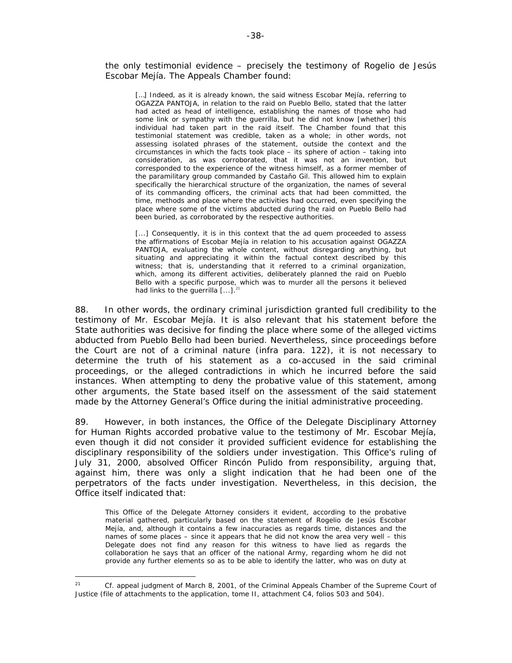the only testimonial evidence – precisely the testimony of Rogelio de Jesús Escobar Mejía. The Appeals Chamber found:

[...] Indeed, as it is already known, the said witness Escobar Mejía, referring to OGAZZA PANTOJA, in relation to the raid on Pueblo Bello, stated that the latter had acted as head of intelligence, establishing the names of those who had some link or sympathy with the guerrilla, but he did not know [whether] this individual had taken part in the raid itself. The Chamber found that this testimonial statement was credible, taken as a whole; in other words, not assessing isolated phrases of the statement, outside the context and the circumstances in which the facts took place – its sphere of action – taking into consideration, as was corroborated, that it was not an invention, but corresponded to the experience of the witness himself, as a former member of the paramilitary group commanded by Castaño Gil. This allowed him to explain specifically the hierarchical structure of the organization, the names of several of its commanding officers, the criminal acts that had been committed, the time, methods and place where the activities had occurred, even specifying the place where some of the victims abducted during the raid on Pueblo Bello had been buried, as corroborated by the respective authorities.

[...] Consequently, it is in this context that the *ad quem* proceeded to assess the affirmations of Escobar Mejía in relation to his accusation against OGAZZA PANTOJA, evaluating the whole content, without disregarding anything, but situating and appreciating it within the factual context described by this witness; that is, understanding that it referred to a criminal organization, which, among its different activities, deliberately planned the raid on Pueblo Bello with a specific purpose, which was to murder all the persons it believed had links to the guerrilla [...].<sup>21</sup>

88. In other words, the ordinary criminal jurisdiction granted full credibility to the testimony of Mr. Escobar Mejía. It is also relevant that his statement before the State authorities was decisive for finding the place where some of the alleged victims abducted from Pueblo Bello had been buried. Nevertheless, since proceedings before the Court are not of a criminal nature (*infra* para. 122), it is not necessary to determine the truth of his statement as a co-accused in the said criminal proceedings, or the alleged contradictions in which he incurred before the said instances. When attempting to deny the probative value of this statement, among other arguments, the State based itself on the assessment of the said statement made by the Attorney General's Office during the initial administrative proceeding.

89. However, in both instances, the Office of the Delegate Disciplinary Attorney for Human Rights accorded probative value to the testimony of Mr. Escobar Mejía, even though it did not consider it provided sufficient evidence for establishing the disciplinary responsibility of the soldiers under investigation. This Office's ruling of July 31, 2000, absolved Officer Rincón Pulido from responsibility, arguing that, against him, there was only a slight indication that he had been one of the perpetrators of the facts under investigation. Nevertheless, in this decision, the Office itself indicated that:

This Office of the Delegate Attorney considers it evident, according to the probative material gathered, particularly based on the statement of Rogelio de Jesús Escobar Mejía, and, although it contains a few inaccuracies as regards time, distances and the names of some places – since it appears that he did not know the area very well – this Delegate does not find any reason for this witness to have lied as regards the collaboration he says that an officer of the national Army, regarding whom he did not provide any further elements so as to be able to identify the latter, who was on duty at

 $\overline{a}$ 

<sup>21</sup> *Cf.* appeal judgment of March 8, 2001, of the Criminal Appeals Chamber of the Supreme Court of Justice (file of attachments to the application, tome II, attachment C4, folios 503 and 504).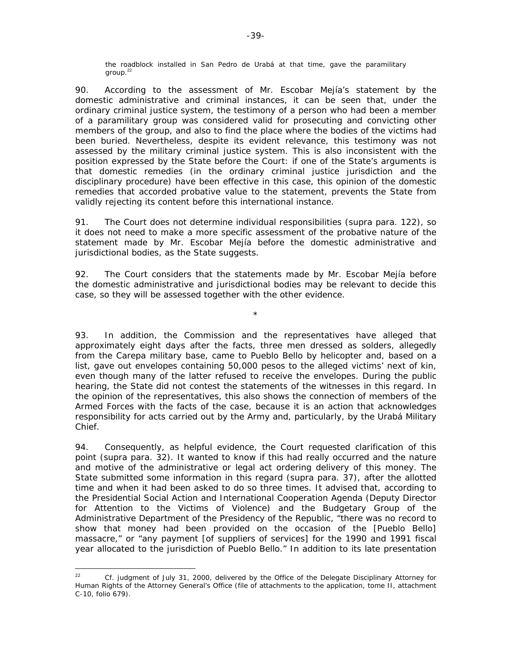the roadblock installed in San Pedro de Urabá at that time, gave the paramilitary  $\text{group}^2$ 

90. According to the assessment of Mr. Escobar Mejía's statement by the domestic administrative and criminal instances, it can be seen that, under the ordinary criminal justice system, the testimony of a person who had been a member of a paramilitary group was considered valid for prosecuting and convicting other members of the group, and also to find the place where the bodies of the victims had been buried. Nevertheless, despite its evident relevance, this testimony was not assessed by the military criminal justice system. This is also inconsistent with the position expressed by the State before the Court: if one of the State's arguments is that domestic remedies (in the ordinary criminal justice jurisdiction and the disciplinary procedure) have been effective in this case, this opinion of the domestic remedies that accorded probative value to the statement, prevents the State from validly rejecting its content before this international instance.

91. The Court does not determine individual responsibilities (*supra* para. 122), so it does not need to make a more specific assessment of the probative nature of the statement made by Mr. Escobar Mejía before the domestic administrative and jurisdictional bodies, as the State suggests.

92. The Court considers that the statements made by Mr. Escobar Mejía before the domestic administrative and jurisdictional bodies may be relevant to decide this case, so they will be assessed together with the other evidence.

\*

93. In addition, the Commission and the representatives have alleged that approximately eight days after the facts, three men dressed as solders, allegedly from the Carepa military base, came to Pueblo Bello by helicopter and, based on a list, gave out envelopes containing 50,000 pesos to the alleged victims' next of kin, even though many of the latter refused to receive the envelopes. During the public hearing, the State did not contest the statements of the witnesses in this regard. In the opinion of the representatives, this also shows the connection of members of the Armed Forces with the facts of the case, because it is an action that acknowledges responsibility for acts carried out by the Army and, particularly, by the Urabá Military Chief.

94. Consequently, as helpful evidence, the Court requested clarification of this point (*supra* para. 32). It wanted to know if this had really occurred and the nature and motive of the administrative or legal act ordering delivery of this money. The State submitted some information in this regard (*supra* para. 37), after the allotted time and when it had been asked to do so three times. It advised that, according to the Presidential Social Action and International Cooperation Agenda (Deputy Director for Attention to the Victims of Violence) and the Budgetary Group of the Administrative Department of the Presidency of the Republic, "there was no record to show that money had been provided on the occasion of the [Pueblo Bello] massacre," or "any payment [of suppliers of services] for the 1990 and 1991 fiscal year allocated to the jurisdiction of Pueblo Bello." In addition to its late presentation

 $22$ 22 *Cf.* judgment of July 31, 2000, delivered by the Office of the Delegate Disciplinary Attorney for Human Rights of the Attorney General's Office (file of attachments to the application, tome II, attachment C-10, folio 679).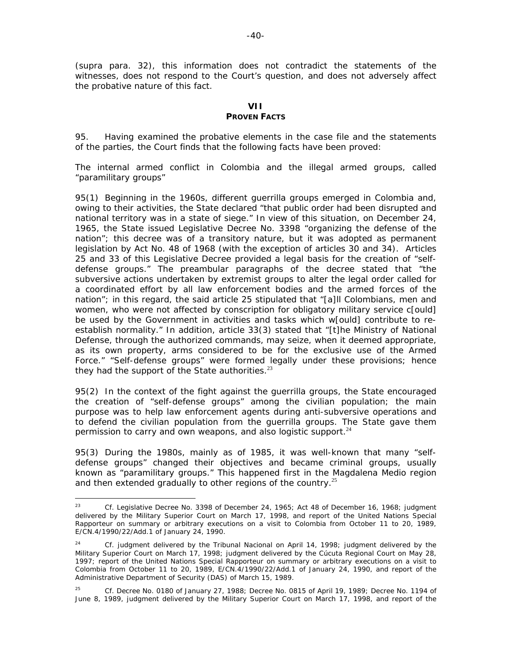(*supra* para. 32), this information does not contradict the statements of the witnesses, does not respond to the Court's question, and does not adversely affect the probative nature of this fact.

#### **VII PROVEN FACTS**

95. Having examined the probative elements in the case file and the statements of the parties, the Court finds that the following facts have been proved:

*The internal armed conflict in Colombia and the illegal armed groups, called "paramilitary groups"* 

95(1) Beginning in the 1960s, different guerrilla groups emerged in Colombia and, owing to their activities, the State declared "that public order had been disrupted and national territory was in a state of siege." In view of this situation, on December 24, 1965, the State issued Legislative Decree No. 3398 "organizing the defense of the nation"; this decree was of a transitory nature, but it was adopted as permanent legislation by Act No. 48 of 1968 (with the exception of articles 30 and 34). Articles 25 and 33 of this Legislative Decree provided a legal basis for the creation of "selfdefense groups." The preambular paragraphs of the decree stated that "the subversive actions undertaken by extremist groups to alter the legal order called for a coordinated effort by all law enforcement bodies and the armed forces of the nation"; in this regard, the said article 25 stipulated that "[a]ll Colombians, men and women, who were not affected by conscription for obligatory military service c[ould] be used by the Government in activities and tasks which w[ould] contribute to reestablish normality." In addition, article 33(3) stated that "[t]he Ministry of National Defense, through the authorized commands, may seize, when it deemed appropriate, as its own property, arms considered to be for the exclusive use of the Armed Force." "Self-defense groups" were formed legally under these provisions; hence they had the support of the State authorities. $^{23}$ 

95(2) In the context of the fight against the guerrilla groups, the State encouraged the creation of "self-defense groups" among the civilian population; the main purpose was to help law enforcement agents during anti-subversive operations and to defend the civilian population from the guerrilla groups. The State gave them permission to carry and own weapons, and also logistic support. $24$ 

95(3) During the 1980s, mainly as of 1985, it was well-known that many "selfdefense groups" changed their objectives and became criminal groups, usually known as "paramilitary groups." This happened first in the Magdalena Medio region and then extended gradually to other regions of the country. $^{25}$ 

<sup>23</sup> <sup>23</sup> *Cf.* Legislative Decree No. 3398 of December 24, 1965; Act 48 of December 16, 1968; judgment delivered by the Military Superior Court on March 17, 1998, and report of the United Nations Special Rapporteur on summary or arbitrary executions on a visit to Colombia from October 11 to 20, 1989, E/CN.4/1990/22/Add.1 of January 24, 1990.

<sup>24</sup> *Cf.* judgment delivered by the *Tribunal Nacional* on April 14, 1998; judgment delivered by the Military Superior Court on March 17, 1998; judgment delivered by the Cúcuta Regional Court on May 28, 1997; report of the United Nations Special Rapporteur on summary or arbitrary executions on a visit to Colombia from October 11 to 20, 1989, E/CN.4/1990/22/Add.1 of January 24, 1990, and report of the Administrative Department of Security (DAS) of March 15, 1989.

<sup>25</sup> *Cf.* Decree No. 0180 of January 27, 1988; Decree No. 0815 of April 19, 1989; Decree No. 1194 of June 8, 1989, judgment delivered by the Military Superior Court on March 17, 1998, and report of the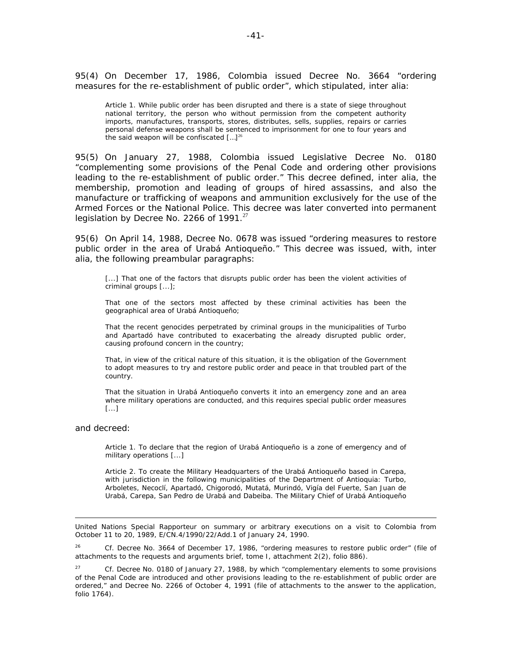95(4) On December 17, 1986, Colombia issued Decree No. 3664 "ordering measures for the re-establishment of public order", which stipulated, *inter alia*:

Article 1. While public order has been disrupted and there is a state of siege throughout national territory, the person who without permission from the competent authority imports, manufactures, transports, stores, distributes, sells, supplies, repairs or carries personal defense weapons shall be sentenced to imprisonment for one to four years and the said weapon will be confiscated  $[...]^{26}$ 

95(5) On January 27, 1988, Colombia issued Legislative Decree No. 0180 "complementing some provisions of the Penal Code and ordering other provisions leading to the re-establishment of public order." This decree defined, *inter alia*, the membership, promotion and leading of groups of hired assassins, and also the manufacture or trafficking of weapons and ammunition exclusively for the use of the Armed Forces or the National Police. This decree was later converted into permanent legislation by Decree No. 2266 of  $1991.<sup>27</sup>$ 

95(6) On April 14, 1988, Decree No. 0678 was issued "ordering measures to restore public order in the area of Urabá Antioqueño." This decree was issued, with, *inter alia*, the following preambular paragraphs:

[...] That one of the factors that disrupts public order has been the violent activities of criminal groups [...];

That one of the sectors most affected by these criminal activities has been the geographical area of Urabá Antioqueño;

That the recent genocides perpetrated by criminal groups in the municipalities of Turbo and Apartadó have contributed to exacerbating the already disrupted public order, causing profound concern in the country;

That, in view of the critical nature of this situation, it is the obligation of the Government to adopt measures to try and restore public order and peace in that troubled part of the country.

That the situation in Urabá Antioqueño converts it into an emergency zone and an area where military operations are conducted, and this requires special public order measures [...]

#### and decreed:

 $\overline{a}$ 

Article 1. To declare that the region of Urabá Antioqueño is a zone of emergency and of military operations [...]

Article 2. To create the Military Headquarters of the Urabá Antioqueño based in Carepa, with jurisdiction in the following municipalities of the Department of Antioquia: Turbo, Arboletes, Necoclí, Apartadó, Chigorodó, Mutatá, Murindó, Vigía del Fuerte, San Juan de Urabá, Carepa, San Pedro de Urabá and Dabeiba. The Military Chief of Urabá Antioqueño

United Nations Special Rapporteur on summary or arbitrary executions on a visit to Colombia from October 11 to 20, 1989, E/CN.4/1990/22/Add.1 of January 24, 1990.

26 *Cf.* Decree No. 3664 of December 17, 1986, "ordering measures to restore public order" (file of attachments to the requests and arguments brief, tome I, attachment 2(2), folio 886).

27 *Cf.* Decree No. 0180 of January 27, 1988, by which "complementary elements to some provisions of the Penal Code are introduced and other provisions leading to the re-establishment of public order are ordered," and Decree No. 2266 of October 4, 1991 (file of attachments to the answer to the application, folio 1764).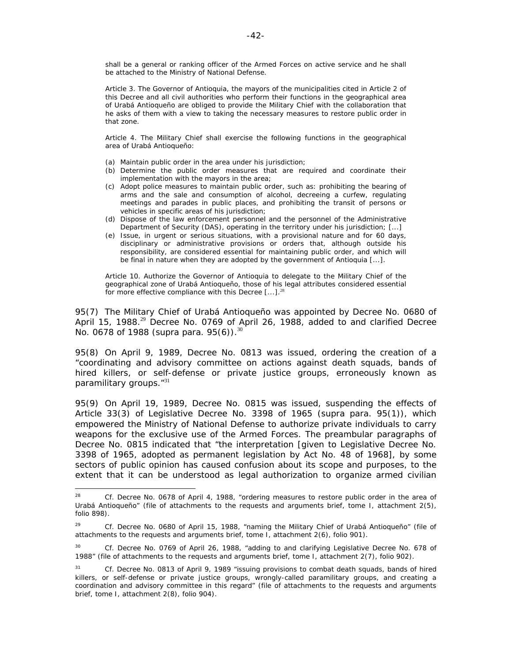shall be a general or ranking officer of the Armed Forces on active service and he shall be attached to the Ministry of National Defense.

Article 3. The Governor of Antioquia, the mayors of the municipalities cited in Article 2 of this Decree and all civil authorities who perform their functions in the geographical area of Urabá Antioqueño are obliged to provide the Military Chief with the collaboration that he asks of them with a view to taking the necessary measures to restore public order in that zone.

Article 4. The Military Chief shall exercise the following functions in the geographical area of Urabá Antioqueño:

- (a) Maintain public order in the area under his jurisdiction;
- (b) Determine the public order measures that are required and coordinate their implementation with the mayors in the area;
- (c) Adopt police measures to maintain public order, such as: prohibiting the bearing of arms and the sale and consumption of alcohol, decreeing a curfew, regulating meetings and parades in public places, and prohibiting the transit of persons or vehicles in specific areas of his jurisdiction;
- (d) Dispose of the law enforcement personnel and the personnel of the Administrative Department of Security (DAS), operating in the territory under his jurisdiction; [...]
- (e) Issue, in urgent or serious situations, with a provisional nature and for 60 days, disciplinary or administrative provisions or orders that, although outside his responsibility, are considered essential for maintaining public order, and which will be final in nature when they are adopted by the government of Antioquia [...].

Article 10. Authorize the Governor of Antioquia to delegate to the Military Chief of the geographical zone of Urabá Antioqueño, those of his legal attributes considered essential for more effective compliance with this Decree  $[...]$ .<sup>28</sup>

95(7) The Military Chief of Urabá Antioqueño was appointed by Decree No. 0680 of April 15, 1988.<sup>29</sup> Decree No. 0769 of April 26, 1988, added to and clarified Decree No. 0678 of 1988 (*supra* para. 95(6)).<sup>30</sup>

95(8) On April 9, 1989, Decree No. 0813 was issued, ordering the creation of a "coordinating and advisory committee on actions against death squads, bands of hired killers, or self-defense or private justice groups, erroneously known as paramilitary groups."31

95(9) On April 19, 1989, Decree No. 0815 was issued, suspending the effects of Article 33(3) of Legislative Decree No. 3398 of 1965 (*supra* para. 95(1)), which empowered the Ministry of National Defense to authorize private individuals to carry weapons for the exclusive use of the Armed Forces. The preambular paragraphs of Decree No. 0815 indicated that "the interpretation [given to Legislative Decree No. 3398 of 1965, adopted as permanent legislation by Act No. 48 of 1968], by some sectors of public opinion has caused confusion about its scope and purposes, to the extent that it can be understood as legal authorization to organize armed civilian

 $\overline{a}$ 28 *Cf.* Decree No. 0678 of April 4, 1988, "ordering measures to restore public order in the area of Urabá Antioqueño" (file of attachments to the requests and arguments brief, tome I, attachment 2(5), folio 898).

<sup>29</sup> *Cf.* Decree No. 0680 of April 15, 1988, "naming the Military Chief of Urabá Antioqueño" (file of attachments to the requests and arguments brief, tome I, attachment 2(6), folio 901).

<sup>30</sup> *Cf.* Decree No. 0769 of April 26, 1988, "adding to and clarifying Legislative Decree No. 678 of 1988" (file of attachments to the requests and arguments brief, tome I, attachment 2(7), folio 902).

<sup>31</sup> *Cf.* Decree No. 0813 of April 9, 1989 "issuing provisions to combat death squads, bands of hired killers, or self-defense or private justice groups, wrongly-called paramilitary groups, and creating a coordination and advisory committee in this regard" (file of attachments to the requests and arguments brief, tome I, attachment 2(8), folio 904).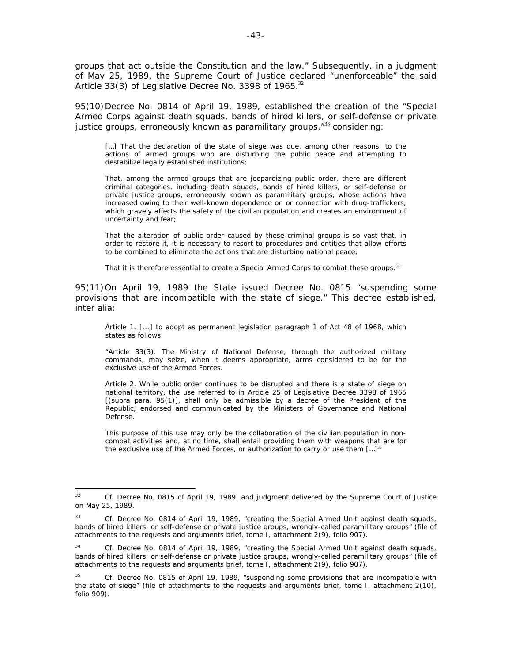groups that act outside the Constitution and the law." Subsequently, in a judgment of May 25, 1989, the Supreme Court of Justice declared "unenforceable" the said Article 33(3) of Legislative Decree No. 3398 of 1965. $32$ 

95(10) Decree No. 0814 of April 19, 1989, established the creation of the "Special Armed Corps against death squads, bands of hired killers, or self-defense or private justice groups, erroneously known as paramilitary groups, $\frac{33}{3}$  considering:

[...] That the declaration of the state of siege was due, among other reasons, to the actions of armed groups who are disturbing the public peace and attempting to destabilize legally established institutions;

That, among the armed groups that are jeopardizing public order, there are different criminal categories, including death squads, bands of hired killers, or self-defense or private justice groups, erroneously known as paramilitary groups, whose actions have increased owing to their well-known dependence on or connection with drug-traffickers, which gravely affects the safety of the civilian population and creates an environment of uncertainty and fear;

That the alteration of public order caused by these criminal groups is so vast that, in order to restore it, it is necessary to resort to procedures and entities that allow efforts to be combined to eliminate the actions that are disturbing national peace;

That it is therefore essential to create a Special Armed Corps to combat these groups.<sup>34</sup>

95(11) On April 19, 1989 the State issued Decree No. 0815 "suspending some provisions that are incompatible with the state of siege." This decree established, *inter alia*:

Article 1. [...] to adopt as permanent legislation paragraph 1 of Act 48 of 1968, which states as follows:

"Article 33(3). The Ministry of National Defense, through the authorized military commands, may seize, when it deems appropriate, arms considered to be for the exclusive use of the Armed Forces.

Article 2. While public order continues to be disrupted and there is a state of siege on national territory, the use referred to in Article 25 of Legislative Decree 3398 of 1965 [(*supra* para. 95(1)], shall only be admissible by a decree of the President of the Republic, endorsed and communicated by the Ministers of Governance and National Defense.

This purpose of this use may only be the collaboration of the civilian population in noncombat activities and, at no time, shall entail providing them with weapons that are for the exclusive use of the Armed Forces, or authorization to carry or use them  $[...]^{35}$ 

 $32$ 32 *Cf.* Decree No. 0815 of April 19, 1989, and judgment delivered by the Supreme Court of Justice on May 25, 1989.

<sup>33</sup> *Cf.* Decree No. 0814 of April 19, 1989, "creating the Special Armed Unit against death squads, bands of hired killers, or self-defense or private justice groups, wrongly-called paramilitary groups" (file of attachments to the requests and arguments brief, tome I, attachment 2(9), folio 907).

<sup>&</sup>lt;sup>34</sup> *Cf.* Decree No. 0814 of April 19, 1989, "creating the Special Armed Unit against death squads, bands of hired killers, or self-defense or private justice groups, wrongly-called paramilitary groups" (file of attachments to the requests and arguments brief, tome I, attachment 2(9), folio 907).

<sup>35</sup> *Cf.* Decree No. 0815 of April 19, 1989, "suspending some provisions that are incompatible with the state of siege" (file of attachments to the requests and arguments brief, tome I, attachment 2(10), folio 909).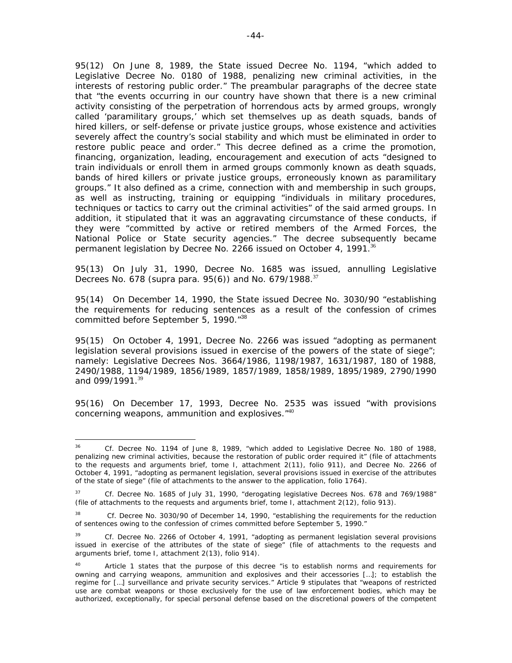95(12) On June 8, 1989, the State issued Decree No. 1194, "which added to Legislative Decree No. 0180 of 1988, penalizing new criminal activities, in the interests of restoring public order." The preambular paragraphs of the decree state that "the events occurring in our country have shown that there is a new criminal activity consisting of the perpetration of horrendous acts by armed groups, wrongly called 'paramilitary groups,' which set themselves up as death squads, bands of hired killers, or self-defense or private justice groups, whose existence and activities severely affect the country's social stability and which must be eliminated in order to restore public peace and order." This decree defined as a crime the promotion, financing, organization, leading, encouragement and execution of acts "designed to train individuals or enroll them in armed groups commonly known as death squads, bands of hired killers or private justice groups, erroneously known as paramilitary groups." It also defined as a crime, connection with and membership in such groups, as well as instructing, training or equipping "individuals in military procedures, techniques or tactics to carry out the criminal activities" of the said armed groups. In addition, it stipulated that it was an aggravating circumstance of these conducts, if they were "committed by active or retired members of the Armed Forces, the National Police or State security agencies." The decree subsequently became permanent legislation by Decree No. 2266 issued on October 4, 1991.<sup>36</sup>

95(13) On July 31, 1990, Decree No. 1685 was issued, annulling Legislative Decrees No. 678 (*supra* para. 95(6)) and No. 679/1988.<sup>37</sup>

95(14) On December 14, 1990, the State issued Decree No. 3030/90 "establishing the requirements for reducing sentences as a result of the confession of crimes committed before September 5, 1990."<sup>38</sup>

95(15) On October 4, 1991, Decree No. 2266 was issued "adopting as permanent legislation several provisions issued in exercise of the powers of the state of siege"; namely: Legislative Decrees Nos. 3664/1986, 1198/1987, 1631/1987, 180 of 1988, 2490/1988, 1194/1989, 1856/1989, 1857/1989, 1858/1989, 1895/1989, 2790/1990 and 099/1991. $39$ 

95(16) On December 17, 1993, Decree No. 2535 was issued "with provisions concerning weapons, ammunition and explosives."<sup>40</sup>

<sup>36</sup> 36 *Cf.* Decree No. 1194 of June 8, 1989, "which added to Legislative Decree No. 180 of 1988, penalizing new criminal activities, because the restoration of public order required it" (file of attachments to the requests and arguments brief, tome I, attachment 2(11), folio 911), and Decree No. 2266 of October 4, 1991, "adopting as permanent legislation, several provisions issued in exercise of the attributes of the state of siege" (file of attachments to the answer to the application, folio 1764).

<sup>37</sup> *Cf.* Decree No. 1685 of July 31, 1990, "derogating legislative Decrees Nos. 678 and 769/1988" (file of attachments to the requests and arguments brief, tome I, attachment 2(12), folio 913).

<sup>&</sup>lt;sup>38</sup> *Cf.* Decree No. 3030/90 of December 14, 1990, "establishing the requirements for the reduction of sentences owing to the confession of crimes committed before September 5, 1990."

<sup>39</sup> *Cf.* Decree No. 2266 of October 4, 1991, "adopting as permanent legislation several provisions issued in exercise of the attributes of the state of siege" (file of attachments to the requests and arguments brief, tome I, attachment 2(13), folio 914).

<sup>&</sup>lt;sup>40</sup> Article 1 states that the purpose of this decree "is to establish norms and requirements for owning and carrying weapons, ammunition and explosives and their accessories […]; to establish the regime for […] surveillance and private security services." Article 9 stipulates that "weapons of restricted use are combat weapons or those exclusively for the use of law enforcement bodies, which may be authorized, exceptionally, for special personal defense based on the discretional powers of the competent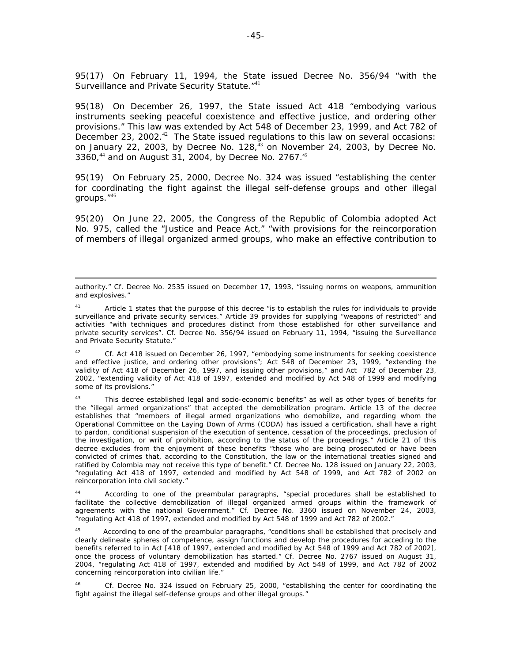95(17) On February 11, 1994, the State issued Decree No. 356/94 "with the Surveillance and Private Security Statute."<sup>41</sup>

95(18) On December 26, 1997, the State issued Act 418 "embodying various instruments seeking peaceful coexistence and effective justice, and ordering other provisions." This law was extended by Act 548 of December 23, 1999, and Act 782 of December 23, 2002.<sup>42</sup> The State issued regulations to this law on several occasions: on January 22, 2003, by Decree No. 128, $43$  on November 24, 2003, by Decree No. 3360,<sup>44</sup> and on August 31, 2004, by Decree No. 2767.<sup>45</sup>

95(19) On February 25, 2000, Decree No. 324 was issued "establishing the center for coordinating the fight against the illegal self-defense groups and other illegal groups."<sup>46</sup>

95(20) On June 22, 2005, the Congress of the Republic of Colombia adopted Act No. 975, called the "Justice and Peace Act," "with provisions for the reincorporation of members of illegal organized armed groups, who make an effective contribution to

authority." *Cf.* Decree No. 2535 issued on December 17, 1993, "issuing norms on weapons, ammunition and explosives."

 $\overline{a}$ 

41 Article 1 states that the purpose of this decree "is to establish the rules for individuals to provide surveillance and private security services." Article 39 provides for supplying "weapons of restricted" and activities "with techniques and procedures distinct from those established for other surveillance and private security services". *Cf.* Decree No. 356/94 issued on February 11, 1994, "issuing the Surveillance and Private Security Statute."

42 *Cf.* Act 418 issued on December 26, 1997, "embodying some instruments for seeking coexistence and effective justice, and ordering other provisions"; Act 548 of December 23, 1999, "extending the validity of Act 418 of December 26, 1997, and issuing other provisions," and Act 782 of December 23, 2002, "extending validity of Act 418 of 1997, extended and modified by Act 548 of 1999 and modifying some of its provisions."

This decree established legal and socio-economic benefits" as well as other types of benefits for the "illegal armed organizations" that accepted the demobilization program. Article 13 of the decree establishes that "members of illegal armed organizations who demobilize, and regarding whom the Operational Committee on the Laying Down of Arms (CODA) has issued a certification, shall have a right to pardon, conditional suspension of the execution of sentence, cessation of the proceedings, preclusion of the investigation, or writ of prohibition, according to the status of the proceedings." Article 21 of this decree excludes from the enjoyment of these benefits "those who are being prosecuted or have been convicted of crimes that, according to the Constitution, the law or the international treaties signed and ratified by Colombia may not receive this type of benefit." *Cf.* Decree No. 128 issued on January 22, 2003, "regulating Act 418 of 1997, extended and modified by Act 548 of 1999, and Act 782 of 2002 on reincorporation into civil society."

44 According to one of the preambular paragraphs, "special procedures shall be established to facilitate the collective demobilization of illegal organized armed groups within the framework of agreements with the national Government." *Cf.* Decree No. 3360 issued on November 24, 2003, "regulating Act 418 of 1997, extended and modified by Act 548 of 1999 and Act 782 of 2002."

According to one of the preambular paragraphs, "conditions shall be established that precisely and clearly delineate spheres of competence, assign functions and develop the procedures for acceding to the benefits referred to in Act [418 of 1997, extended and modified by Act 548 of 1999 and Act 782 of 2002], once the process of voluntary demobilization has started." *Cf.* Decree No. 2767 issued on August 31, 2004, "regulating Act 418 of 1997, extended and modified by Act 548 of 1999, and Act 782 of 2002 concerning reincorporation into civilian life."

46 *Cf.* Decree No. 324 issued on February 25, 2000, "establishing the center for coordinating the fight against the illegal self-defense groups and other illegal groups."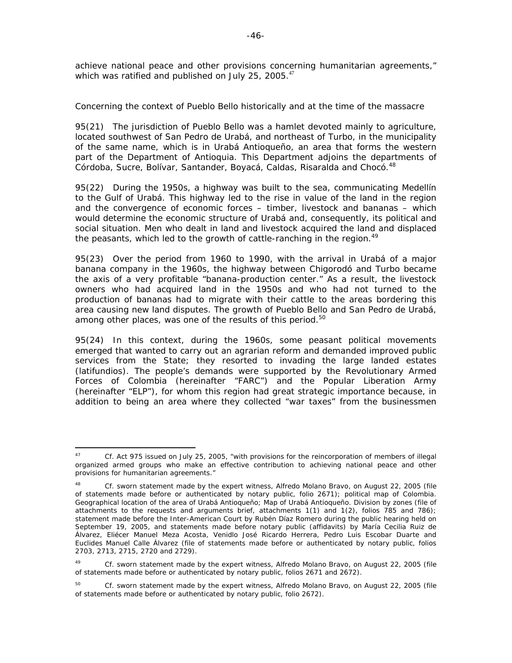achieve national peace and other provisions concerning humanitarian agreements," which was ratified and published on July 25, 2005. $47$ 

# *Concerning the context of Pueblo Bello historically and at the time of the massacre*

95(21) The jurisdiction of Pueblo Bello was a hamlet devoted mainly to agriculture, located southwest of San Pedro de Urabá, and northeast of Turbo, in the municipality of the same name, which is in Urabá Antioqueño, an area that forms the western part of the Department of Antioquia. This Department adjoins the departments of Córdoba, Sucre, Bolívar, Santander, Boyacá, Caldas, Risaralda and Chocó.<sup>48</sup>

95(22) During the 1950s, a highway was built to the sea, communicating Medellín to the Gulf of Urabá. This highway led to the rise in value of the land in the region and the convergence of economic forces – timber, livestock and bananas – which would determine the economic structure of Urabá and, consequently, its political and social situation. Men who dealt in land and livestock acquired the land and displaced the peasants, which led to the growth of cattle-ranching in the region.<sup>49</sup>

95(23) Over the period from 1960 to 1990, with the arrival in Urabá of a major banana company in the 1960s, the highway between Chigorodó and Turbo became the axis of a very profitable "banana-production center." As a result, the livestock owners who had acquired land in the 1950s and who had not turned to the production of bananas had to migrate with their cattle to the areas bordering this area causing new land disputes. The growth of Pueblo Bello and San Pedro de Urabá, among other places, was one of the results of this period.<sup>50</sup>

95(24) In this context, during the 1960s, some peasant political movements emerged that wanted to carry out an agrarian reform and demanded improved public services from the State; they resorted to invading the large landed estates (*latifundios*). The people's demands were supported by the Revolutionary Armed Forces of Colombia (hereinafter "FARC") and the Popular Liberation Army (hereinafter "ELP"), for whom this region had great strategic importance because, in addition to being an area where they collected "war taxes" from the businessmen

 $\overline{a}$ 47 *Cf.* Act 975 issued on July 25, 2005, "with provisions for the reincorporation of members of illegal organized armed groups who make an effective contribution to achieving national peace and other provisions for humanitarian agreements."

<sup>48</sup> *Cf.* sworn statement made by the expert witness, Alfredo Molano Bravo, on August 22, 2005 (file of statements made before or authenticated by notary public, folio 2671); political map of Colombia. Geographical location of the area of Urabá Antioqueño; Map of Urabá Antioqueño. Division by zones (file of attachments to the requests and arguments brief, attachments 1(1) and 1(2), folios 785 and 786); statement made before the Inter-American Court by Rubén Díaz Romero during the public hearing held on September 19, 2005, and statements made before notary public (affidavits) by María Cecilia Ruiz de Álvarez, Eliécer Manuel Meza Acosta, Venidlo José Ricardo Herrera, Pedro Luis Escobar Duarte and Euclides Manuel Calle Álvarez (file of statements made before or authenticated by notary public, folios 2703, 2713, 2715, 2720 and 2729).

<sup>49</sup> *Cf.* sworn statement made by the expert witness, Alfredo Molano Bravo, on August 22, 2005 (file of statements made before or authenticated by notary public, folios 2671 and 2672).

<sup>50</sup> *Cf.* sworn statement made by the expert witness, Alfredo Molano Bravo, on August 22, 2005 (file of statements made before or authenticated by notary public, folio 2672).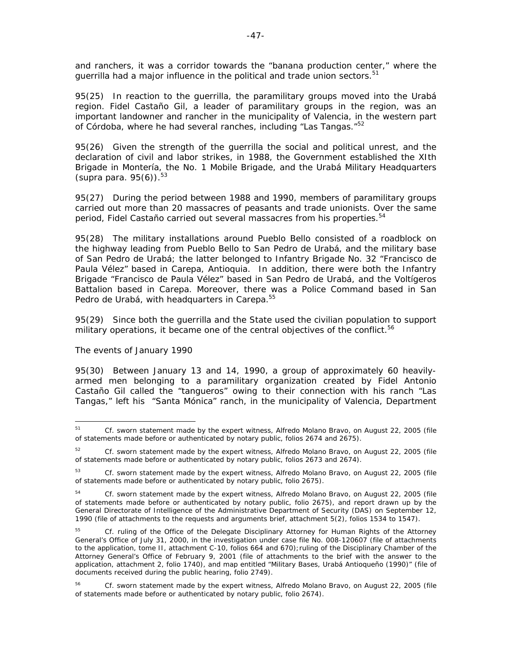and ranchers, it was a corridor towards the "banana production center," where the guerrilla had a major influence in the political and trade union sectors.<sup>51</sup>

95(25) In reaction to the guerrilla, the paramilitary groups moved into the Urabá region. Fidel Castaño Gil, a leader of paramilitary groups in the region, was an important landowner and rancher in the municipality of Valencia, in the western part of Córdoba, where he had several ranches, including "*Las Tangas*."52

95(26) Given the strength of the guerrilla the social and political unrest, and the declaration of civil and labor strikes, in 1988, the Government established the XIth Brigade in Montería, the No. 1 Mobile Brigade, and the Urabá Military Headquarters (*supra* para. 95(6)).<sup>53</sup>

95(27) During the period between 1988 and 1990, members of paramilitary groups carried out more than 20 massacres of peasants and trade unionists. Over the same period, Fidel Castaño carried out several massacres from his properties.<sup>54</sup>

95(28) The military installations around Pueblo Bello consisted of a roadblock on the highway leading from Pueblo Bello to San Pedro de Urabá, and the military base of San Pedro de Urabá; the latter belonged to Infantry Brigade No. 32 "Francisco de Paula Vélez" based in Carepa, Antioquia. In addition, there were both the Infantry Brigade "Francisco de Paula Vélez" based in San Pedro de Urabá, and the Voltígeros Battalion based in Carepa. Moreover, there was a Police Command based in San Pedro de Urabá, with headquarters in Carepa.<sup>55</sup>

95(29) Since both the guerrilla and the State used the civilian population to support military operations, it became one of the central objectives of the conflict.<sup>56</sup>

## *The events of January 1990*

95(30) Between January 13 and 14, 1990, a group of approximately 60 heavilyarmed men belonging to a paramilitary organization created by Fidel Antonio Castaño Gil called the "*tangueros*" owing to their connection with his ranch "*Las Tangas*," left his "*Santa Mónica*" ranch, in the municipality of Valencia, Department

 $51$ 51 *Cf.* sworn statement made by the expert witness, Alfredo Molano Bravo, on August 22, 2005 (file of statements made before or authenticated by notary public, folios 2674 and 2675).

<sup>&</sup>lt;sup>52</sup> *Cf.* sworn statement made by the expert witness, Alfredo Molano Bravo, on August 22, 2005 (file of statements made before or authenticated by notary public, folios 2673 and 2674).

<sup>53</sup> *Cf.* sworn statement made by the expert witness, Alfredo Molano Bravo, on August 22, 2005 (file of statements made before or authenticated by notary public, folio 2675).

<sup>54</sup> *Cf.* sworn statement made by the expert witness, Alfredo Molano Bravo, on August 22, 2005 (file of statements made before or authenticated by notary public, folio 2675), and report drawn up by the General Directorate of Intelligence of the Administrative Department of Security (DAS) on September 12, 1990 (file of attachments to the requests and arguments brief, attachment 5(2), folios 1534 to 1547).

<sup>55</sup> *Cf.* ruling of the Office of the Delegate Disciplinary Attorney for Human Rights of the Attorney General's Office of July 31, 2000, in the investigation under case file No. 008-120607 (file of attachments to the application, tome II, attachment C-10, folios 664 and 670);ruling of the Disciplinary Chamber of the Attorney General's Office of February 9, 2001 (file of attachments to the brief with the answer to the application, attachment 2, folio 1740), and map entitled "Military Bases, Urabá Antioqueño (1990)" (file of documents received during the public hearing, folio 2749).

<sup>&</sup>lt;sup>56</sup> *Cf.* sworn statement made by the expert witness, Alfredo Molano Bravo, on August 22, 2005 (file of statements made before or authenticated by notary public, folio 2674).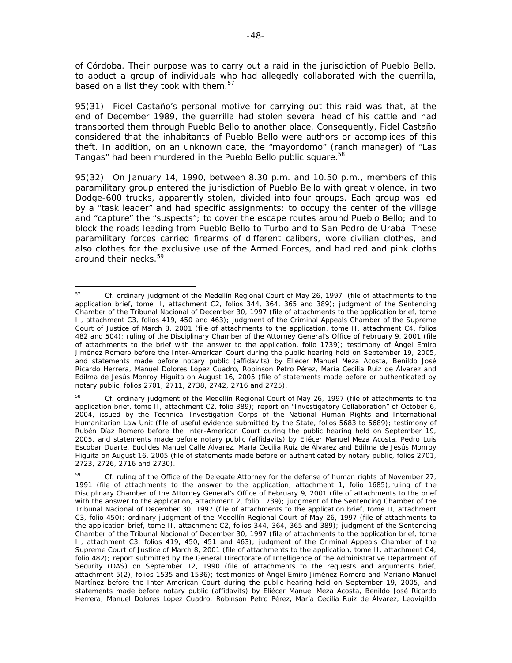of Córdoba. Their purpose was to carry out a raid in the jurisdiction of Pueblo Bello, to abduct a group of individuals who had allegedly collaborated with the guerrilla, based on a list they took with them.<sup>57</sup>

95(31) Fidel Castaño's personal motive for carrying out this raid was that, at the end of December 1989, the guerrilla had stolen several head of his cattle and had transported them through Pueblo Bello to another place. Consequently, Fidel Castaño considered that the inhabitants of Pueblo Bello were authors or accomplices of this theft. In addition, on an unknown date, the "*mayordomo*" (ranch manager) of "*Las Tangas*" had been murdered in the Pueblo Bello public square.<sup>58</sup>

95(32) On January 14, 1990, between 8.30 p.m. and 10.50 p.m., members of this paramilitary group entered the jurisdiction of Pueblo Bello with great violence, in two Dodge-600 trucks, apparently stolen, divided into four groups. Each group was led by a "task leader" and had specific assignments: to occupy the center of the village and "capture" the "suspects"; to cover the escape routes around Pueblo Bello; and to block the roads leading from Pueblo Bello to Turbo and to San Pedro de Urabá. These paramilitary forces carried firearms of different calibers, wore civilian clothes, and also clothes for the exclusive use of the Armed Forces, and had red and pink cloths around their necks.<sup>59</sup>

<sup>57</sup> 57 *Cf.* ordinary judgment of the Medellín Regional Court of May 26, 1997 (file of attachments to the application brief, tome II, attachment C2, folios 344, 364, 365 and 389); judgment of the Sentencing Chamber of the Tribunal Nacional of December 30, 1997 (file of attachments to the application brief, tome II, attachment C3, folios 419, 450 and 463); judgment of the Criminal Appeals Chamber of the Supreme Court of Justice of March 8, 2001 (file of attachments to the application, tome II, attachment C4, folios 482 and 504); ruling of the Disciplinary Chamber of the Attorney General's Office of February 9, 2001 (file of attachments to the brief with the answer to the application, folio 1739); testimony of Ángel Emiro Jiménez Romero before the Inter-American Court during the public hearing held on September 19, 2005, and statements made before notary public (affidavits) by Eliécer Manuel Meza Acosta, Benildo José Ricardo Herrera, Manuel Dolores López Cuadro, Robinson Petro Pérez, María Cecilia Ruiz de Álvarez and Edilma de Jesús Monroy Higuita on August 16, 2005 (file of statements made before or authenticated by notary public, folios 2701, 2711, 2738, 2742, 2716 and 2725).

<sup>58</sup> *Cf.* ordinary judgment of the Medellín Regional Court of May 26, 1997 (file of attachments to the application brief, tome II, attachment C2, folio 389); report on "Investigatory Collaboration" of October 6, 2004, issued by the Technical Investigation Corps of the National Human Rights and International Humanitarian Law Unit (file of useful evidence submitted by the State, folios 5683 to 5689); testimony of Rubén Díaz Romero before the Inter-American Court during the public hearing held on September 19, 2005, and statements made before notary public (affidavits) by Eliécer Manuel Meza Acosta, Pedro Luis Escobar Duarte, Euclides Manuel Calle Álvarez, María Cecilia Ruiz de Álvarez and Edilma de Jesús Monroy Higuita on August 16, 2005 (file of statements made before or authenticated by notary public, folios 2701, 2723, 2726, 2716 and 2730).

<sup>&</sup>lt;sup>59</sup> *Cf.* ruling of the Office of the Delegate Attorney for the defense of human rights of November 27, 1991 (file of attachments to the answer to the application, attachment 1, folio 1685);ruling of the Disciplinary Chamber of the Attorney General's Office of February 9, 2001 (file of attachments to the brief with the answer to the application, attachment 2, folio 1739); judgment of the Sentencing Chamber of the Tribunal Nacional of December 30, 1997 (file of attachments to the application brief, tome II, attachment C3, folio 450); ordinary judgment of the Medellín Regional Court of May 26, 1997 (file of attachments to the application brief, tome II, attachment C2, folios 344, 364, 365 and 389); judgment of the Sentencing Chamber of the Tribunal Nacional of December 30, 1997 (file of attachments to the application brief, tome II, attachment C3, folios 419, 450, 451 and 463); judgment of the Criminal Appeals Chamber of the Supreme Court of Justice of March 8, 2001 (file of attachments to the application, tome II, attachment C4, folio 482); report submitted by the General Directorate of Intelligence of the Administrative Department of Security (DAS) on September 12, 1990 (file of attachments to the requests and arguments brief, attachment 5(2), folios 1535 and 1536); testimonies of Ángel Emiro Jiménez Romero and Mariano Manuel Martínez before the Inter-American Court during the public hearing held on September 19, 2005, and statements made before notary public (affidavits) by Eliécer Manuel Meza Acosta, Benildo José Ricardo Herrera, Manuel Dolores López Cuadro, Robinson Petro Pérez, María Cecilia Ruiz de Álvarez, Leovigilda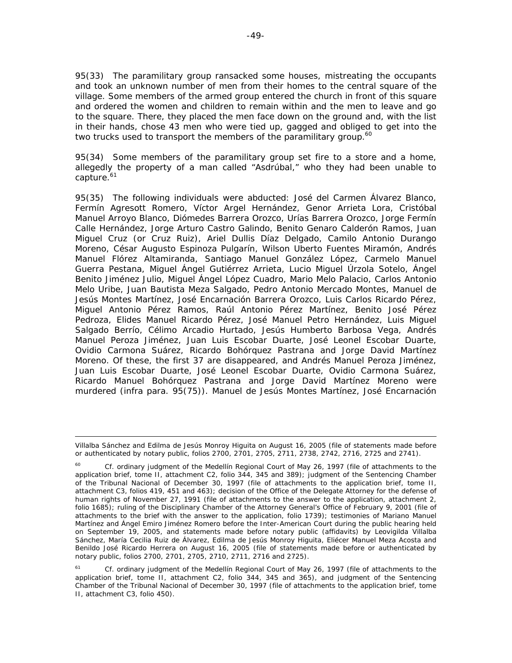95(33) The paramilitary group ransacked some houses, mistreating the occupants and took an unknown number of men from their homes to the central square of the village. Some members of the armed group entered the church in front of this square and ordered the women and children to remain within and the men to leave and go to the square. There, they placed the men face down on the ground and, with the list in their hands, chose 43 men who were tied up, gagged and obliged to get into the two trucks used to transport the members of the paramilitary group.<sup>60</sup>

95(34) Some members of the paramilitary group set fire to a store and a home, allegedly the property of a man called "Asdrúbal," who they had been unable to capture.<sup>61</sup>

95(35) The following individuals were abducted: José del Carmen Álvarez Blanco, Fermín Agresott Romero, Víctor Argel Hernández, Genor Arrieta Lora, Cristóbal Manuel Arroyo Blanco, Diómedes Barrera Orozco, Urías Barrera Orozco, Jorge Fermín Calle Hernández, Jorge Arturo Castro Galindo, Benito Genaro Calderón Ramos, Juan Miguel Cruz (or Cruz Ruiz), Ariel Dullis Díaz Delgado, Camilo Antonio Durango Moreno, César Augusto Espinoza Pulgarín, Wilson Uberto Fuentes Miramón, Andrés Manuel Flórez Altamiranda, Santiago Manuel González López, Carmelo Manuel Guerra Pestana, Miguel Ángel Gutiérrez Arrieta, Lucio Miguel Úrzola Sotelo, Ángel Benito Jiménez Julio, Miguel Ángel López Cuadro, Mario Melo Palacio, Carlos Antonio Melo Uribe, Juan Bautista Meza Salgado, Pedro Antonio Mercado Montes, Manuel de Jesús Montes Martínez, José Encarnación Barrera Orozco, Luis Carlos Ricardo Pérez, Miguel Antonio Pérez Ramos, Raúl Antonio Pérez Martínez, Benito José Pérez Pedroza, Elides Manuel Ricardo Pérez, José Manuel Petro Hernández, Luis Miguel Salgado Berrío, Célimo Arcadio Hurtado, Jesús Humberto Barbosa Vega, Andrés Manuel Peroza Jiménez, Juan Luis Escobar Duarte, José Leonel Escobar Duarte, Ovidio Carmona Suárez, Ricardo Bohórquez Pastrana and Jorge David Martínez Moreno. Of these, the first 37 are disappeared, and Andrés Manuel Peroza Jiménez, Juan Luis Escobar Duarte, José Leonel Escobar Duarte, Ovidio Carmona Suárez, Ricardo Manuel Bohórquez Pastrana and Jorge David Martínez Moreno were murdered (*infra* para. 95(75)). Manuel de Jesús Montes Martínez, José Encarnación

 $\overline{a}$ Villalba Sánchez and Edilma de Jesús Monroy Higuita on August 16, 2005 (file of statements made before or authenticated by notary public, folios 2700, 2701, 2705, 2711, 2738, 2742, 2716, 2725 and 2741).

<sup>&</sup>lt;sup>60</sup> *Cf.* ordinary judgment of the Medellín Regional Court of May 26, 1997 (file of attachments to the application brief, tome II, attachment C2, folio 344, 345 and 389); judgment of the Sentencing Chamber of the Tribunal Nacional of December 30, 1997 (file of attachments to the application brief, tome II, attachment C3, folios 419, 451 and 463); decision of the Office of the Delegate Attorney for the defense of human rights of November 27, 1991 (file of attachments to the answer to the application, attachment 2, folio 1685); ruling of the Disciplinary Chamber of the Attorney General's Office of February 9, 2001 (file of attachments to the brief with the answer to the application, folio 1739); testimonies of Mariano Manuel Martínez and Ángel Emiro Jiménez Romero before the Inter-American Court during the public hearing held on September 19, 2005, and statements made before notary public (affidavits) by Leovigilda Villalba Sánchez, María Cecilia Ruiz de Álvarez, Edilma de Jesús Monroy Higuita, Eliécer Manuel Meza Acosta and Benildo José Ricardo Herrera on August 16, 2005 (file of statements made before or authenticated by notary public, folios 2700, 2701, 2705, 2710, 2711, 2716 and 2725).

<sup>61</sup> *Cf.* ordinary judgment of the Medellín Regional Court of May 26, 1997 (file of attachments to the application brief, tome II, attachment C2, folio 344, 345 and 365), and judgment of the Sentencing Chamber of the Tribunal Nacional of December 30, 1997 (file of attachments to the application brief, tome II, attachment C3, folio 450).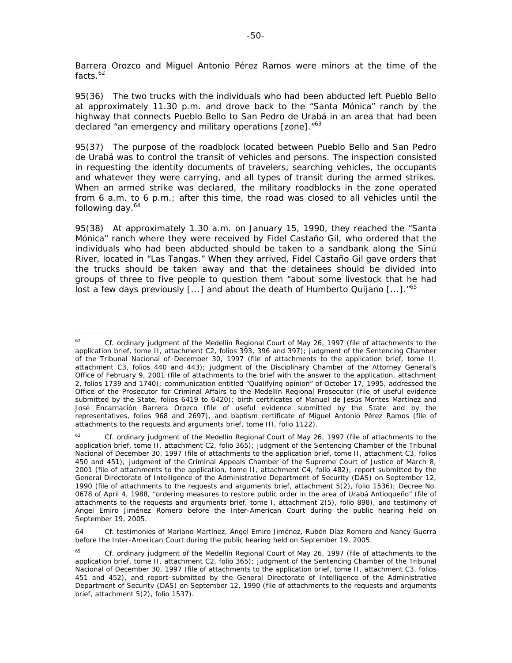Barrera Orozco and Miguel Antonio Pérez Ramos were minors at the time of the facts  $62$ 

95(36) The two trucks with the individuals who had been abducted left Pueblo Bello at approximately 11.30 p.m. and drove back to the "*Santa Mónica*" ranch by the highway that connects Pueblo Bello to San Pedro de Urabá in an area that had been declared "an emergency and military operations [zone]."<sup>63</sup>

95(37) The purpose of the roadblock located between Pueblo Bello and San Pedro de Urabá was to control the transit of vehicles and persons. The inspection consisted in requesting the identity documents of travelers, searching vehicles, the occupants and whatever they were carrying, and all types of transit during the armed strikes. When an armed strike was declared, the military roadblocks in the zone operated from 6 a.m. to 6 p.m.; after this time, the road was closed to all vehicles until the following day.<sup>64</sup>

95(38) At approximately 1.30 a.m. on January 15, 1990, they reached the "Santa Mónica" ranch where they were received by Fidel Castaño Gil, who ordered that the individuals who had been abducted should be taken to a sandbank along the Sinú River, located in "*Las Tangas.*" When they arrived, Fidel Castaño Gil gave orders that the trucks should be taken away and that the detainees should be divided into groups of three to five people to question them "about some livestock that he had lost a few days previously [...] and about the death of Humberto Quijano [...].<sup>"65</sup>

 $62$ 62 *Cf.* ordinary judgment of the Medellín Regional Court of May 26, 1997 (file of attachments to the application brief, tome II, attachment C2, folios 393, 396 and 397); judgment of the Sentencing Chamber of the Tribunal Nacional of December 30, 1997 (file of attachments to the application brief, tome II, attachment C3, folios 440 and 443); judgment of the Disciplinary Chamber of the Attorney General's Office of February 9, 2001 (file of attachments to the brief with the answer to the application, attachment 2, folios 1739 and 1740); communication entitled "Qualifying opinion" of October 17, 1995, addressed the Office of the Prosecutor for Criminal Affairs to the Medellín Regional Prosecutor (file of useful evidence submitted by the State, folios 6419 to 6420); birth certificates of Manuel de Jesús Montes Martínez and José Encarnación Barrera Orozco (file of useful evidence submitted by the State and by the representatives, folios 968 and 2697), and baptism certificate of Miguel Antonio Pérez Ramos (file of attachments to the requests and arguments brief, tome III, folio 1122).

Cf. ordinary judgment of the Medellín Regional Court of May 26, 1997 (file of attachments to the application brief, tome II, attachment C2, folio 365); judgment of the Sentencing Chamber of the Tribunal Nacional of December 30, 1997 (file of attachments to the application brief, tome II, attachment C3, folios 450 and 451); judgment of the Criminal Appeals Chamber of the Supreme Court of Justice of March 8, 2001 (file of attachments to the application, tome II, attachment C4, folio 482); report submitted by the General Directorate of Intelligence of the Administrative Department of Security (DAS) on September 12, 1990 (file of attachments to the requests and arguments brief, attachment 5(2), folio 1536); Decree No. 0678 of April 4, 1988, "ordering measures to restore public order in the area of Urabá Antioqueño" (file of attachments to the requests and arguments brief, tome I, attachment 2(5), folio 898), and testimony of Ángel Emiro Jiménez Romero before the Inter-American Court during the public hearing held on September 19, 2005.

<sup>64</sup> *Cf.* testimonies of Mariano Martínez, Ángel Emiro Jiménez, Rubén Díaz Romero and Nancy Guerra before the Inter-American Court during the public hearing held on September 19, 2005.

<sup>65</sup> *Cf.* ordinary judgment of the Medellín Regional Court of May 26, 1997 (file of attachments to the application brief, tome II, attachment C2, folio 365); judgment of the Sentencing Chamber of the Tribunal Nacional of December 30, 1997 (file of attachments to the application brief, tome II, attachment C3, folios 451 and 452), and report submitted by the General Directorate of Intelligence of the Administrative Department of Security (DAS) on September 12, 1990 (file of attachments to the requests and arguments brief, attachment 5(2), folio 1537).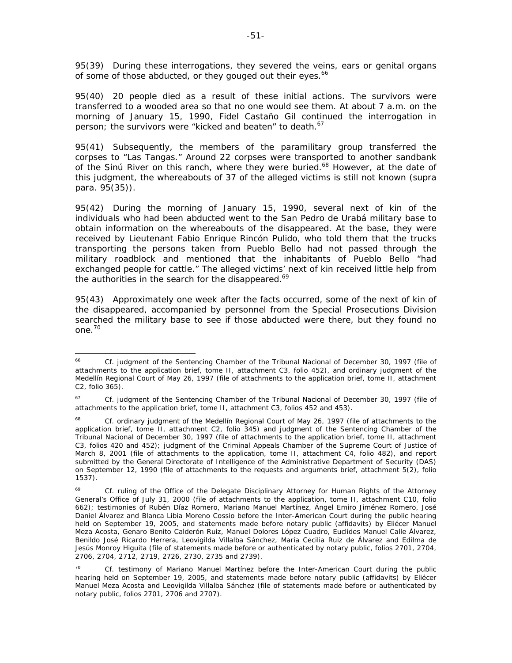95(39) During these interrogations, they severed the veins, ears or genital organs of some of those abducted, or they gouged out their eyes.<sup>66</sup>

95(40) 20 people died as a result of these initial actions. The survivors were transferred to a wooded area so that no one would see them. At about 7 a.m. on the morning of January 15, 1990, Fidel Castaño Gil continued the interrogation in person; the survivors were "kicked and beaten" to death.<sup>67</sup>

95(41) Subsequently, the members of the paramilitary group transferred the corpses to "*Las Tangas.*" Around 22 corpses were transported to another sandbank of the Sinú River on this ranch, where they were buried.<sup>68</sup> However, at the date of this judgment, the whereabouts of 37 of the alleged victims is still not known (*supra* para. 95(35)).

95(42) During the morning of January 15, 1990, several next of kin of the individuals who had been abducted went to the San Pedro de Urabá military base to obtain information on the whereabouts of the disappeared. At the base, they were received by Lieutenant Fabio Enrique Rincón Pulido, who told them that the trucks transporting the persons taken from Pueblo Bello had not passed through the military roadblock and mentioned that the inhabitants of Pueblo Bello "had exchanged people for cattle." The alleged victims' next of kin received little help from the authorities in the search for the disappeared.<sup>69</sup>

95(43) Approximately one week after the facts occurred, some of the next of kin of the disappeared, accompanied by personnel from the Special Prosecutions Division searched the military base to see if those abducted were there, but they found no one.70

 $\overline{a}$ 

<sup>66</sup> *Cf.* judgment of the Sentencing Chamber of the Tribunal Nacional of December 30, 1997 (file of attachments to the application brief, tome II, attachment C3, folio 452), and ordinary judgment of the Medellín Regional Court of May 26, 1997 (file of attachments to the application brief, tome II, attachment C2, folio 365).

<sup>67</sup> *Cf.* judgment of the Sentencing Chamber of the Tribunal Nacional of December 30, 1997 (file of attachments to the application brief, tome II, attachment C3, folios 452 and 453).

Cf. ordinary judgment of the Medellín Regional Court of May 26, 1997 (file of attachments to the application brief, tome II, attachment C2, folio 345) and judgment of the Sentencing Chamber of the Tribunal Nacional of December 30, 1997 (file of attachments to the application brief, tome II, attachment C3, folios 420 and 452); judgment of the Criminal Appeals Chamber of the Supreme Court of Justice of March 8, 2001 (file of attachments to the application, tome II, attachment C4, folio 482), and report submitted by the General Directorate of Intelligence of the Administrative Department of Security (DAS) on September 12, 1990 (file of attachments to the requests and arguments brief, attachment 5(2), folio 1537).

<sup>&</sup>lt;sup>69</sup> *Cf.* ruling of the Office of the Delegate Disciplinary Attorney for Human Rights of the Attorney General's Office of July 31, 2000 (file of attachments to the application, tome II, attachment C10, folio 662); testimonies of Rubén Díaz Romero, Mariano Manuel Martínez, Ángel Emiro Jiménez Romero, José Daniel Álvarez and Blanca Libia Moreno Cossio before the Inter-American Court during the public hearing held on September 19, 2005, and statements made before notary public (affidavits) by Eliécer Manuel Meza Acosta, Genaro Benito Calderón Ruiz, Manuel Dolores López Cuadro, Euclides Manuel Calle Álvarez, Benildo José Ricardo Herrera, Leovigilda Villalba Sánchez, María Cecilia Ruiz de Álvarez and Edilma de Jesús Monroy Higuita (file of statements made before or authenticated by notary public, folios 2701, 2704, 2706, 2704, 2712, 2719, 2726, 2730, 2735 and 2739).

<sup>70</sup> *Cf.* testimony of Mariano Manuel Martínez before the Inter-American Court during the public hearing held on September 19, 2005, and statements made before notary public (affidavits) by Eliécer Manuel Meza Acosta and Leovigilda Villalba Sánchez (file of statements made before or authenticated by notary public, folios 2701, 2706 and 2707).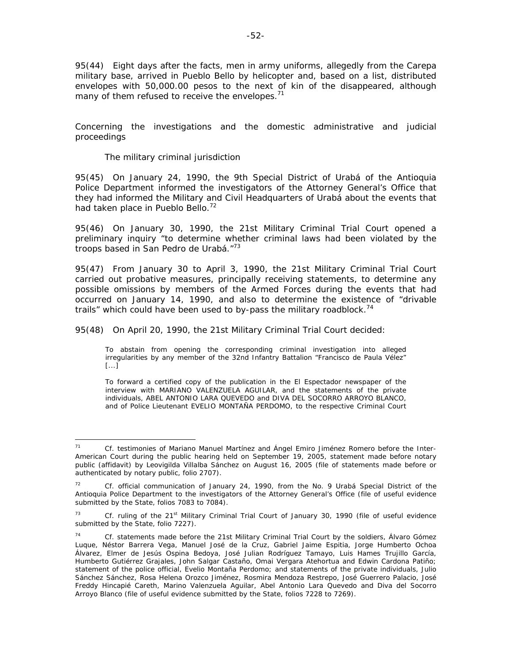95(44) Eight days after the facts, men in army uniforms, allegedly from the Carepa military base, arrived in Pueblo Bello by helicopter and, based on a list, distributed envelopes with 50,000.00 pesos to the next of kin of the disappeared, although many of them refused to receive the envelopes. $<sup>71</sup>$ </sup>

*Concerning the investigations and the domestic administrative and judicial proceedings* 

## *The military criminal jurisdiction*

95(45) On January 24, 1990, the 9th Special District of Urabá of the Antioquia Police Department informed the investigators of the Attorney General's Office that they had informed the Military and Civil Headquarters of Urabá about the events that had taken place in Pueblo Bello.<sup>72</sup>

95(46) On January 30, 1990, the 21st Military Criminal Trial Court opened a preliminary inquiry "to determine whether criminal laws had been violated by the troops based in San Pedro de Urabá."<sup>73</sup>

95(47) From January 30 to April 3, 1990, the 21st Military Criminal Trial Court carried out probative measures, principally receiving statements, to determine any possible omissions by members of the Armed Forces during the events that had occurred on January 14, 1990, and also to determine the existence of "drivable trails" which could have been used to by-pass the military roadblock.<sup>74</sup>

95(48) On April 20, 1990, the 21st Military Criminal Trial Court decided:

To abstain from opening the corresponding criminal investigation into alleged irregularities by any member of the 32nd Infantry Battalion "Francisco de Paula Vélez" [...]

To forward a certified copy of the publication in the *El Espectador* newspaper of the interview with MARIANO VALENZUELA AGUILAR, and the statements of the private individuals, ABEL ANTONIO LARA QUEVEDO and DIVA DEL SOCORRO ARROYO BLANCO, and of Police Lieutenant EVELIO MONTAÑA PERDOMO, to the respective Criminal Court

 $71$ <sup>71</sup> *Cf.* testimonies of Mariano Manuel Martínez and Ángel Emiro Jiménez Romero before the Inter-American Court during the public hearing held on September 19, 2005, statement made before notary public (affidavit) by Leovigilda Villalba Sánchez on August 16, 2005 (file of statements made before or authenticated by notary public, folio 2707).

<sup>72</sup> *Cf.* official communication of January 24, 1990, from the No. 9 Urabá Special District of the Antioquia Police Department to the investigators of the Attorney General's Office (file of useful evidence submitted by the State, folios 7083 to 7084).

<sup>73</sup> *Cf.* ruling of the 21st Military Criminal Trial Court of January 30, 1990 (file of useful evidence submitted by the State, folio 7227).

<sup>74</sup> *Cf.* statements made before the 21st Military Criminal Trial Court by the soldiers, Álvaro Gómez Luque, Néstor Barrera Vega, Manuel José de la Cruz, Gabriel Jaime Espitia, Jorge Humberto Ochoa Álvarez, Elmer de Jesús Ospina Bedoya, José Julian Rodríguez Tamayo, Luis Hames Trujillo García, Humberto Gutiérrez Grajales, John Salgar Castaño, Omai Vergara Atehortua and Edwin Cardona Patiño; statement of the police official, Evelio Montaña Perdomo; and statements of the private individuals, Julio Sánchez Sánchez, Rosa Helena Orozco Jiménez, Rosmira Mendoza Restrepo, José Guerrero Palacio, José Freddy Hincapié Careth, Marino Valenzuela Aguilar, Abel Antonio Lara Quevedo and Diva del Socorro Arroyo Blanco (file of useful evidence submitted by the State, folios 7228 to 7269).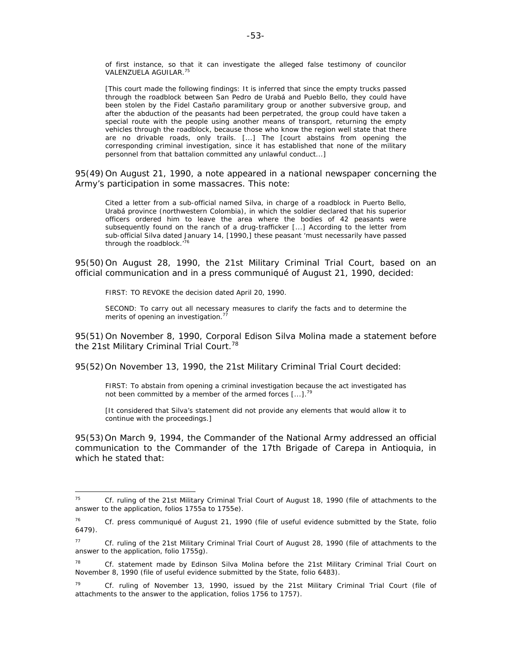of first instance, so that it can investigate the alleged false testimony of councilor VALENZUELA AGUILAR.75

[This court made the following findings: It is inferred that since the empty trucks passed through the roadblock between San Pedro de Urabá and Pueblo Bello, they could have been stolen by the Fidel Castaño paramilitary group or another subversive group, and after the abduction of the peasants had been perpetrated, the group could have taken a special route with the people using another means of transport, returning the empty vehicles through the roadblock, because those who know the region well state that there are no drivable roads, only trails. [...] The [court abstains from opening the corresponding criminal investigation, since it has established that none of the military personnel from that battalion committed any unlawful conduct...]

95(49) On August 21, 1990, a note appeared in a national newspaper concerning the Army's participation in some massacres. This note:

Cited a letter from a sub-official named Silva, in charge of a roadblock in Puerto Bello, Urabá province (northwestern Colombia), in which the soldier declared that his superior officers ordered him to leave the area where the bodies of 42 peasants were subsequently found on the ranch of a drug-trafficker [...] According to the letter from sub-official Silva dated January 14, [1990,] these peasant 'must necessarily have passed through the roadblock.<sup>'76</sup>

95(50) On August 28, 1990, the 21st Military Criminal Trial Court, based on an official communication and in a press communiqué of August 21, 1990, decided:

FIRST: TO REVOKE the decision dated April 20, 1990.

SECOND: To carry out all necessary measures to clarify the facts and to determine the merits of opening an investigation.<sup>7</sup>

95(51) On November 8, 1990, Corporal Edison Silva Molina made a statement before the 21st Military Criminal Trial Court.<sup>78</sup>

95(52) On November 13, 1990, the 21st Military Criminal Trial Court decided:

FIRST: To abstain from opening a criminal investigation because the act investigated has not been committed by a member of the armed forces  $[...]$ .<sup>79</sup>

[It considered that Silva's statement did not provide any elements that would allow it to continue with the proceedings.]

95(53) On March 9, 1994, the Commander of the National Army addressed an official communication to the Commander of the 17th Brigade of Carepa in Antioquia, in which he stated that:

 $75$ Cf. ruling of the 21st Military Criminal Trial Court of August 18, 1990 (file of attachments to the answer to the application, folios 1755a to 1755e).

<sup>76</sup> *Cf.* press communiqué of August 21, 1990 (file of useful evidence submitted by the State, folio 6479).

<sup>77</sup> *Cf.* ruling of the 21st Military Criminal Trial Court of August 28, 1990 (file of attachments to the answer to the application, folio 1755g).

<sup>78</sup> *Cf.* statement made by Edinson Silva Molina before the 21st Military Criminal Trial Court on November 8, 1990 (file of useful evidence submitted by the State, folio 6483).

<sup>79</sup> *Cf.* ruling of November 13, 1990, issued by the 21st Military Criminal Trial Court (file of attachments to the answer to the application, folios 1756 to 1757).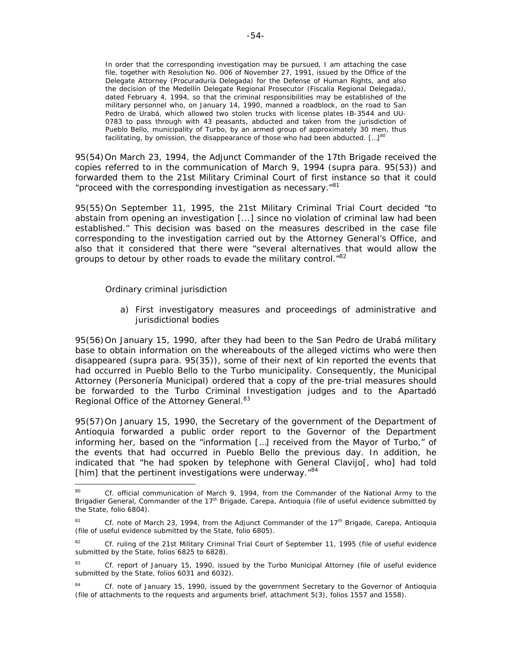In order that the corresponding investigation may be pursued, I am attaching the case file, together with Resolution No. 006 of November 27, 1991, issued by the Office of the Delegate Attorney (*Procuraduría Delegada*) for the Defense of Human Rights, and also the decision of the Medellín Delegate Regional Prosecutor (*Fiscalía Regional Delegada)*, dated February 4, 1994, so that the criminal responsibilities may be established of the military personnel who, on January 14, 1990, manned a roadblock, on the road to San Pedro de Urabá, which allowed two stolen trucks with license plates IB-3544 and UU-0783 to pass through with 43 peasants, abducted and taken from the jurisdiction of Pueblo Bello, municipality of Turbo, by an armed group of approximately 30 men, thus facilitating, by omission, the disappearance of those who had been abducted. [...]<sup>80</sup>

95(54) On March 23, 1994, the Adjunct Commander of the 17th Brigade received the copies referred to in the communication of March 9, 1994 (*supra* para. 95(53)) and forwarded them to the 21st Military Criminal Court of first instance so that it could "proceed with the corresponding investigation as necessary."<sup>81</sup>

95(55) On September 11, 1995, the 21st Military Criminal Trial Court decided "to abstain from opening an investigation [...] since no violation of criminal law had been established." This decision was based on the measures described in the case file corresponding to the investigation carried out by the Attorney General's Office, and also that it considered that there were "several alternatives that would allow the groups to detour by other roads to evade the military control."<sup>82</sup>

## *Ordinary criminal jurisdiction*

## *a) First investigatory measures and proceedings of administrative and jurisdictional bodies*

95(56) On January 15, 1990, after they had been to the San Pedro de Urabá military base to obtain information on the whereabouts of the alleged victims who were then disappeared (*supra* para. 95(35)), some of their next of kin reported the events that had occurred in Pueblo Bello to the Turbo municipality. Consequently, the Municipal Attorney (*Personería Municipal*) ordered that a copy of the pre-trial measures should be forwarded to the Turbo Criminal Investigation judges and to the Apartadó Regional Office of the Attorney General.<sup>83</sup>

95(57) On January 15, 1990, the Secretary of the government of the Department of Antioquia forwarded a public order report to the Governor of the Department informing her, based on the "information […] received from the Mayor of Turbo," of the events that had occurred in Pueblo Bello the previous day. In addition, he indicated that "he had spoken by telephone with General Clavijo[, who] had told [him] that the pertinent investigations were underway."<sup>84</sup>

 $80^{\circ}$ Cf. official communication of March 9, 1994, from the Commander of the National Army to the Brigadier General, Commander of the 17<sup>th</sup> Brigade, Carepa, Antioquia (file of useful evidence submitted by the State, folio 6804).

<sup>&</sup>lt;sup>81</sup> *Cf.* note of March 23, 1994, from the Adjunct Commander of the 17<sup>th</sup> Brigade, Carepa, Antioquia (file of useful evidence submitted by the State, folio 6805).

<sup>82</sup> *Cf.* ruling of the 21st Military Criminal Trial Court of September 11, 1995 (file of useful evidence submitted by the State, folios 6825 to 6828).

<sup>83</sup> *Cf.* report of January 15, 1990, issued by the Turbo Municipal Attorney (file of useful evidence submitted by the State, folios 6031 and 6032).

<sup>&</sup>lt;sup>84</sup> *Cf.* note of January 15, 1990, issued by the government Secretary to the Governor of Antioquia (file of attachments to the requests and arguments brief, attachment 5(3), folios 1557 and 1558).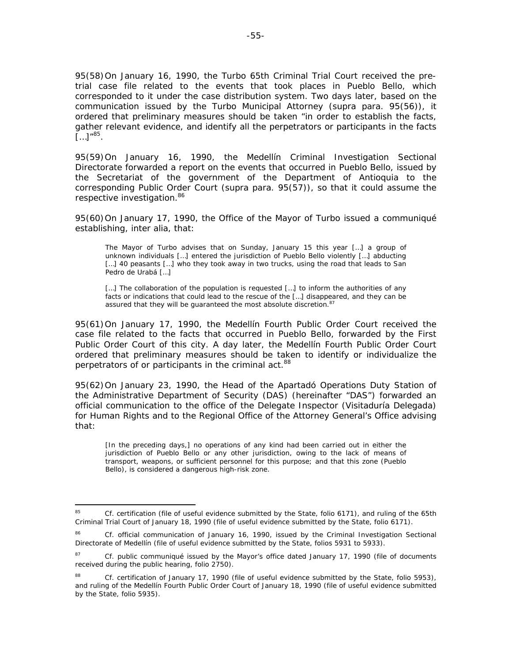95(58) On January 16, 1990, the Turbo 65th Criminal Trial Court received the pretrial case file related to the events that took places in Pueblo Bello, which corresponded to it under the case distribution system. Two days later, based on the communication issued by the Turbo Municipal Attorney (*supra* para. 95(56)), it ordered that preliminary measures should be taken "in order to establish the facts, gather relevant evidence, and identify all the perpetrators or participants in the facts  $\left[\ldots\right]^{n85}$ .

95(59) On January 16, 1990, the Medellín Criminal Investigation Sectional Directorate forwarded a report on the events that occurred in Pueblo Bello, issued by the Secretariat of the government of the Department of Antioquia to the corresponding Public Order Court (*supra* para. 95(57)), so that it could assume the respective investigation.<sup>86</sup>

95(60) On January 17, 1990, the Office of the Mayor of Turbo issued a communiqué establishing, *inter alia*, that:

The Mayor of Turbo advises that on Sunday, January 15 this year […] a group of unknown individuals […] entered the jurisdiction of Pueblo Bello violently […] abducting [...] 40 peasants [...] who they took away in two trucks, using the road that leads to San Pedro de Urabá […]

[...] The collaboration of the population is requested [...] to inform the authorities of any facts or indications that could lead to the rescue of the […] disappeared, and they can be assured that they will be guaranteed the most absolute discretion.<sup>8</sup>

95(61) On January 17, 1990, the Medellín Fourth Public Order Court received the case file related to the facts that occurred in Pueblo Bello, forwarded by the First Public Order Court of this city. A day later, the Medellín Fourth Public Order Court ordered that preliminary measures should be taken to identify or individualize the perpetrators of or participants in the criminal act.<sup>88</sup>

95(62) On January 23, 1990, the Head of the Apartadó Operations Duty Station of the Administrative Department of Security (DAS) (hereinafter "DAS") forwarded an official communication to the office of the Delegate Inspector *(Visitaduría Delegada)* for Human Rights and to the Regional Office of the Attorney General's Office advising that:

[In the preceding days,] no operations of any kind had been carried out in either the jurisdiction of Pueblo Bello or any other jurisdiction, owing to the lack of means of transport, weapons, or sufficient personnel for this purpose; and that this zone (Pueblo Bello), is considered a dangerous high-risk zone.

<sup>85</sup> 85 *Cf.* certification (file of useful evidence submitted by the State, folio 6171), and ruling of the 65th Criminal Trial Court of January 18, 1990 (file of useful evidence submitted by the State, folio 6171).

<sup>86</sup> *Cf.* official communication of January 16, 1990, issued by the Criminal Investigation Sectional Directorate of Medellín (file of useful evidence submitted by the State, folios 5931 to 5933).

<sup>&</sup>lt;sup>87</sup> *Cf.* public communiqué issued by the Mayor's office dated January 17, 1990 (file of documents received during the public hearing, folio 2750).

<sup>&</sup>lt;sup>88</sup> *Cf.* certification of January 17, 1990 (file of useful evidence submitted by the State, folio 5953), and ruling of the Medellín Fourth Public Order Court of January 18, 1990 (file of useful evidence submitted by the State, folio 5935).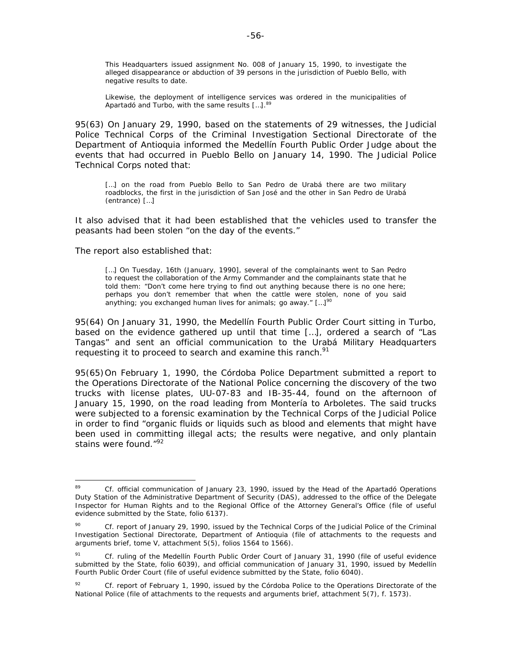This Headquarters issued assignment No. 008 of January 15, 1990, to investigate the alleged disappearance or abduction of 39 persons in the jurisdiction of Pueblo Bello, with negative results to date.

Likewise, the deployment of intelligence services was ordered in the municipalities of Apartadó and Turbo, with the same results [...].<sup>89</sup>

95(63) On January 29, 1990, based on the statements of 29 witnesses, the Judicial Police Technical Corps of the Criminal Investigation Sectional Directorate of the Department of Antioquia informed the Medellín Fourth Public Order Judge about the events that had occurred in Pueblo Bello on January 14, 1990. The Judicial Police Technical Corps noted that:

[...] on the road from Pueblo Bello to San Pedro de Urabá there are two military roadblocks, the first in the jurisdiction of San José and the other in San Pedro de Urabá (entrance) […]

It also advised that it had been established that the vehicles used to transfer the peasants had been stolen "on the day of the events."

The report also established that:

[...] On Tuesday, 16th (January, 1990], several of the complainants went to San Pedro to request the collaboration of the Army Commander and the complainants state that he told them: "Don't come here trying to find out anything because there is no one here; perhaps you don't remember that when the cattle were stolen, none of you said anything; you exchanged human lives for animals; go away."  $\left[ \ldots \right]$ <sup>90</sup>

95(64) On January 31, 1990, the Medellín Fourth Public Order Court sitting in Turbo, based on the evidence gathered up until that time […], ordered a search of "*Las Tangas*" and sent an official communication to the Urabá Military Headquarters requesting it to proceed to search and examine this ranch.<sup>91</sup>

95(65) On February 1, 1990, the Córdoba Police Department submitted a report to the Operations Directorate of the National Police concerning the discovery of the two trucks with license plates, UU-07-83 and IB-35-44, found on the afternoon of January 15, 1990, on the road leading from Montería to Arboletes. The said trucks were subjected to a forensic examination by the Technical Corps of the Judicial Police in order to find "organic fluids or liquids such as blood and elements that might have been used in committing illegal acts; the results were negative, and only plantain stains were found."<sup>92</sup>

<sup>89</sup> 89 *Cf.* official communication of January 23, 1990, issued by the Head of the Apartadó Operations Duty Station of the Administrative Department of Security (DAS), addressed to the office of the Delegate Inspector for Human Rights and to the Regional Office of the Attorney General's Office (file of useful evidence submitted by the State, folio 6137).

Cf. report of January 29, 1990, issued by the Technical Corps of the Judicial Police of the Criminal Investigation Sectional Directorate, Department of Antioquia (file of attachments to the requests and arguments brief, tome V, attachment 5(5), folios 1564 to 1566).

<sup>91</sup> *Cf.* ruling of the Medellín Fourth Public Order Court of January 31, 1990 (file of useful evidence submitted by the State, folio 6039), and official communication of January 31, 1990, issued by Medellín Fourth Public Order Court (file of useful evidence submitted by the State, folio 6040).

<sup>92</sup> *Cf.* report of February 1, 1990, issued by the Córdoba Police to the Operations Directorate of the National Police (file of attachments to the requests and arguments brief, attachment 5(7), f. 1573).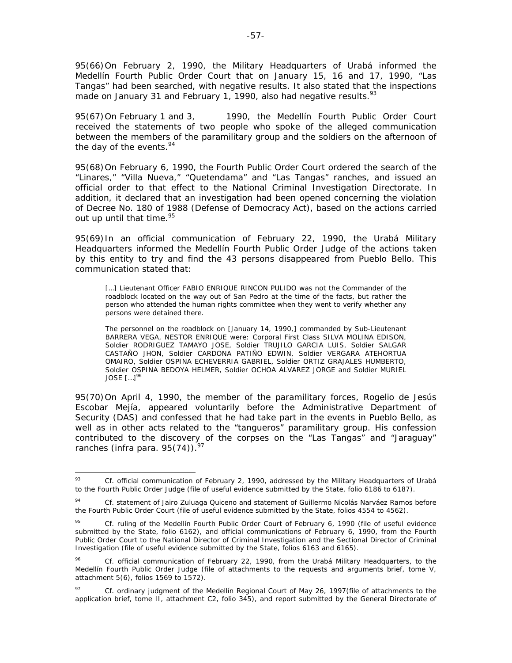95(66) On February 2, 1990, the Military Headquarters of Urabá informed the Medellín Fourth Public Order Court that on January 15, 16 and 17, 1990, "*Las Tangas*" had been searched, with negative results. It also stated that the inspections made on January 31 and February 1, 1990, also had negative results.  $93$ 

95(67) On February 1 and 3, 1990, the Medellín Fourth Public Order Court received the statements of two people who spoke of the alleged communication between the members of the paramilitary group and the soldiers on the afternoon of the day of the events.  $94$ 

95(68) On February 6, 1990, the Fourth Public Order Court ordered the search of the "*Linares," "Villa Nueva," "Quetendama"* and *"Las Tangas"* ranches, and issued an official order to that effect to the National Criminal Investigation Directorate. In addition, it declared that an investigation had been opened concerning the violation of Decree No. 180 of 1988 (Defense of Democracy Act), based on the actions carried out up until that time.<sup>95</sup>

95(69) In an official communication of February 22, 1990, the Urabá Military Headquarters informed the Medellín Fourth Public Order Judge of the actions taken by this entity to try and find the 43 persons disappeared from Pueblo Bello. This communication stated that:

[...] Lieutenant Officer FABIO ENRIQUE RINCON PULIDO was not the Commander of the roadblock located on the way out of San Pedro at the time of the facts, but rather the person who attended the human rights committee when they went to verify whether any persons were detained there.

The personnel on the roadblock on [January 14, 1990,] commanded by Sub-Lieutenant BARRERA VEGA, NESTOR ENRIQUE were: Corporal First Class SILVA MOLINA EDISON, Soldier RODRIGUEZ TAMAYO JOSE, Soldier TRUJILO GARCIA LUIS, Soldier SALGAR CASTAÑO JHON, Soldier CARDONA PATIÑO EDWIN, Soldier VERGARA ATEHORTUA OMAIRO, Soldier OSPINA ECHEVERRIA GABRIEL, Soldier ORTIZ GRAJALES HUMBERTO, Soldier OSPINA BEDOYA HELMER, Soldier OCHOA ALVAREZ JORGE and Soldier MURIEL JOSE  $[...]^{96}$ 

95(70) On April 4, 1990, the member of the paramilitary forces, Rogelio de Jesús Escobar Mejía, appeared voluntarily before the Administrative Department of Security (DAS) and confessed that he had take part in the events in Pueblo Bello, as well as in other acts related to the "*tangueros*" paramilitary group. His confession contributed to the discovery of the corpses on the "*Las Tangas"* and *"Jaraguay*" ranches (*infra* para. 95(74)).<sup>97</sup>

 $\overline{a}$ 

<sup>93</sup> *Cf.* official communication of February 2, 1990, addressed by the Military Headquarters of Urabá to the Fourth Public Order Judge (file of useful evidence submitted by the State, folio 6186 to 6187).

<sup>94</sup> *Cf.* statement of Jairo Zuluaga Quiceno and statement of Guillermo Nicolás Narváez Ramos before the Fourth Public Order Court (file of useful evidence submitted by the State, folios 4554 to 4562).

Cf. ruling of the Medellín Fourth Public Order Court of February 6, 1990 (file of useful evidence submitted by the State, folio 6162), and official communications of February 6, 1990, from the Fourth Public Order Court to the National Director of Criminal Investigation and the Sectional Director of Criminal Investigation (file of useful evidence submitted by the State, folios 6163 and 6165).

<sup>96</sup> *Cf.* official communication of February 22, 1990, from the Urabá Military Headquarters, to the Medellín Fourth Public Order Judge (file of attachments to the requests and arguments brief, tome V, attachment 5(6), folios 1569 to 1572).

<sup>&</sup>lt;sup>97</sup> *Cf.* ordinary judgment of the Medellín Regional Court of May 26, 1997 (file of attachments to the application brief, tome II, attachment C2, folio 345), and report submitted by the General Directorate of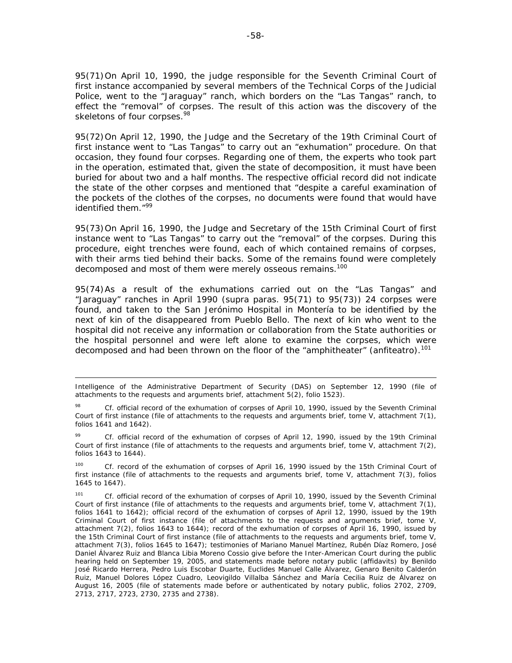95(71) On April 10, 1990, the judge responsible for the Seventh Criminal Court of first instance accompanied by several members of the Technical Corps of the Judicial Police, went to the "*Jaraguay*" ranch, which borders on the "*Las Tangas*" ranch, to effect the "removal" of corpses. The result of this action was the discovery of the skeletons of four corpses.<sup>98</sup>

95(72) On April 12, 1990, the Judge and the Secretary of the 19th Criminal Court of first instance went to "*Las Tangas*" to carry out an "exhumation" procedure. On that occasion, they found four corpses. Regarding one of them, the experts who took part in the operation, estimated that, given the state of decomposition, it must have been buried for about two and a half months. The respective official record did not indicate the state of the other corpses and mentioned that "despite a careful examination of the pockets of the clothes of the corpses, no documents were found that would have identified them."99

95(73) On April 16, 1990, the Judge and Secretary of the 15th Criminal Court of first instance went to "*Las Tangas*" to carry out the "removal" of the corpses. During this procedure, eight trenches were found, each of which contained remains of corpses, with their arms tied behind their backs. Some of the remains found were completely decomposed and most of them were merely osseous remains.<sup>100</sup>

95(74) As a result of the exhumations carried out on the "*Las Tangas*" and "*Jaraguay*" ranches in April 1990 (*supra* paras. 95(71) to 95(73)) 24 corpses were found, and taken to the San Jerónimo Hospital in Montería to be identified by the next of kin of the disappeared from Pueblo Bello. The next of kin who went to the hospital did not receive any information or collaboration from the State authorities or the hospital personnel and were left alone to examine the corpses, which were decomposed and had been thrown on the floor of the "amphitheater" (*anfiteatro*).<sup>101</sup>

Intelligence of the Administrative Department of Security (DAS) on September 12, 1990 (file of attachments to the requests and arguments brief, attachment 5(2), folio 1523).

 $\overline{a}$ 

Cf. official record of the exhumation of corpses of April 10, 1990, issued by the Seventh Criminal Court of first instance (file of attachments to the requests and arguments brief, tome V, attachment 7(1), folios 1641 and 1642).

99 *Cf.* official record of the exhumation of corpses of April 12, 1990, issued by the 19th Criminal Court of first instance (file of attachments to the requests and arguments brief, tome V, attachment 7(2), folios 1643 to 1644).

100 *Cf.* record of the exhumation of corpses of April 16, 1990 issued by the 15th Criminal Court of first instance (file of attachments to the requests and arguments brief, tome V, attachment 7(3), folios 1645 to 1647).

101 *Cf.* official record of the exhumation of corpses of April 10, 1990, issued by the Seventh Criminal Court of first instance (file of attachments to the requests and arguments brief, tome V, attachment 7(1), folios 1641 to 1642); official record of the exhumation of corpses of April 12, 1990, issued by the 19th Criminal Court of first instance (file of attachments to the requests and arguments brief, tome V, attachment 7(2), folios 1643 to 1644); record of the exhumation of corpses of April 16, 1990, issued by the 15th Criminal Court of first instance (file of attachments to the requests and arguments brief, tome V, attachment 7(3), folios 1645 to 1647); testimonies of Mariano Manuel Martínez, Rubén Díaz Romero, José Daniel Álvarez Ruiz and Blanca Libia Moreno Cossio give before the Inter-American Court during the public hearing held on September 19, 2005, and statements made before notary public (affidavits) by Benildo José Ricardo Herrera, Pedro Luis Escobar Duarte, Euclides Manuel Calle Álvarez, Genaro Benito Calderón Ruiz, Manuel Dolores López Cuadro, Leovigildo Villalba Sánchez and María Cecilia Ruiz de Álvarez on August 16, 2005 (file of statements made before or authenticated by notary public, folios 2702, 2709, 2713, 2717, 2723, 2730, 2735 and 2738).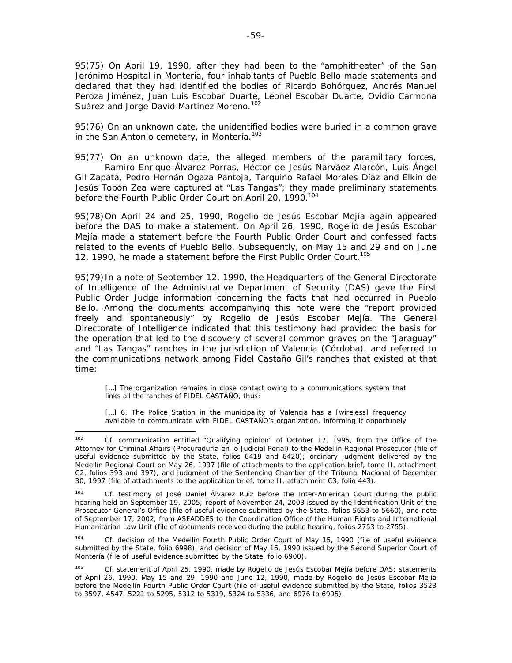95(75) On April 19, 1990, after they had been to the "amphitheater" of the San Jerónimo Hospital in Montería, four inhabitants of Pueblo Bello made statements and declared that they had identified the bodies of Ricardo Bohórquez, Andrés Manuel Peroza Jiménez, Juan Luis Escobar Duarte, Leonel Escobar Duarte, Ovidio Carmona Suárez and Jorge David Martínez Moreno.<sup>102</sup>

95(76) On an unknown date, the unidentified bodies were buried in a common grave in the San Antonio cemetery, in Montería.<sup>103</sup>

95(77) On an unknown date, the alleged members of the paramilitary forces, Ramiro Enrique Álvarez Porras, Héctor de Jesús Narváez Alarcón, Luis Ángel Gil Zapata, Pedro Hernán Ogaza Pantoja, Tarquino Rafael Morales Díaz and Elkin de Jesús Tobón Zea were captured at "*Las Tangas*"; they made preliminary statements before the Fourth Public Order Court on April 20, 1990.<sup>104</sup>

95(78) On April 24 and 25, 1990, Rogelio de Jesús Escobar Mejía again appeared before the DAS to make a statement. On April 26, 1990, Rogelio de Jesús Escobar Mejía made a statement before the Fourth Public Order Court and confessed facts related to the events of Pueblo Bello. Subsequently, on May 15 and 29 and on June 12, 1990, he made a statement before the First Public Order Court.<sup>105</sup>

95(79) In a note of September 12, 1990, the Headquarters of the General Directorate of Intelligence of the Administrative Department of Security (DAS) gave the First Public Order Judge information concerning the facts that had occurred in Pueblo Bello. Among the documents accompanying this note were the "report provided freely and spontaneously" by Rogelio de Jesús Escobar Mejía. The General Directorate of Intelligence indicated that this testimony had provided the basis for the operation that led to the discovery of several common graves on the "*Jaraguay"*  and *"Las Tangas*" ranches in the jurisdiction of Valencia (Córdoba), and referred to the communications network among Fidel Castaño Gil's ranches that existed at that time:

[...] The organization remains in close contact owing to a communications system that links all the ranches of FIDEL CASTAÑO, thus:

[...] 6. The Police Station in the municipality of Valencia has a [wireless] frequency available to communicate with FIDEL CASTAÑO's organization, informing it opportunely

 $\overline{a}$ 

<sup>102</sup> *Cf.* communication entitled "Qualifying opinion" of October 17, 1995, from the Office of the Attorney for Criminal Affairs (*Procuraduría en lo Judicial Penal*) to the Medellín Regional Prosecutor (file of useful evidence submitted by the State, folios 6419 and 6420); ordinary judgment delivered by the Medellín Regional Court on May 26, 1997 (file of attachments to the application brief, tome II, attachment C2, folios 393 and 397), and judgment of the Sentencing Chamber of the Tribunal Nacional of December 30, 1997 (file of attachments to the application brief, tome II, attachment C3, folio 443).

<sup>103</sup> *Cf.* testimony of José Daniel Álvarez Ruiz before the Inter-American Court during the public hearing held on September 19, 2005; report of November 24, 2003 issued by the Identification Unit of the Prosecutor General's Office (file of useful evidence submitted by the State, folios 5653 to 5660), and note of September 17, 2002, from ASFADDES to the Coordination Office of the Human Rights and International Humanitarian Law Unit (file of documents received during the public hearing, folios 2753 to 2755).

<sup>104</sup> *Cf.* decision of the Medellín Fourth Public Order Court of May 15, 1990 (file of useful evidence submitted by the State, folio 6998), and decision of May 16, 1990 issued by the Second Superior Court of Montería (file of useful evidence submitted by the State, folio 6900).

<sup>105</sup> *Cf.* statement of April 25, 1990, made by Rogelio de Jesús Escobar Mejía before DAS; statements of April 26, 1990, May 15 and 29, 1990 and June 12, 1990, made by Rogelio de Jesús Escobar Mejía before the Medellín Fourth Public Order Court (file of useful evidence submitted by the State, folios 3523 to 3597, 4547, 5221 to 5295, 5312 to 5319, 5324 to 5336, and 6976 to 6995).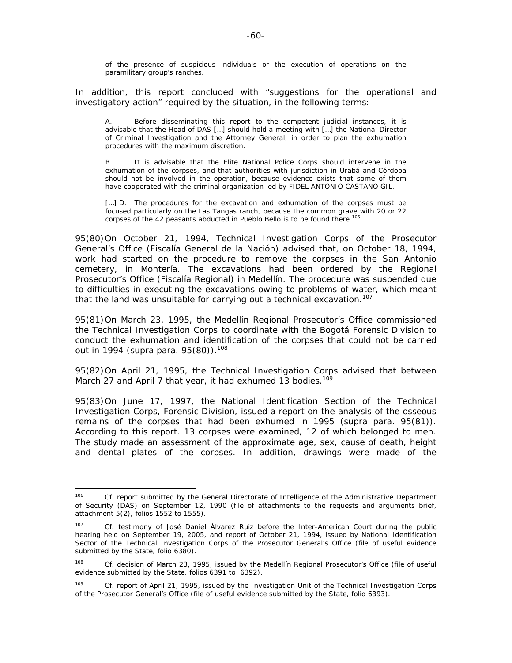of the presence of suspicious individuals or the execution of operations on the paramilitary group's ranches.

In addition, this report concluded with "suggestions for the operational and investigatory action" required by the situation, in the following terms:

Before disseminating this report to the competent judicial instances, it is advisable that the Head of DAS […] should hold a meeting with […] the National Director of Criminal Investigation and the Attorney General, in order to plan the exhumation procedures with the maximum discretion.

B. It is advisable that the Elite National Police Corps should intervene in the exhumation of the corpses, and that authorities with jurisdiction in Urabá and Córdoba should not be involved in the operation, because evidence exists that some of them have cooperated with the criminal organization led by FIDEL ANTONIO CASTAÑO GIL.

[...] D. The procedures for the excavation and exhumation of the corpses must be focused particularly on the *Las Tangas* ranch, because the common grave with 20 or 22 corpses of the 42 peasants abducted in Pueblo Bello is to be found there.<sup>106</sup>

95(80) On October 21, 1994, Technical Investigation Corps of the Prosecutor General's Office (*Fiscalía General de la Nación*) advised that, on October 18, 1994, work had started on the procedure to remove the corpses in the San Antonio cemetery, in Montería. The excavations had been ordered by the Regional Prosecutor's Office (*Fiscalía Regional)* in Medellín. The procedure was suspended due to difficulties in executing the excavations owing to problems of water, which meant that the land was unsuitable for carrying out a technical excavation.<sup>107</sup>

95(81) On March 23, 1995, the Medellín Regional Prosecutor's Office commissioned the Technical Investigation Corps to coordinate with the Bogotá Forensic Division to conduct the exhumation and identification of the corpses that could not be carried out in 1994 (*supra* para. 95(80)).<sup>108</sup>

95(82) On April 21, 1995, the Technical Investigation Corps advised that between March 27 and April 7 that year, it had exhumed 13 bodies.<sup>109</sup>

95(83) On June 17, 1997, the National Identification Section of the Technical Investigation Corps, Forensic Division, issued a report on the analysis of the osseous remains of the corpses that had been exhumed in 1995 (*supra* para. 95(81)). According to this report. 13 corpses were examined, 12 of which belonged to men. The study made an assessment of the approximate age, sex, cause of death, height and dental plates of the corpses. In addition, drawings were made of the

<sup>106</sup> Cf. report submitted by the General Directorate of Intelligence of the Administrative Department of Security (DAS) on September 12, 1990 (file of attachments to the requests and arguments brief, attachment 5(2), folios 1552 to 1555).

<sup>107</sup> *Cf.* testimony of José Daniel Álvarez Ruiz before the Inter-American Court during the public hearing held on September 19, 2005, and report of October 21, 1994, issued by National Identification Sector of the Technical Investigation Corps of the Prosecutor General's Office (file of useful evidence submitted by the State, folio 6380).

<sup>108</sup> *Cf.* decision of March 23, 1995, issued by the Medellín Regional Prosecutor's Office (file of useful evidence submitted by the State, folios 6391 to 6392).

<sup>109</sup> *Cf.* report of April 21, 1995, issued by the Investigation Unit of the Technical Investigation Corps of the Prosecutor General's Office (file of useful evidence submitted by the State, folio 6393).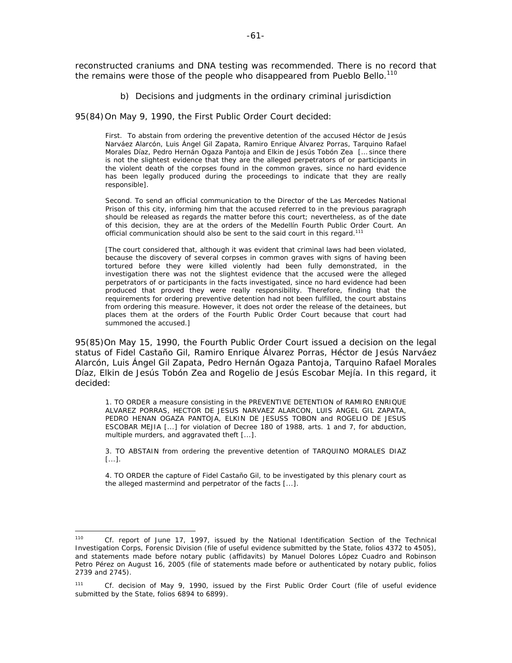reconstructed craniums and DNA testing was recommended. There is no record that the remains were those of the people who disappeared from Pueblo Bello.<sup>110</sup>

#### *b) Decisions and judgments in the ordinary criminal jurisdiction*

95(84) On May 9, 1990, the First Public Order Court decided:

First. To abstain from ordering the preventive detention of the accused Héctor de Jesús Narváez Alarcón, Luis Ángel Gil Zapata, Ramiro Enrique Álvarez Porras, Tarquino Rafael Morales Díaz, Pedro Hernán Ogaza Pantoja and Elkin de Jesús Tobón Zea [… since there is not the slightest evidence that they are the alleged perpetrators of or participants in the violent death of the corpses found in the common graves, since no hard evidence has been legally produced during the proceedings to indicate that they are really responsible].

Second. To send an official communication to the Director of the Las Mercedes National Prison of this city, informing him that the accused referred to in the previous paragraph should be released as regards the matter before this court; nevertheless, as of the date of this decision, they are at the orders of the Medellín Fourth Public Order Court. An official communication should also be sent to the said court in this regard.<sup>111</sup>

[The court considered that, although it was evident that criminal laws had been violated, because the discovery of several corpses in common graves with signs of having been tortured before they were killed violently had been fully demonstrated, in the investigation there was not the slightest evidence that the accused were the alleged perpetrators of or participants in the facts investigated, since no hard evidence had been produced that proved they were really responsibility. Therefore, finding that the requirements for ordering preventive detention had not been fulfilled, the court abstains from ordering this measure. However, it does not order the release of the detainees, but places them at the orders of the Fourth Public Order Court because that court had summoned the accused.]

95(85)On May 15, 1990, the Fourth Public Order Court issued a decision on the legal status of Fidel Castaño Gil, Ramiro Enrique Álvarez Porras, Héctor de Jesús Narváez Alarcón, Luis Ángel Gil Zapata, Pedro Hernán Ogaza Pantoja, Tarquino Rafael Morales Díaz, Elkin de Jesús Tobón Zea and Rogelio de Jesús Escobar Mejía. In this regard, it decided:

1. TO ORDER a measure consisting in the PREVENTIVE DETENTION of RAMIRO ENRIQUE ALVAREZ PORRAS, HECTOR DE JESUS NARVAEZ ALARCON, LUIS ANGEL GIL ZAPATA, PEDRO HENAN OGAZA PANTOJA, ELKIN DE JESUSS TOBON and ROGELIO DE JESUS ESCOBAR MEJIA [...] for violation of Decree 180 of 1988, arts. 1 and 7, for abduction, multiple murders, and aggravated theft [...].

3. TO ABSTAIN from ordering the preventive detention of TARQUINO MORALES DIAZ [...].

4. TO ORDER the capture of Fidel Castaño Gil, to be investigated by this plenary court as the alleged mastermind and perpetrator of the facts [...].

 $110$ Cf. report of June 17, 1997, issued by the National Identification Section of the Technical Investigation Corps, Forensic Division (file of useful evidence submitted by the State, folios 4372 to 4505), and statements made before notary public (affidavits) by Manuel Dolores López Cuadro and Robinson Petro Pérez on August 16, 2005 (file of statements made before or authenticated by notary public, folios 2739 and 2745).

Cf. decision of May 9, 1990, issued by the First Public Order Court (file of useful evidence submitted by the State, folios 6894 to 6899).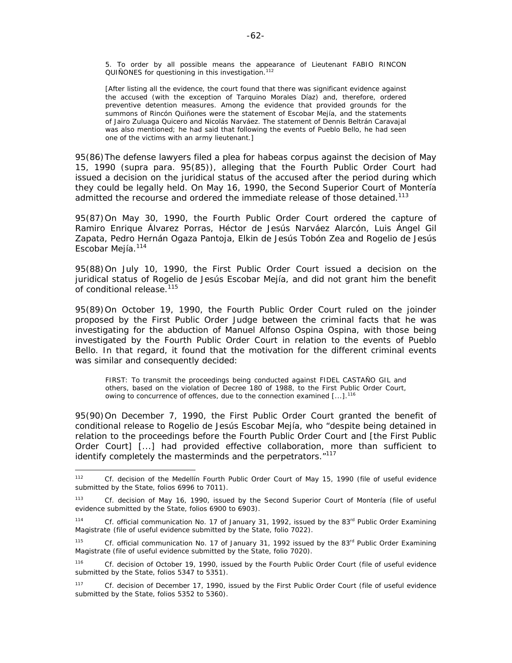5. To order by all possible means the appearance of Lieutenant FABIO RINCON QUIÑONES for questioning in this investigation.<sup>112</sup>

[After listing all the evidence, the court found that there was significant evidence against the accused (with the exception of Tarquino Morales Díaz) and, therefore, ordered preventive detention measures. Among the evidence that provided grounds for the summons of Rincón Quiñones were the statement of Escobar Mejía, and the statements of Jairo Zuluaga Quicero and Nicolás Narváez. The statement of Dennis Beltrán Caravajal was also mentioned; he had said that following the events of Pueblo Bello, he had seen one of the victims with an army lieutenant.]

95(86) The defense lawyers filed a plea for *habeas corpus* against the decision of May 15, 1990 (*supra* para. 95(85)), alleging that the Fourth Public Order Court had issued a decision on the juridical status of the accused after the period during which they could be legally held. On May 16, 1990, the Second Superior Court of Montería admitted the recourse and ordered the immediate release of those detained.<sup>113</sup>

95(87) On May 30, 1990, the Fourth Public Order Court ordered the capture of Ramiro Enrique Álvarez Porras, Héctor de Jesús Narváez Alarcón, Luis Ángel Gil Zapata, Pedro Hernán Ogaza Pantoja, Elkin de Jesús Tobón Zea and Rogelio de Jesús Escobar Mejía.<sup>114</sup>

95(88) On July 10, 1990, the First Public Order Court issued a decision on the juridical status of Rogelio de Jesús Escobar Mejía, and did not grant him the benefit of conditional release.<sup>115</sup>

95(89) On October 19, 1990, the Fourth Public Order Court ruled on the joinder proposed by the First Public Order Judge between the criminal facts that he was investigating for the abduction of Manuel Alfonso Ospina Ospina, with those being investigated by the Fourth Public Order Court in relation to the events of Pueblo Bello. In that regard, it found that the motivation for the different criminal events was similar and consequently decided:

FIRST: To transmit the proceedings being conducted against FIDEL CASTAÑO GIL and others, based on the violation of Decree 180 of 1988, to the First Public Order Court, owing to concurrence of offences, due to the connection examined [...].<sup>116</sup>

95(90) On December 7, 1990, the First Public Order Court granted the benefit of conditional release to Rogelio de Jesús Escobar Mejía, who "despite being detained in relation to the proceedings before the Fourth Public Order Court and [the First Public Order Court] [...] had provided effective collaboration, more than sufficient to identify completely the masterminds and the perpetrators."<sup>117</sup>

<sup>112</sup> Cf. decision of the Medellín Fourth Public Order Court of May 15, 1990 (file of useful evidence submitted by the State, folios 6996 to 7011).

<sup>113</sup> *Cf.* decision of May 16, 1990, issued by the Second Superior Court of Montería (file of useful evidence submitted by the State, folios 6900 to 6903).

<sup>&</sup>lt;sup>114</sup> *Cf.* official communication No. 17 of January 31, 1992, issued by the 83<sup>rd</sup> Public Order Examining Magistrate (file of useful evidence submitted by the State, folio 7022).

<sup>&</sup>lt;sup>115</sup> *Cf.* official communication No. 17 of January 31, 1992 issued by the 83<sup>rd</sup> Public Order Examining Magistrate (file of useful evidence submitted by the State, folio 7020).

<sup>116</sup> *Cf.* decision of October 19, 1990, issued by the Fourth Public Order Court (file of useful evidence submitted by the State, folios 5347 to 5351).

<sup>117</sup> *Cf.* decision of December 17, 1990, issued by the First Public Order Court (file of useful evidence submitted by the State, folios 5352 to 5360).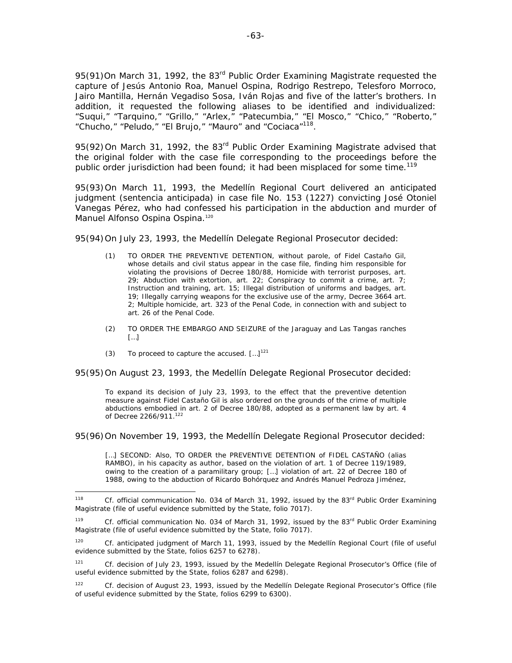95(91)On March 31, 1992, the 83<sup>rd</sup> Public Order Examining Magistrate requested the capture of Jesús Antonio Roa, Manuel Ospina, Rodrigo Restrepo, Telesforo Morroco, Jairo Mantilla, Hernán Vegadiso Sosa, Iván Rojas and five of the latter's brothers. In addition, it requested the following aliases to be identified and individualized: "Suqui," "Tarquino," "Grillo," "Arlex," "Patecumbia," "El Mosco," "Chico," "Roberto," "Chucho," "Peludo," "El Brujo," "Mauro" and "Cociaca"118.

95(92) On March 31, 1992, the 83<sup>rd</sup> Public Order Examining Magistrate advised that the original folder with the case file corresponding to the proceedings before the public order jurisdiction had been found; it had been misplaced for some time.<sup>119</sup>

95(93) On March 11, 1993, the Medellín Regional Court delivered an anticipated judgment (*sentencia anticipada*) in case file No. 153 (1227) convicting José Otoniel Vanegas Pérez, who had confessed his participation in the abduction and murder of Manuel Alfonso Ospina Ospina.<sup>120</sup>

95(94) On July 23, 1993, the Medellín Delegate Regional Prosecutor decided:

- (1) TO ORDER THE PREVENTIVE DETENTION, without parole, of Fidel Castaño Gil, whose details and civil status appear in the case file, finding him responsible for violating the provisions of Decree 180/88, Homicide with terrorist purposes, art. 29; Abduction with extortion, art. 22; Conspiracy to commit a crime, art. 7; Instruction and training, art. 15; Illegal distribution of uniforms and badges, art. 19; Illegally carrying weapons for the exclusive use of the army, Decree 3664 art. 2; Multiple homicide, art. 323 of the Penal Code, in connection with and subject to art. 26 of the Penal Code.
- (2) TO ORDER THE EMBARGO AND SEIZURE of the *Jaraguay* and *Las Tangas* ranches  $[...]$
- (3) To proceed to capture the accused.  $[...]^{121}$

95(95) On August 23, 1993, the Medellín Delegate Regional Prosecutor decided:

To expand its decision of July 23, 1993, to the effect that the preventive detention measure against Fidel Castaño Gil is also ordered on the grounds of the crime of multiple abductions embodied in art. 2 of Decree 180/88, adopted as a permanent law by art. 4 of Decree 2266/911.122

95(96) On November 19, 1993, the Medellín Delegate Regional Prosecutor decided:

[...] SECOND: Also, TO ORDER the PREVENTIVE DETENTION of FIDEL CASTAÑO (alias RAMBO), in his capacity as author, based on the violation of art. 1 of Decree 119/1989, owing to the creation of a paramilitary group; […] violation of art. 22 of Decree 180 of 1988, owing to the abduction of Ricardo Bohórquez and Andrés Manuel Pedroza Jiménez,

<sup>118</sup>  $Cf$ . official communication No. 034 of March 31, 1992, issued by the 83<sup>rd</sup> Public Order Examining Magistrate (file of useful evidence submitted by the State, folio 7017).

<sup>&</sup>lt;sup>119</sup> *Cf.* official communication No. 034 of March 31, 1992, issued by the 83<sup>rd</sup> Public Order Examining Magistrate (file of useful evidence submitted by the State, folio 7017).

<sup>120</sup> *Cf.* anticipated judgment of March 11, 1993, issued by the Medellín Regional Court (file of useful evidence submitted by the State, folios 6257 to 6278).

 $121$  Cf. decision of July 23, 1993, issued by the Medellín Delegate Regional Prosecutor's Office (file of useful evidence submitted by the State, folios 6287 and 6298).

<sup>&</sup>lt;sup>122</sup> Cf. decision of August 23, 1993, issued by the Medellín Delegate Regional Prosecutor's Office (file of useful evidence submitted by the State, folios 6299 to 6300).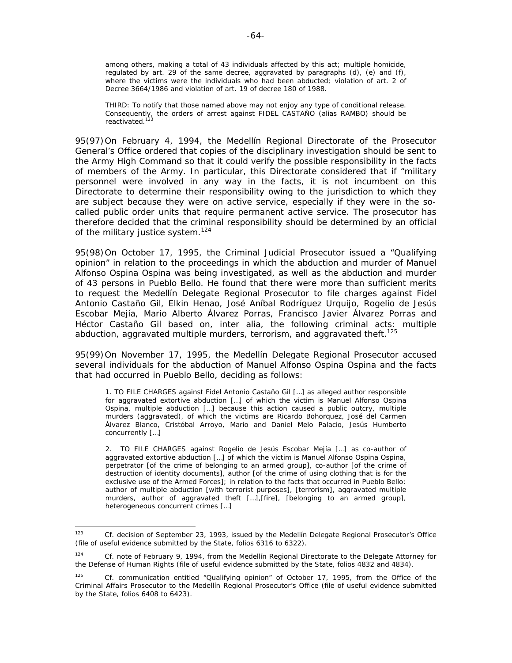among others, making a total of 43 individuals affected by this act; multiple homicide, regulated by art. 29 of the same decree, aggravated by paragraphs (d), (e) and (f), where the victims were the individuals who had been abducted; violation of art. 2 of Decree 3664/1986 and violation of art. 19 of decree 180 of 1988.

THIRD: To notify that those named above may not enjoy any type of conditional release. Consequently, the orders of arrest against FIDEL CASTAÑO (alias RAMBO) should be reactivated.<sup>123</sup>

95(97) On February 4, 1994, the Medellín Regional Directorate of the Prosecutor General's Office ordered that copies of the disciplinary investigation should be sent to the Army High Command so that it could verify the possible responsibility in the facts of members of the Army. In particular, this Directorate considered that if "military personnel were involved in any way in the facts, it is not incumbent on this Directorate to determine their responsibility owing to the jurisdiction to which they are subject because they were on active service, especially if they were in the socalled public order units that require permanent active service. The prosecutor has therefore decided that the criminal responsibility should be determined by an official of the military justice system.<sup>124</sup>

95(98) On October 17, 1995, the Criminal Judicial Prosecutor issued a "Qualifying opinion" in relation to the proceedings in which the abduction and murder of Manuel Alfonso Ospina Ospina was being investigated, as well as the abduction and murder of 43 persons in Pueblo Bello. He found that there were more than sufficient merits to request the Medellín Delegate Regional Prosecutor to file charges against Fidel Antonio Castaño Gil, Elkin Henao, José Aníbal Rodríguez Urquijo, Rogelio de Jesús Escobar Mejía, Mario Alberto Álvarez Porras, Francisco Javier Álvarez Porras and Héctor Castaño Gil based on, *inter alia*, the following criminal acts: multiple abduction, aggravated multiple murders, terrorism, and aggravated theft.<sup>125</sup>

95(99) On November 17, 1995, the Medellín Delegate Regional Prosecutor accused several individuals for the abduction of Manuel Alfonso Ospina Ospina and the facts that had occurred in Pueblo Bello, deciding as follows:

1. TO FILE CHARGES against Fidel Antonio Castaño Gil […] as alleged author responsible for aggravated extortive abduction […] of which the victim is Manuel Alfonso Ospina Ospina, multiple abduction […] because this action caused a public outcry, multiple murders (aggravated), of which the victims are Ricardo Bohorquez, José del Carmen Álvarez Blanco, Cristóbal Arroyo, Mario and Daniel Melo Palacio, Jesús Humberto concurrently […]

2. TO FILE CHARGES against Rogelio de Jesús Escobar Mejía […] as co-author of aggravated extortive abduction […] of which the victim is Manuel Alfonso Ospina Ospina, perpetrator [of the crime of belonging to an armed group], co-author [of the crime of destruction of identity documents], author [of the crime of using clothing that is for the exclusive use of the Armed Forces]; in relation to the facts that occurred in Pueblo Bello: author of multiple abduction [with terrorist purposes], [terrorism], aggravated multiple murders, author of aggravated theft […],[fire], [belonging to an armed group], heterogeneous concurrent crimes […]

 $123$ Cf. decision of September 23, 1993, issued by the Medellín Delegate Regional Prosecutor's Office (file of useful evidence submitted by the State, folios 6316 to 6322).

<sup>124</sup> *Cf.* note of February 9, 1994, from the Medellín Regional Directorate to the Delegate Attorney for the Defense of Human Rights (file of useful evidence submitted by the State, folios 4832 and 4834).

<sup>125</sup> *Cf.* communication entitled "Qualifying opinion" of October 17, 1995, from the Office of the Criminal Affairs Prosecutor to the Medellín Regional Prosecutor's Office (file of useful evidence submitted by the State, folios 6408 to 6423).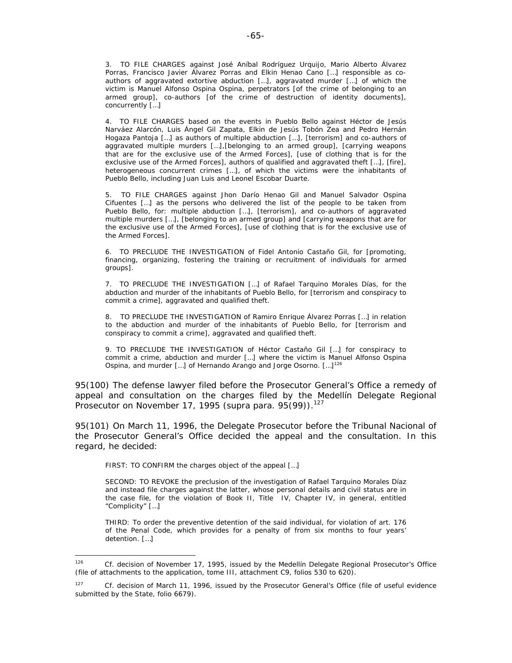3. TO FILE CHARGES against José Aníbal Rodríguez Urquijo, Mario Alberto Álvarez Porras, Francisco Javier Álvarez Porras and Elkin Henao Cano […] responsible as coauthors of aggravated extortive abduction […], aggravated murder […] of which the victim is Manuel Alfonso Ospina Ospina, perpetrators [of the crime of belonging to an armed group], co-authors [of the crime of destruction of identity documents], concurrently […]

4. TO FILE CHARGES based on the events in Pueblo Bello against Héctor de Jesús Narváez Alarcón, Luis Ángel Gil Zapata, Elkin de Jesús Tobón Zea and Pedro Hernán Hogaza Pantoja […] as authors of multiple abduction […], [terrorism] and co-authors of aggravated multiple murders […],[belonging to an armed group], [carrying weapons that are for the exclusive use of the Armed Forces], [use of clothing that is for the exclusive use of the Armed Forces], authors of qualified and aggravated theft […], [fire], heterogeneous concurrent crimes […], of which the victims were the inhabitants of Pueblo Bello, including Juan Luis and Leonel Escobar Duarte.

5. TO FILE CHARGES against Jhon Darío Henao Gil and Manuel Salvador Ospina Cifuentes […] as the persons who delivered the list of the people to be taken from Pueblo Bello, for: multiple abduction […], [terrorism], and co-authors of aggravated multiple murders […], [belonging to an armed group] and [carrying weapons that are for the exclusive use of the Armed Forces], [use of clothing that is for the exclusive use of the Armed Forces].

6. TO PRECLUDE THE INVESTIGATION of Fidel Antonio Castaño Gil, for [promoting, financing, organizing, fostering the training or recruitment of individuals for armed groups].

7. TO PRECLUDE THE INVESTIGATION […] of Rafael Tarquino Morales Días, for the abduction and murder of the inhabitants of Pueblo Bello, for [terrorism and conspiracy to commit a crime], aggravated and qualified theft.

8. TO PRECLUDE THE INVESTIGATION of Ramiro Enrique Álvarez Porras […] in relation to the abduction and murder of the inhabitants of Pueblo Bello, for [terrorism and conspiracy to commit a crime], aggravated and qualified theft.

9. TO PRECLUDE THE INVESTIGATION of Héctor Castaño Gil […] for conspiracy to commit a crime, abduction and murder […] where the victim is Manuel Alfonso Ospina Ospina, and murder […] of Hernando Arango and Jorge Osorno. […]<sup>126</sup>

95(100) The defense lawyer filed before the Prosecutor General's Office a remedy of appeal and consultation on the charges filed by the Medellín Delegate Regional Prosecutor on November 17, 1995 (*supra* para. 95(99)).<sup>127</sup>

95(101) On March 11, 1996, the Delegate Prosecutor before the *Tribunal Nacional* of the Prosecutor General's Office decided the appeal and the consultation. In this regard, he decided:

FIRST: TO CONFIRM the charges object of the appeal […]

SECOND: TO REVOKE the preclusion of the investigation of Rafael Tarquino Morales Díaz and instead file charges against the latter, whose personal details and civil status are in the case file, for the violation of Book II, Title IV, Chapter IV, in general, entitled "Complicity" […]

THIRD: To order the preventive detention of the said individual, for violation of art. 176 of the Penal Code, which provides for a penalty of from six months to four years' detention. […]

<sup>126</sup> <sup>126</sup> *Cf.* decision of November 17, 1995, issued by the Medellín Delegate Regional Prosecutor's Office (file of attachments to the application, tome III, attachment C9, folios 530 to 620).

<sup>127</sup> *Cf.* decision of March 11, 1996, issued by the Prosecutor General's Office (file of useful evidence submitted by the State, folio 6679).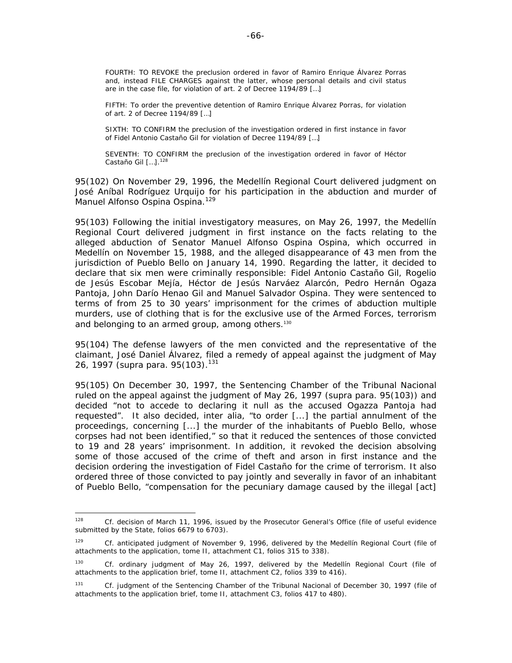FOURTH: TO REVOKE the preclusion ordered in favor of Ramiro Enrique Álvarez Porras and, instead FILE CHARGES against the latter, whose personal details and civil status are in the case file, for violation of art. 2 of Decree 1194/89 […]

FIFTH: To order the preventive detention of Ramiro Enrique Álvarez Porras, for violation of art. 2 of Decree 1194/89 […]

SIXTH: TO CONFIRM the preclusion of the investigation ordered in first instance in favor of Fidel Antonio Castaño Gil for violation of Decree 1194/89 […]

SEVENTH: TO CONFIRM the preclusion of the investigation ordered in favor of Héctor Castaño Gil [...].<sup>128</sup>

95(102) On November 29, 1996, the Medellín Regional Court delivered judgment on José Aníbal Rodríguez Urquijo for his participation in the abduction and murder of Manuel Alfonso Ospina Ospina.<sup>129</sup>

95(103) Following the initial investigatory measures, on May 26, 1997, the Medellín Regional Court delivered judgment in first instance on the facts relating to the alleged abduction of Senator Manuel Alfonso Ospina Ospina, which occurred in Medellín on November 15, 1988, and the alleged disappearance of 43 men from the jurisdiction of Pueblo Bello on January 14, 1990. Regarding the latter, it decided to declare that six men were criminally responsible: Fidel Antonio Castaño Gil, Rogelio de Jesús Escobar Mejía, Héctor de Jesús Narváez Alarcón, Pedro Hernán Ogaza Pantoja, John Darío Henao Gil and Manuel Salvador Ospina. They were sentenced to terms of from 25 to 30 years' imprisonment for the crimes of abduction multiple murders, use of clothing that is for the exclusive use of the Armed Forces, terrorism and belonging to an armed group, among others.<sup>130</sup>

95(104) The defense lawyers of the men convicted and the representative of the claimant, José Daniel Álvarez, filed a remedy of appeal against the judgment of May 26, 1997 (*supra* para. 95(103).<sup>131</sup>

95(105) On December 30, 1997, the Sentencing Chamber of the *Tribunal Nacional* ruled on the appeal against the judgment of May 26, 1997 (*supra* para. 95(103)) and decided "not to accede to declaring it null as the accused Ogazza Pantoja had requested". It also decided, *inter alia*, "to order [...] the partial annulment of the proceedings, concerning [...] the murder of the inhabitants of Pueblo Bello, whose corpses had not been identified," so that it reduced the sentences of those convicted to 19 and 28 years' imprisonment. In addition, it revoked the decision absolving some of those accused of the crime of theft and arson in first instance and the decision ordering the investigation of Fidel Castaño for the crime of terrorism. It also ordered three of those convicted to pay jointly and severally in favor of an inhabitant of Pueblo Bello, "compensation for the pecuniary damage caused by the illegal [act]

<sup>128</sup> Cf. decision of March 11, 1996, issued by the Prosecutor General's Office (file of useful evidence submitted by the State, folios 6679 to 6703).

<sup>129</sup> *Cf.* anticipated judgment of November 9, 1996, delivered by the Medellín Regional Court (file of attachments to the application, tome II, attachment C1, folios 315 to 338).

<sup>130</sup> *Cf.* ordinary judgment of May 26, 1997, delivered by the Medellín Regional Court (file of attachments to the application brief, tome II, attachment C2, folios 339 to 416).

<sup>&</sup>lt;sup>131</sup> *Cf.* judgment of the Sentencing Chamber of the Tribunal Nacional of December 30, 1997 (file of attachments to the application brief, tome II, attachment C3, folios 417 to 480).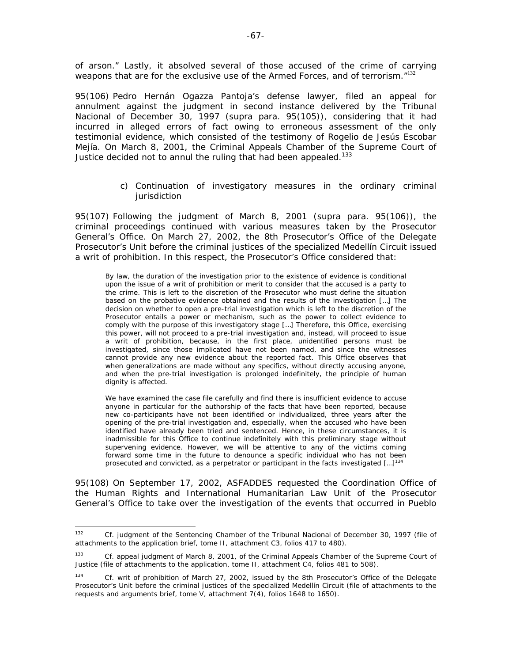of arson." Lastly, it absolved several of those accused of the crime of carrying weapons that are for the exclusive use of the Armed Forces, and of terrorism.<sup>"132</sup>

95(106) Pedro Hernán Ogazza Pantoja's defense lawyer, filed an appeal for annulment against the judgment in second instance delivered by the *Tribunal Nacional* of December 30, 1997 (*supra* para. 95(105)), considering that it had incurred in alleged errors of fact owing to erroneous assessment of the only testimonial evidence, which consisted of the testimony of Rogelio de Jesús Escobar Mejía. On March 8, 2001, the Criminal Appeals Chamber of the Supreme Court of Justice decided not to annul the ruling that had been appealed.<sup>133</sup>

## *c) Continuation of investigatory measures in the ordinary criminal jurisdiction*

95(107) Following the judgment of March 8, 2001 (*supra* para. 95(106)), the criminal proceedings continued with various measures taken by the Prosecutor General's Office. On March 27, 2002, the 8th Prosecutor's Office of the Delegate Prosecutor's Unit before the criminal justices of the specialized Medellín Circuit issued a writ of prohibition. In this respect, the Prosecutor's Office considered that:

By law, the duration of the investigation prior to the existence of evidence is conditional upon the issue of a writ of prohibition or merit to consider that the accused is a party to the crime. This is left to the discretion of the Prosecutor who must define the situation based on the probative evidence obtained and the results of the investigation […] The decision on whether to open a pre-trial investigation which is left to the discretion of the Prosecutor entails a power or mechanism, such as the power to collect evidence to comply with the purpose of this investigatory stage […] Therefore, this Office, exercising this power, will not proceed to a pre-trial investigation and, instead, will proceed to issue a writ of prohibition, because, in the first place, unidentified persons must be investigated, since those implicated have not been named, and since the witnesses cannot provide any new evidence about the reported fact. This Office observes that when generalizations are made without any specifics, without directly accusing anyone, and when the pre-trial investigation is prolonged indefinitely, the principle of human dignity is affected.

We have examined the case file carefully and find there is insufficient evidence to accuse anyone in particular for the authorship of the facts that have been reported, because new co-participants have not been identified or individualized, three years after the opening of the pre-trial investigation and, especially, when the accused who have been identified have already been tried and sentenced. Hence, in these circumstances, it is inadmissible for this Office to continue indefinitely with this preliminary stage without supervening evidence. However, we will be attentive to any of the victims coming forward some time in the future to denounce a specific individual who has not been prosecuted and convicted, as a perpetrator or participant in the facts investigated  $[...]^{134}$ 

95(108) On September 17, 2002, ASFADDES requested the Coordination Office of the Human Rights and International Humanitarian Law Unit of the Prosecutor General's Office to take over the investigation of the events that occurred in Pueblo

<sup>132</sup> Cf. judgment of the Sentencing Chamber of the Tribunal Nacional of December 30, 1997 (file of attachments to the application brief, tome II, attachment C3, folios 417 to 480).

<sup>133</sup> *Cf.* appeal judgment of March 8, 2001, of the Criminal Appeals Chamber of the Supreme Court of Justice (file of attachments to the application, tome II, attachment C4, folios 481 to 508).

<sup>134</sup> *Cf.* writ of prohibition of March 27, 2002, issued by the 8th Prosecutor's Office of the Delegate Prosecutor's Unit before the criminal justices of the specialized Medellín Circuit (file of attachments to the requests and arguments brief, tome V, attachment 7(4), folios 1648 to 1650).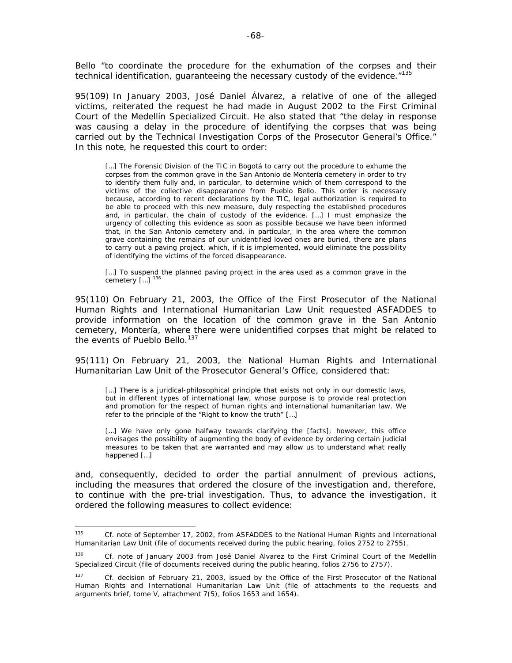Bello "to coordinate the procedure for the exhumation of the corpses and their technical identification, guaranteeing the necessary custody of the evidence."<sup>135</sup>

95(109) In January 2003, José Daniel Álvarez, a relative of one of the alleged victims, reiterated the request he had made in August 2002 to the First Criminal Court of the Medellín Specialized Circuit. He also stated that "the delay in response was causing a delay in the procedure of identifying the corpses that was being carried out by the Technical Investigation Corps of the Prosecutor General's Office." In this note, he requested this court to order:

[...] The Forensic Division of the TIC in Bogotá to carry out the procedure to exhume the corpses from the common grave in the San Antonio de Montería cemetery in order to try to identify them fully and, in particular, to determine which of them correspond to the victims of the collective disappearance from Pueblo Bello. This order is necessary because, according to recent declarations by the TIC, legal authorization is required to be able to proceed with this new measure, duly respecting the established procedures and, in particular, the chain of custody of the evidence. […] I must emphasize the urgency of collecting this evidence as soon as possible because we have been informed that, in the San Antonio cemetery and, in particular, in the area where the common grave containing the remains of our unidentified loved ones are buried, there are plans to carry out a paving project, which, if it is implemented, would eliminate the possibility of identifying the victims of the forced disappearance.

[...] To suspend the planned paving project in the area used as a common grave in the cemetery [...] <sup>136</sup>

95(110) On February 21, 2003, the Office of the First Prosecutor of the National Human Rights and International Humanitarian Law Unit requested ASFADDES to provide information on the location of the common grave in the San Antonio cemetery, Montería, where there were unidentified corpses that might be related to the events of Pueblo Bello.<sup>137</sup>

95(111) On February 21, 2003, the National Human Rights and International Humanitarian Law Unit of the Prosecutor General's Office, considered that:

[...] There is a juridical-philosophical principle that exists not only in our domestic laws, but in different types of international law, whose purpose is to provide real protection and promotion for the respect of human rights and international humanitarian law. We refer to the principle of the "Right to know the truth" […]

[...] We have only gone halfway towards clarifying the [facts]; however, this office envisages the possibility of augmenting the body of evidence by ordering certain judicial measures to be taken that are warranted and may allow us to understand what really happened […]

and, consequently, decided to order the partial annulment of previous actions, including the measures that ordered the closure of the investigation and, therefore, to continue with the pre-trial investigation. Thus, to advance the investigation, it ordered the following measures to collect evidence:

<sup>135</sup> Cf. note of September 17, 2002, from ASFADDES to the National Human Rights and International Humanitarian Law Unit (file of documents received during the public hearing, folios 2752 to 2755).

<sup>136</sup> *Cf.* note of January 2003 from José Daniel Álvarez to the First Criminal Court of the Medellín Specialized Circuit (file of documents received during the public hearing, folios 2756 to 2757).

<sup>137</sup> *Cf.* decision of February 21, 2003, issued by the Office of the First Prosecutor of the National Human Rights and International Humanitarian Law Unit (file of attachments to the requests and arguments brief, tome V, attachment 7(5), folios 1653 and 1654).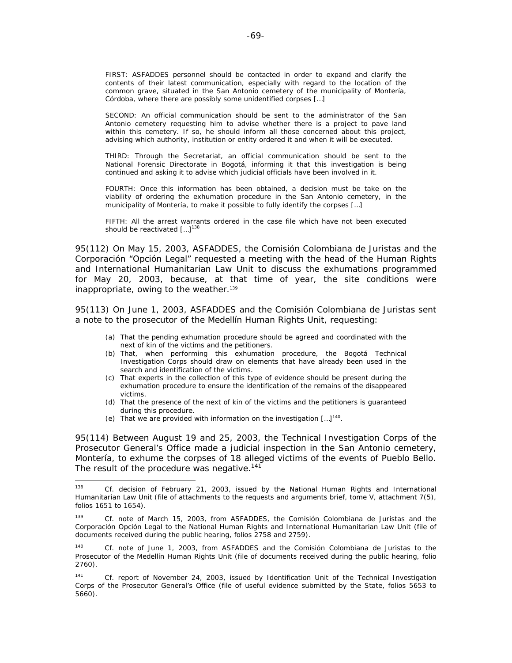FIRST: ASFADDES personnel should be contacted in order to expand and clarify the contents of their latest communication, especially with regard to the location of the common grave, situated in the San Antonio cemetery of the municipality of Montería, Córdoba, where there are possibly some unidentified corpses […]

SECOND: An official communication should be sent to the administrator of the San Antonio cemetery requesting him to advise whether there is a project to pave land within this cemetery. If so, he should inform all those concerned about this project, advising which authority, institution or entity ordered it and when it will be executed.

THIRD: Through the Secretariat, an official communication should be sent to the National Forensic Directorate in Bogotá, informing it that this investigation is being continued and asking it to advise which judicial officials have been involved in it.

FOURTH: Once this information has been obtained, a decision must be take on the viability of ordering the exhumation procedure in the San Antonio cemetery, in the municipality of Montería, to make it possible to fully identify the corpses […]

FIFTH: All the arrest warrants ordered in the case file which have not been executed should be reactivated [...]<sup>138</sup>

95(112) On May 15, 2003, ASFADDES, the *Comisión Colombiana de Juristas* and the *Corporación "Opción Legal*" requested a meeting with the head of the Human Rights and International Humanitarian Law Unit to discuss the exhumations programmed for May 20, 2003, because, at that time of year, the site conditions were inappropriate, owing to the weather.<sup>139</sup>

95(113) On June 1, 2003, ASFADDES and the *Comisión Colombiana de Juristas* sent a note to the prosecutor of the Medellín Human Rights Unit, requesting:

- (a) That the pending exhumation procedure should be agreed and coordinated with the next of kin of the victims and the petitioners.
- (b) That, when performing this exhumation procedure, the Bogotá Technical Investigation Corps should draw on elements that have already been used in the search and identification of the victims.
- (c) That experts in the collection of this type of evidence should be present during the exhumation procedure to ensure the identification of the remains of the disappeared victims.
- (d) That the presence of the next of kin of the victims and the petitioners is guaranteed during this procedure.
- (e) That we are provided with information on the investigation […]140.

95(114) Between August 19 and 25, 2003, the Technical Investigation Corps of the Prosecutor General's Office made a judicial inspection in the San Antonio cemetery, Montería, to exhume the corpses of 18 alleged victims of the events of Pueblo Bello. The result of the procedure was negative.<sup>141</sup>

 $128$ 138 *Cf.* decision of February 21, 2003, issued by the National Human Rights and International Humanitarian Law Unit (file of attachments to the requests and arguments brief, tome V, attachment 7(5), folios 1651 to 1654).

<sup>139</sup> *Cf.* note of March 15, 2003, from ASFADDES, the *Comisión Colombiana de Juristas* and the *Corporación Opción Legal* to the National Human Rights and International Humanitarian Law Unit (file of documents received during the public hearing, folios 2758 and 2759).

<sup>140</sup> *Cf.* note of June 1, 2003, from ASFADDES and the *Comisión Colombiana de Juristas* to the Prosecutor of the Medellín Human Rights Unit (file of documents received during the public hearing, folio 2760).

<sup>141</sup> *Cf.* report of November 24, 2003, issued by Identification Unit of the Technical Investigation Corps of the Prosecutor General's Office (file of useful evidence submitted by the State, folios 5653 to 5660).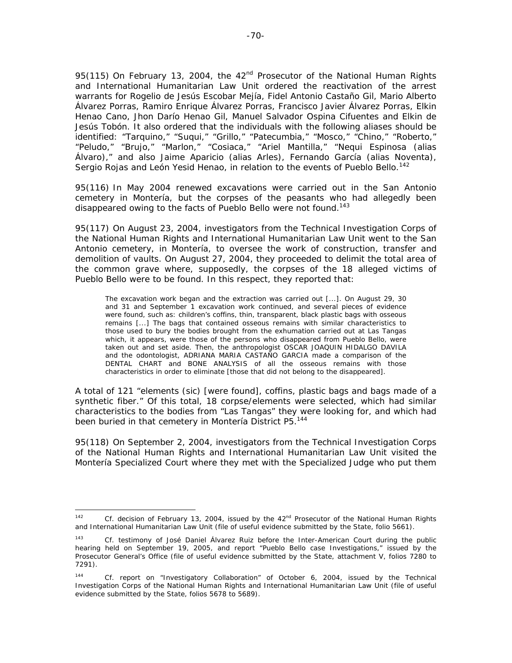95(115) On February 13, 2004, the  $42<sup>nd</sup>$  Prosecutor of the National Human Rights and International Humanitarian Law Unit ordered the reactivation of the arrest warrants for Rogelio de Jesús Escobar Mejía, Fidel Antonio Castaño Gil, Mario Alberto Álvarez Porras, Ramiro Enrique Álvarez Porras, Francisco Javier Álvarez Porras, Elkin Henao Cano, Jhon Darío Henao Gil, Manuel Salvador Ospina Cifuentes and Elkin de Jesús Tobón. It also ordered that the individuals with the following aliases should be identified: "Tarquino," "Suqui," "Grillo," "Patecumbia," "Mosco," "Chino," "Roberto," "Peludo," "Brujo," "Marlon," "Cosiaca," "Ariel Mantilla," "Nequi Espinosa (alias Álvaro)," and also Jaime Aparicio (alias Arles), Fernando García (alias Noventa), Sergio Rojas and León Yesid Henao, in relation to the events of Pueblo Bello.<sup>142</sup>

95(116) In May 2004 renewed excavations were carried out in the San Antonio cemetery in Montería, but the corpses of the peasants who had allegedly been disappeared owing to the facts of Pueblo Bello were not found.<sup>143</sup>

95(117) On August 23, 2004, investigators from the Technical Investigation Corps of the National Human Rights and International Humanitarian Law Unit went to the San Antonio cemetery, in Montería, to oversee the work of construction, transfer and demolition of vaults. On August 27, 2004, they proceeded to delimit the total area of the common grave where, supposedly, the corpses of the 18 alleged victims of Pueblo Bello were to be found. In this respect, they reported that:

The excavation work began and the extraction was carried out [...]. On August 29, 30 and 31 and September 1 excavation work continued, and several pieces of evidence were found, such as: children's coffins, thin, transparent, black plastic bags with osseous remains [...] The bags that contained osseous remains with similar characteristics to those used to bury the bodies brought from the exhumation carried out at *Las Tangas* which, it appears, were those of the persons who disappeared from Pueblo Bello, were taken out and set aside. Then, the anthropologist OSCAR JOAQUIN HIDALGO DAVILA and the odontologist, ADRIANA MARIA CASTAÑO GARCIA made a comparison of the DENTAL CHART and BONE ANALYSIS of all the osseous remains with those characteristics in order to eliminate [those that did not belong to the disappeared].

A total of 121 "elements (sic) [were found], coffins, plastic bags and bags made of a synthetic fiber." Of this total, 18 corpse/elements were selected, which had similar characteristics to the bodies from "*Las Tangas*" they were looking for, and which had been buried in that cemetery in Montería District P5.<sup>144</sup>

95(118) On September 2, 2004, investigators from the Technical Investigation Corps of the National Human Rights and International Humanitarian Law Unit visited the Montería Specialized Court where they met with the Specialized Judge who put them

<sup>142</sup>  $Cf$ . decision of February 13, 2004, issued by the  $42<sup>nd</sup>$  Prosecutor of the National Human Rights and International Humanitarian Law Unit (file of useful evidence submitted by the State, folio 5661).

<sup>143</sup> *Cf.* testimony of José Daniel Álvarez Ruiz before the Inter-American Court during the public hearing held on September 19, 2005, and report "Pueblo Bello case Investigations," issued by the Prosecutor General's Office (file of useful evidence submitted by the State, attachment V, folios 7280 to 7291).

<sup>144</sup> *Cf.* report on "Investigatory Collaboration" of October 6, 2004, issued by the Technical Investigation Corps of the National Human Rights and International Humanitarian Law Unit (file of useful evidence submitted by the State, folios 5678 to 5689).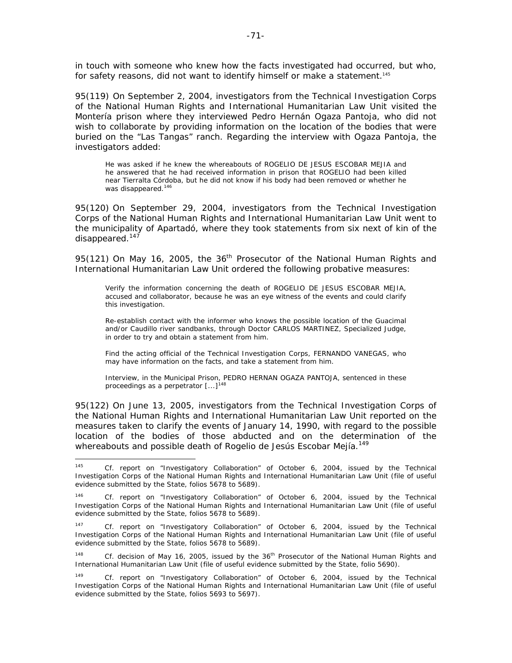in touch with someone who knew how the facts investigated had occurred, but who, for safety reasons, did not want to identify himself or make a statement.145

95(119) On September 2, 2004, investigators from the Technical Investigation Corps of the National Human Rights and International Humanitarian Law Unit visited the Montería prison where they interviewed Pedro Hernán Ogaza Pantoja, who did not wish to collaborate by providing information on the location of the bodies that were buried on the "*Las Tangas*" ranch. Regarding the interview with Ogaza Pantoja, the investigators added:

He was asked if he knew the whereabouts of ROGELIO DE JESUS ESCOBAR MEJIA and he answered that he had received information in prison that ROGELIO had been killed near Tierralta Córdoba, but he did not know if his body had been removed or whether he was disappeared.<sup>146</sup>

95(120) On September 29, 2004, investigators from the Technical Investigation Corps of the National Human Rights and International Humanitarian Law Unit went to the municipality of Apartadó, where they took statements from six next of kin of the disappeared.<sup>147</sup>

95(121) On May 16, 2005, the  $36<sup>th</sup>$  Prosecutor of the National Human Rights and International Humanitarian Law Unit ordered the following probative measures:

Verify the information concerning the death of ROGELIO DE JESUS ESCOBAR MEJIA, accused and collaborator, because he was an eye witness of the events and could clarify this investigation.

Re-establish contact with the informer who knows the possible location of the Guacimal and/or Caudillo river sandbanks, through Doctor CARLOS MARTINEZ, Specialized Judge, in order to try and obtain a statement from him.

Find the acting official of the Technical Investigation Corps, FERNANDO VANEGAS, who may have information on the facts, and take a statement from him.

Interview, in the Municipal Prison, PEDRO HERNAN OGAZA PANTOJA, sentenced in these proceedings as a perpetrator [...]<sup>148</sup>

95(122) On June 13, 2005, investigators from the Technical Investigation Corps of the National Human Rights and International Humanitarian Law Unit reported on the measures taken to clarify the events of January 14, 1990, with regard to the possible location of the bodies of those abducted and on the determination of the whereabouts and possible death of Rogelio de Jesús Escobar Mejía.<sup>149</sup>

<sup>145</sup> 145 *Cf.* report on "Investigatory Collaboration" of October 6, 2004, issued by the Technical Investigation Corps of the National Human Rights and International Humanitarian Law Unit (file of useful evidence submitted by the State, folios 5678 to 5689).

<sup>146</sup> *Cf.* report on "Investigatory Collaboration" of October 6, 2004, issued by the Technical Investigation Corps of the National Human Rights and International Humanitarian Law Unit (file of useful evidence submitted by the State, folios 5678 to 5689).

<sup>147</sup> *Cf.* report on "Investigatory Collaboration" of October 6, 2004, issued by the Technical Investigation Corps of the National Human Rights and International Humanitarian Law Unit (file of useful evidence submitted by the State, folios 5678 to 5689).

<sup>&</sup>lt;sup>148</sup> *Cf.* decision of May 16, 2005, issued by the 36<sup>th</sup> Prosecutor of the National Human Rights and International Humanitarian Law Unit (file of useful evidence submitted by the State, folio 5690).

<sup>149</sup> *Cf.* report on "Investigatory Collaboration" of October 6, 2004, issued by the Technical Investigation Corps of the National Human Rights and International Humanitarian Law Unit (file of useful evidence submitted by the State, folios 5693 to 5697).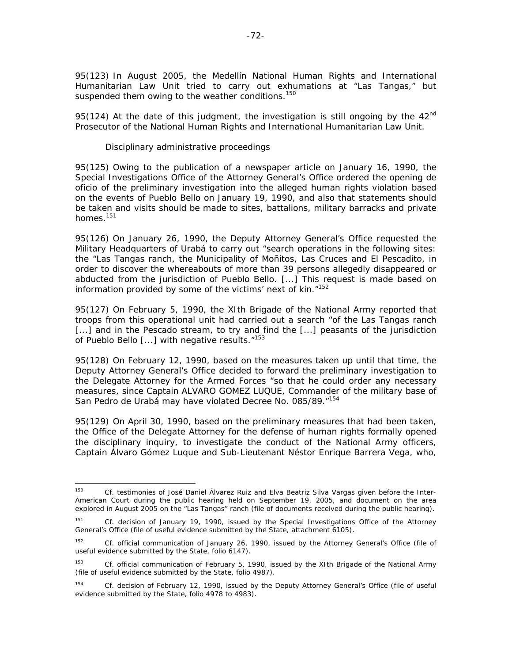95(123) In August 2005, the Medellín National Human Rights and International Humanitarian Law Unit tried to carry out exhumations at "*Las Tangas,*" but suspended them owing to the weather conditions.<sup>150</sup>

95(124) At the date of this judgment, the investigation is still ongoing by the  $42<sup>nd</sup>$ Prosecutor of the National Human Rights and International Humanitarian Law Unit.

## *Disciplinary administrative proceedings*

 $\overline{a}$ 

95(125) Owing to the publication of a newspaper article on January 16, 1990, the Special Investigations Office of the Attorney General's Office ordered the opening *de oficio* of the preliminary investigation into the alleged human rights violation based on the events of Pueblo Bello on January 19, 1990, and also that statements should be taken and visits should be made to sites, battalions, military barracks and private homes. $151$ 

95(126) On January 26, 1990, the Deputy Attorney General's Office requested the Military Headquarters of Urabá to carry out "search operations in the following sites: the "*Las Tangas* ranch, the Municipality of Moñitos, Las Cruces and El Pescadito, in order to discover the whereabouts of more than 39 persons allegedly disappeared or abducted from the jurisdiction of Pueblo Bello. [...] This request is made based on information provided by some of the victims' next of kin."<sup>152</sup>

95(127) On February 5, 1990, the XIth Brigade of the National Army reported that troops from this operational unit had carried out a search "of the *Las Tangas* ranch [...] and in the Pescado stream, to try and find the [...] peasants of the jurisdiction of Pueblo Bello [...] with negative results."<sup>153</sup>

95(128) On February 12, 1990, based on the measures taken up until that time, the Deputy Attorney General's Office decided to forward the preliminary investigation to the Delegate Attorney for the Armed Forces "so that he could order any necessary measures, since Captain ALVARO GOMEZ LUQUE, Commander of the military base of San Pedro de Urabá may have violated Decree No. 085/89."154

95(129) On April 30, 1990, based on the preliminary measures that had been taken, the Office of the Delegate Attorney for the defense of human rights formally opened the disciplinary inquiry, to investigate the conduct of the National Army officers, Captain Álvaro Gómez Luque and Sub-Lieutenant Néstor Enrique Barrera Vega, who,

<sup>150</sup> *Cf.* testimonies of José Daniel Álvarez Ruiz and Elva Beatriz Silva Vargas given before the Inter-American Court during the public hearing held on September 19, 2005, and document on the area explored in August 2005 on the "*Las Tangas*" ranch (file of documents received during the public hearing).

<sup>151</sup> *Cf.* decision of January 19, 1990, issued by the Special Investigations Office of the Attorney General's Office (file of useful evidence submitted by the State, attachment 6105).

<sup>152</sup> *Cf.* official communication of January 26, 1990, issued by the Attorney General's Office (file of useful evidence submitted by the State, folio 6147).

<sup>153</sup> *Cf.* official communication of February 5, 1990, issued by the XIth Brigade of the National Army (file of useful evidence submitted by the State, folio 4987).

<sup>154</sup> *Cf.* decision of February 12, 1990, issued by the Deputy Attorney General's Office (file of useful evidence submitted by the State, folio 4978 to 4983).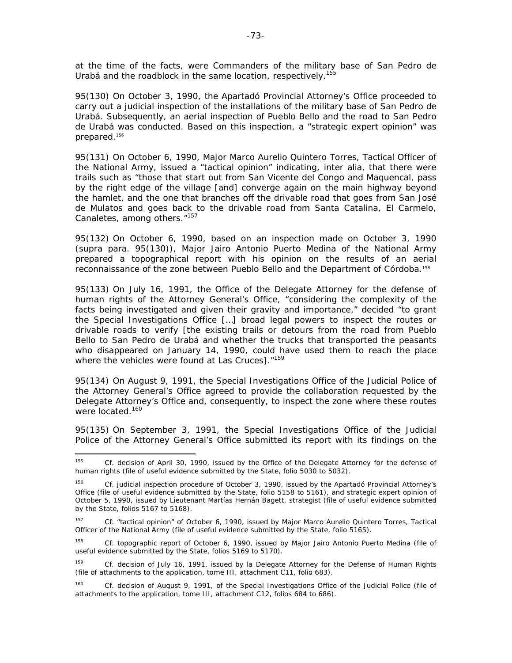at the time of the facts, were Commanders of the military base of San Pedro de Urabá and the roadblock in the same location, respectively.<sup>155</sup>

95(130) On October 3, 1990, the Apartadó Provincial Attorney's Office proceeded to carry out a judicial inspection of the installations of the military base of San Pedro de Urabá. Subsequently, an aerial inspection of Pueblo Bello and the road to San Pedro de Urabá was conducted. Based on this inspection, a "strategic expert opinion" was prepared.156

95(131) On October 6, 1990, Major Marco Aurelio Quintero Torres, Tactical Officer of the National Army, issued a "tactical opinion" indicating, *inter alia*, that there were trails such as "those that start out from San Vicente del Congo and Maquencal, pass by the right edge of the village [and] converge again on the main highway beyond the hamlet, and the one that branches off the drivable road that goes from San José de Mulatos and goes back to the drivable road from Santa Catalina, El Carmelo, Canaletes, among others."157

95(132) On October 6, 1990, based on an inspection made on October 3, 1990 (*supra* para. 95(130)), Major Jairo Antonio Puerto Medina of the National Army prepared a topographical report with his opinion on the results of an aerial reconnaissance of the zone between Pueblo Bello and the Department of Córdoba.<sup>158</sup>

95(133) On July 16, 1991, the Office of the Delegate Attorney for the defense of human rights of the Attorney General's Office, "considering the complexity of the facts being investigated and given their gravity and importance," decided "to grant the Special Investigations Office […] broad legal powers to inspect the routes or drivable roads to verify [the existing trails or detours from the road from Pueblo Bello to San Pedro de Urabá and whether the trucks that transported the peasants who disappeared on January 14, 1990, could have used them to reach the place where the vehicles were found at Las Cruces]."<sup>159</sup>

95(134) On August 9, 1991, the Special Investigations Office of the Judicial Police of the Attorney General's Office agreed to provide the collaboration requested by the Delegate Attorney's Office and, consequently, to inspect the zone where these routes were located.<sup>160</sup>

95(135) On September 3, 1991, the Special Investigations Office of the Judicial Police of the Attorney General's Office submitted its report with its findings on the

158 *Cf.* topographic report of October 6, 1990, issued by Major Jairo Antonio Puerto Medina (file of useful evidence submitted by the State, folios 5169 to 5170).

 $\overline{a}$ 155 *Cf.* decision of April 30, 1990, issued by the Office of the Delegate Attorney for the defense of human rights (file of useful evidence submitted by the State, folio 5030 to 5032).

<sup>156</sup> *Cf.* judicial inspection procedure of October 3, 1990, issued by the Apartadó Provincial Attorney's Office (file of useful evidence submitted by the State, folio 5158 to 5161), and strategic expert opinion of October 5, 1990, issued by Lieutenant Martías Hernán Bagett, strategist (file of useful evidence submitted by the State, folios 5167 to 5168).

<sup>157</sup> *Cf.* "tactical opinion" of October 6, 1990, issued by Major Marco Aurelio Quintero Torres, Tactical Officer of the National Army (file of useful evidence submitted by the State, folio 5165).

<sup>159</sup> *Cf.* decision of July 16, 1991, issued by la Delegate Attorney for the Defense of Human Rights (file of attachments to the application, tome III, attachment C11, folio 683).

<sup>160</sup> *Cf.* decision of August 9, 1991, of the Special Investigations Office of the Judicial Police (file of attachments to the application, tome III, attachment C12, folios 684 to 686).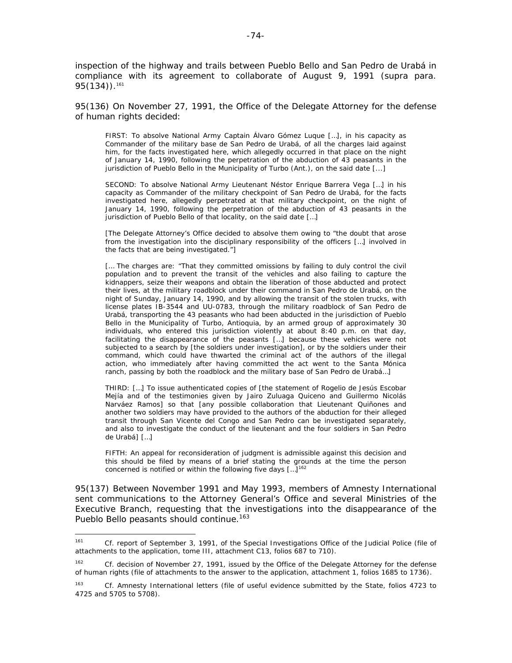inspection of the highway and trails between Pueblo Bello and San Pedro de Urabá in compliance with its agreement to collaborate of August 9, 1991 (*supra* para. 95(134)).161

95(136) On November 27, 1991, the Office of the Delegate Attorney for the defense of human rights decided:

FIRST: To absolve National Army Captain Álvaro Gómez Luque […], in his capacity as Commander of the military base de San Pedro de Urabá, of all the charges laid against him, for the facts investigated here, which allegedly occurred in that place on the night of January 14, 1990, following the perpetration of the abduction of 43 peasants in the jurisdiction of Pueblo Bello in the Municipality of Turbo (Ant.), on the said date [...]

SECOND: To absolve National Army Lieutenant Néstor Enrique Barrera Vega […] in his capacity as Commander of the military checkpoint of San Pedro de Urabá, for the facts investigated here, allegedly perpetrated at that military checkpoint, on the night of January 14, 1990, following the perpetration of the abduction of 43 peasants in the jurisdiction of Pueblo Bello of that locality, on the said date […]

[The Delegate Attorney's Office decided to absolve them owing to "the doubt that arose from the investigation into the disciplinary responsibility of the officers […] involved in the facts that are being investigated."]

[… The charges are: "That they committed omissions by failing to duly control the civil population and to prevent the transit of the vehicles and also failing to capture the kidnappers, seize their weapons and obtain the liberation of those abducted and protect their lives, at the military roadblock under their command in San Pedro de Urabá, on the night of Sunday, January 14, 1990, and by allowing the transit of the stolen trucks, with license plates IB-3544 and UU-0783, through the military roadblock of San Pedro de Urabá, transporting the 43 peasants who had been abducted in the jurisdiction of Pueblo Bello in the Municipality of Turbo, Antioquia, by an armed group of approximately 30 individuals, who entered this jurisdiction violently at about 8:40 p.m. on that day, facilitating the disappearance of the peasants […] because these vehicles were not subjected to a search by [the soldiers under investigation], or by the soldiers under their command, which could have thwarted the criminal act of the authors of the illegal action, who immediately after having committed the act went to the *Santa Mónica* ranch, passing by both the roadblock and the military base of San Pedro de Urabá…]

THIRD: […] To issue authenticated copies of [the statement of Rogelio de Jesús Escobar Mejía and of the testimonies given by Jairo Zuluaga Quiceno and Guillermo Nicolás Narváez Ramos] so that [any possible collaboration that Lieutenant Quiñones and another two soldiers may have provided to the authors of the abduction for their alleged transit through San Vicente del Congo and San Pedro can be investigated separately, and also to investigate the conduct of the lieutenant and the four soldiers in San Pedro de Urabá] […]

FIFTH: An appeal for reconsideration of judgment is admissible against this decision and this should be filed by means of a brief stating the grounds at the time the person concerned is notified or within the following five days  $[...]^{162}$ 

95(137) Between November 1991 and May 1993, members of Amnesty International sent communications to the Attorney General's Office and several Ministries of the Executive Branch, requesting that the investigations into the disappearance of the Pueblo Bello peasants should continue.<sup>163</sup>

<sup>161</sup> Cf. report of September 3, 1991, of the Special Investigations Office of the Judicial Police (file of attachments to the application, tome III, attachment C13, folios 687 to 710).

<sup>162</sup> *Cf.* decision of November 27, 1991, issued by the Office of the Delegate Attorney for the defense of human rights (file of attachments to the answer to the application, attachment 1, folios 1685 to 1736).

<sup>163</sup> *Cf.* Amnesty International letters (file of useful evidence submitted by the State, folios 4723 to 4725 and 5705 to 5708).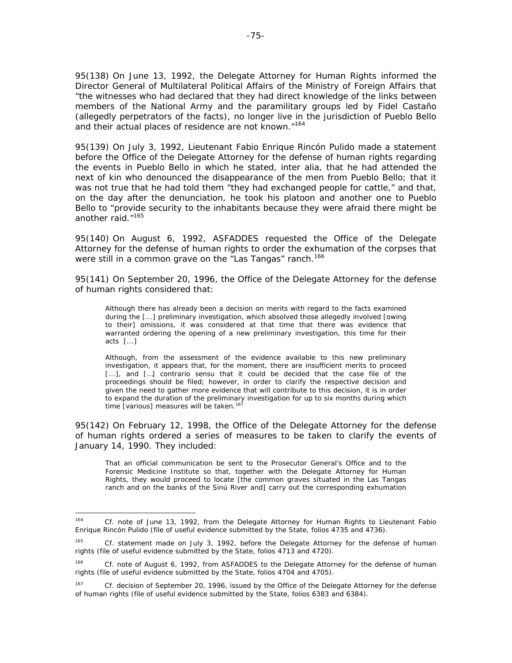95(138) On June 13, 1992, the Delegate Attorney for Human Rights informed the Director General of Multilateral Political Affairs of the Ministry of Foreign Affairs that "the witnesses who had declared that they had direct knowledge of the links between members of the National Army and the paramilitary groups led by Fidel Castaño (allegedly perpetrators of the facts), no longer live in the jurisdiction of Pueblo Bello and their actual places of residence are not known."<sup>164</sup>

95(139) On July 3, 1992, Lieutenant Fabio Enrique Rincón Pulido made a statement before the Office of the Delegate Attorney for the defense of human rights regarding the events in Pueblo Bello in which he stated, *inter alia*, that he had attended the next of kin who denounced the disappearance of the men from Pueblo Bello; that it was not true that he had told them "they had exchanged people for cattle," and that, on the day after the denunciation, he took his platoon and another one to Pueblo Bello to "provide security to the inhabitants because they were afraid there might be another raid."<sup>165</sup>

95(140) On August 6, 1992, ASFADDES requested the Office of the Delegate Attorney for the defense of human rights to order the exhumation of the corpses that were still in a common grave on the "*Las Tangas*" ranch.<sup>166</sup>

95(141) On September 20, 1996, the Office of the Delegate Attorney for the defense of human rights considered that:

Although there has already been a decision on merits with regard to the facts examined during the [...] preliminary investigation, which absolved those allegedly involved [owing to their] omissions, it was considered at that time that there was evidence that warranted ordering the opening of a new preliminary investigation, this time for their acts [...]

Although, from the assessment of the evidence available to this new preliminary investigation, it appears that, for the moment, there are insufficient merits to proceed [...], and [...] *contrario sensu* that it could be decided that the case file of the proceedings should be filed; however, in order to clarify the respective decision and given the need to gather more evidence that will contribute to this decision, it is in order to expand the duration of the preliminary investigation for up to six months during which time [various] measures will be taken.<sup>167</sup>

95(142) On February 12, 1998, the Office of the Delegate Attorney for the defense of human rights ordered a series of measures to be taken to clarify the events of January 14, 1990. They included:

That an official communication be sent to the Prosecutor General's Office and to the Forensic Medicine Institute so that, together with the Delegate Attorney for Human Rights, they would proceed to locate [the common graves situated in the *Las Tangas* ranch and on the banks of the Sinú River and] carry out the corresponding exhumation

<sup>164</sup> 164 *Cf*. note of June 13, 1992, from the Delegate Attorney for Human Rights to Lieutenant Fabio Enrique Rincón Pulido (file of useful evidence submitted by the State, folios 4735 and 4736).

<sup>165</sup> *Cf*. statement made on July 3, 1992, before the Delegate Attorney for the defense of human rights (file of useful evidence submitted by the State, folios 4713 and 4720).

<sup>&</sup>lt;sup>166</sup> *Cf.* note of August 6, 1992, from ASFADDES to the Delegate Attorney for the defense of human rights (file of useful evidence submitted by the State, folios 4704 and 4705).

<sup>&</sup>lt;sup>167</sup> *Cf.* decision of September 20, 1996, issued by the Office of the Delegate Attorney for the defense of human rights (file of useful evidence submitted by the State, folios 6383 and 6384).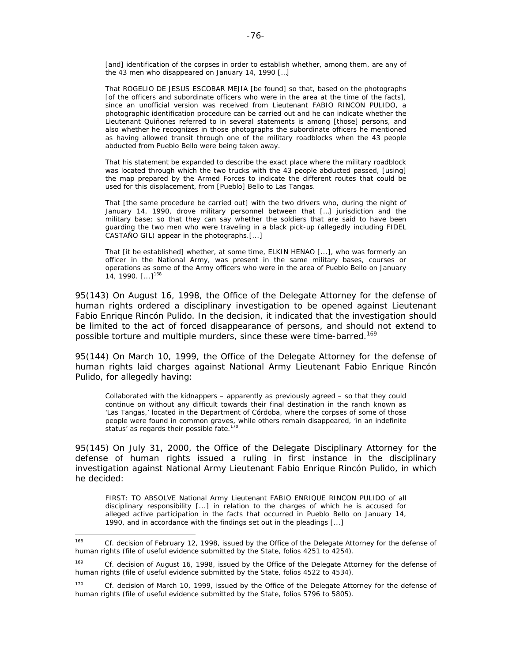[and] identification of the corpses in order to establish whether, among them, are any of the 43 men who disappeared on January 14, 1990 […]

That ROGELIO DE JESUS ESCOBAR MEJIA [be found] so that, based on the photographs [of the officers and subordinate officers who were in the area at the time of the facts], since an unofficial version was received from Lieutenant FABIO RINCON PULIDO, a photographic identification procedure can be carried out and he can indicate whether the Lieutenant Quiñones referred to in several statements is among [those] persons, and also whether he recognizes in those photographs the subordinate officers he mentioned as having allowed transit through one of the military roadblocks when the 43 people abducted from Pueblo Bello were being taken away.

That his statement be expanded to describe the exact place where the military roadblock was located through which the two trucks with the 43 people abducted passed, [using] the map prepared by the Armed Forces to indicate the different routes that could be used for this displacement, from [Pueblo] Bello to *Las Tangas*.

That [the same procedure be carried out] with the two drivers who, during the night of January 14, 1990, drove military personnel between that […] jurisdiction and the military base; so that they can say whether the soldiers that are said to have been guarding the two men who were traveling in a black pick-up (allegedly including FIDEL CASTAÑO GIL) appear in the photographs.[...]

That [it be established] whether, at some time, ELKIN HENAO [...], who was formerly an officer in the National Army, was present in the same military bases, courses or operations as some of the Army officers who were in the area of Pueblo Bello on January 14, 1990.  $[...]^{168}$ 

95(143) On August 16, 1998, the Office of the Delegate Attorney for the defense of human rights ordered a disciplinary investigation to be opened against Lieutenant Fabio Enrique Rincón Pulido. In the decision, it indicated that the investigation should be limited to the act of forced disappearance of persons, and should not extend to possible torture and multiple murders, since these were time-barred.<sup>169</sup>

95(144) On March 10, 1999, the Office of the Delegate Attorney for the defense of human rights laid charges against National Army Lieutenant Fabio Enrique Rincón Pulido, for allegedly having:

Collaborated with the kidnappers – apparently as previously agreed – so that they could continue on without any difficult towards their final destination in the ranch known as '*Las Tangas*,' located in the Department of Córdoba, where the corpses of some of those people were found in common graves, while others remain disappeared, 'in an indefinite status' as regards their possible fate.<sup>170</sup>

95(145) On July 31, 2000, the Office of the Delegate Disciplinary Attorney for the defense of human rights issued a ruling in first instance in the disciplinary investigation against National Army Lieutenant Fabio Enrique Rincón Pulido, in which he decided:

FIRST: TO ABSOLVE National Army Lieutenant FABIO ENRIQUE RINCON PULIDO of all disciplinary responsibility [...] in relation to the charges of which he is accused for alleged active participation in the facts that occurred in Pueblo Bello on January 14, 1990, and in accordance with the findings set out in the pleadings [...]

<sup>168</sup> Cf. decision of February 12, 1998, issued by the Office of the Delegate Attorney for the defense of human rights (file of useful evidence submitted by the State, folios 4251 to 4254).

<sup>&</sup>lt;sup>169</sup> *Cf.* decision of August 16, 1998, issued by the Office of the Delegate Attorney for the defense of human rights (file of useful evidence submitted by the State, folios 4522 to 4534).

Cf. decision of March 10, 1999, issued by the Office of the Delegate Attorney for the defense of human rights (file of useful evidence submitted by the State, folios 5796 to 5805).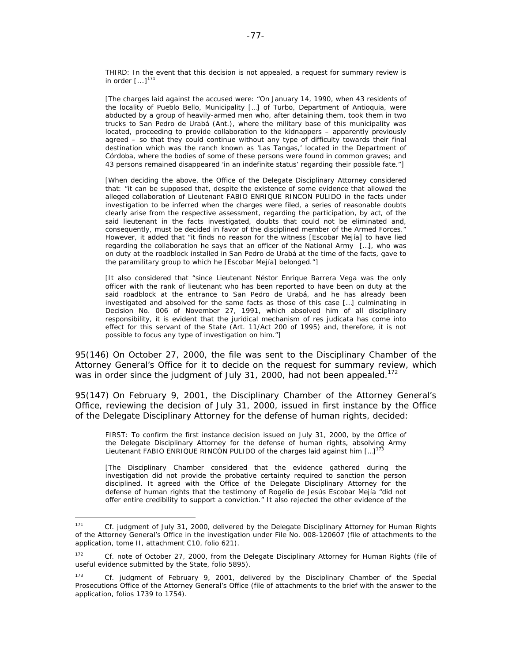THIRD: In the event that this decision is not appealed, a request for summary review is in order  $[...]^{171}$ 

[The charges laid against the accused were: "On January 14, 1990, when 43 residents of the locality of Pueblo Bello, Municipality […] of Turbo, Department of Antioquia, were abducted by a group of heavily-armed men who, after detaining them, took them in two trucks to San Pedro de Urabá (Ant.), where the military base of this municipality was located, proceeding to provide collaboration to the kidnappers – apparently previously agreed – so that they could continue without any type of difficulty towards their final destination which was the ranch known as '*Las Tangas,'* located in the Department of Córdoba, where the bodies of some of these persons were found in common graves; and 43 persons remained disappeared 'in an indefinite status' regarding their possible fate."]

[When deciding the above, the Office of the Delegate Disciplinary Attorney considered that: "it can be supposed that, despite the existence of some evidence that allowed the alleged collaboration of Lieutenant FABIO ENRIQUE RINCON PULIDO in the facts under investigation to be inferred when the charges were filed, a series of reasonable doubts clearly arise from the respective assessment, regarding the participation, by act, of the said lieutenant in the facts investigated, doubts that could not be eliminated and, consequently, must be decided in favor of the disciplined member of the Armed Forces." However, it added that "it finds no reason for the witness [Escobar Mejía] to have lied regarding the collaboration he says that an officer of the National Army […], who was on duty at the roadblock installed in San Pedro de Urabá at the time of the facts, gave to the paramilitary group to which he [Escobar Mejía] belonged."]

[It also considered that "since Lieutenant Néstor Enrique Barrera Vega was the only officer with the rank of lieutenant who has been reported to have been on duty at the said roadblock at the entrance to San Pedro de Urabá, and he has already been investigated and absolved for the same facts as those of this case […] culminating in Decision No. 006 of November 27, 1991, which absolved him of all disciplinary responsibility, it is evident that the juridical mechanism of *res judicata* has come into effect for this servant of the State (Art. 11/Act 200 of 1995) and, therefore, it is not possible to focus any type of investigation on him."]

95(146) On October 27, 2000, the file was sent to the Disciplinary Chamber of the Attorney General's Office for it to decide on the request for summary review, which was in order since the judgment of July 31, 2000, had not been appealed.<sup>172</sup>

95(147) On February 9, 2001, the Disciplinary Chamber of the Attorney General's Office, reviewing the decision of July 31, 2000, issued in first instance by the Office of the Delegate Disciplinary Attorney for the defense of human rights, decided:

FIRST: To confirm the first instance decision issued on July 31, 2000, by the Office of the Delegate Disciplinary Attorney for the defense of human rights, absolving Army Lieutenant FABIO ENRIQUE RINCÓN PULIDO of the charges laid against him  $[...]^{\dagger}$ 

[The Disciplinary Chamber considered that the evidence gathered during the investigation did not provide the probative certainty required to sanction the person disciplined. It agreed with the Office of the Delegate Disciplinary Attorney for the defense of human rights that the testimony of Rogelio de Jesús Escobar Mejía "did not offer entire credibility to support a conviction." It also rejected the other evidence of the

<sup>171</sup> Cf. judgment of July 31, 2000, delivered by the Delegate Disciplinary Attorney for Human Rights of the Attorney General's Office in the investigation under File No. 008-120607 (file of attachments to the application, tome II, attachment C10, folio 621).

<sup>172</sup> *Cf.* note of October 27, 2000, from the Delegate Disciplinary Attorney for Human Rights (file of useful evidence submitted by the State, folio 5895).

<sup>173</sup> *Cf.* judgment of February 9, 2001, delivered by the Disciplinary Chamber of the Special Prosecutions Office of the Attorney General's Office (file of attachments to the brief with the answer to the application, folios 1739 to 1754).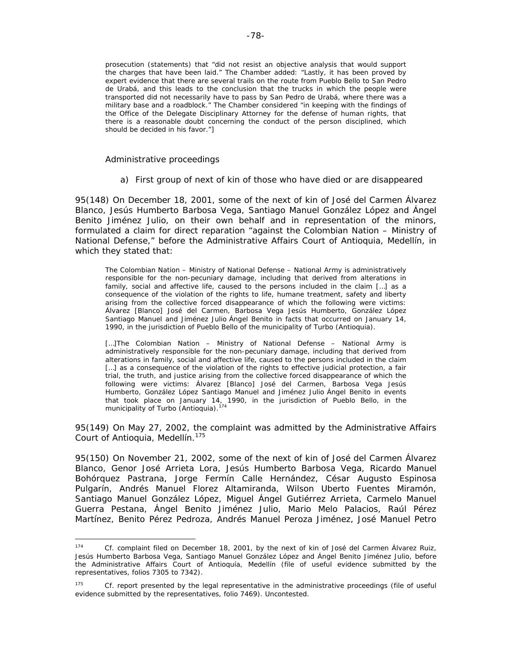prosecution (statements) that "did not resist an objective analysis that would support the charges that have been laid." The Chamber added: "Lastly, it has been proved by expert evidence that there are several trails on the route from Pueblo Bello to San Pedro de Urabá, and this leads to the conclusion that the trucks in which the people were transported did not necessarily have to pass by San Pedro de Urabá, where there was a military base and a roadblock." The Chamber considered "in keeping with the findings of the Office of the Delegate Disciplinary Attorney for the defense of human rights, that there is a reasonable doubt concerning the conduct of the person disciplined, which should be decided in his favor."]

#### *Administrative proceedings*

#### *a) First group of next of kin of those who have died or are disappeared*

95(148) On December 18, 2001, some of the next of kin of José del Carmen Álvarez Blanco, Jesús Humberto Barbosa Vega, Santiago Manuel González López and Ángel Benito Jiménez Julio, on their own behalf and in representation of the minors, formulated a claim for direct reparation "against the Colombian Nation – Ministry of National Defense," before the Administrative Affairs Court of Antioquia, Medellín, in which they stated that:

The Colombian Nation – Ministry of National Defense – National Army is administratively responsible for the non-pecuniary damage, including that derived from alterations in family, social and affective life, caused to the persons included in the claim […] as a consequence of the violation of the rights to life, humane treatment, safety and liberty arising from the collective forced disappearance of which the following were victims: Álvarez [Blanco] José del Carmen, Barbosa Vega Jesús Humberto, González López Santiago Manuel and Jiménez Julio Ángel Benito in facts that occurred on January 14, 1990, in the jurisdiction of Pueblo Bello of the municipality of Turbo (Antioquia).

[…]The Colombian Nation – Ministry of National Defense – National Army is administratively responsible for the non-pecuniary damage, including that derived from alterations in family, social and affective life, caused to the persons included in the claim [...] as a consequence of the violation of the rights to effective judicial protection, a fair trial, the truth, and justice arising from the collective forced disappearance of which the following were victims: Álvarez [Blanco] José del Carmen, Barbosa Vega Jesús Humberto, González López Santiago Manuel and Jiménez Julio Ángel Benito in events that took place on January 14, 1990, in the jurisdiction of Pueblo Bello, in the municipality of Turbo (Antioquia).<sup>174</sup>

95(149) On May 27, 2002, the complaint was admitted by the Administrative Affairs Court of Antioquia, Medellín.<sup>175</sup>

95(150) On November 21, 2002, some of the next of kin of José del Carmen Álvarez Blanco, Genor José Arrieta Lora, Jesús Humberto Barbosa Vega, Ricardo Manuel Bohórquez Pastrana, Jorge Fermín Calle Hernández, César Augusto Espinosa Pulgarín, Andrés Manuel Florez Altamiranda, Wilson Uberto Fuentes Miramón, Santiago Manuel González López, Miguel Ángel Gutiérrez Arrieta, Carmelo Manuel Guerra Pestana, Ángel Benito Jiménez Julio, Mario Melo Palacios, Raúl Pérez Martínez, Benito Pérez Pedroza, Andrés Manuel Peroza Jiménez, José Manuel Petro

<sup>174</sup> 174 *Cf.* complaint filed on December 18, 2001, by the next of kin of José del Carmen Álvarez Ruiz, Jesús Humberto Barbosa Vega, Santiago Manuel González López and Ángel Benito Jiménez Julio, before the Administrative Affairs Court of Antioquía, Medellín (file of useful evidence submitted by the representatives, folios 7305 to 7342).

<sup>&</sup>lt;sup>175</sup> *Cf.* report presented by the legal representative in the administrative proceedings (file of useful evidence submitted by the representatives, folio 7469). Uncontested.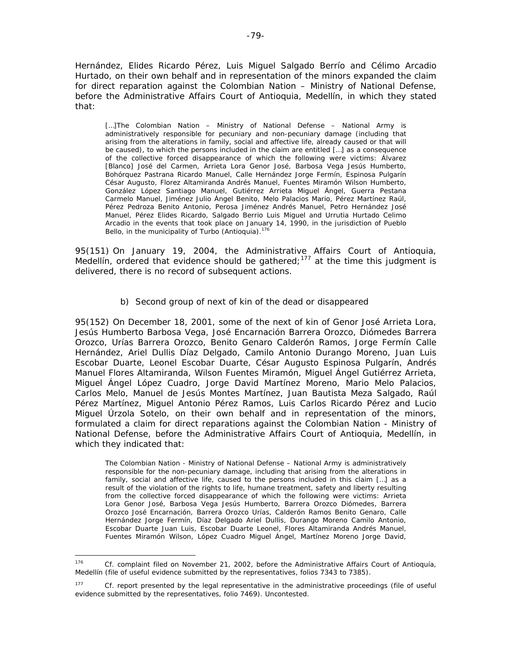Hernández, Elides Ricardo Pérez, Luis Miguel Salgado Berrío and Célimo Arcadio Hurtado, on their own behalf and in representation of the minors expanded the claim for direct reparation against the Colombian Nation – Ministry of National Defense, before the Administrative Affairs Court of Antioquia, Medellín, in which they stated that:

[...]The Colombian Nation – Ministry of National Defense – National Army is administratively responsible for pecuniary and non-pecuniary damage (including that arising from the alterations in family, social and affective life, already caused or that will be caused), to which the persons included in the claim are entitled […] as a consequence of the collective forced disappearance of which the following were victims: Álvarez [Blanco] José del Carmen, Arrieta Lora Genor José, Barbosa Vega Jesús Humberto, Bohórquez Pastrana Ricardo Manuel, Calle Hernández Jorge Fermín, Espinosa Pulgarín César Augusto, Florez Altamiranda Andrés Manuel, Fuentes Miramón Wilson Humberto, González López Santiago Manuel, Gutiérrez Arrieta Miguel Ángel, Guerra Pestana Carmelo Manuel, Jiménez Julio Ángel Benito, Melo Palacios Mario, Pérez Martínez Raúl, Pérez Pedroza Benito Antonio, Perosa Jiménez Andrés Manuel, Petro Hernández José Manuel, Pérez Elides Ricardo, Salgado Berrio Luis Miguel and Urrutia Hurtado Celimo Arcadio in the events that took place on January 14, 1990, in the jurisdiction of Pueblo Bello, in the municipality of Turbo (Antioquia).<sup>176</sup>

95(151) On January 19, 2004, the Administrative Affairs Court of Antioquia, Medellín, ordered that evidence should be gathered;<sup>177</sup> at the time this judgment is delivered, there is no record of subsequent actions.

# *b) Second group of next of kin of the dead or disappeared*

95(152) On December 18, 2001, some of the next of kin of Genor José Arrieta Lora, Jesús Humberto Barbosa Vega, José Encarnación Barrera Orozco, Diómedes Barrera Orozco, Urías Barrera Orozco, Benito Genaro Calderón Ramos, Jorge Fermín Calle Hernández, Ariel Dullis Díaz Delgado, Camilo Antonio Durango Moreno, Juan Luis Escobar Duarte, Leonel Escobar Duarte, César Augusto Espinosa Pulgarín, Andrés Manuel Flores Altamiranda, Wilson Fuentes Miramón, Miguel Ángel Gutiérrez Arrieta, Miguel Ángel López Cuadro, Jorge David Martínez Moreno, Mario Melo Palacios, Carlos Melo, Manuel de Jesús Montes Martínez, Juan Bautista Meza Salgado, Raúl Pérez Martínez, Miguel Antonio Pérez Ramos, Luis Carlos Ricardo Pérez and Lucio Miguel Úrzola Sotelo, on their own behalf and in representation of the minors, formulated a claim for direct reparations against the Colombian Nation - Ministry of National Defense, before the Administrative Affairs Court of Antioquia, Medellín, in which they indicated that:

The Colombian Nation - Ministry of National Defense – National Army is administratively responsible for the non-pecuniary damage, including that arising from the alterations in family, social and affective life, caused to the persons included in this claim […] as a result of the violation of the rights to life, humane treatment, safety and liberty resulting from the collective forced disappearance of which the following were victims: Arrieta Lora Genor José, Barbosa Vega Jesús Humberto, Barrera Orozco Diómedes, Barrera Orozco José Encarnación, Barrera Orozco Urías, Calderón Ramos Benito Genaro, Calle Hernández Jorge Fermín, Díaz Delgado Ariel Dullis, Durango Moreno Camilo Antonio, Escobar Duarte Juan Luis, Escobar Duarte Leonel, Flores Altamiranda Andrés Manuel, Fuentes Miramón Wilson, López Cuadro Miguel Ángel, Martínez Moreno Jorge David,

<sup>176</sup> 176 *Cf.* complaint filed on November 21, 2002, before the Administrative Affairs Court of Antioquía, Medellín (file of useful evidence submitted by the representatives, folios 7343 to 7385).

<sup>&</sup>lt;sup>177</sup> *Cf.* report presented by the legal representative in the administrative proceedings (file of useful evidence submitted by the representatives, folio 7469). Uncontested.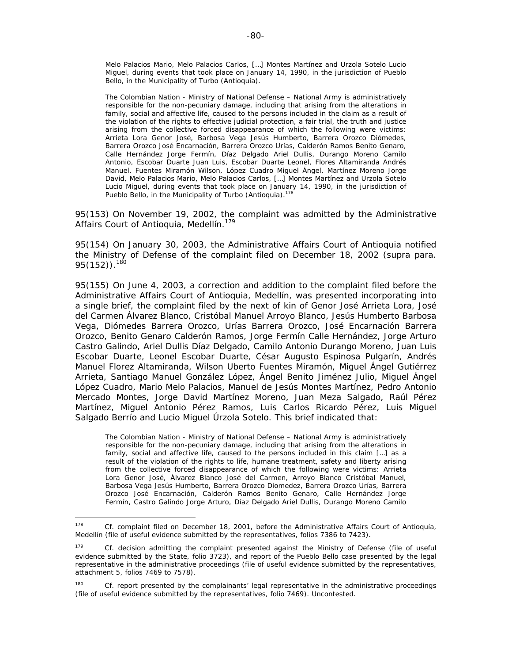Melo Palacios Mario, Melo Palacios Carlos, […] Montes Martínez and Urzola Sotelo Lucio Miguel, during events that took place on January 14, 1990, in the jurisdiction of Pueblo Bello, in the Municipality of Turbo (Antioquia).

The Colombian Nation - Ministry of National Defense – National Army is administratively responsible for the non-pecuniary damage, including that arising from the alterations in family, social and affective life, caused to the persons included in the claim as a result of the violation of the rights to effective judicial protection, a fair trial, the truth and justice arising from the collective forced disappearance of which the following were victims: Arrieta Lora Genor José, Barbosa Vega Jesús Humberto, Barrera Orozco Diómedes, Barrera Orozco José Encarnación, Barrera Orozco Urías, Calderón Ramos Benito Genaro, Calle Hernández Jorge Fermín, Díaz Delgado Ariel Dullis, Durango Moreno Camilo Antonio, Escobar Duarte Juan Luis, Escobar Duarte Leonel, Flores Altamiranda Andrés Manuel, Fuentes Miramón Wilson, López Cuadro Miguel Ángel, Martínez Moreno Jorge David, Melo Palacios Mario, Melo Palacios Carlos, […] Montes Martínez and Urzola Sotelo Lucio Miguel, during events that took place on January 14, 1990, in the jurisdiction of Pueblo Bello, in the Municipality of Turbo (Antioquia).<sup>178</sup>

95(153) On November 19, 2002, the complaint was admitted by the Administrative Affairs Court of Antioquia, Medellín.<sup>179</sup>

95(154) On January 30, 2003, the Administrative Affairs Court of Antioquia notified the Ministry of Defense of the complaint filed on December 18, 2002 (*supra* para.  $95(152)$ .<sup>180</sup>

95(155) On June 4, 2003, a correction and addition to the complaint filed before the Administrative Affairs Court of Antioquia, Medellín, was presented incorporating into a single brief, the complaint filed by the next of kin of Genor José Arrieta Lora, José del Carmen Álvarez Blanco, Cristóbal Manuel Arroyo Blanco, Jesús Humberto Barbosa Vega, Diómedes Barrera Orozco, Urías Barrera Orozco, José Encarnación Barrera Orozco, Benito Genaro Calderón Ramos, Jorge Fermín Calle Hernández, Jorge Arturo Castro Galindo, Ariel Dullis Díaz Delgado, Camilo Antonio Durango Moreno, Juan Luis Escobar Duarte, Leonel Escobar Duarte, César Augusto Espinosa Pulgarín, Andrés Manuel Florez Altamiranda, Wilson Uberto Fuentes Miramón, Miguel Ángel Gutiérrez Arrieta, Santiago Manuel González López, Ángel Benito Jiménez Julio, Miguel Ángel López Cuadro, Mario Melo Palacios, Manuel de Jesús Montes Martínez, Pedro Antonio Mercado Montes, Jorge David Martínez Moreno, Juan Meza Salgado, Raúl Pérez Martínez, Miguel Antonio Pérez Ramos, Luis Carlos Ricardo Pérez, Luis Miguel Salgado Berrío and Lucio Miguel Úrzola Sotelo. This brief indicated that:

The Colombian Nation - Ministry of National Defense – National Army is administratively responsible for the non-pecuniary damage, including that arising from the alterations in family, social and affective life, caused to the persons included in this claim […] as a result of the violation of the rights to life, humane treatment, safety and liberty arising from the collective forced disappearance of which the following were victims: Arrieta Lora Genor José, Álvarez Blanco José del Carmen, Arroyo Blanco Cristóbal Manuel, Barbosa Vega Jesús Humberto, Barrera Orozco Diomedez, Barrera Orozco Urías, Barrera Orozco José Encarnación, Calderón Ramos Benito Genaro, Calle Hernández Jorge Fermín, Castro Galindo Jorge Arturo, Díaz Delgado Ariel Dullis, Durango Moreno Camilo

<sup>178</sup> Cf. complaint filed on December 18, 2001, before the Administrative Affairs Court of Antioquía, Medellín (file of useful evidence submitted by the representatives, folios 7386 to 7423).

<sup>179</sup> *Cf.* decision admitting the complaint presented against the Ministry of Defense (file of useful evidence submitted by the State, folio 3723), and report of the Pueblo Bello case presented by the legal representative in the administrative proceedings (file of useful evidence submitted by the representatives, attachment 5, folios 7469 to 7578).

Cf. report presented by the complainants' legal representative in the administrative proceedings (file of useful evidence submitted by the representatives, folio 7469). Uncontested.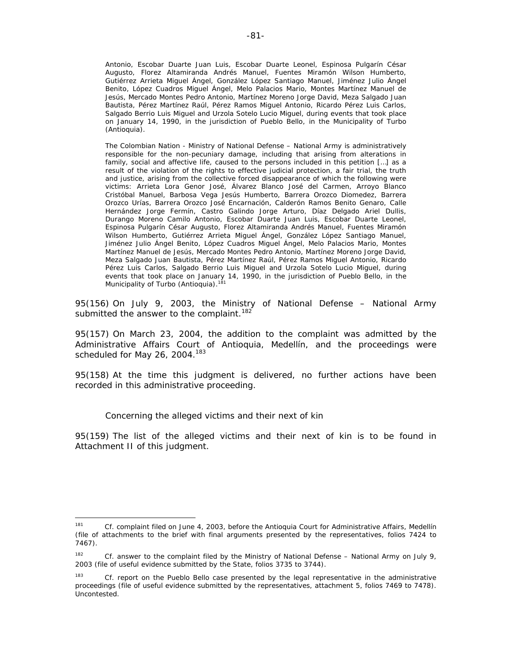Antonio, Escobar Duarte Juan Luis, Escobar Duarte Leonel, Espinosa Pulgarín César Augusto, Florez Altamiranda Andrés Manuel, Fuentes Miramón Wilson Humberto, Gutiérrez Arrieta Miguel Ángel, González López Santiago Manuel, Jiménez Julio Ángel Benito, López Cuadros Miguel Ángel, Melo Palacios Mario, Montes Martínez Manuel de Jesús, Mercado Montes Pedro Antonio, Martínez Moreno Jorge David, Meza Salgado Juan Bautista, Pérez Martínez Raúl, Pérez Ramos Miguel Antonio, Ricardo Pérez Luis Carlos, Salgado Berrio Luis Miguel and Urzola Sotelo Lucio Miguel, during events that took place on January 14, 1990, in the jurisdiction of Pueblo Bello, in the Municipality of Turbo (Antioquia).

The Colombian Nation - Ministry of National Defense – National Army is administratively responsible for the non-pecuniary damage, including that arising from alterations in family, social and affective life, caused to the persons included in this petition […] as a result of the violation of the rights to effective judicial protection, a fair trial, the truth and justice, arising from the collective forced disappearance of which the following were victims: Arrieta Lora Genor José, Álvarez Blanco José del Carmen, Arroyo Blanco Cristóbal Manuel, Barbosa Vega Jesús Humberto, Barrera Orozco Diomedez, Barrera Orozco Urías, Barrera Orozco José Encarnación, Calderón Ramos Benito Genaro, Calle Hernández Jorge Fermín, Castro Galindo Jorge Arturo, Díaz Delgado Ariel Dullis, Durango Moreno Camilo Antonio, Escobar Duarte Juan Luis, Escobar Duarte Leonel, Espinosa Pulgarín César Augusto, Florez Altamiranda Andrés Manuel, Fuentes Miramón Wilson Humberto, Gutiérrez Arrieta Miguel Ángel, González López Santiago Manuel, Jiménez Julio Ángel Benito, López Cuadros Miguel Ángel, Melo Palacios Mario, Montes Martínez Manuel de Jesús, Mercado Montes Pedro Antonio, Martínez Moreno Jorge David, Meza Salgado Juan Bautista, Pérez Martínez Raúl, Pérez Ramos Miguel Antonio, Ricardo Pérez Luis Carlos, Salgado Berrio Luis Miguel and Urzola Sotelo Lucio Miguel, during events that took place on January 14, 1990, in the jurisdiction of Pueblo Bello, in the Municipality of Turbo (Antioquia).<sup>11</sup>

95(156) On July 9, 2003, the Ministry of National Defense – National Army submitted the answer to the complaint.<sup>182</sup>

95(157) On March 23, 2004, the addition to the complaint was admitted by the Administrative Affairs Court of Antioquia, Medellín, and the proceedings were scheduled for May 26, 2004.<sup>183</sup>

95(158) At the time this judgment is delivered, no further actions have been recorded in this administrative proceeding.

### *Concerning the alleged victims and their next of kin*

95(159) The list of the alleged victims and their next of kin is to be found in Attachment II of this judgment.

<sup>181</sup> Cf. complaint filed on June 4, 2003, before the Antioquia Court for Administrative Affairs, Medellín (file of attachments to the brief with final arguments presented by the representatives, folios 7424 to 7467).

<sup>&</sup>lt;sup>182</sup> *Cf.* answer to the complaint filed by the Ministry of National Defense – National Army on July 9, 2003 (file of useful evidence submitted by the State, folios 3735 to 3744).

Cf. report on the Pueblo Bello case presented by the legal representative in the administrative proceedings (file of useful evidence submitted by the representatives, attachment 5, folios 7469 to 7478). Uncontested.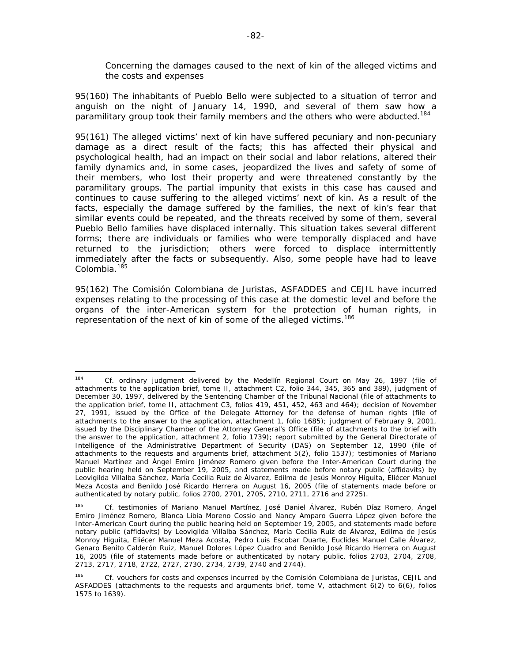*Concerning the damages caused to the next of kin of the alleged victims and the costs and expenses*

95(160) The inhabitants of Pueblo Bello were subjected to a situation of terror and anguish on the night of January 14, 1990, and several of them saw how a paramilitary group took their family members and the others who were abducted.<sup>184</sup>

95(161) The alleged victims' next of kin have suffered pecuniary and non-pecuniary damage as a direct result of the facts; this has affected their physical and psychological health, had an impact on their social and labor relations, altered their family dynamics and, in some cases, jeopardized the lives and safety of some of their members, who lost their property and were threatened constantly by the paramilitary groups. The partial impunity that exists in this case has caused and continues to cause suffering to the alleged victims' next of kin. As a result of the facts, especially the damage suffered by the families, the next of kin's fear that similar events could be repeated, and the threats received by some of them, several Pueblo Bello families have displaced internally. This situation takes several different forms; there are individuals or families who were temporally displaced and have returned to the jurisdiction; others were forced to displace intermittently immediately after the facts or subsequently. Also, some people have had to leave Colombia.<sup>185</sup>

95(162) The *Comisión Colombiana de Juristas*, ASFADDES and CEJIL have incurred expenses relating to the processing of this case at the domestic level and before the organs of the inter-American system for the protection of human rights, in representation of the next of kin of some of the alleged victims.<sup>186</sup>

<sup>184</sup> 184 *Cf.* ordinary judgment delivered by the Medellín Regional Court on May 26, 1997 (file of attachments to the application brief, tome II, attachment C2, folio 344, 345, 365 and 389), judgment of December 30, 1997, delivered by the Sentencing Chamber of the *Tribunal Nacional* (file of attachments to the application brief, tome II, attachment C3, folios 419, 451, 452, 463 and 464); decision of November 27, 1991, issued by the Office of the Delegate Attorney for the defense of human rights (file of attachments to the answer to the application, attachment 1, folio 1685); judgment of February 9, 2001, issued by the Disciplinary Chamber of the Attorney General's Office (file of attachments to the brief with the answer to the application, attachment 2, folio 1739); report submitted by the General Directorate of Intelligence of the Administrative Department of Security (DAS) on September 12, 1990 (file of attachments to the requests and arguments brief, attachment 5(2), folio 1537); testimonies of Mariano Manuel Martínez and Ángel Emiro Jiménez Romero given before the Inter-American Court during the public hearing held on September 19, 2005, and statements made before notary public (affidavits) by Leovigilda Villalba Sánchez, María Cecilia Ruiz de Álvarez, Edilma de Jesús Monroy Higuita, Eliécer Manuel Meza Acosta and Benildo José Ricardo Herrera on August 16, 2005 (file of statements made before or authenticated by notary public, folios 2700, 2701, 2705, 2710, 2711, 2716 and 2725).

<sup>185</sup> *Cf.* testimonies of Mariano Manuel Martínez, José Daniel Álvarez, Rubén Díaz Romero, Ángel Emiro Jiménez Romero, Blanca Libia Moreno Cossio and Nancy Amparo Guerra López given before the Inter-American Court during the public hearing held on September 19, 2005, and statements made before notary public (affidavits) by Leovigilda Villalba Sánchez, María Cecilia Ruiz de Álvarez, Edilma de Jesús Monroy Higuita, Eliécer Manuel Meza Acosta, Pedro Luis Escobar Duarte, Euclides Manuel Calle Álvarez, Genaro Benito Calderón Ruiz, Manuel Dolores López Cuadro and Benildo José Ricardo Herrera on August 16, 2005 (file of statements made before or authenticated by notary public, folios 2703, 2704, 2708, 2713, 2717, 2718, 2722, 2727, 2730, 2734, 2739, 2740 and 2744).

<sup>186</sup> *Cf.* vouchers for costs and expenses incurred by the *Comisión Colombiana de Juristas*, CEJIL and ASFADDES (attachments to the requests and arguments brief, tome V, attachment 6(2) to 6(6), folios 1575 to 1639).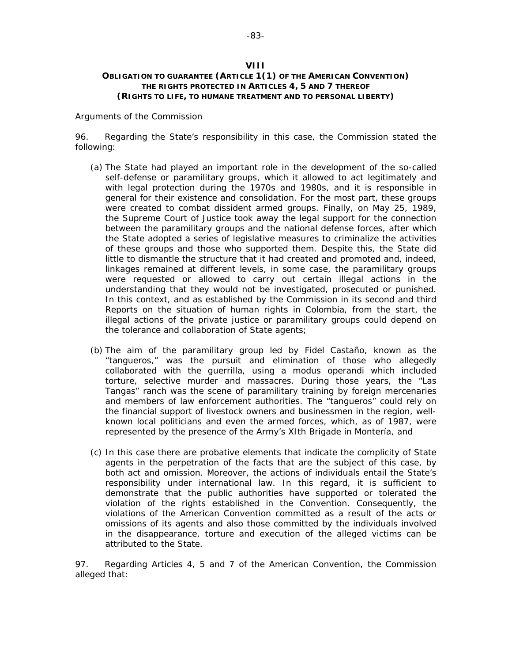## **VIII**

## **OBLIGATION TO GUARANTEE (ARTICLE 1(1) OF THE AMERICAN CONVENTION) THE RIGHTS PROTECTED IN ARTICLES 4, 5 AND 7 THEREOF (RIGHTS TO LIFE, TO HUMANE TREATMENT AND TO PERSONAL LIBERTY)**

#### *Arguments of the Commission*

96. Regarding the State's responsibility in this case, the Commission stated the following:

- (a) The State had played an important role in the development of the so-called self-defense or paramilitary groups, which it allowed to act legitimately and with legal protection during the 1970s and 1980s, and it is responsible in general for their existence and consolidation. For the most part, these groups were created to combat dissident armed groups. Finally, on May 25, 1989, the Supreme Court of Justice took away the legal support for the connection between the paramilitary groups and the national defense forces, after which the State adopted a series of legislative measures to criminalize the activities of these groups and those who supported them. Despite this, the State did little to dismantle the structure that it had created and promoted and, indeed, linkages remained at different levels, in some case, the paramilitary groups were requested or allowed to carry out certain illegal actions in the understanding that they would not be investigated, prosecuted or punished. In this context, and as established by the Commission in its second and third Reports on the situation of human rights in Colombia*,* from the start, the illegal actions of the private justice or paramilitary groups could depend on the tolerance and collaboration of State agents;
- (b) The aim of the paramilitary group led by Fidel Castaño, known as the "*tangueros*," was the pursuit and elimination of those who allegedly collaborated with the guerrilla, using a *modus operandi* which included torture, selective murder and massacres. During those years, the "*Las Tangas*" ranch was the scene of paramilitary training by foreign mercenaries and members of law enforcement authorities. The "*tangueros*" could rely on the financial support of livestock owners and businessmen in the region, wellknown local politicians and even the armed forces, which, as of 1987, were represented by the presence of the Army's XIth Brigade in Montería, and
- (c) In this case there are probative elements that indicate the complicity of State agents in the perpetration of the facts that are the subject of this case, by both act and omission. Moreover, the actions of individuals entail the State's responsibility under international law. In this regard, it is sufficient to demonstrate that the public authorities have supported or tolerated the violation of the rights established in the Convention. Consequently, the violations of the American Convention committed as a result of the acts or omissions of its agents and also those committed by the individuals involved in the disappearance, torture and execution of the alleged victims can be attributed to the State.

97. Regarding Articles 4, 5 and 7 of the American Convention, the Commission alleged that: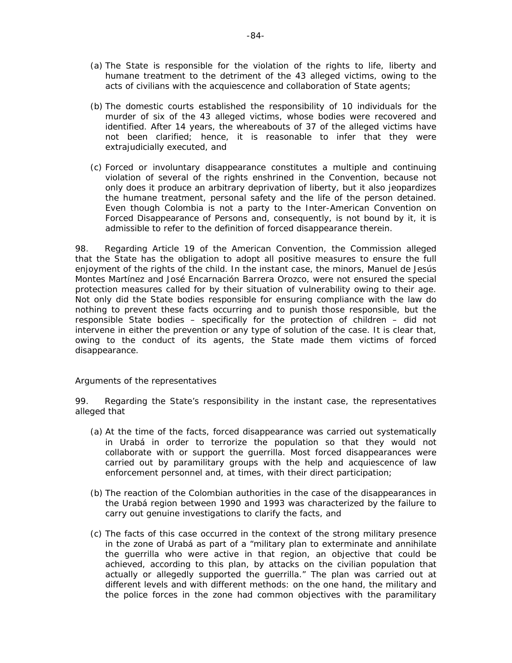- (a) The State is responsible for the violation of the rights to life, liberty and humane treatment to the detriment of the 43 alleged victims, owing to the acts of civilians with the acquiescence and collaboration of State agents;
- (b) The domestic courts established the responsibility of 10 individuals for the murder of six of the 43 alleged victims, whose bodies were recovered and identified. After 14 years, the whereabouts of 37 of the alleged victims have not been clarified; hence, it is reasonable to infer that they were extrajudicially executed, and
- (c) Forced or involuntary disappearance constitutes a multiple and continuing violation of several of the rights enshrined in the Convention, because not only does it produce an arbitrary deprivation of liberty, but it also jeopardizes the humane treatment, personal safety and the life of the person detained. Even though Colombia is not a party to the Inter-American Convention on Forced Disappearance of Persons and, consequently, is not bound by it, it is admissible to refer to the definition of forced disappearance therein.

98. Regarding Article 19 of the American Convention, the Commission alleged that the State has the obligation to adopt all positive measures to ensure the full enjoyment of the rights of the child. In the instant case, the minors, Manuel de Jesús Montes Martínez and José Encarnación Barrera Orozco, were not ensured the special protection measures called for by their situation of vulnerability owing to their age. Not only did the State bodies responsible for ensuring compliance with the law do nothing to prevent these facts occurring and to punish those responsible, but the responsible State bodies – specifically for the protection of children – did not intervene in either the prevention or any type of solution of the case. It is clear that, owing to the conduct of its agents, the State made them victims of forced disappearance.

### *Arguments of the representatives*

99. Regarding the State's responsibility in the instant case, the representatives alleged that

- (a) At the time of the facts, forced disappearance was carried out systematically in Urabá in order to terrorize the population so that they would not collaborate with or support the guerrilla. Most forced disappearances were carried out by paramilitary groups with the help and acquiescence of law enforcement personnel and, at times, with their direct participation;
- (b) The reaction of the Colombian authorities in the case of the disappearances in the Urabá region between 1990 and 1993 was characterized by the failure to carry out genuine investigations to clarify the facts, and
- (c) The facts of this case occurred in the context of the strong military presence in the zone of Urabá as part of a "military plan to exterminate and annihilate the guerrilla who were active in that region, an objective that could be achieved, according to this plan, by attacks on the civilian population that actually or allegedly supported the guerrilla." The plan was carried out at different levels and with different methods: on the one hand, the military and the police forces in the zone had common objectives with the paramilitary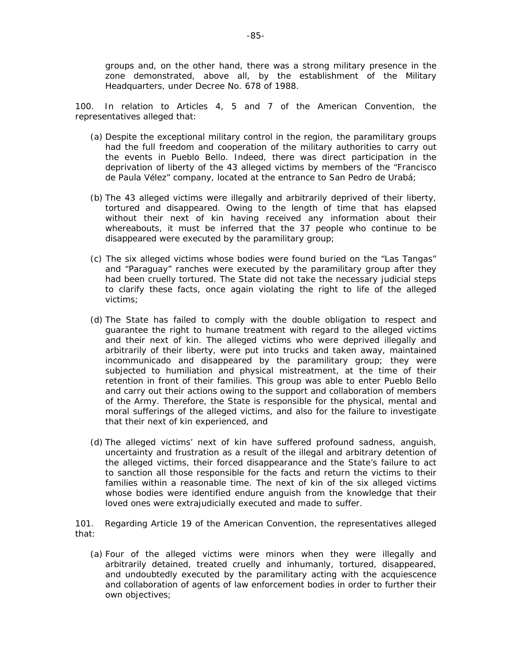groups and, on the other hand, there was a strong military presence in the zone demonstrated, above all, by the establishment of the Military Headquarters, under Decree No. 678 of 1988.

100. In relation to Articles 4, 5 and 7 of the American Convention, the representatives alleged that:

- (a) Despite the exceptional military control in the region, the paramilitary groups had the full freedom and cooperation of the military authorities to carry out the events in Pueblo Bello. Indeed, there was direct participation in the deprivation of liberty of the 43 alleged victims by members of the "Francisco de Paula Vélez" company, located at the entrance to San Pedro de Urabá;
- (b) The 43 alleged victims were illegally and arbitrarily deprived of their liberty, tortured and disappeared. Owing to the length of time that has elapsed without their next of kin having received any information about their whereabouts, it must be inferred that the 37 people who continue to be disappeared were executed by the paramilitary group;
- (c) The six alleged victims whose bodies were found buried on the "*Las Tangas*" and "*Paraguay*" ranches were executed by the paramilitary group after they had been cruelly tortured. The State did not take the necessary judicial steps to clarify these facts, once again violating the right to life of the alleged victims;
- (d) The State has failed to comply with the double obligation to respect and guarantee the right to humane treatment with regard to the alleged victims and their next of kin. The alleged victims who were deprived illegally and arbitrarily of their liberty, were put into trucks and taken away, maintained incommunicado and disappeared by the paramilitary group; they were subjected to humiliation and physical mistreatment, at the time of their retention in front of their families. This group was able to enter Pueblo Bello and carry out their actions owing to the support and collaboration of members of the Army. Therefore, the State is responsible for the physical, mental and moral sufferings of the alleged victims, and also for the failure to investigate that their next of kin experienced, and
- (d) The alleged victims' next of kin have suffered profound sadness, anguish, uncertainty and frustration as a result of the illegal and arbitrary detention of the alleged victims, their forced disappearance and the State's failure to act to sanction all those responsible for the facts and return the victims to their families within a reasonable time. The next of kin of the six alleged victims whose bodies were identified endure anguish from the knowledge that their loved ones were extrajudicially executed and made to suffer.

101. Regarding Article 19 of the American Convention, the representatives alleged that:

(a) Four of the alleged victims were minors when they were illegally and arbitrarily detained, treated cruelly and inhumanly, tortured, disappeared, and undoubtedly executed by the paramilitary acting with the acquiescence and collaboration of agents of law enforcement bodies in order to further their own objectives;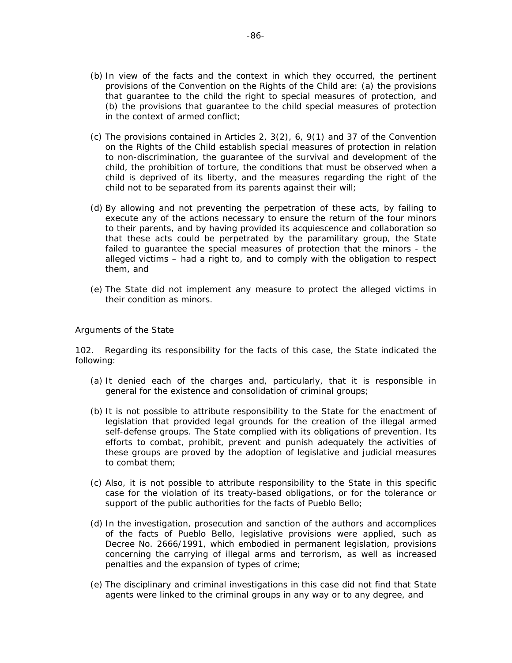- (b) In view of the facts and the context in which they occurred, the pertinent provisions of the Convention on the Rights of the Child are: (a) the provisions that guarantee to the child the right to special measures of protection, and (b) the provisions that guarantee to the child special measures of protection in the context of armed conflict;
- (c) The provisions contained in Articles 2, 3(2), 6, 9(1) and 37 of the Convention on the Rights of the Child establish special measures of protection in relation to non-discrimination, the guarantee of the survival and development of the child, the prohibition of torture, the conditions that must be observed when a child is deprived of its liberty, and the measures regarding the right of the child not to be separated from its parents against their will;
- (d) By allowing and not preventing the perpetration of these acts, by failing to execute any of the actions necessary to ensure the return of the four minors to their parents, and by having provided its acquiescence and collaboration so that these acts could be perpetrated by the paramilitary group, the State failed to guarantee the special measures of protection that the minors - the alleged victims – had a right to, and to comply with the obligation to respect them, and
- (e) The State did not implement any measure to protect the alleged victims in their condition as minors.

### *Arguments of the State*

102. Regarding its responsibility for the facts of this case, the State indicated the following:

- (a) It denied each of the charges and, particularly, that it is responsible in general for the existence and consolidation of criminal groups;
- (b) It is not possible to attribute responsibility to the State for the enactment of legislation that provided legal grounds for the creation of the illegal armed self-defense groups. The State complied with its obligations of prevention. Its efforts to combat, prohibit, prevent and punish adequately the activities of these groups are proved by the adoption of legislative and judicial measures to combat them;
- (c) Also, it is not possible to attribute responsibility to the State in this specific case for the violation of its treaty-based obligations, or for the tolerance or support of the public authorities for the facts of Pueblo Bello;
- (d) In the investigation, prosecution and sanction of the authors and accomplices of the facts of Pueblo Bello, legislative provisions were applied, such as Decree No. 2666/1991, which embodied in permanent legislation, provisions concerning the carrying of illegal arms and terrorism, as well as increased penalties and the expansion of types of crime;
- (e) The disciplinary and criminal investigations in this case did not find that State agents were linked to the criminal groups in any way or to any degree, and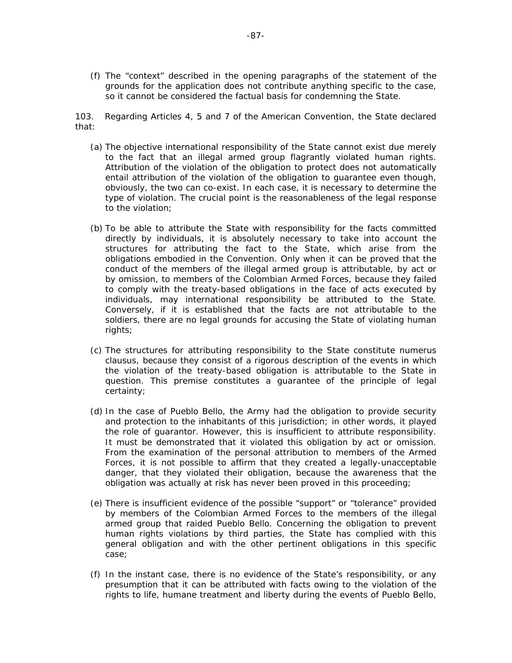(f) The "context" described in the opening paragraphs of the statement of the grounds for the application does not contribute anything specific to the case, so it cannot be considered the factual basis for condemning the State.

103. Regarding Articles 4, 5 and 7 of the American Convention, the State declared that:

- (a) The objective international responsibility of the State cannot exist due merely to the fact that an illegal armed group flagrantly violated human rights. Attribution of the violation of the obligation to protect does not automatically entail attribution of the violation of the obligation to guarantee even though, obviously, the two can co-exist. In each case, it is necessary to determine the type of violation. The crucial point is the reasonableness of the legal response to the violation;
- (b) To be able to attribute the State with responsibility for the facts committed directly by individuals, it is absolutely necessary to take into account the structures for attributing the fact to the State, which arise from the obligations embodied in the Convention. Only when it can be proved that the conduct of the members of the illegal armed group is attributable, by act or by omission, to members of the Colombian Armed Forces, because they failed to comply with the treaty-based obligations in the face of acts executed by individuals, may international responsibility be attributed to the State. Conversely, if it is established that the facts are not attributable to the soldiers, there are no legal grounds for accusing the State of violating human rights;
- (c) The structures for attributing responsibility to the State constitute *numerus clausus*, because they consist of a rigorous description of the events in which the violation of the treaty-based obligation is attributable to the State in question. This premise constitutes a guarantee of the principle of legal certainty;
- (d) In the case of Pueblo Bello, the Army had the obligation to provide security and protection to the inhabitants of this jurisdiction; in other words, it played the role of guarantor. However, this is insufficient to attribute responsibility. It must be demonstrated that it violated this obligation by act or omission. From the examination of the personal attribution to members of the Armed Forces, it is not possible to affirm that they created a legally-unacceptable danger, that they violated their obligation, because the awareness that the obligation was actually at risk has never been proved in this proceeding;
- (e) There is insufficient evidence of the possible "support" or "tolerance" provided by members of the Colombian Armed Forces to the members of the illegal armed group that raided Pueblo Bello. Concerning the obligation to prevent human rights violations by third parties, the State has complied with this general obligation and with the other pertinent obligations in this specific case;
- (f) In the instant case, there is no evidence of the State's responsibility, or any presumption that it can be attributed with facts owing to the violation of the rights to life, humane treatment and liberty during the events of Pueblo Bello,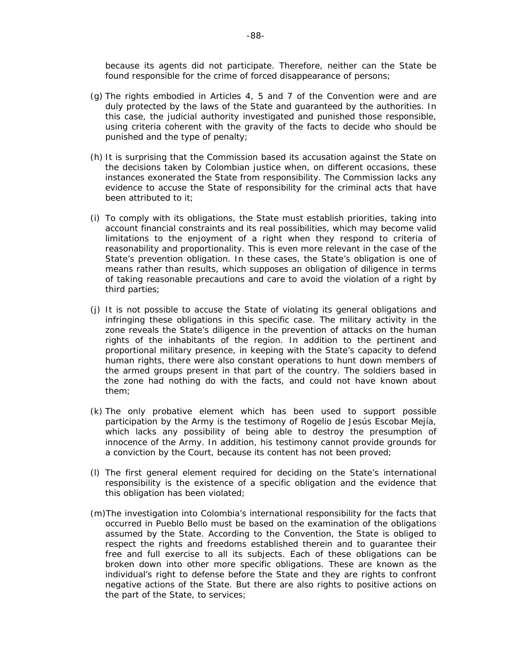because its agents did not participate. Therefore, neither can the State be found responsible for the crime of forced disappearance of persons;

- (g) The rights embodied in Articles 4, 5 and 7 of the Convention were and are duly protected by the laws of the State and guaranteed by the authorities. In this case, the judicial authority investigated and punished those responsible, using criteria coherent with the gravity of the facts to decide who should be punished and the type of penalty;
- (h) It is surprising that the Commission based its accusation against the State on the decisions taken by Colombian justice when, on different occasions, these instances exonerated the State from responsibility. The Commission lacks any evidence to accuse the State of responsibility for the criminal acts that have been attributed to it;
- (i) To comply with its obligations, the State must establish priorities, taking into account financial constraints and its real possibilities, which may become valid limitations to the enjoyment of a right when they respond to criteria of reasonability and proportionality. This is even more relevant in the case of the State's prevention obligation. In these cases, the State's obligation is one of means rather than results, which supposes an obligation of diligence in terms of taking reasonable precautions and care to avoid the violation of a right by third parties;
- (j) It is not possible to accuse the State of violating its general obligations and infringing these obligations in this specific case. The military activity in the zone reveals the State's diligence in the prevention of attacks on the human rights of the inhabitants of the region. In addition to the pertinent and proportional military presence, in keeping with the State's capacity to defend human rights, there were also constant operations to hunt down members of the armed groups present in that part of the country. The soldiers based in the zone had nothing do with the facts, and could not have known about them;
- (k) The only probative element which has been used to support possible participation by the Army is the testimony of Rogelio de Jesús Escobar Mejía, which lacks any possibility of being able to destroy the presumption of innocence of the Army. In addition, his testimony cannot provide grounds for a conviction by the Court, because its content has not been proved;
- (l) The first general element required for deciding on the State's international responsibility is the existence of a specific obligation and the evidence that this obligation has been violated;
- (m)The investigation into Colombia's international responsibility for the facts that occurred in Pueblo Bello must be based on the examination of the obligations assumed by the State. According to the Convention, the State is obliged to respect the rights and freedoms established therein and to guarantee their free and full exercise to all its subjects. Each of these obligations can be broken down into other more specific obligations. These are known as the individual's right to defense before the State and they are rights to confront negative actions of the State. But there are also rights to positive actions on the part of the State, to services;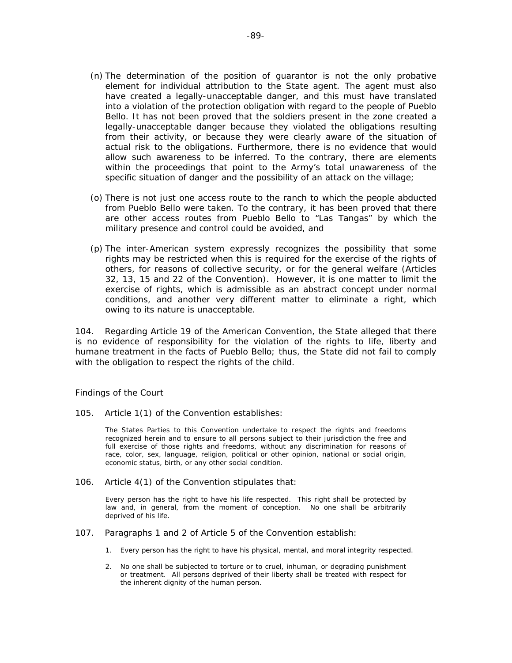- (n) The determination of the position of guarantor is not the only probative element for individual attribution to the State agent. The agent must also have created a legally-unacceptable danger, and this must have translated into a violation of the protection obligation with regard to the people of Pueblo Bello. It has not been proved that the soldiers present in the zone created a legally-unacceptable danger because they violated the obligations resulting from their activity, or because they were clearly aware of the situation of actual risk to the obligations. Furthermore, there is no evidence that would allow such awareness to be inferred. To the contrary, there are elements within the proceedings that point to the Army's total unawareness of the specific situation of danger and the possibility of an attack on the village;
- (o) There is not just one access route to the ranch to which the people abducted from Pueblo Bello were taken. To the contrary, it has been proved that there are other access routes from Pueblo Bello to "*Las Tangas*" by which the military presence and control could be avoided, and
- (p) The inter-American system expressly recognizes the possibility that some rights may be restricted when this is required for the exercise of the rights of others, for reasons of collective security, or for the general welfare (Articles 32, 13, 15 and 22 of the Convention). However, it is one matter to limit the exercise of rights, which is admissible as an abstract concept under normal conditions, and another very different matter to eliminate a right, which owing to its nature is unacceptable.

104. Regarding Article 19 of the American Convention, the State alleged that there is no evidence of responsibility for the violation of the rights to life, liberty and humane treatment in the facts of Pueblo Bello; thus, the State did not fail to comply with the obligation to respect the rights of the child.

### *Findings of the Court*

105. Article 1(1) of the Convention establishes:

The States Parties to this Convention undertake to respect the rights and freedoms recognized herein and to ensure to all persons subject to their jurisdiction the free and full exercise of those rights and freedoms, without any discrimination for reasons of race, color, sex, language, religion, political or other opinion, national or social origin, economic status, birth, or any other social condition.

106. Article 4(1) of the Convention stipulates that:

Every person has the right to have his life respected. This right shall be protected by law and, in general, from the moment of conception. No one shall be arbitrarily deprived of his life.

- 107. Paragraphs 1 and 2 of Article 5 of the Convention establish:
	- 1. Every person has the right to have his physical, mental, and moral integrity respected.
	- 2. No one shall be subjected to torture or to cruel, inhuman, or degrading punishment or treatment. All persons deprived of their liberty shall be treated with respect for the inherent dignity of the human person.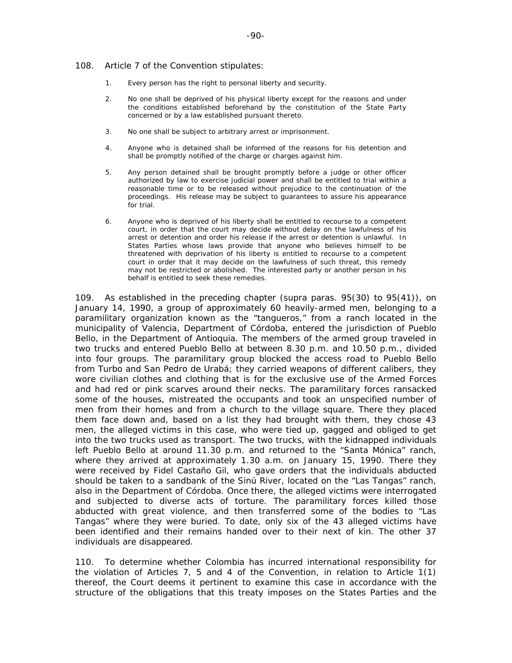#### 108. Article 7 of the Convention stipulates:

- 1. Every person has the right to personal liberty and security.
- 2. No one shall be deprived of his physical liberty except for the reasons and under the conditions established beforehand by the constitution of the State Party concerned or by a law established pursuant thereto.
- 3. No one shall be subject to arbitrary arrest or imprisonment.
- 4. Anyone who is detained shall be informed of the reasons for his detention and shall be promptly notified of the charge or charges against him.
- 5. Any person detained shall be brought promptly before a judge or other officer authorized by law to exercise judicial power and shall be entitled to trial within a reasonable time or to be released without prejudice to the continuation of the proceedings. His release may be subject to guarantees to assure his appearance for trial.
- 6. Anyone who is deprived of his liberty shall be entitled to recourse to a competent court, in order that the court may decide without delay on the lawfulness of his arrest or detention and order his release if the arrest or detention is unlawful. In States Parties whose laws provide that anyone who believes himself to be threatened with deprivation of his liberty is entitled to recourse to a competent court in order that it may decide on the lawfulness of such threat, this remedy may not be restricted or abolished. The interested party or another person in his behalf is entitled to seek these remedies.

109. As established in the preceding chapter (*supra* paras. 95(30) to 95(41)), on January 14, 1990, a group of approximately 60 heavily-armed men, belonging to a paramilitary organization known as the "*tangueros,*" from a ranch located in the municipality of Valencia, Department of Córdoba, entered the jurisdiction of Pueblo Bello, in the Department of Antioquia. The members of the armed group traveled in two trucks and entered Pueblo Bello at between 8.30 p.m. and 10.50 p.m., divided into four groups. The paramilitary group blocked the access road to Pueblo Bello from Turbo and San Pedro de Urabá; they carried weapons of different calibers, they wore civilian clothes and clothing that is for the exclusive use of the Armed Forces and had red or pink scarves around their necks. The paramilitary forces ransacked some of the houses, mistreated the occupants and took an unspecified number of men from their homes and from a church to the village square. There they placed them face down and, based on a list they had brought with them, they chose 43 men, the alleged victims in this case, who were tied up, gagged and obliged to get into the two trucks used as transport. The two trucks, with the kidnapped individuals left Pueblo Bello at around 11.30 p.m. and returned to the "*Santa Mónica*" ranch, where they arrived at approximately 1.30 a.m. on January 15, 1990. There they were received by Fidel Castaño Gil, who gave orders that the individuals abducted should be taken to a sandbank of the Sinú River, located on the "*Las Tangas*" ranch, also in the Department of Córdoba. Once there, the alleged victims were interrogated and subjected to diverse acts of torture. The paramilitary forces killed those abducted with great violence, and then transferred some of the bodies to "*Las Tangas*" where they were buried. To date, only six of the 43 alleged victims have been identified and their remains handed over to their next of kin. The other 37 individuals are disappeared.

110. To determine whether Colombia has incurred international responsibility for the violation of Articles 7, 5 and 4 of the Convention, in relation to Article 1(1) thereof, the Court deems it pertinent to examine this case in accordance with the structure of the obligations that this treaty imposes on the States Parties and the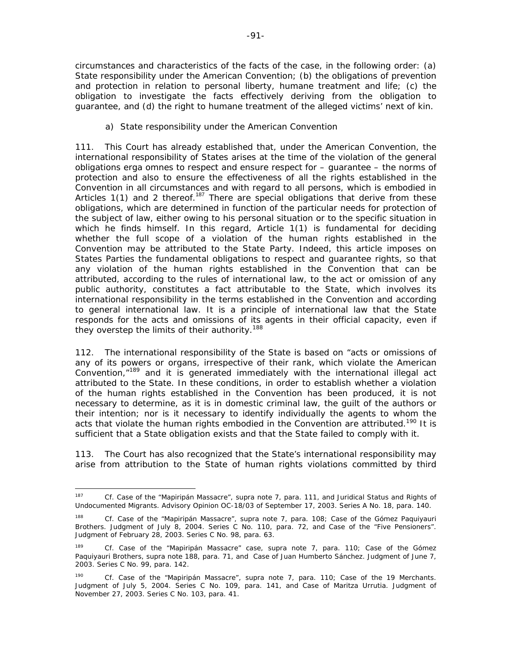circumstances and characteristics of the facts of the case, in the following order: (a) State responsibility under the American Convention; (b) the obligations of prevention and protection in relation to personal liberty, humane treatment and life; (c) the obligation to investigate the facts effectively deriving from the obligation to guarantee, and (d) the right to humane treatment of the alleged victims' next of kin.

# *a) State responsibility under the American Convention*

111. This Court has already established that, under the American Convention, the international responsibility of States arises at the time of the violation of the general obligations *erga omnes* to respect and ensure respect for – guarantee – the norms of protection and also to ensure the effectiveness of all the rights established in the Convention in all circumstances and with regard to all persons, which is embodied in Articles 1(1) and 2 thereof.<sup>187</sup> There are special obligations that derive from these obligations, which are determined in function of the particular needs for protection of the subject of law, either owing to his personal situation or to the specific situation in which he finds himself. In this regard, Article 1(1) is fundamental for deciding whether the full scope of a violation of the human rights established in the Convention may be attributed to the State Party. Indeed, this article imposes on States Parties the fundamental obligations to respect and guarantee rights, so that any violation of the human rights established in the Convention that can be attributed, according to the rules of international law, to the act or omission of any public authority, constitutes a fact attributable to the State, which involves its international responsibility in the terms established in the Convention and according to general international law. It is a principle of international law that the State responds for the acts and omissions of its agents in their official capacity, even if they overstep the limits of their authority.<sup>188</sup>

112. The international responsibility of the State is based on "acts or omissions of any of its powers or organs, irrespective of their rank, which violate the American Convention,<sup>"189</sup> and it is generated immediately with the international illegal act attributed to the State. In these conditions, in order to establish whether a violation of the human rights established in the Convention has been produced, it is not necessary to determine, as it is in domestic criminal law, the guilt of the authors or their intention; nor is it necessary to identify individually the agents to whom the acts that violate the human rights embodied in the Convention are attributed.<sup>190</sup> It is sufficient that a State obligation exists and that the State failed to comply with it.

113. The Court has also recognized that the State's international responsibility may arise from attribution to the State of human rights violations committed by third

<sup>187</sup> 187 *Cf. Case of the "Mapiripán Massacre", supra* note 7, para. 111, and *Juridical Status and Rights of Undocumented Migrants.* Advisory Opinion OC-18/03 of September 17, 2003. Series A No. 18, para. 140.

<sup>188</sup>*Cf. Case of the "Mapiripán Massacre", supra* note 7, para. 108; *Case of the Gómez Paquiyauri Brothers*. Judgment of July 8, 2004. Series C No. 110, para. 72, and *Case of the "Five Pensioners".* Judgment of February 28, 2003. Series C No. 98, para. 63.

<sup>189</sup> *Cf. Case of the "Mapiripán Massacre" case, supra* note 7, para. 110; *Case of the Gómez Paquiyauri Brothers, supra note* 188, para. 71, and *Case of Juan Humberto Sánchez.* Judgment of June 7, 2003. Series C No. 99, para. 142.

<sup>190</sup> *Cf. Case of the "Mapiripán Massacre", supra* note 7, para. 110; *Case of the 19 Merchants*. Judgment of July 5, 2004. Series C No. 109, para. 141, and *Case of Maritza Urrutia*. Judgment of November 27, 2003. Series C No. 103, para. 41.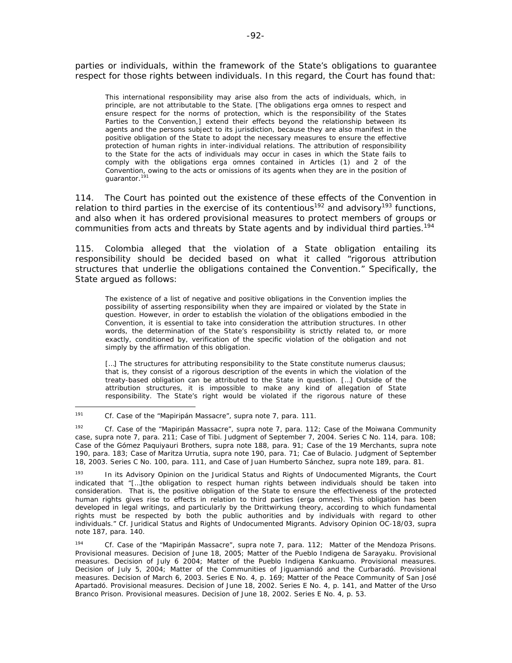This international responsibility may arise also from the acts of individuals, which, in principle, are not attributable to the State. [The obligations *erga omnes* to respect and ensure respect for the norms of protection, which is the responsibility of the States Parties to the Convention,] extend their effects beyond the relationship between its agents and the persons subject to its jurisdiction, because they are also manifest in the positive obligation of the State to adopt the necessary measures to ensure the effective protection of human rights in inter-individual relations. The attribution of responsibility to the State for the acts of individuals may occur in cases in which the State fails to comply with the obligations *erga omnes* contained in Articles (1) and 2 of the Convention, owing to the acts or omissions of its agents when they are in the position of guarantor.<sup>191</sup>

114. The Court has pointed out the existence of these effects of the Convention in relation to third parties in the exercise of its contentious<sup>192</sup> and advisory<sup>193</sup> functions, and also when it has ordered provisional measures to protect members of groups or communities from acts and threats by State agents and by individual third parties.<sup>194</sup>

115. Colombia alleged that the violation of a State obligation entailing its responsibility should be decided based on what it called "rigorous attribution structures that underlie the obligations contained the Convention." Specifically, the State argued as follows:

The existence of a list of negative and positive obligations in the Convention implies the possibility of asserting responsibility when they are impaired or violated by the State in question. However, in order to establish the violation of the obligations embodied in the Convention, it is essential to take into consideration the attribution structures. In other words, the determination of the State's responsibility is strictly related to, or more exactly, conditioned by, verification of the *specific violation of the obligation* and not simply by the affirmation of this obligation.

[...] The structures for attributing responsibility to the State constitute *numerus clausus*; that is, they consist of a rigorous description of the events in which the violation of the treaty-based obligation can be attributed to the State in question. […] Outside of the attribution structures, it is impossible to make any kind of allegation of State responsibility. The State's right would be violated if the rigorous nature of these

In its Advisory Opinion on the *Juridical Status and Rights of Undocumented Migrants*, the Court indicated that "[…]the obligation to respect human rights between individuals should be taken into consideration. That is, the positive obligation of the State to ensure the effectiveness of the protected human rights gives rise to effects in relation to third parties (*erga omnes)*. This obligation has been developed in legal writings, and particularly by the *Drittwirkung* theory, according to which fundamental rights must be respected by both the public authorities and by individuals with regard to other individuals." *Cf. Juridical Status and Rights of Undocumented Migrants.* Advisory Opinion OC-18/03, *supra* note 187, para. 140.

194 *Cf. Case of the "Mapiripán Massacre", supra* note 7, para. 112; *Matter of the Mendoza Prisons*. Provisional measures. Decision of June 18, 2005; *Matter of the Pueblo Indigena de Sarayaku*. Provisional measures. Decision of July 6 2004; *Matter of the Pueblo Indigena Kankuamo*. Provisional measures. Decision of July 5, 2004; *Matter of the Communities of Jiguamiandó and the Curbaradó*. Provisional measures. Decision of March 6, 2003. Series E No. 4, p. 169; *Matter of the Peace Community of San José Apartadó*. Provisional measures. Decision of June 18, 2002. Series E No. 4, p. 141, and *Matter of the Urso Branco Prison*. Provisional measures. Decision of June 18, 2002. Series E No. 4, p. 53.

 $191$ 191 *Cf. Case of the "Mapiripán Massacre", supra* note 7, para. 111.

<sup>192</sup> *Cf. Case of the "Mapiripán Massacre", supra* note 7, para. 112; *Case of the Moiwana Community case*, *supra note* 7, para. 211; *Case of Tibi*. Judgment of September 7, 2004. Series C No. 114, para. 108; *Case of the Gómez Paquiyauri Brothers*, *supra note* 188, para. 91; *Case of the 19 Merchants*, *supra note*  190, para. 183; *Case of Maritza Urrutia*, *supra note* 190, para. 71; *Cae of Bulacio*. Judgment of September 18, 2003. Series C No. 100, para. 111, and *Case of Juan Humberto Sánchez, supra note* 189, para. 81.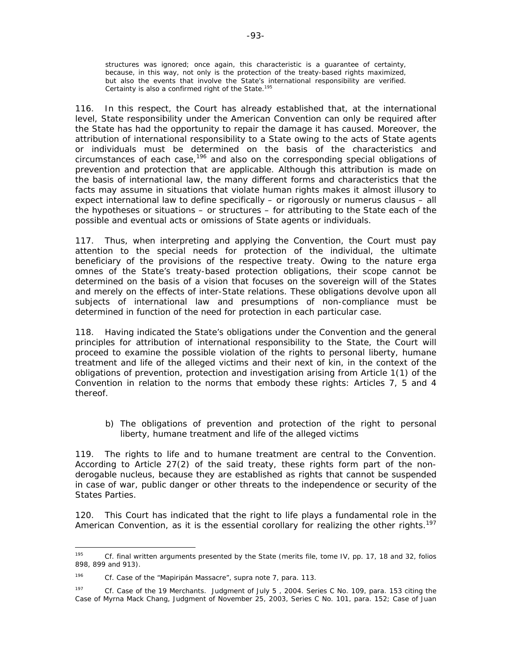structures was ignored; once again, this characteristic is a guarantee of certainty, because, in this way, not only is the protection of the treaty-based rights maximized, but also the events that involve the State's international responsibility are verified. Certainty is also a confirmed right of the State.<sup>195</sup>

116. In this respect, the Court has already established that, at the international level, State responsibility under the American Convention can only be required after the State has had the opportunity to repair the damage it has caused. Moreover, the attribution of international responsibility to a State owing to the acts of State agents or individuals must be determined on the basis of the characteristics and circumstances of each case,  $196$  and also on the corresponding special obligations of prevention and protection that are applicable. Although this attribution is made on the basis of international law, the many different forms and characteristics that the facts may assume in situations that violate human rights makes it almost illusory to expect international law to define specifically – or rigorously or *numerus clausus –* all the hypotheses or situations – or structures – for attributing to the State each of the possible and eventual acts or omissions of State agents or individuals.

117. Thus, when interpreting and applying the Convention, the Court must pay attention to the special needs for protection of the individual, the ultimate beneficiary of the provisions of the respective treaty. Owing to the nature *erga omnes* of the State's treaty-based protection obligations, their scope cannot be determined on the basis of a vision that focuses on the sovereign will of the States and merely on the effects of inter-State relations. These obligations devolve upon all subjects of international law and presumptions of non-compliance must be determined in function of the need for protection in each particular case.

118. Having indicated the State's obligations under the Convention and the general principles for attribution of international responsibility to the State, the Court will proceed to examine the possible violation of the rights to personal liberty, humane treatment and life of the alleged victims and their next of kin, in the context of the obligations of prevention, protection and investigation arising from Article 1(1) of the Convention in relation to the norms that embody these rights: Articles 7, 5 and 4 thereof.

# b) The obligations of prevention and protection of the right to personal *liberty, humane treatment and life of the alleged victims*

119. The rights to life and to humane treatment are central to the Convention. According to Article 27(2) of the said treaty, these rights form part of the nonderogable nucleus, because they are established as rights that cannot be suspended in case of war, public danger or other threats to the independence or security of the States Parties.

120. This Court has indicated that the right to life plays a fundamental role in the American Convention, as it is the essential corollary for realizing the other rights.<sup>197</sup>

<sup>195</sup> Cf. final written arguments presented by the State (merits file, tome IV, pp. 17, 18 and 32, folios 898, 899 and 913).

<sup>196</sup> *Cf. Case of the "Mapiripán Massacre", supra* note 7, para. 113.

<sup>197</sup> *Cf. Case of the 19 Merchants.* Judgment of July 5 , 2004. Series C No. 109, para. 153 citing the *Case of Myrna Mack Chang*, Judgment of November 25, 2003, Series C No. 101, para. 152; *Case of Juan*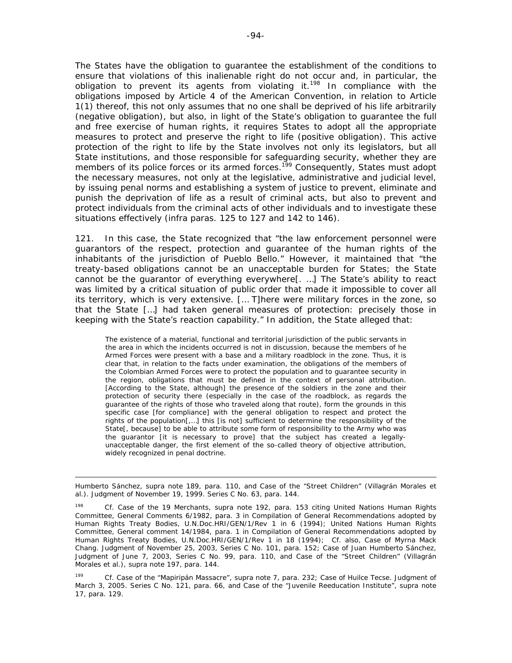The States have the obligation to guarantee the establishment of the conditions to ensure that violations of this inalienable right do not occur and, in particular, the obligation to prevent its agents from violating it.<sup>198</sup> In compliance with the obligations imposed by Article 4 of the American Convention, in relation to Article 1(1) thereof, this not only assumes that no one shall be deprived of his life arbitrarily (negative obligation), but also, in light of the State's obligation to guarantee the full and free exercise of human rights, it requires States to adopt all the appropriate measures to protect and preserve the right to life (positive obligation). This active protection of the right to life by the State involves not only its legislators, but all State institutions, and those responsible for safeguarding security, whether they are members of its police forces or its armed forces.<sup>199</sup> Consequently, States must adopt the necessary measures, not only at the legislative, administrative and judicial level, by issuing penal norms and establishing a system of justice to prevent, eliminate and punish the deprivation of life as a result of criminal acts, but also to prevent and protect individuals from the criminal acts of other individuals and to investigate these situations effectively (*infra* paras. 125 to 127 and 142 to 146).

121. In this case, the State recognized that "the law enforcement personnel were guarantors of the respect, protection and guarantee of the human rights of the inhabitants of the jurisdiction of Pueblo Bello." However, it maintained that "the treaty-based obligations cannot be an unacceptable burden for States; the State *cannot* be the guarantor of everything everywhere[. …] The State's ability to react was limited by a critical situation of public order that made it impossible to cover all its territory, which is very extensive. [… T]here were military forces in the zone, so that the State […] had taken general measures of protection: precisely those in keeping with the State's reaction capability." In addition, the State alleged that:

The existence of a material, functional and territorial jurisdiction of the public servants in the area in which the incidents occurred is not in discussion, because the members of he Armed Forces were present with a base and a military roadblock in the zone. Thus, it is clear that, in relation to the facts under examination, the obligations of the members of the Colombian Armed Forces were to protect the population and to guarantee security in the region, obligations that must be defined in the context of personal attribution. [According to the State, although] the presence of the soldiers in the zone and their protection of security there (especially in the case of the roadblock, as regards the guarantee of the rights of those who traveled along that route), form the grounds in this specific case [for compliance] with the general obligation to respect and protect the rights of the population[,…] this [is not] sufficient to determine the responsibility of the State[, because] to be able to attribute some form of responsibility to the Army who was the guarantor [it is necessary to prove] that the subject has created a legallyunacceptable danger, the first element of the so-called theory of objective attribution, widely recognized in penal doctrine.

 $\overline{a}$ 

*Humberto Sánchez*, *supra* note 189, para. 110, and *Case of the "Street Children" (Villagrán Morales et al.).* Judgment of November 19, 1999. Series C No. 63, para. 144.

<sup>198</sup> *Cf. Case of the 19 Merchants, supra* note 192, para. 153 citing United Nations Human Rights Committee, General Comments 6/1982, para. 3 in *Compilation of General Recommendations adopted by Human Rights Treaty Bodies*, U.N.Doc.HRI/GEN/1/Rev 1 in 6 (1994); *United Nations Human Rights Committee*, General comment 14/1984, para. 1 in Compilation of General Recommendations adopted by Human Rights Treaty Bodies, U.N.Doc.HRI/GEN/1/Rev 1 in 18 (1994); *Cf.* also, *Case of Myrna Mack Chang*. Judgment of November 25, 2003, Series C No. 101, para. 152; *Case of Juan Humberto Sánchez*, Judgment of June 7, 2003, Series C No. 99, para. 110, and *Case of the "Street Children" (Villagrán Morales et al.), supra* note 197, para. 144.

<sup>199</sup> *Cf. Case of the "Mapiripán Massacre", supra note* 7, para. 232; *Case of Huilce Tecse*. Judgment of March 3, 2005. Series C No. 121, para. 66, and *Case of the "Juvenile Reeducation Institute", supra* note 17, para. 129.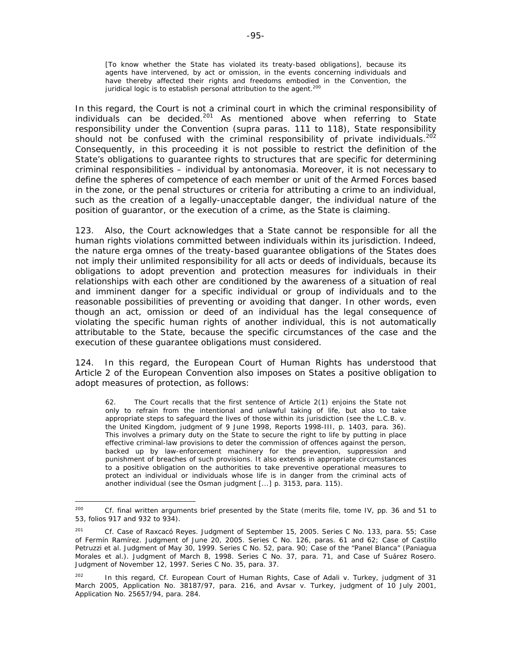[To know whether the State has violated its treaty-based obligations], because its agents have intervened, by act or omission, in the events concerning individuals and have thereby affected their rights and freedoms embodied in the Convention, the juridical logic is to establish personal attribution to the agent. $200$ 

In this regard, the Court is not a criminal court in which the criminal responsibility of individuals can be decided.<sup>201</sup> As mentioned above when referring to State responsibility under the Convention (*supra* paras. 111 to 118), State responsibility should not be confused with the criminal responsibility of private individuals.<sup>202</sup> Consequently, in this proceeding it is not possible to restrict the definition of the State's obligations to guarantee rights to structures that are specific for determining criminal responsibilities – individual by antonomasia. Moreover, it is not necessary to define the spheres of competence of each member or unit of the Armed Forces based in the zone, or the penal structures or criteria for attributing a crime to an individual, such as the creation of a legally-unacceptable danger, the individual nature of the position of guarantor, or the execution of a crime, as the State is claiming.

123. Also, the Court acknowledges that a State cannot be responsible for all the human rights violations committed between individuals within its jurisdiction. Indeed, the nature *erga omnes* of the treaty-based guarantee obligations of the States does not imply their unlimited responsibility for all acts or deeds of individuals, because its obligations to adopt prevention and protection measures for individuals in their relationships with each other are conditioned by the awareness of a situation of real and imminent danger for a specific individual or group of individuals and to the reasonable possibilities of preventing or avoiding that danger. In other words, even though an act, omission or deed of an individual has the legal consequence of violating the specific human rights of another individual, this is not automatically attributable to the State, because the specific circumstances of the case and the execution of these guarantee obligations must considered.

124. In this regard, the European Court of Human Rights has understood that Article 2 of the European Convention also imposes on States a positive obligation to adopt measures of protection, as follows:

62. The Court recalls that the first sentence of Article 2(1) enjoins the State not only to refrain from the intentional and unlawful taking of life, but also to take appropriate steps to safeguard the lives of those within its jurisdiction (see the L.C.B. v. the United Kingdom, judgment of 9 June 1998, *Reports* 1998-III, p. 1403, para. 36). This involves a primary duty on the State to secure the right to life by putting in place effective criminal-law provisions to deter the commission of offences against the person, backed up by law-enforcement machinery for the prevention, suppression and punishment of breaches of such provisions. It also extends in appropriate circumstances to a positive obligation on the authorities to take preventive operational measures to protect an individual or individuals whose life is in danger from the criminal acts of another individual (see the Osman judgment [...] p. 3153, para. 115).

<sup>200</sup> *Cf.* final written arguments brief presented by the State (merits file, tome IV, pp. 36 and 51 to 53, folios 917 and 932 to 934).

<sup>201</sup> *Cf. Case of Raxcacó Reyes*. Judgment of September 15, 2005. Series C No. 133, para. 55; *Case of Fermín Ramírez*. Judgment of June 20, 2005. Series C No. 126, paras. 61 and 62; *Case of Castillo Petruzzi et al.* Judgment of May 30, 1999. Series C No. 52, para. 90; *Case of the "Panel Blanca" (Paniagua Morales et al.).* Judgment of March 8, 1998. Series C No. 37, para. 71, and *Case uf Suárez Rosero.*  Judgment of November 12, 1997. Series C No. 35, para. 37.

<sup>202</sup> In this regard, *Cf. European Court of Human Rights*, *Case of Adali v. Turkey, judgment of 31 March 2005,* Application No. 38187/97, *para.* 216, *and Avsar v. Turkey, judgment of 10 July 2001,*  Application No. 25657/94, para. 284.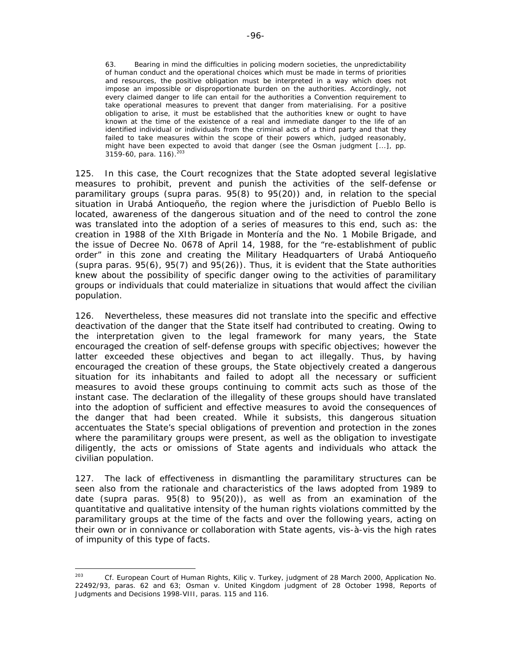63. Bearing in mind the difficulties in policing modern societies, the unpredictability of human conduct and the operational choices which must be made in terms of priorities and resources, the positive obligation must be interpreted in a way which does not impose an impossible or disproportionate burden on the authorities. Accordingly, not every claimed danger to life can entail for the authorities a Convention requirement to take operational measures to prevent that danger from materialising. For a positive obligation to arise, it must be established that the authorities knew or ought to have known at the time of the existence of a real and immediate danger to the life of an identified individual or individuals from the criminal acts of a third party and that they failed to take measures within the scope of their powers which, judged reasonably, might have been expected to avoid that danger (see the Osman judgment [...], pp. 3159-60, para. 116).<sup>203</sup>

125. In this case, the Court recognizes that the State adopted several legislative measures to prohibit, prevent and punish the activities of the self-defense or paramilitary groups (*supra* paras. 95(8) to 95(20)) and, in relation to the special situation in Urabá Antioqueño, the region where the jurisdiction of Pueblo Bello is located, awareness of the dangerous situation and of the need to control the zone was translated into the adoption of a series of measures to this end, such as: the creation in 1988 of the XIth Brigade in Montería and the No. 1 Mobile Brigade, and the issue of Decree No. 0678 of April 14, 1988, for the "re-establishment of public order" in this zone and creating the Military Headquarters of Urabá Antioqueño (*supra* paras. 95(6), 95(7) and 95(26)). Thus, it is evident that the State authorities knew about the possibility of specific danger owing to the activities of paramilitary groups or individuals that could materialize in situations that would affect the civilian population.

126. Nevertheless, these measures did not translate into the specific and effective deactivation of the danger that the State itself had contributed to creating. Owing to the interpretation given to the legal framework for many years, the State encouraged the creation of self-defense groups with specific objectives; however the latter exceeded these objectives and began to act illegally. Thus, by having encouraged the creation of these groups, the State objectively created a dangerous situation for its inhabitants and failed to adopt all the necessary or sufficient measures to avoid these groups continuing to commit acts such as those of the instant case. The declaration of the illegality of these groups should have translated into the adoption of sufficient and effective measures to avoid the consequences of the danger that had been created. While it subsists, this dangerous situation accentuates the State's special obligations of prevention and protection in the zones where the paramilitary groups were present, as well as the obligation to investigate diligently, the acts or omissions of State agents and individuals who attack the civilian population.

127. The lack of effectiveness in dismantling the paramilitary structures can be seen also from the rationale and characteristics of the laws adopted from 1989 to date (*supra* paras. 95(8) to 95(20)), as well as from an examination of the quantitative and qualitative intensity of the human rights violations committed by the paramilitary groups at the time of the facts and over the following years, acting on their own or in connivance or collaboration with State agents, *vis-à-vis* the high rates of impunity of this type of facts.

<sup>203</sup> Cf. European Court of Human Rights, Kiliç v. Turkey, judgment of 28 March 2000, Application No. 22492/93, paras. 62 and 63; *Osman v. United Kingdom* judgment of 28 October 1998, Reports of Judgments and Decisions 1998-VIII, paras. 115 and 116.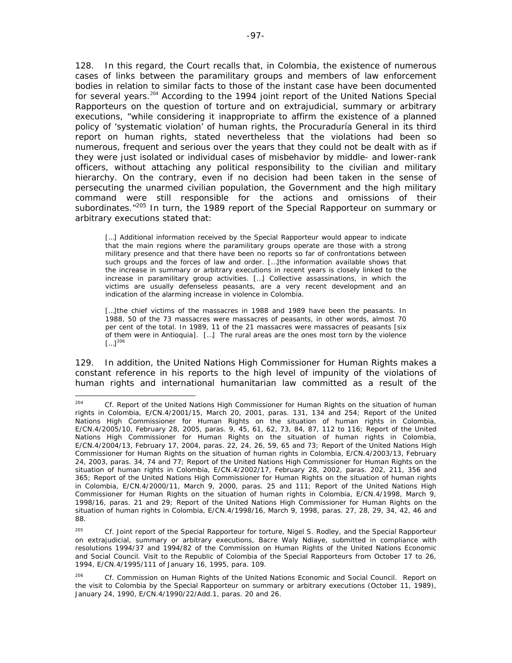128. In this regard, the Court recalls that, in Colombia, the existence of numerous cases of links between the paramilitary groups and members of law enforcement bodies in relation to similar facts to those of the instant case have been documented for several years. $204$  According to the 1994 joint report of the United Nations Special Rapporteurs on the question of torture and on extrajudicial, summary or arbitrary executions, "while considering it inappropriate to affirm the existence of a planned policy of 'systematic violation' of human rights, the *Procuraduría General* in its third report on human rights, stated nevertheless that the violations had been so numerous, frequent and serious over the years that they could not be dealt with as if they were just isolated or individual cases of misbehavior by middle- and lower-rank officers, without attaching any political responsibility to the civilian and military hierarchy. On the contrary, even if no decision had been taken in the sense of persecuting the unarmed civilian population, the Government and the high military command were still responsible for the actions and omissions of their subordinates.<sup>"205</sup> In turn, the 1989 report of the Special Rapporteur on summary or arbitrary executions stated that:

[...] Additional information received by the Special Rapporteur would appear to indicate that the main regions where the paramilitary groups operate are those with a strong military presence and that there have been no reports so far of confrontations between such groups and the forces of law and order. […]the information available shows that the increase in summary or arbitrary executions in recent years is closely linked to the increase in paramilitary group activities. […] Collective assassinations, in which the victims are usually defenseless peasants, are a very recent development and an indication of the alarming increase in violence in Colombia.

[...] the chief victims of the massacres in 1988 and 1989 have been the peasants. In 1988, 50 of the 73 massacres were massacres of peasants, in other words, almost 70 per cent of the total. In 1989, 11 of the 21 massacres were massacres of peasants [six of them were in Antioquia]. […] The rural areas are the ones most torn by the violence  $[\dots]^{206}$ 

129. In addition, the United Nations High Commissioner for Human Rights makes a constant reference in his reports to the high level of impunity of the violations of human rights and international humanitarian law committed as a result of the

<sup>204</sup> Cf. Report of the United Nations High Commissioner for Human Rights on the situation of human rights in Colombia, E/CN.4/2001/15, March 20, 2001, paras. 131, 134 and 254; Report of the United Nations High Commissioner for Human Rights on the situation of human rights in Colombia, E/CN.4/2005/10, February 28, 2005, paras. 9, 45, 61, 62, 73, 84, 87, 112 to 116; Report of the United Nations High Commissioner for Human Rights on the situation of human rights in Colombia, E/CN.4/2004/13, February 17, 2004, paras. 22, 24, 26, 59, 65 and 73; Report of the United Nations High Commissioner for Human Rights on the situation of human rights in Colombia, E/CN.4/2003/13, February 24, 2003, paras. 34, 74 and 77; Report of the United Nations High Commissioner for Human Rights on the situation of human rights in Colombia, E/CN.4/2002/17, February 28, 2002, paras. 202, 211, 356 and 365; Report of the United Nations High Commissioner for Human Rights on the situation of human rights in Colombia, E/CN.4/2000/11, March 9, 2000, paras. 25 and 111; Report of the United Nations High Commissioner for Human Rights on the situation of human rights in Colombia, E/CN.4/1998, March 9, 1998/16, paras. 21 and 29; Report of the United Nations High Commissioner for Human Rights on the situation of human rights in Colombia, E/CN.4/1998/16, March 9, 1998, paras. 27, 28, 29, 34, 42, 46 and 88.

<sup>&</sup>lt;sup>205</sup> *Cf.* Joint report of the Special Rapporteur for torture, Nigel S. Rodley, and the Special Rapporteur on extrajudicial, summary or arbitrary executions, Bacre Waly Ndiaye, submitted in compliance with resolutions 1994/37 and 1994/82 of the Commission on Human Rights of the United Nations Economic and Social Council. Visit to the Republic of Colombia of the Special Rapporteurs from October 17 to 26, 1994, E/CN.4/1995/111 of January 16, 1995, para. 109.

<sup>206</sup> *Cf.* Commission on Human Rights of the United Nations Economic and Social Council. Report on the visit to Colombia by the Special Rapporteur on summary or arbitrary executions (October 11, 1989), January 24, 1990, E/CN.4/1990/22/Add.1, paras. 20 and 26.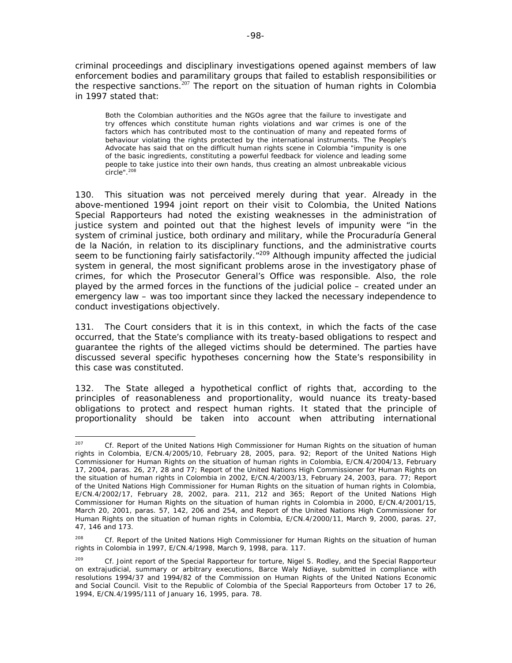criminal proceedings and disciplinary investigations opened against members of law enforcement bodies and paramilitary groups that failed to establish responsibilities or the respective sanctions.<sup>207</sup> The report on the situation of human rights in Colombia in 1997 stated that:

Both the Colombian authorities and the NGOs agree that the failure to investigate and try offences which constitute human rights violations and war crimes is one of the factors which has contributed most to the continuation of many and repeated forms of behaviour violating the rights protected by the international instruments. The People's Advocate has said that on the difficult human rights scene in Colombia "impunity is one of the basic ingredients, constituting a powerful feedback for violence and leading some people to take justice into their own hands, thus creating an almost unbreakable vicious circle".<sup>208</sup>

130. This situation was not perceived merely during that year. Already in the above-mentioned 1994 joint report on their visit to Colombia, the United Nations Special Rapporteurs had noted the existing weaknesses in the administration of justice system and pointed out that the highest levels of impunity were "in the system of criminal justice, both ordinary and military, while the *Procuraduría General de la Nación,* in relation to its disciplinary functions, and the administrative courts seem to be functioning fairly satisfactorily.<sup>"209</sup> Although impunity affected the judicial system in general, the most significant problems arose in the investigatory phase of crimes, for which the Prosecutor General's Office was responsible. Also, the role played by the armed forces in the functions of the judicial police – created under an emergency law – was too important since they lacked the necessary independence to conduct investigations objectively.

131. The Court considers that it is in this context, in which the facts of the case occurred, that the State's compliance with its treaty-based obligations to respect and guarantee the rights of the alleged victims should be determined. The parties have discussed several specific hypotheses concerning how the State's responsibility in this case was constituted.

132. The State alleged a hypothetical conflict of rights that, according to the principles of reasonableness and proportionality, would nuance its treaty-based obligations to protect and respect human rights. It stated that the principle of proportionality should be taken into account when attributing international

<sup>208</sup> *Cf.* Report of the United Nations High Commissioner for Human Rights on the situation of human rights in Colombia in 1997, E/CN.4/1998, March 9, 1998, para. 117.

 $\overline{a}$ <sup>207</sup> Cf. Report of the United Nations High Commissioner for Human Rights on the situation of human rights in Colombia, E/CN.4/2005/10, February 28, 2005, para. 92; Report of the United Nations High Commissioner for Human Rights on the situation of human rights in Colombia, E/CN.4/2004/13, February 17, 2004, paras. 26, 27, 28 and 77; Report of the United Nations High Commissioner for Human Rights on the situation of human rights in Colombia in 2002, E/CN.4/2003/13, February 24, 2003, para. 77; Report of the United Nations High Commissioner for Human Rights on the situation of human rights in Colombia, E/CN.4/2002/17, February 28, 2002, para. 211, 212 and 365; Report of the United Nations High Commissioner for Human Rights on the situation of human rights in Colombia in 2000, E/CN.4/2001/15, March 20, 2001, paras. 57, 142, 206 and 254, and Report of the United Nations High Commissioner for Human Rights on the situation of human rights in Colombia, E/CN.4/2000/11, March 9, 2000, paras. 27, 47, 146 and 173.

<sup>&</sup>lt;sup>209</sup> *Cf.* Joint report of the Special Rapporteur for torture, Nigel S. Rodley, and the Special Rapporteur on extrajudicial, summary or arbitrary executions, Barce Waly Ndiaye, submitted in compliance with resolutions 1994/37 and 1994/82 of the Commission on Human Rights of the United Nations Economic and Social Council. Visit to the Republic of Colombia of the Special Rapporteurs from October 17 to 26, 1994, E/CN.4/1995/111 of January 16, 1995, para. 78.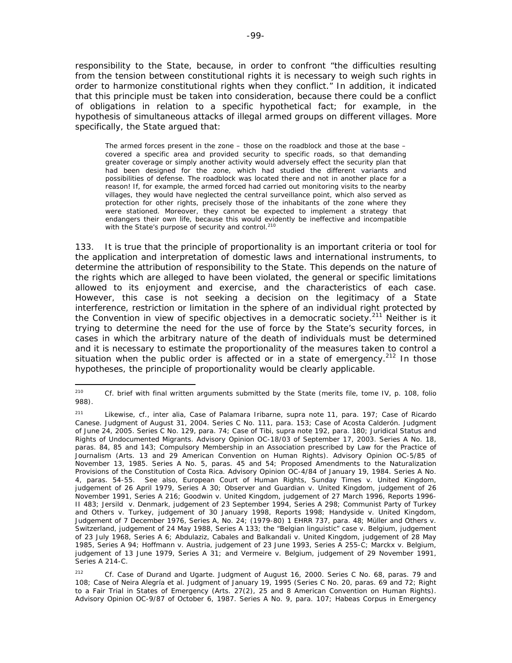responsibility to the State, because, in order to confront "the difficulties resulting from the tension between constitutional rights it is necessary to weigh such rights in order to harmonize constitutional rights when they conflict." In addition, it indicated that this principle must be taken into consideration, because there could be a conflict of obligations in relation to a specific hypothetical fact; for example, in the hypothesis of simultaneous attacks of illegal armed groups on different villages. More specifically, the State argued that:

The armed forces present in the zone – those on the roadblock and those at the base – covered a specific area and provided security to specific roads, so that demanding greater coverage or simply another activity would adversely effect the security plan that had been designed for the zone, which had studied the different variants and possibilities of defense. The roadblock was located there and not in another place for a reason! If, for example, the armed forced had carried out monitoring visits to the nearby villages, they would have neglected the central surveillance point, which also served as protection for other rights, precisely those of the inhabitants of the zone where they were stationed. Moreover, they cannot be expected to implement a strategy that endangers their own life, because this would evidently be ineffective and incompatible with the State's purpose of security and control.<sup>210</sup>

133. It is true that the principle of proportionality is an important criteria or tool for the application and interpretation of domestic laws and international instruments, to determine the attribution of responsibility to the State. This depends on the nature of the rights which are alleged to have been violated, the general or specific limitations allowed to its enjoyment and exercise, and the characteristics of each case. However, this case is not seeking a decision on the legitimacy of a State interference, restriction or limitation in the sphere of an individual right protected by the Convention in view of specific objectives in a democratic society.<sup>211</sup> Neither is it trying to determine the need for the use of force by the State's security forces, in cases in which the arbitrary nature of the death of individuals must be determined and it is necessary to estimate the proportionality of the measures taken to control a situation when the public order is affected or in a state of emergency. $212$  In those hypotheses, the principle of proportionality would be clearly applicable.

<sup>210</sup> Cf. brief with final written arguments submitted by the State (merits file, tome IV, p. 108, folio 988).

<sup>211</sup> Likewise, *cf., inter alia*, *Case of Palamara Iribarne, supra note* 11, para. 197*; Case of Ricardo Canese*. Judgment of August 31, 2004. Series C No. 111, para. 153; *Case of Acosta Calderón*. Judgment of June 24, 2005. Series C No. 129, para. 74; *Case of Tibi, supra note* 192, para. 180; *Juridical Status and Rights of Undocumented Migrants.* Advisory Opinion OC-18/03 of September 17, 2003. Series A No. 18, paras. 84, 85 and 143; *Compulsory Membership in an Association prescribed by Law for the Practice of Journalism* (Arts. 13 and 29 American Convention on Human Rights). Advisory Opinion OC-5/85 of November 13, 1985. Series A No. 5, paras. 45 and 54; *Proposed Amendments to the Naturalization Provisions of the Constitution of Costa Rica*. Advisory Opinion OC-4/84 of January 19, 1984. Series A No. 4, paras. 54-55.See also, European Court of Human Rights, *Sunday Times v. United Kingdom*, judgement of 26 April 1979, Series A 30; *Observer and Guardian v. United Kingdom*, judgement of 26 November 1991, Series A 216; *Goodwin v. United Kingdom*, judgement of 27 March 1996, Reports 1996- II 483; *Jersild v. Denmark*, judgement of 23 September 1994, Series A 298; *Communist Party of Turkey and Others v. Turkey*, judgement of 30 January 1998, Reports 1998; *Handyside v. United Kingdom*, Judgement of 7 December 1976, Series A, No. 24; (1979-80) 1 EHRR 737, para. 48*; Müller and Others v. Switzerland*, judgement of 24 May 1988, Series A 133; *the "Belgian linguistic" case v. Belgium*, judgement of 23 July 1968, Series A 6; *Abdulaziz, Cabales and Balkandali v. United Kingdom*, judgement of 28 May 1985, Series A 94; *Hoffmann v. Austria*, judgement of 23 June 1993, Series A 255-C; *Marckx v. Belgium*, judgement of 13 June 1979, Series A 31; and *Vermeire v. Belgium*, judgement of 29 November 1991, Series A 214-C.

<sup>212</sup> *Cf. Case of Durand and Ugarte.* Judgment of August 16, 2000. Series C No. 68, paras. 79 and 108; *Case of Neira Alegría et al.* Judgment of January 19, 1995 (Series C No. 20, paras. 69 and 72; *Right to a Fair Trial in States of Emergency* (Arts. 27(2), 25 and 8 American Convention on Human Rights). Advisory Opinion OC-9/87 of October 6, 1987. Series A No. 9, para. 107; *Habeas Corpus in Emergency*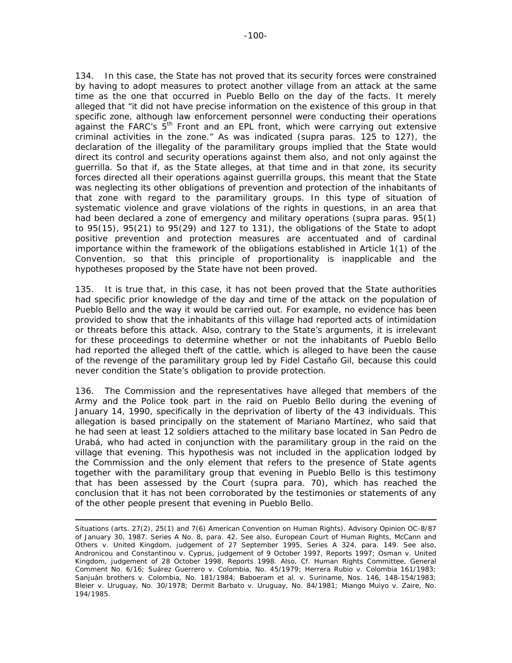134. In this case, the State has not proved that its security forces were constrained by having to adopt measures to protect another village from an attack at the same time as the one that occurred in Pueblo Bello on the day of the facts. It merely alleged that "it did not have precise information on the existence of this group in that specific zone, although law enforcement personnel were conducting their operations against the FARC's  $5<sup>th</sup>$  Front and an EPL front, which were carrying out extensive criminal activities in the zone." As was indicated (*supra* paras. 125 to 127), the declaration of the illegality of the paramilitary groups implied that the State would direct its control and security operations against them also, and not only against the guerrilla. So that if, as the State alleges, at that time and in that zone, its security forces directed all their operations against guerrilla groups, this meant that the State was neglecting its other obligations of prevention and protection of the inhabitants of that zone with regard to the paramilitary groups. In this type of situation of systematic violence and grave violations of the rights in questions, in an area that had been declared a zone of emergency and military operations (*supra* paras. 95(1) to 95(15), 95(21) to 95(29) and 127 to 131), the obligations of the State to adopt positive prevention and protection measures are accentuated and of cardinal importance within the framework of the obligations established in Article 1(1) of the Convention, so that this principle of proportionality is inapplicable and the hypotheses proposed by the State have not been proved.

135. It is true that, in this case, it has not been proved that the State authorities had specific prior knowledge of the day and time of the attack on the population of Pueblo Bello and the way it would be carried out. For example, no evidence has been provided to show that the inhabitants of this village had reported acts of intimidation or threats before this attack. Also, contrary to the State's arguments, it is irrelevant for these proceedings to determine whether or not the inhabitants of Pueblo Bello had reported the alleged theft of the cattle, which is alleged to have been the cause of the revenge of the paramilitary group led by Fidel Castaño Gil, because this could never condition the State's obligation to provide protection.

136. The Commission and the representatives have alleged that members of the Army and the Police took part in the raid on Pueblo Bello during the evening of January 14, 1990, specifically in the deprivation of liberty of the 43 individuals. This allegation is based principally on the statement of Mariano Martínez, who said that he had seen at least 12 soldiers attached to the military base located in San Pedro de Urabá, who had acted in conjunction with the paramilitary group in the raid on the village that evening. This hypothesis was not included in the application lodged by the Commission and the only element that refers to the presence of State agents together with the paramilitary group that evening in Pueblo Bello is this testimony that has been assessed by the Court (*supra* para. 70), which has reached the conclusion that it has not been corroborated by the testimonies or statements of any of the other people present that evening in Pueblo Bello.

 $\overline{a}$ 

*Situations* (arts. 27(2), 25(1) and 7(6) American Convention on Human Rights). Advisory Opinion OC-8/87 of January 30, 1987. Series A No. 8, para. 42*.* See also, European Court of Human Rights, *McCann and Others v. United Kingdom*, judgement of 27 September 1995, Series A 324, para. 149. See also, *Andronicou and Constantinou v. Cyprus*, judgement of 9 October 1997, Reports 1997; *Osman v. United Kingdom*, judgement of 28 October 1998, Reports 1998. Also, *Cf. Human Rights Committee, General Comment No. 6/16; Suárez Guerrero v. Colombia, No. 45/1979; Herrera Rubio v. Colombia 161/1983; Sanjuán brothers v. Colombia, No. 181/1984; Baboeram et al. v. Suriname, Nos. 146, 148-154/1983; Bleier v. Uruguay, No. 30/1978; Dermit Barbato v. Uruguay, No. 84/1981; Miango Muiyo v. Zaire, No. 194/1985.*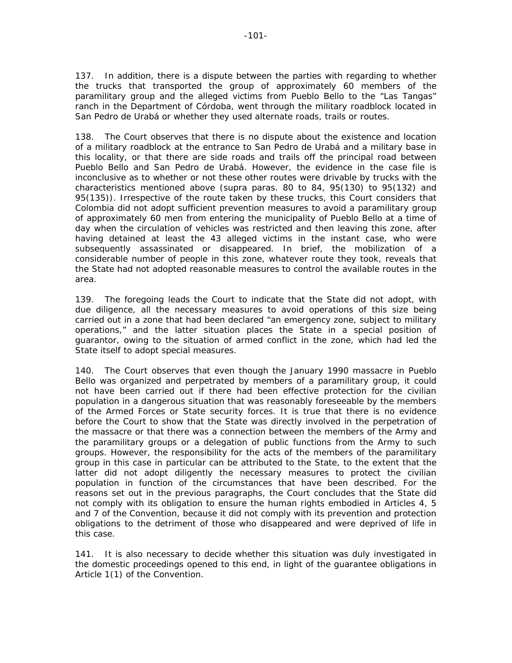137. In addition, there is a dispute between the parties with regarding to whether the trucks that transported the group of approximately 60 members of the paramilitary group and the alleged victims from Pueblo Bello to the "*Las Tangas*" ranch in the Department of Córdoba, went through the military roadblock located in San Pedro de Urabá or whether they used alternate roads, trails or routes.

138. The Court observes that there is no dispute about the existence and location of a military roadblock at the entrance to San Pedro de Urabá and a military base in this locality, or that there are side roads and trails off the principal road between Pueblo Bello and San Pedro de Urabá. However, the evidence in the case file is inconclusive as to whether or not these other routes were drivable by trucks with the characteristics mentioned above (*supra* paras. 80 to 84, 95(130) to 95(132) and 95(135)). Irrespective of the route taken by these trucks, this Court considers that Colombia did not adopt sufficient prevention measures to avoid a paramilitary group of approximately 60 men from entering the municipality of Pueblo Bello at a time of day when the circulation of vehicles was restricted and then leaving this zone, after having detained at least the 43 alleged victims in the instant case, who were subsequently assassinated or disappeared. In brief, the mobilization of a considerable number of people in this zone, whatever route they took, reveals that the State had not adopted reasonable measures to control the available routes in the area.

139. The foregoing leads the Court to indicate that the State did not adopt, with due diligence, all the necessary measures to avoid operations of this size being carried out in a zone that had been declared "an emergency zone, subject to military operations," and the latter situation places the State in a special position of guarantor, owing to the situation of armed conflict in the zone, which had led the State itself to adopt special measures.

140. The Court observes that even though the January 1990 massacre in Pueblo Bello was organized and perpetrated by members of a paramilitary group, it could not have been carried out if there had been effective protection for the civilian population in a dangerous situation that was reasonably foreseeable by the members of the Armed Forces or State security forces. It is true that there is no evidence before the Court to show that the State was directly involved in the perpetration of the massacre or that there was a connection between the members of the Army and the paramilitary groups or a delegation of public functions from the Army to such groups. However, the responsibility for the acts of the members of the paramilitary group in this case in particular can be attributed to the State, to the extent that the latter did not adopt diligently the necessary measures to protect the civilian population in function of the circumstances that have been described. For the reasons set out in the previous paragraphs, the Court concludes that the State did not comply with its obligation to ensure the human rights embodied in Articles 4, 5 and 7 of the Convention, because it did not comply with its prevention and protection obligations to the detriment of those who disappeared and were deprived of life in this case.

141. It is also necessary to decide whether this situation was duly investigated in the domestic proceedings opened to this end, in light of the guarantee obligations in Article 1(1) of the Convention.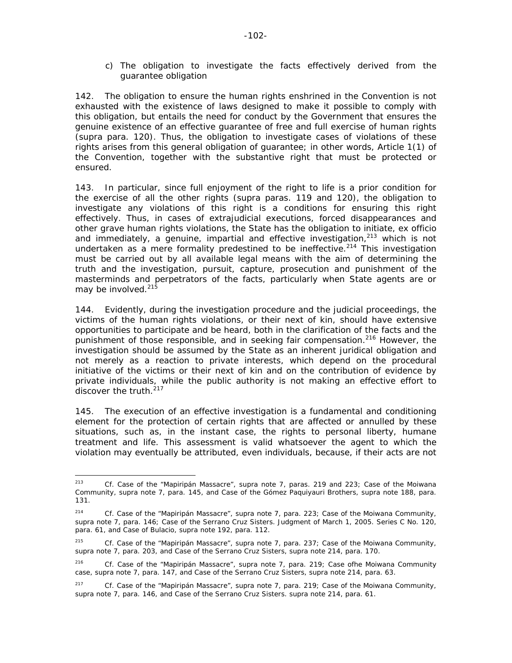# *c) The obligation to investigate the facts effectively derived from the guarantee obligation*

142. The obligation to ensure the human rights enshrined in the Convention is not exhausted with the existence of laws designed to make it possible to comply with this obligation, but entails the need for conduct by the Government that ensures the genuine existence of an effective guarantee of free and full exercise of human rights (*supra* para. 120). Thus, the obligation to investigate cases of violations of these rights arises from this general obligation of guarantee; in other words, Article 1(1) of the Convention, together with the substantive right that must be protected or ensured.

143. In particular, since full enjoyment of the right to life is a prior condition for the exercise of all the other rights (*supra* paras. 119 and 120), the obligation to investigate any violations of this right is a conditions for ensuring this right effectively. Thus, in cases of extrajudicial executions, forced disappearances and other grave human rights violations, the State has the obligation to initiate, *ex officio*  and immediately, a genuine, impartial and effective investigation,<sup>213</sup> which is not undertaken as a mere formality predestined to be ineffective.<sup>214</sup> This investigation must be carried out by all available legal means with the aim of determining the truth and the investigation, pursuit, capture, prosecution and punishment of the masterminds and perpetrators of the facts, particularly when State agents are or may be involved.<sup>215</sup>

144. Evidently, during the investigation procedure and the judicial proceedings, the victims of the human rights violations, or their next of kin, should have extensive opportunities to participate and be heard, both in the clarification of the facts and the punishment of those responsible, and in seeking fair compensation.<sup>216</sup> However, the investigation should be assumed by the State as an inherent juridical obligation and not merely as a reaction to private interests, which depend on the procedural initiative of the victims or their next of kin and on the contribution of evidence by private individuals, while the public authority is not making an effective effort to discover the truth.<sup>217</sup>

145. The execution of an effective investigation is a fundamental and conditioning element for the protection of certain rights that are affected or annulled by these situations, such as, in the instant case, the rights to personal liberty, humane treatment and life. This assessment is valid whatsoever the agent to which the violation may eventually be attributed, even individuals, because, if their acts are not

 $213$ <sup>213</sup> *Cf. Case of the "Mapiripán Massacre", supra note* 7, paras. 219 and 223; *Case of the Moiwana Community, supra note* 7, para. 145, and *Case of the Gómez Paquiyauri Brothers*, *supra* note 188, para. 131.

<sup>214</sup> *Cf. Case of the "Mapiripán Massacre", supra note* 7, para. 223; *Case of the Moiwana Community, supra note* 7, para. 146; *Case of the Serrano Cruz Sisters*. Judgment of March 1, 2005. Series C No. 120, para. 61, and *Case of Bulacio*, *supra* note 192, para. 112.

<sup>215</sup> *Cf. Case of the "Mapiripán Massacre", supra note* 7, para. 237; *Case of the Moiwana Community, supra note* 7, para. 203, and *Case of the Serrano Cruz Sisters*, *supra* note 214, para. 170.

<sup>216</sup> *Cf. Case of the "Mapiripán Massacre", supra note* 7, para. 219; *Case ofhe Moiwana Community case, supra note* 7, para. 147, and *Case of the Serrano Cruz Sisters*, *supra* note 214, para. 63.

<sup>217</sup> *Cf. Case of the "Mapiripán Massacre", supra note* 7, para. 219; *Case of the Moiwana Community, supra note* 7, para. 146, and *Case of the Serrano Cruz Sisters*. *supra* note 214, para. 61.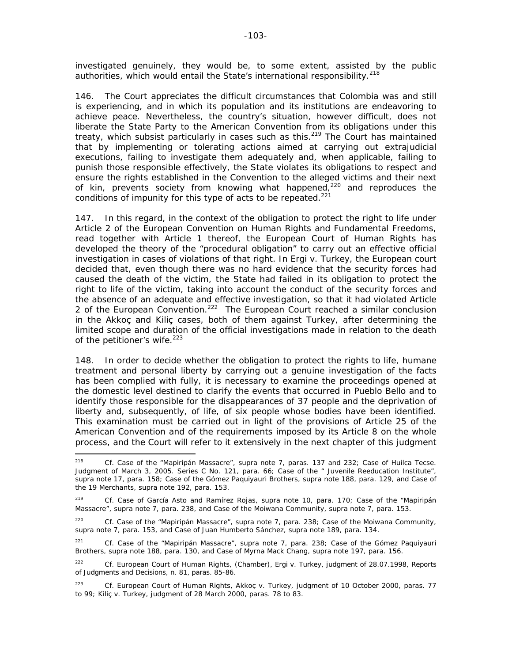investigated genuinely, they would be, to some extent, assisted by the public authorities, which would entail the State's international responsibility.<sup>218</sup>

146. The Court appreciates the difficult circumstances that Colombia was and still is experiencing, and in which its population and its institutions are endeavoring to achieve peace. Nevertheless, the country's situation, however difficult, does not liberate the State Party to the American Convention from its obligations under this treaty, which subsist particularly in cases such as this.<sup>219</sup> The Court has maintained that by implementing or tolerating actions aimed at carrying out extrajudicial executions, failing to investigate them adequately and, when applicable, failing to punish those responsible effectively, the State violates its obligations to respect and ensure the rights established in the Convention to the alleged victims and their next of kin, prevents society from knowing what happened, $220$  and reproduces the conditions of impunity for this type of acts to be repeated.<sup>221</sup>

147. In this regard, in the context of the obligation to protect the right to life under Article 2 of the European Convention on Human Rights and Fundamental Freedoms, read together with Article 1 thereof, the European Court of Human Rights has developed the theory of the "procedural obligation" to carry out an effective official investigation in cases of violations of that right. In *Ergi v. Turkey*, the European court decided that, even though there was no hard evidence that the security forces had caused the death of the victim, the State had failed in its obligation to protect the right to life of the victim, taking into account the conduct of the security forces and the absence of an adequate and effective investigation, so that it had violated Article 2 of the European Convention.<sup>222</sup> The European Court reached a similar conclusion in the *Akkoç* and *Kiliç* cases, both of them against Turkey, after determining the limited scope and duration of the official investigations made in relation to the death of the petitioner's wife.<sup>223</sup>

148. In order to decide whether the obligation to protect the rights to life, humane treatment and personal liberty by carrying out a genuine investigation of the facts has been complied with fully, it is necessary to examine the proceedings opened at the domestic level destined to clarify the events that occurred in Pueblo Bello and to identify those responsible for the disappearances of 37 people and the deprivation of liberty and, subsequently, of life, of six people whose bodies have been identified. This examination must be carried out in light of the provisions of Article 25 of the American Convention and of the requirements imposed by its Article 8 on the whole process, and the Court will refer to it extensively in the next chapter of this judgment

 $\overline{a}$ 218 *Cf. Case of the "Mapiripán Massacre", supra note* 7, paras. 137 and 232; *Case of Huilca Tecse*. Judgment of March 3, 2005. Series C No. 121, para. 66; *Case of the " Juvenile Reeducation Institute", supra note* 17, para. 158; *Case of the Gómez Paquiyauri Brothers, supra note* 188, para. 129, and *Case of the 19 Merchants, supra note* 192, para. 153.

<sup>219</sup> *Cf. Case of García Asto and Ramírez Rojas, supra note* 10, para. 170; *Case of the "Mapiripán Massacre", supra note* 7, para. 238, and *Case of the Moiwana Community, supra note* 7, para. 153.

<sup>220</sup> *Cf. Case of the "Mapiripán Massacre", supra note* 7, para. 238; *Case of the Moiwana Community, supra note* 7, para. 153, and *Case of Juan Humberto Sánchez*, *supra note* 189, para. 134.

<sup>221</sup> *Cf. Case of the "Mapiripán Massacre", supra note* 7, para. 238; *Case of the Gómez Paquiyauri Brothers*, *supra* note 188, para. 130, and *Case of Myrna Mack Chang, supra* note 197, para. 156.

<sup>222</sup> *Cf. European Court of Human Rights*, *(Chamber), Ergi v. Turkey, judgment of 28.07.1998, Reports of Judgments and Decisions, n. 81,* paras. 85-86.

<sup>223</sup> *Cf. European Court of Human Rights*, *Akkoç v. Turkey, judgment of 10 October 2000*, paras. 77 to 99; *Kiliç v. Turkey, judgment of 28 March 2000,* paras. 78 to 83.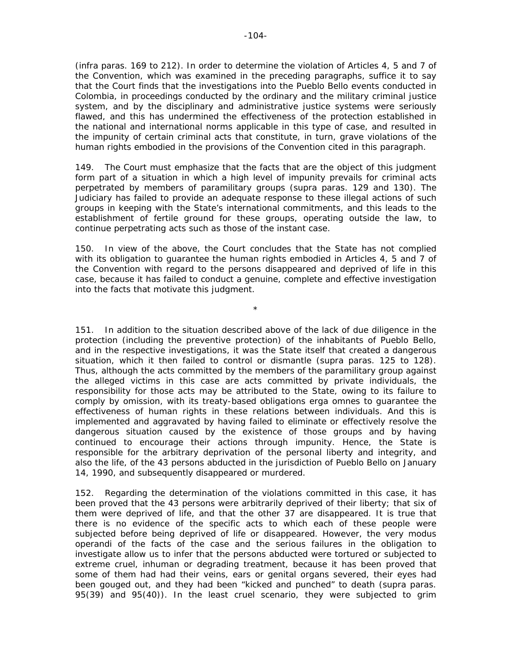(*infra* paras. 169 to 212). In order to determine the violation of Articles 4, 5 and 7 of the Convention, which was examined in the preceding paragraphs, suffice it to say that the Court finds that the investigations into the Pueblo Bello events conducted in Colombia, in proceedings conducted by the ordinary and the military criminal justice system, and by the disciplinary and administrative justice systems were seriously flawed, and this has undermined the effectiveness of the protection established in the national and international norms applicable in this type of case, and resulted in the impunity of certain criminal acts that constitute, in turn, grave violations of the human rights embodied in the provisions of the Convention cited in this paragraph.

149. The Court must emphasize that the facts that are the object of this judgment form part of a situation in which a high level of impunity prevails for criminal acts perpetrated by members of paramilitary groups (*supra* paras. 129 and 130). The Judiciary has failed to provide an adequate response to these illegal actions of such groups in keeping with the State's international commitments, and this leads to the establishment of fertile ground for these groups, operating outside the law, to continue perpetrating acts such as those of the instant case.

150. In view of the above, the Court concludes that the State has not complied with its obligation to guarantee the human rights embodied in Articles 4, 5 and 7 of the Convention with regard to the persons disappeared and deprived of life in this case, because it has failed to conduct a genuine, complete and effective investigation into the facts that motivate this judgment.

\*

151. In addition to the situation described above of the lack of due diligence in the protection (including the preventive protection) of the inhabitants of Pueblo Bello, and in the respective investigations, it was the State itself that created a dangerous situation, which it then failed to control or dismantle (*supra* paras. 125 to 128). Thus, although the acts committed by the members of the paramilitary group against the alleged victims in this case are acts committed by private individuals, the responsibility for those acts may be attributed to the State, owing to its failure to comply by omission, with its treaty-based obligations *erga omnes* to guarantee the effectiveness of human rights in these relations between individuals. And this is implemented and aggravated by having failed to eliminate or effectively resolve the dangerous situation caused by the existence of those groups and by having continued to encourage their actions through impunity. Hence, the State is responsible for the arbitrary deprivation of the personal liberty and integrity, and also the life, of the 43 persons abducted in the jurisdiction of Pueblo Bello on January 14, 1990, and subsequently disappeared or murdered.

152. Regarding the determination of the violations committed in this case, it has been proved that the 43 persons were arbitrarily deprived of their liberty; that six of them were deprived of life, and that the other 37 are disappeared. It is true that there is no evidence of the specific acts to which each of these people were subjected before being deprived of life or disappeared. However, the very *modus operandi* of the facts of the case and the serious failures in the obligation to investigate allow us to infer that the persons abducted were tortured or subjected to extreme cruel, inhuman or degrading treatment, because it has been proved that some of them had had their veins, ears or genital organs severed, their eyes had been gouged out, and they had been "kicked and punched" to death (*supra* paras. 95(39) and 95(40)). In the least cruel scenario, they were subjected to grim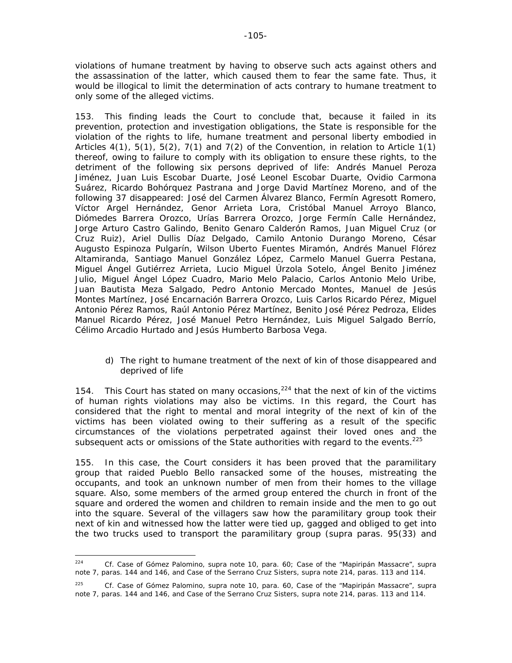violations of humane treatment by having to observe such acts against others and the assassination of the latter, which caused them to fear the same fate. Thus, it would be illogical to limit the determination of acts contrary to humane treatment to only some of the alleged victims.

153. This finding leads the Court to conclude that, because it failed in its prevention, protection and investigation obligations, the State is responsible for the violation of the rights to life, humane treatment and personal liberty embodied in Articles  $4(1)$ ,  $5(1)$ ,  $5(2)$ ,  $7(1)$  and  $7(2)$  of the Convention, in relation to Article  $1(1)$ thereof, owing to failure to comply with its obligation to ensure these rights, to the detriment of the following six persons deprived of life: Andrés Manuel Peroza Jiménez, Juan Luis Escobar Duarte, José Leonel Escobar Duarte, Ovidio Carmona Suárez, Ricardo Bohórquez Pastrana and Jorge David Martínez Moreno, and of the following 37 disappeared: José del Carmen Álvarez Blanco, Fermín Agresott Romero, Víctor Argel Hernández, Genor Arrieta Lora, Cristóbal Manuel Arroyo Blanco, Diómedes Barrera Orozco, Urías Barrera Orozco, Jorge Fermín Calle Hernández, Jorge Arturo Castro Galindo, Benito Genaro Calderón Ramos, Juan Miguel Cruz (or Cruz Ruiz), Ariel Dullis Díaz Delgado, Camilo Antonio Durango Moreno, César Augusto Espinoza Pulgarín, Wilson Uberto Fuentes Miramón, Andrés Manuel Flórez Altamiranda, Santiago Manuel González López, Carmelo Manuel Guerra Pestana, Miguel Ángel Gutiérrez Arrieta, Lucio Miguel Úrzola Sotelo, Ángel Benito Jiménez Julio, Miguel Ángel López Cuadro, Mario Melo Palacio, Carlos Antonio Melo Uribe, Juan Bautista Meza Salgado, Pedro Antonio Mercado Montes, Manuel de Jesús Montes Martínez, José Encarnación Barrera Orozco, Luis Carlos Ricardo Pérez, Miguel Antonio Pérez Ramos, Raúl Antonio Pérez Martínez, Benito José Pérez Pedroza, Elides Manuel Ricardo Pérez, José Manuel Petro Hernández, Luis Miguel Salgado Berrío, Célimo Arcadio Hurtado and Jesús Humberto Barbosa Vega.

# *d) The right to humane treatment of the next of kin of those disappeared and deprived of life*

154. This Court has stated on many occasions, $^{224}$  that the next of kin of the victims of human rights violations may also be victims. In this regard, the Court has considered that the right to mental and moral integrity of the next of kin of the victims has been violated owing to their suffering as a result of the specific circumstances of the violations perpetrated against their loved ones and the subsequent acts or omissions of the State authorities with regard to the events.<sup>225</sup>

155. In this case, the Court considers it has been proved that the paramilitary group that raided Pueblo Bello ransacked some of the houses, mistreating the occupants, and took an unknown number of men from their homes to the village square. Also, some members of the armed group entered the church in front of the square and ordered the women and children to remain inside and the men to go out into the square. Several of the villagers saw how the paramilitary group took their next of kin and witnessed how the latter were tied up, gagged and obliged to get into the two trucks used to transport the paramilitary group (*supra* paras. 95(33) and

<sup>224</sup> 224 *Cf. Case of Gómez Palomino, supra note* 10, para. 60; *Case of the "Mapiripán Massacre"*, *supra* note 7, paras. 144 and 146, and *Case of the Serrano Cruz Sisters, supra* note 214, paras. 113 and 114.

<sup>225</sup> *Cf. Case of Gómez Palomino, supra note* 10, para. 60, *Case of the "Mapiripán Massacre", supra* note 7, paras. 144 and 146, and *Case of the Serrano Cruz Sisters, supra note* 214, paras. 113 and 114.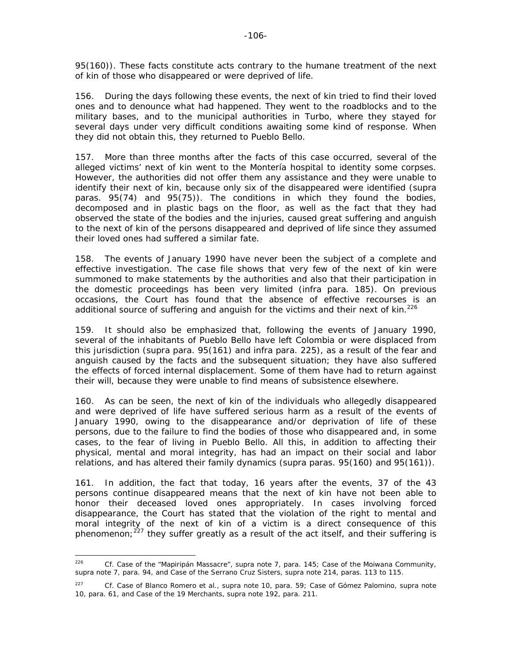95(160)). These facts constitute acts contrary to the humane treatment of the next of kin of those who disappeared or were deprived of life.

156. During the days following these events, the next of kin tried to find their loved ones and to denounce what had happened. They went to the roadblocks and to the military bases, and to the municipal authorities in Turbo, where they stayed for several days under very difficult conditions awaiting some kind of response. When they did not obtain this, they returned to Pueblo Bello.

157. More than three months after the facts of this case occurred, several of the alleged victims' next of kin went to the Montería hospital to identity some corpses. However, the authorities did not offer them any assistance and they were unable to identify their next of kin, because only six of the disappeared were identified (*supra*  paras. 95(74) and 95(75)). The conditions in which they found the bodies, decomposed and in plastic bags on the floor, as well as the fact that they had observed the state of the bodies and the injuries, caused great suffering and anguish to the next of kin of the persons disappeared and deprived of life since they assumed their loved ones had suffered a similar fate.

158. The events of January 1990 have never been the subject of a complete and effective investigation. The case file shows that very few of the next of kin were summoned to make statements by the authorities and also that their participation in the domestic proceedings has been very limited (*infra* para. 185). On previous occasions, the Court has found that the absence of effective recourses is an additional source of suffering and anguish for the victims and their next of kin.<sup>226</sup>

159. It should also be emphasized that, following the events of January 1990, several of the inhabitants of Pueblo Bello have left Colombia or were displaced from this jurisdiction (*supra* para. 95(161) and *infra* para. 225), as a result of the fear and anguish caused by the facts and the subsequent situation; they have also suffered the effects of forced internal displacement. Some of them have had to return against their will, because they were unable to find means of subsistence elsewhere.

160. As can be seen, the next of kin of the individuals who allegedly disappeared and were deprived of life have suffered serious harm as a result of the events of January 1990, owing to the disappearance and/or deprivation of life of these persons, due to the failure to find the bodies of those who disappeared and, in some cases, to the fear of living in Pueblo Bello. All this, in addition to affecting their physical, mental and moral integrity, has had an impact on their social and labor relations, and has altered their family dynamics (*supra* paras. 95(160) and 95(161)).

161. In addition, the fact that today, 16 years after the events, 37 of the 43 persons continue disappeared means that the next of kin have not been able to honor their deceased loved ones appropriately. In cases involving forced disappearance, the Court has stated that the violation of the right to mental and moral integrity of the next of kin of a victim is a direct consequence of this phenomenon; $^{227}$  they suffer greatly as a result of the act itself, and their suffering is

<sup>226</sup> <sup>226</sup> *Cf. Case of the "Mapiripán Massacre", supra note* 7, para. 145; *Case of the Moiwana Community, supra note* 7, para. 94, and *Case of the Serrano Cruz Sisters, supra note* 214, paras. 113 to 115.

<sup>227</sup> *Cf. Case of Blanco Romero et al.*, *supra* note 10, para. 59; *Case of Gómez Palomino, supra* note 10, para. 61, and *Case of the 19 Merchants*, *supra* note 192, para. 211.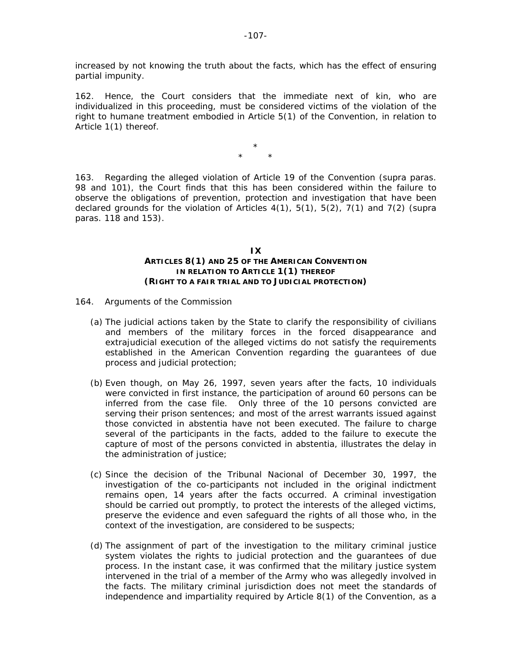increased by not knowing the truth about the facts, which has the effect of ensuring partial impunity.

162. Hence, the Court considers that the immediate next of kin, who are individualized in this proceeding, must be considered victims of the violation of the right to humane treatment embodied in Article 5(1) of the Convention, in relation to Article 1(1) thereof.

> \* \* \*

163. Regarding the alleged violation of Article 19 of the Convention (*supra* paras. 98 and 101), the Court finds that this has been considered within the failure to observe the obligations of prevention, protection and investigation that have been declared grounds for the violation of Articles 4(1), 5(1), 5(2), 7(1) and 7(2) (*supra* paras. 118 and 153).

## **IX ARTICLES 8(1) AND 25 OF THE AMERICAN CONVENTION IN RELATION TO ARTICLE 1(1) THEREOF (RIGHT TO A FAIR TRIAL AND TO JUDICIAL PROTECTION)**

## 164. *Arguments of the Commission*

- (a) The judicial actions taken by the State to clarify the responsibility of civilians and members of the military forces in the forced disappearance and extrajudicial execution of the alleged victims do not satisfy the requirements established in the American Convention regarding the guarantees of due process and judicial protection;
- (b) Even though, on May 26, 1997, seven years after the facts, 10 individuals were convicted in first instance, the participation of around 60 persons can be inferred from the case file. Only three of the 10 persons convicted are serving their prison sentences; and most of the arrest warrants issued against those convicted *in abstentia* have not been executed. The failure to charge several of the participants in the facts, added to the failure to execute the capture of most of the persons convicted *in abstentia,* illustrates the delay in the administration of justice;
- (c) Since the decision of the *Tribunal Nacional* of December 30, 1997, the investigation of the co-participants not included in the original indictment remains open, 14 years after the facts occurred. A criminal investigation should be carried out promptly, to protect the interests of the alleged victims, preserve the evidence and even safeguard the rights of all those who, in the context of the investigation, are considered to be suspects;
- (d) The assignment of part of the investigation to the military criminal justice system violates the rights to judicial protection and the guarantees of due process. In the instant case, it was confirmed that the military justice system intervened in the trial of a member of the Army who was allegedly involved in the facts. The military criminal jurisdiction does not meet the standards of independence and impartiality required by Article 8(1) of the Convention, as a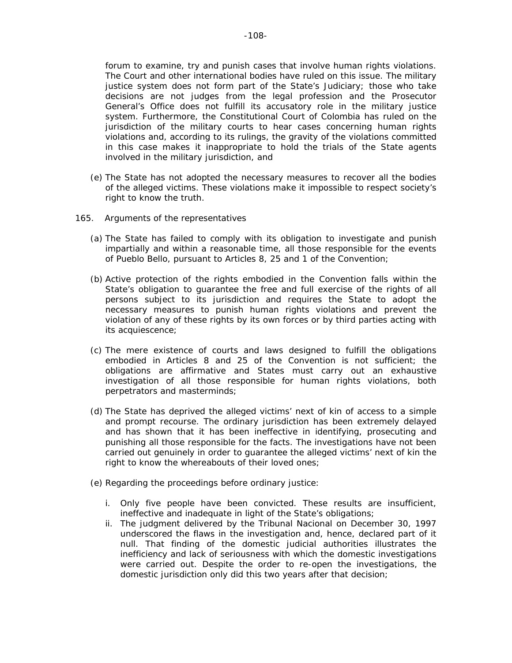forum to examine, try and punish cases that involve human rights violations. The Court and other international bodies have ruled on this issue. The military justice system does not form part of the State's Judiciary; those who take decisions are not judges from the legal profession and the Prosecutor General's Office does not fulfill its accusatory role in the military justice system. Furthermore, the Constitutional Court of Colombia has ruled on the jurisdiction of the military courts to hear cases concerning human rights violations and, according to its rulings, the gravity of the violations committed in this case makes it inappropriate to hold the trials of the State agents involved in the military jurisdiction, and

- (e) The State has not adopted the necessary measures to recover all the bodies of the alleged victims. These violations make it impossible to respect society's right to know the truth.
- 165. *Arguments of the representatives* 
	- (a) The State has failed to comply with its obligation to investigate and punish impartially and within a reasonable time, all those responsible for the events of Pueblo Bello, pursuant to Articles 8, 25 and 1 of the Convention;
	- (b) Active protection of the rights embodied in the Convention falls within the State's obligation to guarantee the free and full exercise of the rights of all persons subject to its jurisdiction and requires the State to adopt the necessary measures to punish human rights violations and prevent the violation of any of these rights by its own forces or by third parties acting with its acquiescence;
	- (c) The mere existence of courts and laws designed to fulfill the obligations embodied in Articles 8 and 25 of the Convention is not sufficient; the obligations are affirmative and States must carry out an exhaustive investigation of all those responsible for human rights violations, both perpetrators and masterminds;
	- (d) The State has deprived the alleged victims' next of kin of access to a simple and prompt recourse. The ordinary jurisdiction has been extremely delayed and has shown that it has been ineffective in identifying, prosecuting and punishing all those responsible for the facts. The investigations have not been carried out genuinely in order to guarantee the alleged victims' next of kin the right to know the whereabouts of their loved ones;
	- (e) Regarding the proceedings before ordinary justice:
		- i. Only five people have been convicted. These results are insufficient, ineffective and inadequate in light of the State's obligations;
		- ii. The judgment delivered by the *Tribunal Nacional* on December 30, 1997 underscored the flaws in the investigation and, hence, declared part of it null. That finding of the domestic judicial authorities illustrates the inefficiency and lack of seriousness with which the domestic investigations were carried out. Despite the order to re-open the investigations, the domestic jurisdiction only did this two years after that decision;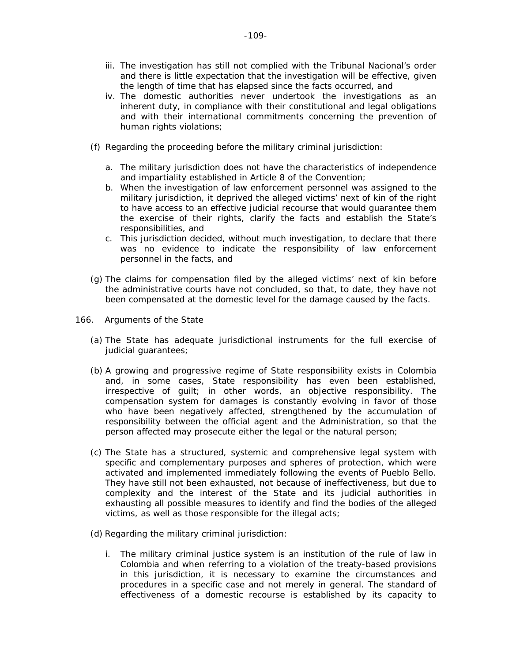- iii. The investigation has still not complied with the *Tribunal Nacional*'s order and there is little expectation that the investigation will be effective, given the length of time that has elapsed since the facts occurred, and
- iv. The domestic authorities never undertook the investigations as an inherent duty, in compliance with their constitutional and legal obligations and with their international commitments concerning the prevention of human rights violations;
- (f) Regarding the proceeding before the military criminal jurisdiction:
	- a. The military jurisdiction does not have the characteristics of independence and impartiality established in Article 8 of the Convention;
	- b. When the investigation of law enforcement personnel was assigned to the military jurisdiction, it deprived the alleged victims' next of kin of the right to have access to an effective judicial recourse that would guarantee them the exercise of their rights, clarify the facts and establish the State's responsibilities, and
	- c. This jurisdiction decided, without much investigation, to declare that there was no evidence to indicate the responsibility of law enforcement personnel in the facts, and
- (g) The claims for compensation filed by the alleged victims' next of kin before the administrative courts have not concluded, so that, to date, they have not been compensated at the domestic level for the damage caused by the facts.
- 166. *Arguments of the State* 
	- (a) The State has adequate jurisdictional instruments for the full exercise of judicial guarantees;
	- (b) A growing and progressive regime of State responsibility exists in Colombia and, in some cases, State responsibility has even been established, irrespective of guilt; in other words, an objective responsibility. The compensation system for damages is constantly evolving in favor of those who have been negatively affected, strengthened by the accumulation of responsibility between the official agent and the Administration, so that the person affected may prosecute either the legal or the natural person;
	- (c) The State has a structured, systemic and comprehensive legal system with specific and complementary purposes and spheres of protection, which were activated and implemented immediately following the events of Pueblo Bello. They have still not been exhausted, not because of ineffectiveness, but due to complexity and the interest of the State and its judicial authorities in exhausting all possible measures to identify and find the bodies of the alleged victims, as well as those responsible for the illegal acts;
	- (d) Regarding the military criminal jurisdiction:
		- i. The military criminal justice system is an institution of the rule of law in Colombia and when referring to a violation of the treaty-based provisions in this jurisdiction, it is necessary to examine the circumstances and procedures in a specific case and not merely in general. The standard of effectiveness of a domestic recourse is established by its capacity to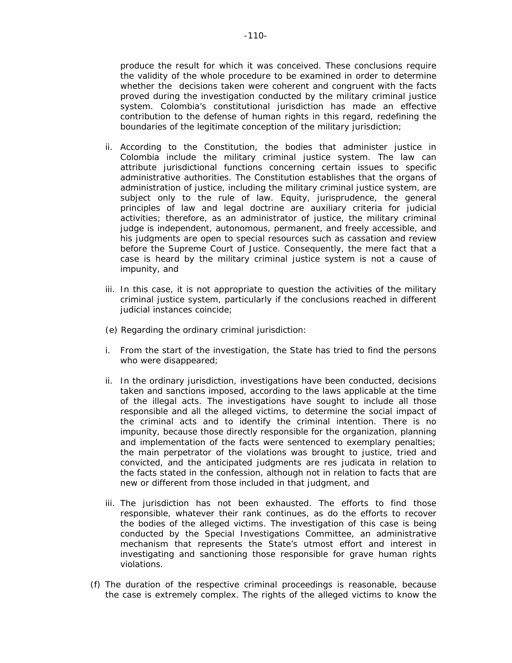produce the result for which it was conceived. These conclusions require the validity of the whole procedure to be examined in order to determine whether the decisions taken were coherent and congruent with the facts proved during the investigation conducted by the military criminal justice system. Colombia's constitutional jurisdiction has made an effective contribution to the defense of human rights in this regard, redefining the boundaries of the legitimate conception of the military jurisdiction;

- ii. According to the Constitution, the bodies that administer justice in Colombia include the military criminal justice system. The law can attribute jurisdictional functions concerning certain issues to specific administrative authorities. The Constitution establishes that the organs of administration of justice, including the military criminal justice system, are subject only to the rule of law. Equity, jurisprudence, the general principles of law and legal doctrine are auxiliary criteria for judicial activities; therefore, as an administrator of justice, the military criminal judge is independent, autonomous, permanent, and freely accessible, and his judgments are open to special resources such as cassation and review before the Supreme Court of Justice. Consequently, the mere fact that a case is heard by the military criminal justice system is not a cause of impunity, and
- iii. In this case, it is not appropriate to question the activities of the military criminal justice system, particularly if the conclusions reached in different judicial instances coincide;
- (e) Regarding the ordinary criminal jurisdiction:
- i. From the start of the investigation, the State has tried to find the persons who were disappeared;
- ii. In the ordinary jurisdiction, investigations have been conducted, decisions taken and sanctions imposed, according to the laws applicable at the time of the illegal acts. The investigations have sought to include all those responsible and all the alleged victims, to determine the social impact of the criminal acts and to identify the criminal intention. There is no impunity, because those directly responsible for the organization, planning and implementation of the facts were sentenced to exemplary penalties; the main perpetrator of the violations was brought to justice, tried and convicted, and the anticipated judgments are *res judicata* in relation to the facts stated in the confession, although not in relation to facts that are new or different from those included in that judgment, and
- iii. The jurisdiction has not been exhausted. The efforts to find those responsible, whatever their rank continues, as do the efforts to recover the bodies of the alleged victims. The investigation of this case is being conducted by the Special Investigations Committee, an administrative mechanism that represents the State's utmost effort and interest in investigating and sanctioning those responsible for grave human rights violations.
- (f) The duration of the respective criminal proceedings is reasonable, because the case is extremely complex. The rights of the alleged victims to know the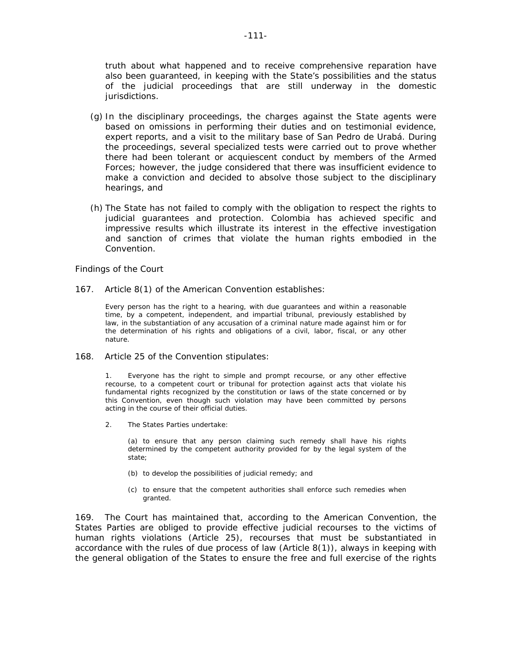truth about what happened and to receive comprehensive reparation have also been guaranteed, in keeping with the State's possibilities and the status of the judicial proceedings that are still underway in the domestic jurisdictions.

- (g) In the disciplinary proceedings, the charges against the State agents were based on omissions in performing their duties and on testimonial evidence, expert reports, and a visit to the military base of San Pedro de Urabá. During the proceedings, several specialized tests were carried out to prove whether there had been tolerant or acquiescent conduct by members of the Armed Forces; however, the judge considered that there was insufficient evidence to make a conviction and decided to absolve those subject to the disciplinary hearings, and
- (h) The State has not failed to comply with the obligation to respect the rights to judicial guarantees and protection. Colombia has achieved specific and impressive results which illustrate its interest in the effective investigation and sanction of crimes that violate the human rights embodied in the Convention.

#### *Findings of the Court*

167. Article 8(1) of the American Convention establishes:

Every person has the right to a hearing, with due guarantees and within a reasonable time, by a competent, independent, and impartial tribunal, previously established by law, in the substantiation of any accusation of a criminal nature made against him or for the determination of his rights and obligations of a civil, labor, fiscal, or any other nature.

168. Article 25 of the Convention stipulates:

1. Everyone has the right to simple and prompt recourse, or any other effective recourse, to a competent court or tribunal for protection against acts that violate his fundamental rights recognized by the constitution or laws of the state concerned or by this Convention, even though such violation may have been committed by persons acting in the course of their official duties.

2. The States Parties undertake:

(a) to ensure that any person claiming such remedy shall have his rights determined by the competent authority provided for by the legal system of the state;

- (b) to develop the possibilities of judicial remedy; and
- (c) to ensure that the competent authorities shall enforce such remedies when granted.

169. The Court has maintained that, according to the American Convention, the States Parties are obliged to provide effective judicial recourses to the victims of human rights violations (Article 25), recourses that must be substantiated in accordance with the rules of due process of law (Article 8(1)), always in keeping with the general obligation of the States to ensure the free and full exercise of the rights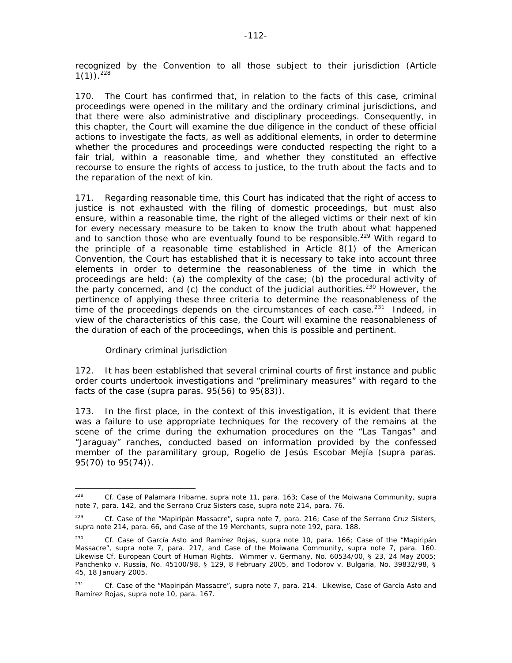recognized by the Convention to all those subject to their jurisdiction (Article  $1(1)$ ).<sup>228</sup>

170. The Court has confirmed that, in relation to the facts of this case, criminal proceedings were opened in the military and the ordinary criminal jurisdictions, and that there were also administrative and disciplinary proceedings. Consequently, in this chapter, the Court will examine the due diligence in the conduct of these official actions to investigate the facts, as well as additional elements, in order to determine whether the procedures and proceedings were conducted respecting the right to a fair trial, within a reasonable time, and whether they constituted an effective recourse to ensure the rights of access to justice, to the truth about the facts and to the reparation of the next of kin.

171. Regarding reasonable time, this Court has indicated that the right of access to justice is not exhausted with the filing of domestic proceedings, but must also ensure, within a reasonable time, the right of the alleged victims or their next of kin for every necessary measure to be taken to know the truth about what happened and to sanction those who are eventually found to be responsible.<sup>229</sup> With regard to the principle of a reasonable time established in Article 8(1) of the American Convention, the Court has established that it is necessary to take into account three elements in order to determine the reasonableness of the time in which the proceedings are held: (a) the complexity of the case; (b) the procedural activity of the party concerned, and (c) the conduct of the judicial authorities.<sup>230</sup> However, the pertinence of applying these three criteria to determine the reasonableness of the time of the proceedings depends on the circumstances of each case. $^{231}$  Indeed, in view of the characteristics of this case, the Court will examine the reasonableness of the duration of each of the proceedings, when this is possible and pertinent.

# *Ordinary criminal jurisdiction*

172. It has been established that several criminal courts of first instance and public order courts undertook investigations and "preliminary measures" with regard to the facts of the case (*supra* paras. 95(56) to 95(83)).

173. In the first place, in the context of this investigation, it is evident that there was a failure to use appropriate techniques for the recovery of the remains at the scene of the crime during the exhumation procedures on the "*Las Tangas"* and *"Jaraguay*" ranches, conducted based on information provided by the confessed member of the paramilitary group, Rogelio de Jesús Escobar Mejía (*supra* paras. 95(70) to 95(74)).

<sup>228</sup> <sup>228</sup> *Cf. Case of Palamara Iribarne, supra* note 11, para. 163; *Case of the Moiwana Community, supra note* 7*,* para. 142, and *the Serrano Cruz Sisters case, supra note* 214*,* para. 76.

<sup>229</sup> *Cf. Case of the "Mapiripán Massacre", supra note* 7, para. 216; *Case of the Serrano Cruz Sisters, supra note* 214, para. 66, and *Case of the 19 Merchants, supra note* 192, para. 188.

<sup>230</sup> *Cf. Case of García Asto and Ramírez Rojas, supra* note 10, para. 166; *Case of the "Mapiripán Massacre", supra note* 7, para. 217, and *Case of the Moiwana Community, supra note* 7, para. 160. Likewise *Cf.* European Court of Human Rights. *Wimmer v. Germany*, No. 60534/00, § 23, 24 May 2005; *Panchenko v. Russia*, No. 45100/98, § 129, 8 February 2005, and *Todorov v. Bulgaria*, No. 39832/98, § 45, 18 January 2005.

<sup>231</sup> *Cf. Case of the "Mapiripán Massacre", supra note* 7, para. 214. Likewise, *Case of García Asto and Ramírez Rojas, supra* note 10, para. 167.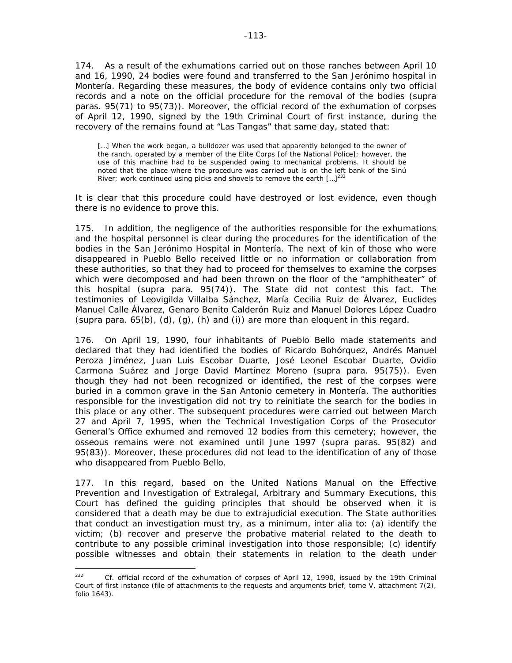174. As a result of the exhumations carried out on those ranches between April 10 and 16, 1990, 24 bodies were found and transferred to the San Jerónimo hospital in Montería. Regarding these measures, the body of evidence contains only two official records and a note on the official procedure for the removal of the bodies (*supra* paras. 95(71) to 95(73)). Moreover, the official record of the exhumation of corpses of April 12, 1990, signed by the 19th Criminal Court of first instance, during the recovery of the remains found at "*Las Tangas*" that same day, stated that:

[...] When the work began, a bulldozer was used that apparently belonged to the owner of the ranch, operated by a member of the Elite Corps [of the National Police]; however, the use of this machine had to be suspended owing to mechanical problems. It should be noted that the place where the procedure was carried out is on the left bank of the Sinú River; work continued using picks and shovels to remove the earth [...]<sup>232</sup>

It is clear that this procedure could have destroyed or lost evidence, even though there is no evidence to prove this.

175. In addition, the negligence of the authorities responsible for the exhumations and the hospital personnel is clear during the procedures for the identification of the bodies in the San Jerónimo Hospital in Montería. The next of kin of those who were disappeared in Pueblo Bello received little or no information or collaboration from these authorities, so that they had to proceed for themselves to examine the corpses which were decomposed and had been thrown on the floor of the "amphitheater" of this hospital (*supra* para. 95(74)). The State did not contest this fact. The testimonies of Leovigilda Villalba Sánchez, María Cecilia Ruiz de Álvarez, Euclides Manuel Calle Álvarez, Genaro Benito Calderón Ruiz and Manuel Dolores López Cuadro (*supra* para. 65(b), (d), (g), (h) and (i)) are more than eloquent in this regard.

176. On April 19, 1990, four inhabitants of Pueblo Bello made statements and declared that they had identified the bodies of Ricardo Bohórquez, Andrés Manuel Peroza Jiménez, Juan Luis Escobar Duarte, José Leonel Escobar Duarte, Ovidio Carmona Suárez and Jorge David Martínez Moreno (*supra* para. 95(75)). Even though they had not been recognized or identified, the rest of the corpses were buried in a common grave in the San Antonio cemetery in Montería. The authorities responsible for the investigation did not try to reinitiate the search for the bodies in this place or any other. The subsequent procedures were carried out between March 27 and April 7, 1995, when the Technical Investigation Corps of the Prosecutor General's Office exhumed and removed 12 bodies from this cemetery; however, the osseous remains were not examined until June 1997 (*supra* paras. 95(82) and 95(83)). Moreover, these procedures did not lead to the identification of any of those who disappeared from Pueblo Bello.

177. In this regard, based on the United Nations Manual on the Effective Prevention and Investigation of Extralegal, Arbitrary and Summary Executions, this Court has defined the guiding principles that should be observed when it is considered that a death may be due to extrajudicial execution. The State authorities that conduct an investigation must try, as a minimum, *inter alia* to: (a) identify the victim; (b) recover and preserve the probative material related to the death to contribute to any possible criminal investigation into those responsible; (c) identify possible witnesses and obtain their statements in relation to the death under

<sup>232</sup> <sup>232</sup> *Cf.* official record of the exhumation of corpses of April 12, 1990, issued by the 19th Criminal Court of first instance (file of attachments to the requests and arguments brief, tome  $V$ , attachment  $7(2)$ , folio 1643).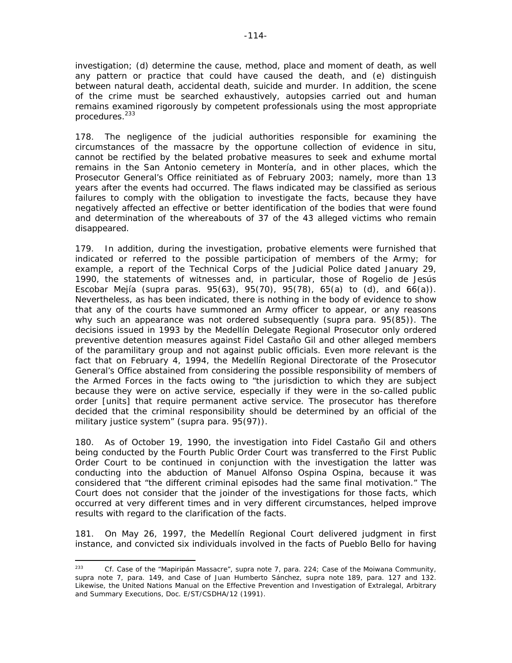investigation; (d) determine the cause, method, place and moment of death, as well any pattern or practice that could have caused the death, and (e) distinguish between natural death, accidental death, suicide and murder. In addition, the scene of the crime must be searched exhaustively, autopsies carried out and human remains examined rigorously by competent professionals using the most appropriate procedures.<sup>233</sup>

178. The negligence of the judicial authorities responsible for examining the circumstances of the massacre by the opportune collection of evidence *in situ*, cannot be rectified by the belated probative measures to seek and exhume mortal remains in the San Antonio cemetery in Montería, and in other places, which the Prosecutor General's Office reinitiated as of February 2003; namely, more than 13 years after the events had occurred. The flaws indicated may be classified as serious failures to comply with the obligation to investigate the facts, because they have negatively affected an effective or better identification of the bodies that were found and determination of the whereabouts of 37 of the 43 alleged victims who remain disappeared.

179. In addition, during the investigation, probative elements were furnished that indicated or referred to the possible participation of members of the Army; for example, a report of the Technical Corps of the Judicial Police dated January 29, 1990, the statements of witnesses and, in particular, those of Rogelio de Jesús Escobar Mejía (*supra* paras. 95(63), 95(70), 95(78), 65(a) to (d), and 66(a)). Nevertheless, as has been indicated, there is nothing in the body of evidence to show that any of the courts have summoned an Army officer to appear, or any reasons why such an appearance was not ordered subsequently (*supra* para. 95(85)). The decisions issued in 1993 by the Medellín Delegate Regional Prosecutor only ordered preventive detention measures against Fidel Castaño Gil and other alleged members of the paramilitary group and not against public officials. Even more relevant is the fact that on February 4, 1994, the Medellín Regional Directorate of the Prosecutor General's Office abstained from considering the possible responsibility of members of the Armed Forces in the facts owing to "the jurisdiction to which they are subject because they were on active service, especially if they were in the so-called public order [units] that require permanent active service. The prosecutor has therefore decided that the criminal responsibility should be determined by an official of the military justice system" (*supra* para. 95(97)).

180. As of October 19, 1990, the investigation into Fidel Castaño Gil and others being conducted by the Fourth Public Order Court was transferred to the First Public Order Court to be continued in conjunction with the investigation the latter was conducting into the abduction of Manuel Alfonso Ospina Ospina, because it was considered that "the different criminal episodes had the same final motivation." The Court does not consider that the joinder of the investigations for those facts, which occurred at very different times and in very different circumstances, helped improve results with regard to the clarification of the facts.

181. On May 26, 1997, the Medellín Regional Court delivered judgment in first instance, and convicted six individuals involved in the facts of Pueblo Bello for having

<sup>233</sup> <sup>233</sup> *Cf. Case of the "Mapiripán Massacre", supra note* 7, para. 224; *Case of the Moiwana Community, supra note* 7, para. 149, and *Case of Juan Humberto Sánchez*, *supra* note 189, para. 127 and 132. Likewise, the United Nations Manual on the Effective Prevention and Investigation of Extralegal, Arbitrary and Summary Executions, Doc. E/ST/CSDHA/12 (1991).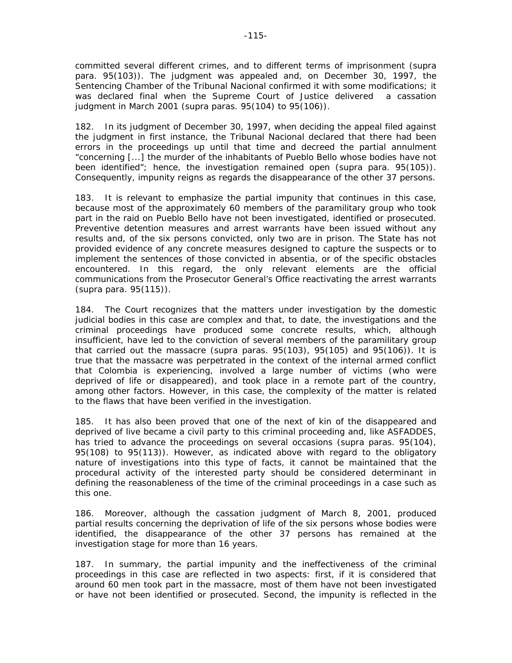committed several different crimes, and to different terms of imprisonment (*supra*  para. 95(103)). The judgment was appealed and, on December 30, 1997, the Sentencing Chamber of the *Tribunal Nacional* confirmed it with some modifications; it was declared final when the Supreme Court of Justice delivered a cassation judgment in March 2001 (*supra* paras. 95(104) to 95(106)).

182. In its judgment of December 30, 1997, when deciding the appeal filed against the judgment in first instance, the *Tribunal Nacional* declared that there had been errors in the proceedings up until that time and decreed the partial annulment "concerning [...] the murder of the inhabitants of Pueblo Bello whose bodies have not been identified"; hence, the investigation remained open (*supra* para. 95(105)). Consequently, impunity reigns as regards the disappearance of the other 37 persons.

183. It is relevant to emphasize the partial impunity that continues in this case, because most of the approximately 60 members of the paramilitary group who took part in the raid on Pueblo Bello have not been investigated, identified or prosecuted. Preventive detention measures and arrest warrants have been issued without any results and, of the six persons convicted, only two are in prison. The State has not provided evidence of any concrete measures designed to capture the suspects or to implement the sentences of those convicted *in absentia*, or of the specific obstacles encountered. In this regard, the only relevant elements are the official communications from the Prosecutor General's Office reactivating the arrest warrants (*supra* para. 95(115)).

184. The Court recognizes that the matters under investigation by the domestic judicial bodies in this case are complex and that, to date, the investigations and the criminal proceedings have produced some concrete results, which, although insufficient, have led to the conviction of several members of the paramilitary group that carried out the massacre (*supra* paras. 95(103), 95(105) and 95(106)). It is true that the massacre was perpetrated in the context of the internal armed conflict that Colombia is experiencing, involved a large number of victims (who were deprived of life or disappeared), and took place in a remote part of the country, among other factors. However, in this case, the complexity of the matter is related to the flaws that have been verified in the investigation.

185. It has also been proved that one of the next of kin of the disappeared and deprived of live became a civil party to this criminal proceeding and, like ASFADDES, has tried to advance the proceedings on several occasions (*supra* paras. 95(104), 95(108) to 95(113)). However, as indicated above with regard to the obligatory nature of investigations into this type of facts, it cannot be maintained that the procedural activity of the interested party should be considered determinant in defining the reasonableness of the time of the criminal proceedings in a case such as this one.

186. Moreover, although the cassation judgment of March 8, 2001, produced partial results concerning the deprivation of life of the six persons whose bodies were identified, the disappearance of the other 37 persons has remained at the investigation stage for more than 16 years.

187. In summary, the partial impunity and the ineffectiveness of the criminal proceedings in this case are reflected in two aspects: first, if it is considered that around 60 men took part in the massacre, most of them have not been investigated or have not been identified or prosecuted. Second, the impunity is reflected in the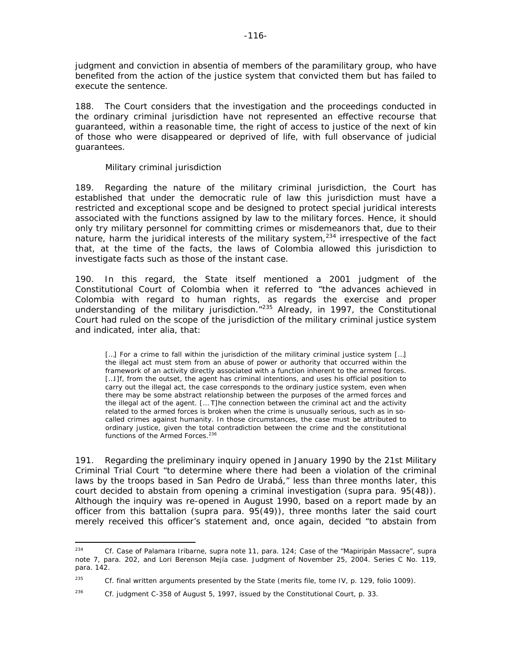judgment and conviction *in absentia* of members of the paramilitary group, who have benefited from the action of the justice system that convicted them but has failed to execute the sentence.

188. The Court considers that the investigation and the proceedings conducted in the ordinary criminal jurisdiction have not represented an effective recourse that guaranteed, within a reasonable time, the right of access to justice of the next of kin of those who were disappeared or deprived of life, with full observance of judicial guarantees.

# *Military criminal jurisdiction*

189. Regarding the nature of the military criminal jurisdiction, the Court has established that under the democratic rule of law this jurisdiction must have a restricted and exceptional scope and be designed to protect special juridical interests associated with the functions assigned by law to the military forces. Hence, it should only try military personnel for committing crimes or misdemeanors that, due to their nature, harm the juridical interests of the military system,<sup>234</sup> irrespective of the fact that, at the time of the facts, the laws of Colombia allowed this jurisdiction to investigate facts such as those of the instant case.

190. In this regard, the State itself mentioned a 2001 judgment of the Constitutional Court of Colombia when it referred to "the advances achieved in Colombia with regard to human rights, as regards the exercise and proper understanding of the military jurisdiction."235 Already, in 1997, the Constitutional Court had ruled on the scope of the jurisdiction of the military criminal justice system and indicated, *inter alia*, that:

[...] For a crime to fall within the jurisdiction of the military criminal justice system [...] the illegal act must stem from an abuse of power or authority that occurred within the framework of an activity directly associated with a function inherent to the armed forces. [...]]f, from the outset, the agent has criminal intentions, and uses his official position to carry out the illegal act, the case corresponds to the ordinary justice system, even when there may be some abstract relationship between the purposes of the armed forces and the illegal act of the agent. [… T]he connection between the criminal act and the activity related to the armed forces is broken when the crime is unusually serious, such as in socalled crimes against humanity. In those circumstances, the case must be attributed to ordinary justice, given the total contradiction between the crime and the constitutional functions of the Armed Forces.<sup>236</sup>

191. Regarding the preliminary inquiry opened in January 1990 by the 21st Military Criminal Trial Court "to determine where there had been a violation of the criminal laws by the troops based in San Pedro de Urabá," less than three months later, this court decided to abstain from opening a criminal investigation (*supra* para. 95(48)). Although the inquiry was re-opened in August 1990, based on a report made by an officer from this battalion (*supra* para. 95(49)), three months later the said court merely received this officer's statement and, once again, decided "to abstain from

<sup>234</sup> 234 *Cf. Case of Palamara Iribarne, supra* note 11, para. 124*; Case of the "Mapiripán Massacre", supra note* 7, para. 202, and *Lori Berenson Mejía case*. Judgment of November 25, 2004. Series C No. 119, para. 142.

<sup>&</sup>lt;sup>235</sup> *Cf.* final written arguments presented by the State (merits file, tome IV, p. 129, folio 1009).

<sup>236</sup> *Cf.* judgment C-358 of August 5, 1997, issued by the Constitutional Court, p. 33.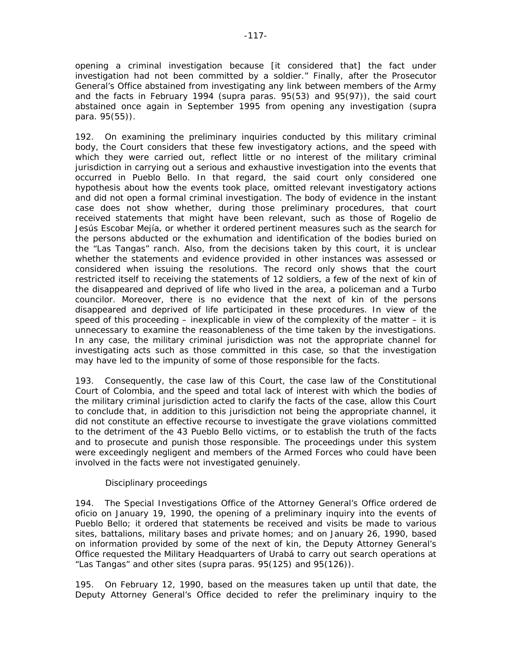opening a criminal investigation because [it considered that] the fact under investigation had not been committed by a soldier." Finally, after the Prosecutor General's Office abstained from investigating any link between members of the Army and the facts in February 1994 (*supra* paras. 95(53) and 95(97)), the said court abstained once again in September 1995 from opening any investigation (*supra* para. 95(55)).

192. On examining the preliminary inquiries conducted by this military criminal body, the Court considers that these few investigatory actions, and the speed with which they were carried out, reflect little or no interest of the military criminal jurisdiction in carrying out a serious and exhaustive investigation into the events that occurred in Pueblo Bello. In that regard, the said court only considered one hypothesis about how the events took place, omitted relevant investigatory actions and did not open a formal criminal investigation. The body of evidence in the instant case does not show whether, during those preliminary procedures, that court received statements that might have been relevant, such as those of Rogelio de Jesús Escobar Mejía, or whether it ordered pertinent measures such as the search for the persons abducted or the exhumation and identification of the bodies buried on the *"Las Tangas*" ranch. Also, from the decisions taken by this court, it is unclear whether the statements and evidence provided in other instances was assessed or considered when issuing the resolutions. The record only shows that the court restricted itself to receiving the statements of 12 soldiers, a few of the next of kin of the disappeared and deprived of life who lived in the area, a policeman and a Turbo councilor. Moreover, there is no evidence that the next of kin of the persons disappeared and deprived of life participated in these procedures. In view of the speed of this proceeding – inexplicable in view of the complexity of the matter – it is unnecessary to examine the reasonableness of the time taken by the investigations. In any case, the military criminal jurisdiction was not the appropriate channel for investigating acts such as those committed in this case, so that the investigation may have led to the impunity of some of those responsible for the facts.

193. Consequently, the case law of this Court, the case law of the Constitutional Court of Colombia, and the speed and total lack of interest with which the bodies of the military criminal jurisdiction acted to clarify the facts of the case, allow this Court to conclude that, in addition to this jurisdiction not being the appropriate channel, it did not constitute an effective recourse to investigate the grave violations committed to the detriment of the 43 Pueblo Bello victims, or to establish the truth of the facts and to prosecute and punish those responsible. The proceedings under this system were exceedingly negligent and members of the Armed Forces who could have been involved in the facts were not investigated genuinely.

# *Disciplinary proceedings*

194. The Special Investigations Office of the Attorney General's Office ordered *de oficio* on January 19, 1990, the opening of a preliminary inquiry into the events of Pueblo Bello; it ordered that statements be received and visits be made to various sites, battalions, military bases and private homes; and on January 26, 1990, based on information provided by some of the next of kin, the Deputy Attorney General's Office requested the Military Headquarters of Urabá to carry out search operations at "*Las Tangas*" and other sites (*supra* paras. 95(125) and 95(126)).

195. On February 12, 1990, based on the measures taken up until that date, the Deputy Attorney General's Office decided to refer the preliminary inquiry to the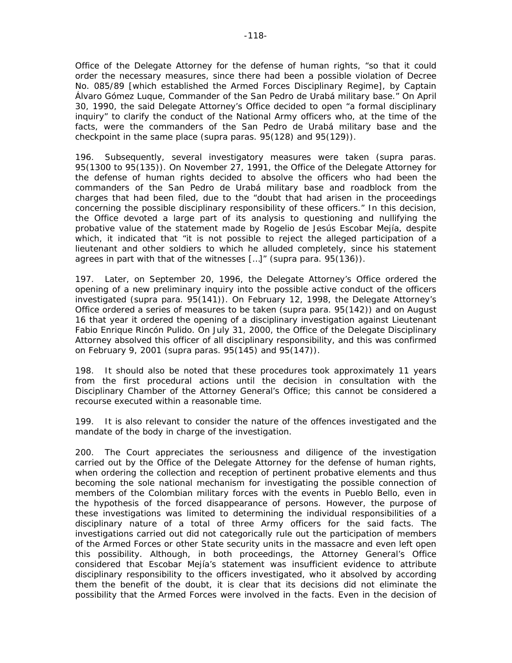Office of the Delegate Attorney for the defense of human rights, "so that it could order the necessary measures, since there had been a possible violation of Decree No. 085/89 [which established the Armed Forces Disciplinary Regime], by Captain Álvaro Gómez Luque, Commander of the San Pedro de Urabá military base." On April 30, 1990, the said Delegate Attorney's Office decided to open "a formal disciplinary inquiry" to clarify the conduct of the National Army officers who, at the time of the facts, were the commanders of the San Pedro de Urabá military base and the checkpoint in the same place (*supra* paras. 95(128) and 95(129)).

196. Subsequently, several investigatory measures were taken (*supra* paras. 95(1300 to 95(135)). On November 27, 1991, the Office of the Delegate Attorney for the defense of human rights decided to absolve the officers who had been the commanders of the San Pedro de Urabá military base and roadblock from the charges that had been filed, due to the "doubt that had arisen in the proceedings concerning the possible disciplinary responsibility of these officers." In this decision, the Office devoted a large part of its analysis to questioning and nullifying the probative value of the statement made by Rogelio de Jesús Escobar Mejía, despite which, it indicated that "it is not possible to reject the alleged participation of a lieutenant and other soldiers to which he alluded completely, since his statement agrees in part with that of the witnesses […]" (*supra* para. 95(136)).

197. Later, on September 20, 1996, the Delegate Attorney's Office ordered the opening of a new preliminary inquiry into the possible active conduct of the officers investigated (*supra* para. 95(141)). On February 12, 1998, the Delegate Attorney's Office ordered a series of measures to be taken (*supra* para. 95(142)) and on August 16 that year it ordered the opening of a disciplinary investigation against Lieutenant Fabio Enrique Rincón Pulido. On July 31, 2000, the Office of the Delegate Disciplinary Attorney absolved this officer of all disciplinary responsibility, and this was confirmed on February 9, 2001 (*supra* paras. 95(145) and 95(147)).

198. It should also be noted that these procedures took approximately 11 years from the first procedural actions until the decision in consultation with the Disciplinary Chamber of the Attorney General's Office; this cannot be considered a recourse executed within a reasonable time.

199. It is also relevant to consider the nature of the offences investigated and the mandate of the body in charge of the investigation.

200. The Court appreciates the seriousness and diligence of the investigation carried out by the Office of the Delegate Attorney for the defense of human rights, when ordering the collection and reception of pertinent probative elements and thus becoming the sole national mechanism for investigating the possible connection of members of the Colombian military forces with the events in Pueblo Bello, even in the hypothesis of the forced disappearance of persons. However, the purpose of these investigations was limited to determining the individual responsibilities of a disciplinary nature of a total of three Army officers for the said facts. The investigations carried out did not categorically rule out the participation of members of the Armed Forces or other State security units in the massacre and even left open this possibility. Although, in both proceedings, the Attorney General's Office considered that Escobar Mejía's statement was insufficient evidence to attribute disciplinary responsibility to the officers investigated, who it absolved by according them the benefit of the doubt, it is clear that its decisions did not eliminate the possibility that the Armed Forces were involved in the facts. Even in the decision of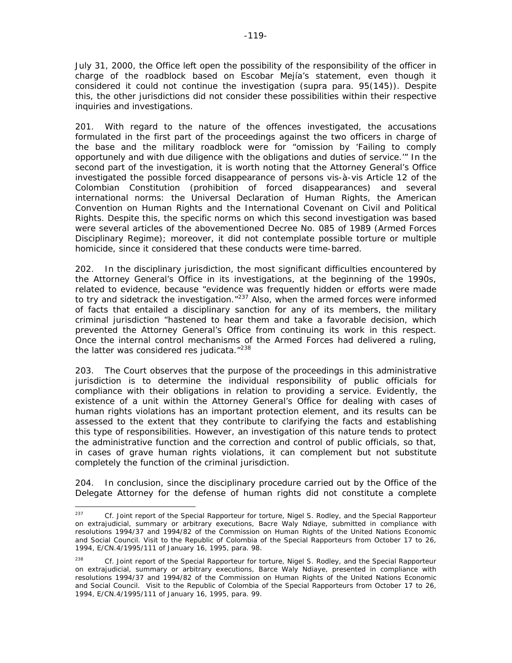July 31, 2000, the Office left open the possibility of the responsibility of the officer in charge of the roadblock based on Escobar Mejía's statement, even though it considered it could not continue the investigation (*supra* para. 95(145)). Despite this, the other jurisdictions did not consider these possibilities within their respective inquiries and investigations.

201. With regard to the nature of the offences investigated, the accusations formulated in the first part of the proceedings against the two officers in charge of the base and the military roadblock were for "omission by 'Failing to comply opportunely and with due diligence with the obligations and duties of service.'" In the second part of the investigation, it is worth noting that the Attorney General's Office investigated the possible forced disappearance of persons *vis-à-vis* Article 12 of the Colombian Constitution (prohibition of forced disappearances) and several international norms: the Universal Declaration of Human Rights, the American Convention on Human Rights and the International Covenant on Civil and Political Rights. Despite this, the specific norms on which this second investigation was based were several articles of the abovementioned Decree No. 085 of 1989 (Armed Forces Disciplinary Regime); moreover, it did not contemplate possible torture or multiple homicide, since it considered that these conducts were time-barred.

202. In the disciplinary jurisdiction, the most significant difficulties encountered by the Attorney General's Office in its investigations, at the beginning of the 1990s, related to evidence, because "evidence was frequently hidden or efforts were made to try and sidetrack the investigation. $1237$  Also, when the armed forces were informed of facts that entailed a disciplinary sanction for any of its members, the military criminal jurisdiction "hastened to hear them and take a favorable decision, which prevented the Attorney General's Office from continuing its work in this respect. Once the internal control mechanisms of the Armed Forces had delivered a ruling, the latter was considered *res judicata*."238

203. The Court observes that the purpose of the proceedings in this administrative jurisdiction is to determine the individual responsibility of public officials for compliance with their obligations in relation to providing a service. Evidently, the existence of a unit within the Attorney General's Office for dealing with cases of human rights violations has an important protection element, and its results can be assessed to the extent that they contribute to clarifying the facts and establishing this type of responsibilities. However, an investigation of this nature tends to protect the administrative function and the correction and control of public officials, so that, in cases of grave human rights violations, it can complement but not substitute completely the function of the criminal jurisdiction.

204. In conclusion, since the disciplinary procedure carried out by the Office of the Delegate Attorney for the defense of human rights did not constitute a complete

<sup>237</sup> Cf. Joint report of the Special Rapporteur for torture, Nigel S. Rodley, and the Special Rapporteur on extrajudicial, summary or arbitrary executions, Bacre Waly Ndiaye, submitted in compliance with resolutions 1994/37 and 1994/82 of the Commission on Human Rights of the United Nations Economic and Social Council. Visit to the Republic of Colombia of the Special Rapporteurs from October 17 to 26, 1994, E/CN.4/1995/111 of January 16, 1995, para. 98.

<sup>&</sup>lt;sup>238</sup> *Cf.* Joint report of the Special Rapporteur for torture, Nigel S. Rodley, and the Special Rapporteur on extrajudicial, summary or arbitrary executions, Barce Waly Ndiaye, presented in compliance with resolutions 1994/37 and 1994/82 of the Commission on Human Rights of the United Nations Economic and Social Council. Visit to the Republic of Colombia of the Special Rapporteurs from October 17 to 26, 1994, E/CN.4/1995/111 of January 16, 1995, para. 99.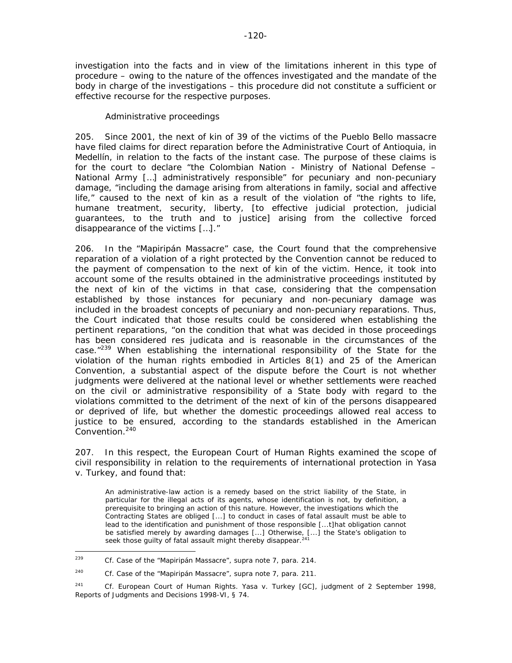investigation into the facts and in view of the limitations inherent in this type of procedure – owing to the nature of the offences investigated and the mandate of the body in charge of the investigations – this procedure did not constitute a sufficient or effective recourse for the respective purposes.

# *Administrative proceedings*

205. Since 2001, the next of kin of 39 of the victims of the Pueblo Bello massacre have filed claims for direct reparation before the Administrative Court of Antioquia, in Medellín, in relation to the facts of the instant case. The purpose of these claims is for the court to declare "the Colombian Nation - Ministry of National Defense – National Army […] administratively responsible" for pecuniary and non-pecuniary damage, "including the damage arising from alterations in family, social and affective life," caused to the next of kin as a result of the violation of "the rights to life, humane treatment, security, liberty, [to effective judicial protection, judicial guarantees, to the truth and to justice] arising from the collective forced disappearance of the victims […]."

206. In the *"Mapiripán Massacre"* case, the Court found that the comprehensive reparation of a violation of a right protected by the Convention cannot be reduced to the payment of compensation to the next of kin of the victim. Hence, it took into account some of the results obtained in the administrative proceedings instituted by the next of kin of the victims in that case, considering that the compensation established by those instances for pecuniary and non-pecuniary damage was included in the broadest concepts of pecuniary and non-pecuniary reparations. Thus, the Court indicated that those results could be considered when establishing the pertinent reparations, "on the condition that what was decided in those proceedings has been considered *res judicata* and is reasonable in the circumstances of the case."<sup>239</sup> When establishing the international responsibility of the State for the violation of the human rights embodied in Articles 8(1) and 25 of the American Convention, a substantial aspect of the dispute before the Court is not whether judgments were delivered at the national level or whether settlements were reached on the civil or administrative responsibility of a State body with regard to the violations committed to the detriment of the next of kin of the persons disappeared or deprived of life, but whether the domestic proceedings allowed real access to justice to be ensured, according to the standards established in the American Convention.<sup>240</sup>

207. In this respect, the European Court of Human Rights examined the scope of civil responsibility in relation to the requirements of international protection in *Yasa v. Turkey*, and found that:

An administrative-law action is a remedy based on the strict liability of the State, in particular for the illegal acts of its agents, whose identification is not, by definition, a prerequisite to bringing an action of this nature. However, the investigations which the Contracting States are obliged [...] to conduct in cases of fatal assault must be able to lead to the identification and punishment of those responsible [...t]hat obligation cannot be satisfied merely by awarding damages [...] Otherwise, [...] the State's obligation to seek those guilty of fatal assault might thereby disappear.<sup>2</sup>

 $\overline{a}$ 239 *Cf. Case of the "Mapiripán Massacre", supra note* 7, para. 214.

<sup>240</sup> *Cf. Case of the "Mapiripán Massacre", supra note* 7, para. 211.

<sup>241</sup> *Cf.* European Court of Human Rights. *Yasa v. Turkey* [GC], judgment of 2 September 1998, Reports of Judgments and Decisions 1998-VI, § 74.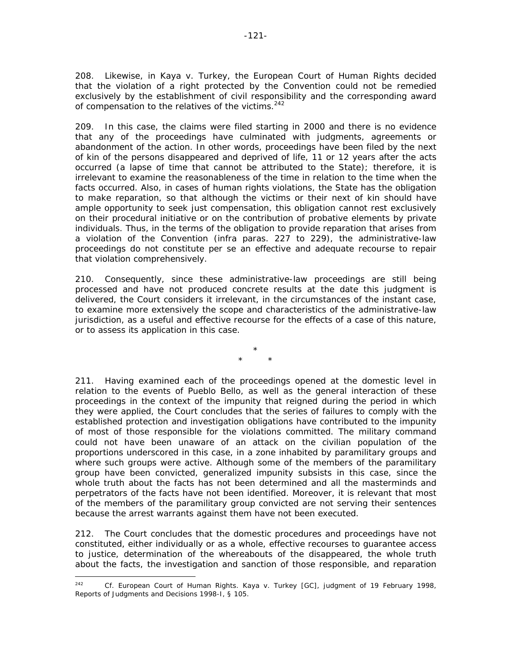208. Likewise, in *Kaya v. Turkey,* the European Court of Human Rights decided that the violation of a right protected by the Convention could not be remedied exclusively by the establishment of civil responsibility and the corresponding award of compensation to the relatives of the victims.<sup>242</sup>

209. In this case, the claims were filed starting in 2000 and there is no evidence that any of the proceedings have culminated with judgments, agreements or abandonment of the action. In other words, proceedings have been filed by the next of kin of the persons disappeared and deprived of life, 11 or 12 years after the acts occurred (a lapse of time that cannot be attributed to the State); therefore, it is irrelevant to examine the reasonableness of the time in relation to the time when the facts occurred. Also, in cases of human rights violations, the State has the obligation to make reparation, so that although the victims or their next of kin should have ample opportunity to seek just compensation, this obligation cannot rest exclusively on their procedural initiative or on the contribution of probative elements by private individuals. Thus, in the terms of the obligation to provide reparation that arises from a violation of the Convention (*infra* paras. 227 to 229), the administrative-law proceedings do not constitute *per se* an effective and adequate recourse to repair that violation comprehensively.

210. Consequently, since these administrative-law proceedings are still being processed and have not produced concrete results at the date this judgment is delivered, the Court considers it irrelevant, in the circumstances of the instant case, to examine more extensively the scope and characteristics of the administrative-law jurisdiction, as a useful and effective recourse for the effects of a case of this nature, or to assess its application in this case.

> \* \* \*

211. Having examined each of the proceedings opened at the domestic level in relation to the events of Pueblo Bello, as well as the general interaction of these proceedings in the context of the impunity that reigned during the period in which they were applied, the Court concludes that the series of failures to comply with the established protection and investigation obligations have contributed to the impunity of most of those responsible for the violations committed. The military command could not have been unaware of an attack on the civilian population of the proportions underscored in this case, in a zone inhabited by paramilitary groups and where such groups were active. Although some of the members of the paramilitary group have been convicted, generalized impunity subsists in this case, since the whole truth about the facts has not been determined and all the masterminds and perpetrators of the facts have not been identified. Moreover, it is relevant that most of the members of the paramilitary group convicted are not serving their sentences because the arrest warrants against them have not been executed.

212. The Court concludes that the domestic procedures and proceedings have not constituted, either individually or as a whole, effective recourses to guarantee access to justice, determination of the whereabouts of the disappeared, the whole truth about the facts, the investigation and sanction of those responsible, and reparation

<sup>242</sup> <sup>242</sup> *Cf.* European Court of Human Rights*. Kaya v. Turkey* [GC], judgment of 19 February 1998, Reports of Judgments and Decisions 1998-I, § 105.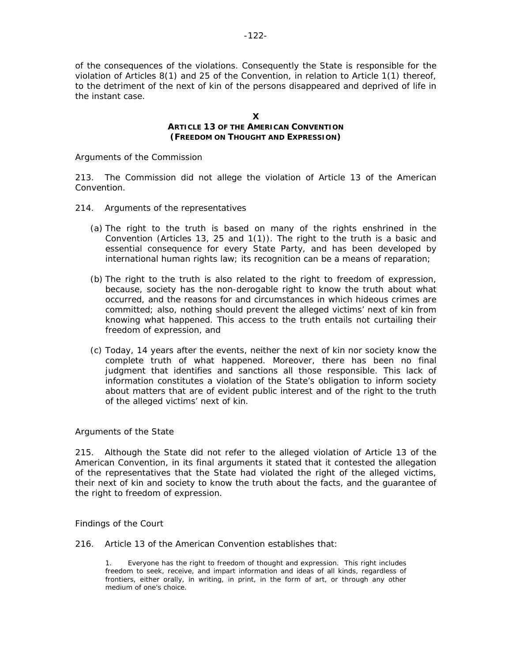of the consequences of the violations. Consequently the State is responsible for the violation of Articles 8(1) and 25 of the Convention, in relation to Article 1(1) thereof, to the detriment of the next of kin of the persons disappeared and deprived of life in the instant case.

# **X ARTICLE 13 OF THE AMERICAN CONVENTION (FREEDOM ON THOUGHT AND EXPRESSION)**

# *Arguments of the Commission*

213. The Commission did not allege the violation of Article 13 of the American Convention.

- 214. *Arguments of the representatives* 
	- (a) The right to the truth is based on many of the rights enshrined in the Convention (Articles 13, 25 and 1(1)). The right to the truth is a basic and essential consequence for every State Party, and has been developed by international human rights law; its recognition can be a means of reparation;
	- (b) The right to the truth is also related to the right to freedom of expression, because, society has the non-derogable right to know the truth about what occurred, and the reasons for and circumstances in which hideous crimes are committed; also, nothing should prevent the alleged victims' next of kin from knowing what happened. This access to the truth entails not curtailing their freedom of expression, and
	- (c) Today, 14 years after the events, neither the next of kin nor society know the complete truth of what happened. Moreover, there has been no final judgment that identifies and sanctions all those responsible. This lack of information constitutes a violation of the State's obligation to inform society about matters that are of evident public interest and of the right to the truth of the alleged victims' next of kin.

### *Arguments of the State*

215. Although the State did not refer to the alleged violation of Article 13 of the American Convention, in its final arguments it stated that it contested the allegation of the representatives that the State had violated the right of the alleged victims, their next of kin and society to know the truth about the facts, and the guarantee of the right to freedom of expression.

### *Findings of the Court*

216. Article 13 of the American Convention establishes that:

Everyone has the right to freedom of thought and expression. This right includes freedom to seek, receive, and impart information and ideas of all kinds, regardless of frontiers, either orally, in writing, in print, in the form of art, or through any other medium of one's choice.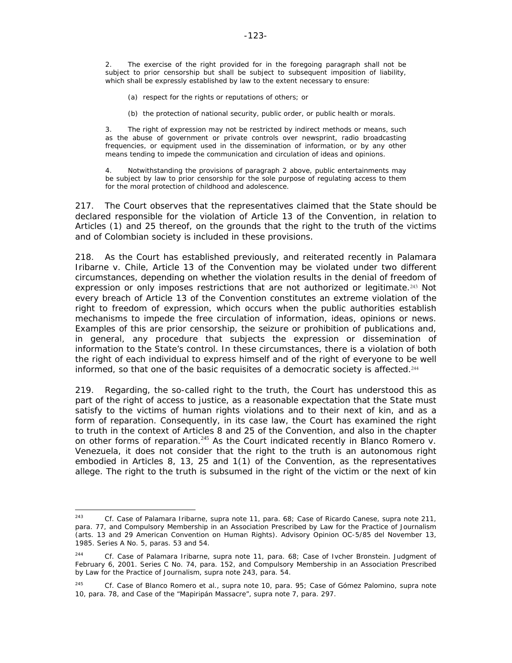2. The exercise of the right provided for in the foregoing paragraph shall not be subject to prior censorship but shall be subject to subsequent imposition of liability, which shall be expressly established by law to the extent necessary to ensure:

(a) respect for the rights or reputations of others; or

(b) the protection of national security, public order, or public health or morals.

3. The right of expression may not be restricted by indirect methods or means, such as the abuse of government or private controls over newsprint, radio broadcasting frequencies, or equipment used in the dissemination of information, or by any other means tending to impede the communication and circulation of ideas and opinions.

Notwithstanding the provisions of paragraph 2 above, public entertainments may be subject by law to prior censorship for the sole purpose of regulating access to them for the moral protection of childhood and adolescence.

217. The Court observes that the representatives claimed that the State should be declared responsible for the violation of Article 13 of the Convention, in relation to Articles (1) and 25 thereof, on the grounds that the right to the truth of the victims and of Colombian society is included in these provisions.

218. As the Court has established previously, and reiterated recently in *Palamara Iribarne v. Chile*, Article 13 of the Convention may be violated under two different circumstances, depending on whether the violation results in the denial of freedom of expression or only imposes restrictions that are not authorized or legitimate.243 Not every breach of Article 13 of the Convention constitutes an extreme violation of the right to freedom of expression, which occurs when the public authorities establish mechanisms to impede the free circulation of information, ideas, opinions or news. Examples of this are prior censorship, the seizure or prohibition of publications and, in general, any procedure that subjects the expression or dissemination of information to the State's control. In these circumstances, there is a violation of both the right of each individual to express himself and of the right of everyone to be well informed, so that one of the basic requisites of a democratic society is affected.<sup>244</sup>

219. Regarding, the so-called right to the truth, the Court has understood this as part of the right of access to justice, as a reasonable expectation that the State must satisfy to the victims of human rights violations and to their next of kin, and as a form of reparation. Consequently, in its case law, the Court has examined the right to truth in the context of Articles 8 and 25 of the Convention, and also in the chapter on other forms of reparation.<sup>245</sup> As the Court indicated recently in *Blanco Romero v. Venezuela*, it does not consider that the right to the truth is an autonomous right embodied in Articles 8, 13, 25 and 1(1) of the Convention, as the representatives allege. The right to the truth is subsumed in the right of the victim or the next of kin

<sup>243</sup> 243 *Cf. Case of Palamara Iribarne, supra note* 11, para. 68; *Case of Ricardo Canese*, *supra* note 211, para. 77, and *Compulsory Membership in an Association Prescribed by Law for the Practice of Journalism*  (arts. 13 and 29 American Convention on Human Rights). Advisory Opinion OC-5/85 del November 13, 1985. Series A No. 5, paras. 53 and 54.

<sup>244</sup> *Cf. Case of Palamara Iribarne, supra note* 11, para. 68; *Case of Ivcher Bronstein.* Judgment of February 6, 2001. Series C No. 74, para. 152, and *Compulsory Membership in an Association Prescribed by Law for the Practice of Journalism*, *supra note* 243, para. 54.

<sup>245</sup> *Cf. Case of Blanco Romero et al.*, *supra* note 10, para. 95; *Case of Gómez Palomino, supra* note 10, para. 78*, and Case of the "Mapiripán Massacre", supra note* 7, para. 297.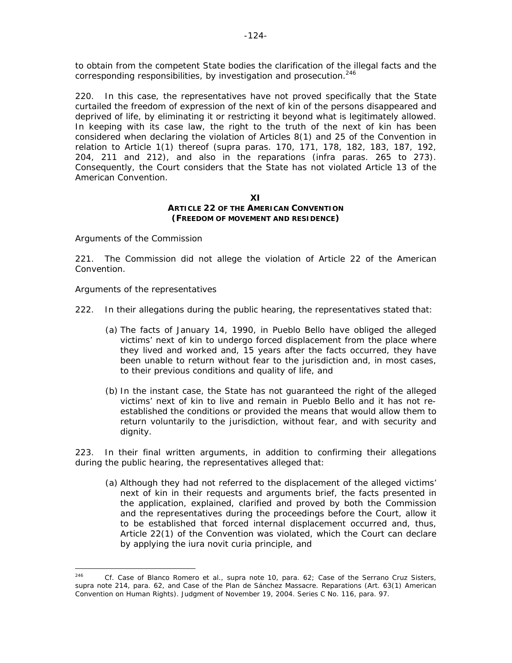to obtain from the competent State bodies the clarification of the illegal facts and the corresponding responsibilities, by investigation and prosecution.<sup>246</sup>

220. In this case, the representatives have not proved specifically that the State curtailed the freedom of expression of the next of kin of the persons disappeared and deprived of life, by eliminating it or restricting it beyond what is legitimately allowed. In keeping with its case law, the right to the truth of the next of kin has been considered when declaring the violation of Articles 8(1) and 25 of the Convention in relation to Article 1(1) thereof (*supra* paras. 170, 171, 178, 182, 183, 187, 192, 204, 211 and 212), and also in the reparations (*infra* paras. 265 to 273). Consequently, the Court considers that the State has not violated Article 13 of the American Convention.

## **XI ARTICLE 22 OF THE AMERICAN CONVENTION (FREEDOM OF MOVEMENT AND RESIDENCE)**

# *Arguments of the Commission*

221*.* The Commission did not allege the violation of Article 22 of the American Convention.

# *Arguments of the representatives*

- 222. In their allegations during the public hearing, the representatives stated that:
	- (a) The facts of January 14, 1990, in Pueblo Bello have obliged the alleged victims' next of kin to undergo forced displacement from the place where they lived and worked and, 15 years after the facts occurred, they have been unable to return without fear to the jurisdiction and, in most cases, to their previous conditions and quality of life, and
	- (b) In the instant case, the State has not guaranteed the right of the alleged victims' next of kin to live and remain in Pueblo Bello and it has not reestablished the conditions or provided the means that would allow them to return voluntarily to the jurisdiction, without fear, and with security and dignity.

223. In their final written arguments, in addition to confirming their allegations during the public hearing, the representatives alleged that:

(a) Although they had not referred to the displacement of the alleged victims' next of kin in their requests and arguments brief, the facts presented in the application, explained, clarified and proved by both the Commission and the representatives during the proceedings before the Court, allow it to be established that forced internal displacement occurred and, thus, Article 22(1) of the Convention was violated, which the Court can declare by applying the *iura novit curia* principle, and

<sup>246</sup> 246 *Cf. Case of Blanco Romero et al.*, *supra* note 10, para. 62; *Case of the Serrano Cruz Sisters*, *supra* note 214, para. 62, and *Case of the Plan de Sánchez Massacre*. *Reparations* (Art. 63(1) American Convention on Human Rights). Judgment of November 19, 2004. Series C No. 116, para. 97.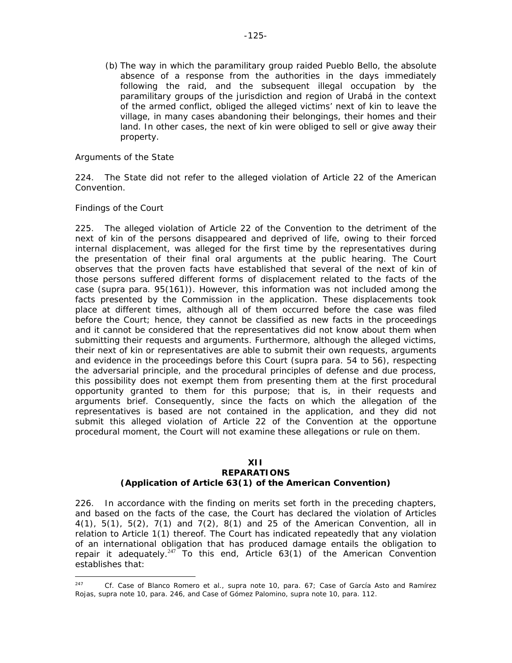(b) The way in which the paramilitary group raided Pueblo Bello, the absolute absence of a response from the authorities in the days immediately following the raid, and the subsequent illegal occupation by the paramilitary groups of the jurisdiction and region of Urabá in the context of the armed conflict, obliged the alleged victims' next of kin to leave the village, in many cases abandoning their belongings, their homes and their land. In other cases, the next of kin were obliged to sell or give away their property.

## *Arguments of the State*

224*.* The State did not refer to the alleged violation of Article 22 of the American Convention.

# *Findings of the Court*

225. The alleged violation of Article 22 of the Convention to the detriment of the next of kin of the persons disappeared and deprived of life, owing to their forced internal displacement, was alleged for the first time by the representatives during the presentation of their final oral arguments at the public hearing. The Court observes that the proven facts have established that several of the next of kin of those persons suffered different forms of displacement related to the facts of the case (*supra* para. 95(161)). However, this information was not included among the facts presented by the Commission in the application. These displacements took place at different times, although all of them occurred before the case was filed before the Court; hence, they cannot be classified as new facts in the proceedings and it cannot be considered that the representatives did not know about them when submitting their requests and arguments. Furthermore, although the alleged victims, their next of kin or representatives are able to submit their own requests, arguments and evidence in the proceedings before this Court (*supra* para. 54 to 56), respecting the adversarial principle, and the procedural principles of defense and due process, this possibility does not exempt them from presenting them at the first procedural opportunity granted to them for this purpose; that is, in their requests and arguments brief. Consequently, since the facts on which the allegation of the representatives is based are not contained in the application, and they did not submit this alleged violation of Article 22 of the Convention at the opportune procedural moment, the Court will not examine these allegations or rule on them.

### **XII**

### **REPARATIONS (Application of Article 63(1) of the American Convention)**

226. In accordance with the finding on merits set forth in the preceding chapters, and based on the facts of the case, the Court has declared the violation of Articles 4(1), 5(1), 5(2), 7(1) and 7(2), 8(1) and 25 of the American Convention, all in relation to Article 1(1) thereof. The Court has indicated repeatedly that any violation of an international obligation that has produced damage entails the obligation to repair it adequately.<sup>247</sup> To this end, Article 63(1) of the American Convention establishes that:

 $247$ <sup>247</sup> *Cf. Case of Blanco Romero et al.*, *supra* note 10, para. 67; *Case of García Asto and Ramírez Rojas, supra* note 10, para. 246, and *Case of Gómez Palomino, supra* note 10, para. 112.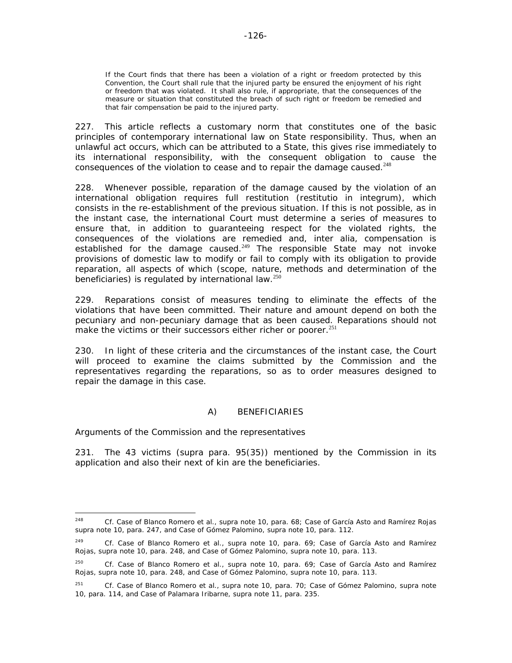If the Court finds that there has been a violation of a right or freedom protected by this Convention, the Court shall rule that the injured party be ensured the enjoyment of his right or freedom that was violated. It shall also rule, if appropriate, that the consequences of the measure or situation that constituted the breach of such right or freedom be remedied and that fair compensation be paid to the injured party.

227. This article reflects a customary norm that constitutes one of the basic principles of contemporary international law on State responsibility. Thus, when an unlawful act occurs, which can be attributed to a State, this gives rise immediately to its international responsibility, with the consequent obligation to cause the consequences of the violation to cease and to repair the damage caused.<sup>248</sup>

228. Whenever possible, reparation of the damage caused by the violation of an international obligation requires full restitution (*restitutio in integrum*), which consists in the re-establishment of the previous situation. If this is not possible, as in the instant case, the international Court must determine a series of measures to ensure that, in addition to guaranteeing respect for the violated rights, the consequences of the violations are remedied and, *inter alia*, compensation is established for the damage caused.<sup>249</sup> The responsible State may not invoke provisions of domestic law to modify or fail to comply with its obligation to provide reparation, all aspects of which (scope, nature, methods and determination of the beneficiaries) is regulated by international law. $250$ 

229. Reparations consist of measures tending to eliminate the effects of the violations that have been committed. Their nature and amount depend on both the pecuniary and non-pecuniary damage that as been caused. Reparations should not make the victims or their successors either richer or poorer.<sup>251</sup>

230. In light of these criteria and the circumstances of the instant case, the Court will proceed to examine the claims submitted by the Commission and the representatives regarding the reparations, so as to order measures designed to repair the damage in this case.

# *A) BENEFICIARIES*

*Arguments of the Commission and the representatives* 

231. The 43 victims (*supra* para. 95(35)) mentioned by the Commission in its application and also their next of kin are the beneficiaries.

<sup>248</sup> <sup>248</sup> *Cf. Case of Blanco Romero et al., supra note* 10, para. 68; *Case of García Asto and Ramírez Rojas supra note* 10, para. 247, and *Case of Gómez Palomino, supra* note 10, para. 112.

<sup>249</sup> *Cf. Case of Blanco Romero et al., supra* note 10, para. 69; *Case of García Asto and Ramírez Rojas, supra* note 10, para. 248, and *Case of Gómez Palomino, supra* note 10, para. 113.

<sup>250</sup> *Cf. Case of Blanco Romero et al., supra* note 10, para. 69; *Case of García Asto and Ramírez Rojas, supra* note 10, para. 248, and *Case of Gómez Palomino, supra* note 10, para. 113.

<sup>251</sup> *Cf. Case of Blanco Romero et al., supra note* 10, para. 70; *Case of Gómez Palomino, supra note*  10, para. 114, and *Case of Palamara Iribarne, supra note* 11, para. 235.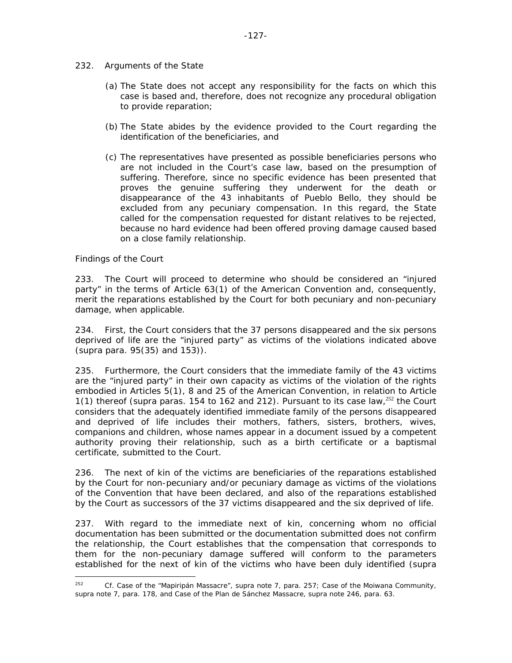### 232. *Arguments of the State*

- (a) The State does not accept any responsibility for the facts on which this case is based and, therefore, does not recognize any procedural obligation to provide reparation;
- (b) The State abides by the evidence provided to the Court regarding the identification of the beneficiaries, and
- (c) The representatives have presented as possible beneficiaries persons who are not included in the Court's case law, based on the presumption of suffering. Therefore, since no specific evidence has been presented that proves the genuine suffering they underwent for the death or disappearance of the 43 inhabitants of Pueblo Bello, they should be excluded from any pecuniary compensation. In this regard, the State called for the compensation requested for distant relatives to be rejected, because no hard evidence had been offered proving damage caused based on a close family relationship.

# *Findings of the Court*

233. The Court will proceed to determine who should be considered an "injured party" in the terms of Article 63(1) of the American Convention and, consequently, merit the reparations established by the Court for both pecuniary and non-pecuniary damage, when applicable.

234. First, the Court considers that the 37 persons disappeared and the six persons deprived of life are the "injured party" as victims of the violations indicated above (*supra* para. 95(35) and 153)).

235. Furthermore, the Court considers that the immediate family of the 43 victims are the "injured party" in their own capacity as victims of the violation of the rights embodied in Articles 5(1), 8 and 25 of the American Convention, in relation to Article 1(1) thereof (*supra* paras. 154 to 162 and 212). Pursuant to its case law,<sup>252</sup> the Court considers that the adequately identified immediate family of the persons disappeared and deprived of life includes their mothers, fathers, sisters, brothers, wives, companions and children, whose names appear in a document issued by a competent authority proving their relationship, such as a birth certificate or a baptismal certificate, submitted to the Court.

236. The next of kin of the victims are beneficiaries of the reparations established by the Court for non-pecuniary and/or pecuniary damage as victims of the violations of the Convention that have been declared, and also of the reparations established by the Court as successors of the 37 victims disappeared and the six deprived of life.

237. With regard to the immediate next of kin, concerning whom no official documentation has been submitted or the documentation submitted does not confirm the relationship, the Court establishes that the compensation that corresponds to them for the non-pecuniary damage suffered will conform to the parameters established for the next of kin of the victims who have been duly identified (*supra*

<sup>252</sup> 252 *Cf. Case of the "Mapiripán Massacre", supra note* 7, para. 257; *Case of the Moiwana Community, supra note* 7, para. 178, and *Case of the Plan de Sánchez Massacre*, *supra* note 246, para. 63.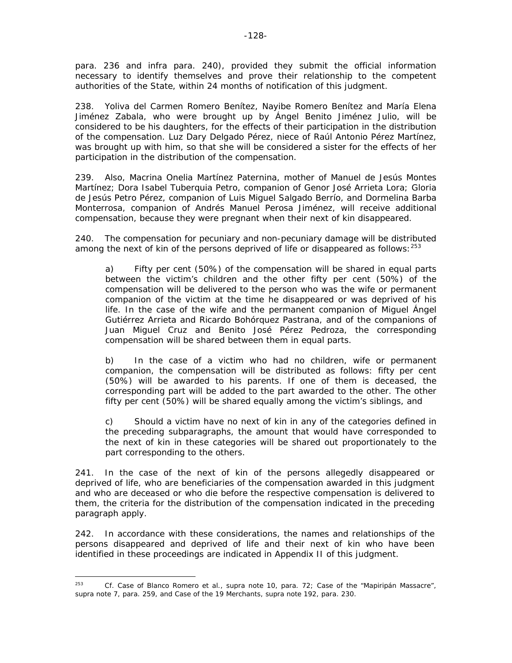para. 236 and *infra* para. 240), provided they submit the official information necessary to identify themselves and prove their relationship to the competent authorities of the State, within 24 months of notification of this judgment.

238. Yoliva del Carmen Romero Benítez, Nayibe Romero Benítez and María Elena Jiménez Zabala, who were brought up by Ángel Benito Jiménez Julio, will be considered to be his daughters, for the effects of their participation in the distribution of the compensation. Luz Dary Delgado Pérez, niece of Raúl Antonio Pérez Martínez, was brought up with him, so that she will be considered a sister for the effects of her participation in the distribution of the compensation.

239. Also, Macrina Onelia Martínez Paternina, mother of Manuel de Jesús Montes Martínez; Dora Isabel Tuberquia Petro, companion of Genor José Arrieta Lora; Gloria de Jesús Petro Pérez, companion of Luis Miguel Salgado Berrío, and Dormelina Barba Monterrosa, companion of Andrés Manuel Perosa Jiménez, will receive additional compensation, because they were pregnant when their next of kin disappeared.

240. The compensation for pecuniary and non-pecuniary damage will be distributed among the next of kin of the persons deprived of life or disappeared as follows:  $253$ 

a) Fifty per cent (50%) of the compensation will be shared in equal parts between the victim's children and the other fifty per cent (50%) of the compensation will be delivered to the person who was the wife or permanent companion of the victim at the time he disappeared or was deprived of his life. In the case of the wife and the permanent companion of Miguel Ángel Gutiérrez Arrieta and Ricardo Bohórquez Pastrana, and of the companions of Juan Miguel Cruz and Benito José Pérez Pedroza, the corresponding compensation will be shared between them in equal parts.

b) In the case of a victim who had no children, wife or permanent companion, the compensation will be distributed as follows: fifty per cent (50%) will be awarded to his parents. If one of them is deceased, the corresponding part will be added to the part awarded to the other. The other fifty per cent (50%) will be shared equally among the victim's siblings, and

c) Should a victim have no next of kin in any of the categories defined in the preceding subparagraphs, the amount that would have corresponded to the next of kin in these categories will be shared out proportionately to the part corresponding to the others.

241. In the case of the next of kin of the persons allegedly disappeared or deprived of life, who are beneficiaries of the compensation awarded in this judgment and who are deceased or who die before the respective compensation is delivered to them, the criteria for the distribution of the compensation indicated in the preceding paragraph apply.

242. In accordance with these considerations, the names and relationships of the persons disappeared and deprived of life and their next of kin who have been identified in these proceedings are indicated in Appendix II of this judgment.

<sup>253</sup> 253 *Cf. Case of Blanco Romero et al., supra note* 10, para. 72; *Case of the "Mapiripán Massacre", supra note* 7, para. 259, and *Case of the 19 Merchants, supra note* 192, para. 230.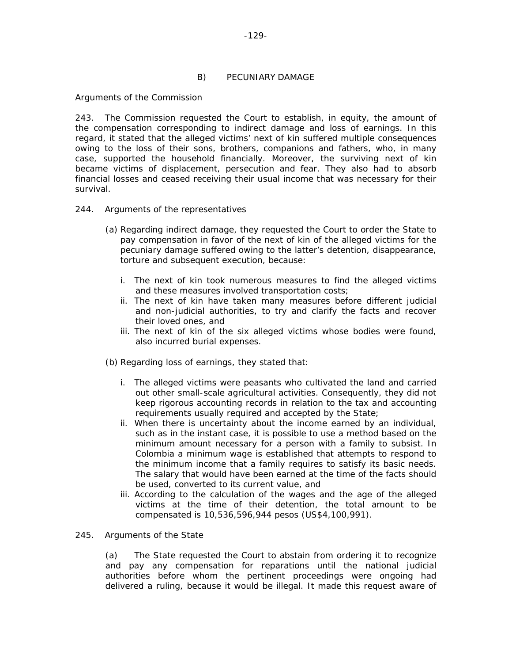# *B) PECUNIARY DAMAGE*

# *Arguments of the Commission*

243. The Commission requested the Court to establish, in equity, the amount of the compensation corresponding to indirect damage and loss of earnings. In this regard, it stated that the alleged victims' next of kin suffered multiple consequences owing to the loss of their sons, brothers, companions and fathers, who, in many case, supported the household financially. Moreover, the surviving next of kin became victims of displacement, persecution and fear. They also had to absorb financial losses and ceased receiving their usual income that was necessary for their survival.

# 244. *Arguments of the representatives*

- (a) Regarding indirect damage, they requested the Court to order the State to pay compensation in favor of the next of kin of the alleged victims for the pecuniary damage suffered owing to the latter's detention, disappearance, torture and subsequent execution, because:
	- i. The next of kin took numerous measures to find the alleged victims and these measures involved transportation costs;
	- ii. The next of kin have taken many measures before different judicial and non-judicial authorities, to try and clarify the facts and recover their loved ones, and
	- iii. The next of kin of the six alleged victims whose bodies were found, also incurred burial expenses.
- (b) Regarding loss of earnings, they stated that:
	- i. The alleged victims were peasants who cultivated the land and carried out other small-scale agricultural activities. Consequently, they did not keep rigorous accounting records in relation to the tax and accounting requirements usually required and accepted by the State;
	- ii. When there is uncertainty about the income earned by an individual, such as in the instant case, it is possible to use a method based on the minimum amount necessary for a person with a family to subsist. In Colombia a minimum wage is established that attempts to respond to the minimum income that a family requires to satisfy its basic needs. The salary that would have been earned at the time of the facts should be used, converted to its current value, and
	- iii. According to the calculation of the wages and the age of the alleged victims at the time of their detention, the total amount to be compensated is 10,536,596,944 pesos (US\$4,100,991).

# 245*. Arguments of the State*

(a) The State requested the Court to abstain from ordering it to recognize and pay any compensation for reparations until the national judicial authorities before whom the pertinent proceedings were ongoing had delivered a ruling, because it would be illegal. It made this request aware of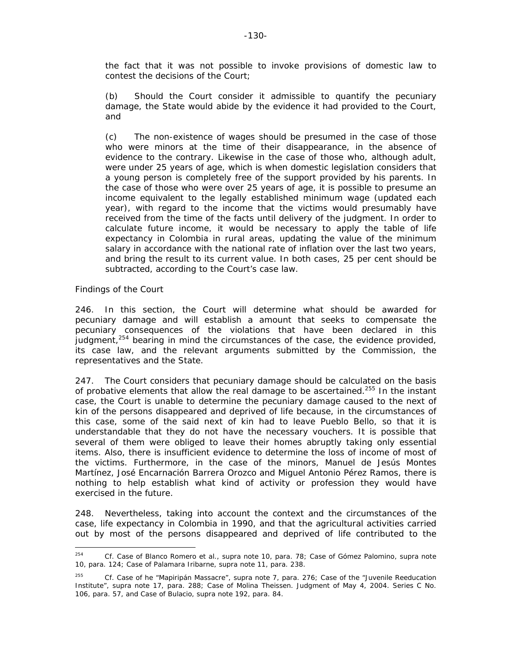the fact that it was not possible to invoke provisions of domestic law to contest the decisions of the Court;

(b) Should the Court consider it admissible to quantify the pecuniary damage, the State would abide by the evidence it had provided to the Court, and

(c) The non-existence of wages should be presumed in the case of those who were minors at the time of their disappearance, in the absence of evidence to the contrary. Likewise in the case of those who, although adult, were under 25 years of age, which is when domestic legislation considers that a young person is completely free of the support provided by his parents. In the case of those who were over 25 years of age, it is possible to presume an income equivalent to the legally established minimum wage (updated each year), with regard to the income that the victims would presumably have received from the time of the facts until delivery of the judgment. In order to calculate future income, it would be necessary to apply the table of life expectancy in Colombia in rural areas, updating the value of the minimum salary in accordance with the national rate of inflation over the last two years, and bring the result to its current value. In both cases, 25 per cent should be subtracted, according to the Court's case law.

# *Findings of the Court*

246. In this section, the Court will determine what should be awarded for pecuniary damage and will establish a amount that seeks to compensate the pecuniary consequences of the violations that have been declared in this judgment,<sup>254</sup> bearing in mind the circumstances of the case, the evidence provided, its case law, and the relevant arguments submitted by the Commission, the representatives and the State.

247. The Court considers that pecuniary damage should be calculated on the basis of probative elements that allow the real damage to be ascertained.<sup>255</sup> In the instant case, the Court is unable to determine the pecuniary damage caused to the next of kin of the persons disappeared and deprived of life because, in the circumstances of this case, some of the said next of kin had to leave Pueblo Bello, so that it is understandable that they do not have the necessary vouchers. It is possible that several of them were obliged to leave their homes abruptly taking only essential items. Also, there is insufficient evidence to determine the loss of income of most of the victims. Furthermore, in the case of the minors, Manuel de Jesús Montes Martínez, José Encarnación Barrera Orozco and Miguel Antonio Pérez Ramos, there is nothing to help establish what kind of activity or profession they would have exercised in the future.

248. Nevertheless, taking into account the context and the circumstances of the case, life expectancy in Colombia in 1990, and that the agricultural activities carried out by most of the persons disappeared and deprived of life contributed to the

<sup>254</sup> <sup>254</sup> *Cf. Case of Blanco Romero et al., supra* note 10, para. 78; *Case of Gómez Palomino, supra* note 10, para. 124; *Case of Palamara Iribarne, supra note* 11, para. 238.

<sup>255</sup> *Cf. Case of he "Mapiripán Massacre", supra note* 7, para. 276; *Case of the "Juvenile Reeducation Institute", supra* note 17, para. 288; *Case of Molina Theissen*. Judgment of May 4, 2004. Series C No. 106, para. 57, and *Case of Bulacio*, *supra* note 192, para. 84.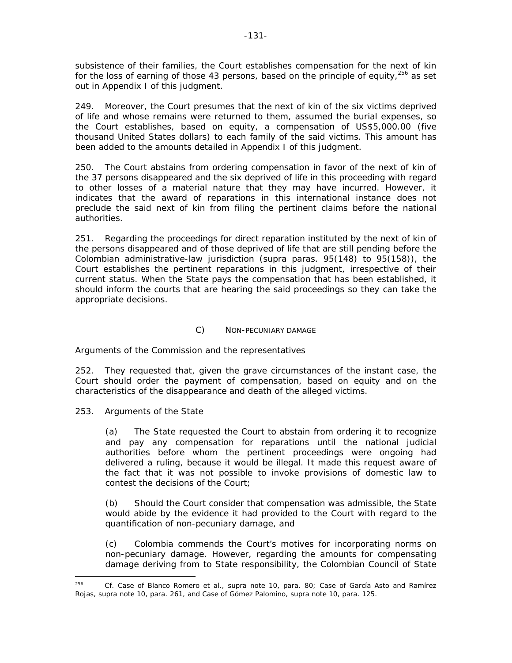subsistence of their families, the Court establishes compensation for the next of kin for the loss of earning of those 43 persons, based on the principle of equity,  $256$  as set out in Appendix I of this judgment.

249. Moreover, the Court presumes that the next of kin of the six victims deprived of life and whose remains were returned to them, assumed the burial expenses, so the Court establishes, based on equity, a compensation of US\$5,000.00 (five thousand United States dollars) to each family of the said victims. This amount has been added to the amounts detailed in Appendix I of this judgment.

250. The Court abstains from ordering compensation in favor of the next of kin of the 37 persons disappeared and the six deprived of life in this proceeding with regard to other losses of a material nature that they may have incurred. However, it indicates that the award of reparations in this international instance does not preclude the said next of kin from filing the pertinent claims before the national authorities.

251. Regarding the proceedings for direct reparation instituted by the next of kin of the persons disappeared and of those deprived of life that are still pending before the Colombian administrative-law jurisdiction (*supra* paras. 95(148) to 95(158)), the Court establishes the pertinent reparations in this judgment, irrespective of their current status. When the State pays the compensation that has been established, it should inform the courts that are hearing the said proceedings so they can take the appropriate decisions.

# *C) NON-PECUNIARY DAMAGE*

*Arguments of the Commission and the representatives* 

252. They requested that, given the grave circumstances of the instant case, the Court should order the payment of compensation, based on equity and on the characteristics of the disappearance and death of the alleged victims.

# 253*. Arguments of the State*

(a) The State requested the Court to abstain from ordering it to recognize and pay any compensation for reparations until the national judicial authorities before whom the pertinent proceedings were ongoing had delivered a ruling, because it would be illegal. It made this request aware of the fact that it was not possible to invoke provisions of domestic law to contest the decisions of the Court;

(b) Should the Court consider that compensation was admissible, the State would abide by the evidence it had provided to the Court with regard to the quantification of non-pecuniary damage, and

(c) Colombia commends the Court's motives for incorporating norms on non-pecuniary damage. However, regarding the amounts for compensating damage deriving from to State responsibility, the Colombian Council of State

<sup>256</sup> <sup>256</sup> *Cf. Case of Blanco Romero et al., supra* note 10, para. 80; *Case of García Asto and Ramírez Rojas, supra* note 10, para. 261, and *Case of Gómez Palomino, supra* note 10, para. 125.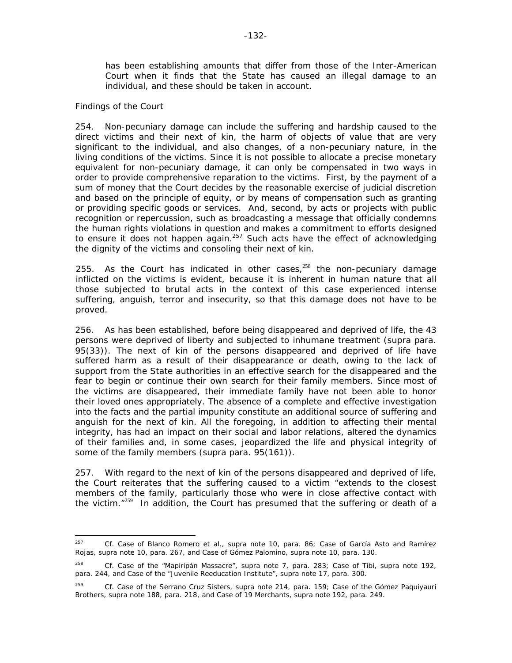has been establishing amounts that differ from those of the Inter-American Court when it finds that the State has caused an illegal damage to an individual, and these should be taken in account.

# *Findings of the Court*

254. Non-pecuniary damage can include the suffering and hardship caused to the direct victims and their next of kin, the harm of objects of value that are very significant to the individual, and also changes, of a non-pecuniary nature, in the living conditions of the victims. Since it is not possible to allocate a precise monetary equivalent for non-pecuniary damage, it can only be compensated in two ways in order to provide comprehensive reparation to the victims. First, by the payment of a sum of money that the Court decides by the reasonable exercise of judicial discretion and based on the principle of equity, or by means of compensation such as granting or providing specific goods or services. And, second, by acts or projects with public recognition or repercussion, such as broadcasting a message that officially condemns the human rights violations in question and makes a commitment to efforts designed to ensure it does not happen again.<sup>257</sup> Such acts have the effect of acknowledging the dignity of the victims and consoling their next of kin.

255. As the Court has indicated in other cases, $258$  the non-pecuniary damage inflicted on the victims is evident, because it is inherent in human nature that all those subjected to brutal acts in the context of this case experienced intense suffering, anguish, terror and insecurity, so that this damage does not have to be proved.

256. As has been established, before being disappeared and deprived of life, the 43 persons were deprived of liberty and subjected to inhumane treatment (*supra* para. 95(33)). The next of kin of the persons disappeared and deprived of life have suffered harm as a result of their disappearance or death, owing to the lack of support from the State authorities in an effective search for the disappeared and the fear to begin or continue their own search for their family members. Since most of the victims are disappeared, their immediate family have not been able to honor their loved ones appropriately. The absence of a complete and effective investigation into the facts and the partial impunity constitute an additional source of suffering and anguish for the next of kin. All the foregoing, in addition to affecting their mental integrity, has had an impact on their social and labor relations, altered the dynamics of their families and, in some cases, jeopardized the life and physical integrity of some of the family members (*supra* para. 95(161)).

257. With regard to the next of kin of the persons disappeared and deprived of life, the Court reiterates that the suffering caused to a victim "extends to the closest members of the family, particularly those who were in close affective contact with the victim."<sup>259</sup>In addition, the Court has presumed that the suffering or death of a

<sup>257</sup> <sup>257</sup> *Cf. Case of Blanco Romero et al., supra* note 10, para. 86; *Case of García Asto and Ramírez Rojas, supra* note 10, para. 267, and *Case of Gómez Palomino, supra* note 10, para. 130.

<sup>258</sup> *Cf. Case of the "Mapiripán Massacre", supra note* 7, para. 283; *Case of Tibi*, *supra* note 192, para. 244, and *Case of the "Juvenile Reeducation Institute", supra* note 17, para. 300.

<sup>259</sup> *Cf. Case of the Serrano Cruz Sisters*, *supra* note 214, para. 159; *Case of the Gómez Paquiyauri Brothers*, *supra* note 188, para. 218, and *Case of 19 Merchants*, *supra* note 192, para. 249.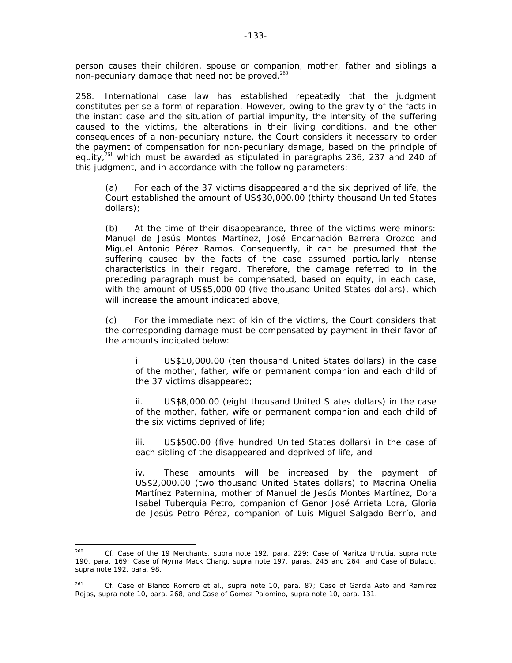person causes their children, spouse or companion, mother, father and siblings a non-pecuniary damage that need not be proved.<sup>260</sup>

258. International case law has established repeatedly that the judgment constitutes *per se* a form of reparation. However, owing to the gravity of the facts in the instant case and the situation of partial impunity, the intensity of the suffering caused to the victims, the alterations in their living conditions, and the other consequences of a non-pecuniary nature, the Court considers it necessary to order the payment of compensation for non-pecuniary damage, based on the principle of equity, $261$  which must be awarded as stipulated in paragraphs 236, 237 and 240 of this judgment, and in accordance with the following parameters:

(a) For each of the 37 victims disappeared and the six deprived of life, the Court established the amount of US\$30,000.00 (thirty thousand United States dollars);

(b) At the time of their disappearance, three of the victims were minors: Manuel de Jesús Montes Martínez, José Encarnación Barrera Orozco and Miguel Antonio Pérez Ramos. Consequently, it can be presumed that the suffering caused by the facts of the case assumed particularly intense characteristics in their regard. Therefore, the damage referred to in the preceding paragraph must be compensated, based on equity, in each case, with the amount of US\$5,000.00 (five thousand United States dollars), which will increase the amount indicated above;

(c) For the immediate next of kin of the victims, the Court considers that the corresponding damage must be compensated by payment in their favor of the amounts indicated below:

i. US\$10,000.00 (ten thousand United States dollars) in the case of the mother, father, wife or permanent companion and each child of the 37 victims disappeared;

ii. US\$8,000.00 (eight thousand United States dollars) in the case of the mother, father, wife or permanent companion and each child of the six victims deprived of life;

iii. US\$500.00 (five hundred United States dollars) in the case of each sibling of the disappeared and deprived of life, and

iv. These amounts will be increased by the payment of US\$2,000.00 (two thousand United States dollars) to Macrina Onelia Martínez Paternina, mother of Manuel de Jesús Montes Martínez, Dora Isabel Tuberquia Petro, companion of Genor José Arrieta Lora, Gloria de Jesús Petro Pérez, companion of Luis Miguel Salgado Berrío, and

<sup>260</sup> <sup>260</sup> *Cf. Case of the 19 Merchants, supra note* 192, para. 229; *Case of Maritza Urrutia, supra note*  190, para. 169; *Case of Myrna Mack Chang, supra note* 197*,* paras. 245 and 264, *and Case of Bulacio, supra* note 192, para. 98.

<sup>261</sup> *Cf. Case of Blanco Romero et al., supra* note 10, para. 87; *Case of García Asto and Ramírez Rojas, supra* note 10, para. 268, and *Case of Gómez Palomino, supra* note 10, para. 131.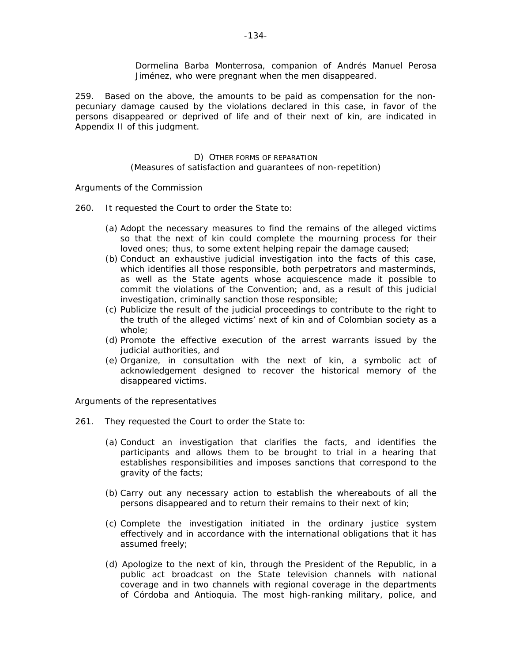Dormelina Barba Monterrosa, companion of Andrés Manuel Perosa Jiménez, who were pregnant when the men disappeared.

259. Based on the above, the amounts to be paid as compensation for the nonpecuniary damage caused by the violations declared in this case, in favor of the persons disappeared or deprived of life and of their next of kin, are indicated in Appendix II of this judgment.

#### *D) OTHER FORMS OF REPARATION (Measures of satisfaction and guarantees of non-repetition)*

*Arguments of the Commission* 

- 260. It requested the Court to order the State to:
	- (a) Adopt the necessary measures to find the remains of the alleged victims so that the next of kin could complete the mourning process for their loved ones; thus, to some extent helping repair the damage caused;
	- (b) Conduct an exhaustive judicial investigation into the facts of this case, which identifies all those responsible, both perpetrators and masterminds, as well as the State agents whose acquiescence made it possible to commit the violations of the Convention; and, as a result of this judicial investigation, criminally sanction those responsible;
	- (c) Publicize the result of the judicial proceedings to contribute to the right to the truth of the alleged victims' next of kin and of Colombian society as a whole;
	- (d) Promote the effective execution of the arrest warrants issued by the judicial authorities, and
	- (e) Organize, in consultation with the next of kin, a symbolic act of acknowledgement designed to recover the historical memory of the disappeared victims.

### *Arguments of the representatives*

- 261. They requested the Court to order the State to:
	- (a) Conduct an investigation that clarifies the facts, and identifies the participants and allows them to be brought to trial in a hearing that establishes responsibilities and imposes sanctions that correspond to the gravity of the facts;
	- (b) Carry out any necessary action to establish the whereabouts of all the persons disappeared and to return their remains to their next of kin;
	- (c) Complete the investigation initiated in the ordinary justice system effectively and in accordance with the international obligations that it has assumed freely;
	- (d) Apologize to the next of kin, through the President of the Republic, in a public act broadcast on the State television channels with national coverage and in two channels with regional coverage in the departments of Córdoba and Antioquia. The most high-ranking military, police, and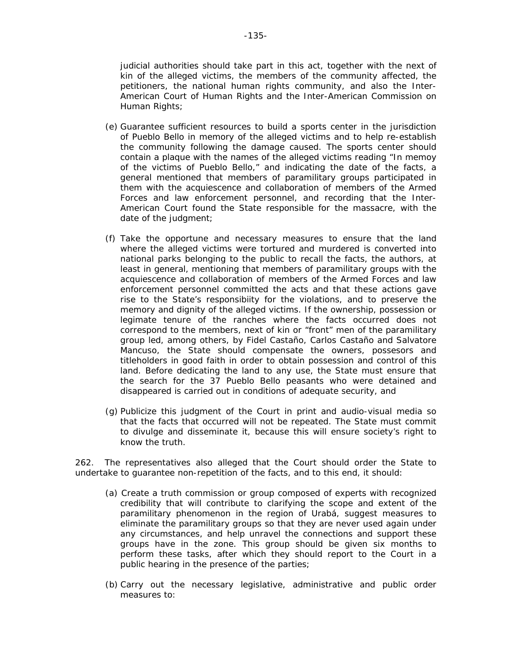judicial authorities should take part in this act, together with the next of kin of the alleged victims, the members of the community affected, the petitioners, the national human rights community, and also the Inter-American Court of Human Rights and the Inter-American Commission on Human Rights;

- (e) Guarantee sufficient resources to build a sports center in the jurisdiction of Pueblo Bello in memory of the alleged victims and to help re-establish the community following the damage caused. The sports center should contain a plaque with the names of the alleged victims reading "In memoy of the victims of Pueblo Bello," and indicating the date of the facts, a general mentioned that members of paramilitary groups participated in them with the acquiescence and collaboration of members of the Armed Forces and law enforcement personnel, and recording that the Inter-American Court found the State responsible for the massacre, with the date of the judgment;
- (f) Take the opportune and necessary measures to ensure that the land where the alleged victims were tortured and murdered is converted into national parks belonging to the public to recall the facts, the authors, at least in general, mentioning that members of paramilitary groups with the acquiescence and collaboration of members of the Armed Forces and law enforcement personnel committed the acts and that these actions gave rise to the State's responsibiity for the violations, and to preserve the memory and dignity of the alleged victims. If the ownership, possession or legimate tenure of the ranches where the facts occurred does not correspond to the members, next of kin or "front" men of the paramilitary group led, among others, by Fidel Castaño, Carlos Castaño and Salvatore Mancuso, the State should compensate the owners, possesors and titleholders in good faith in order to obtain possession and control of this land. Before dedicating the land to any use, the State must ensure that the search for the 37 Pueblo Bello peasants who were detained and disappeared is carried out in conditions of adequate security, and
- (g) Publicize this judgment of the Court in print and audio-visual media so that the facts that occurred will not be repeated. The State must commit to divulge and disseminate it, because this will ensure society's right to know the truth.

262*.* The representatives also alleged that the Court should order the State to undertake to guarantee non-repetition of the facts, and to this end, it should:

- (a) Create a truth commission or group composed of experts with recognized credibility that will contribute to clarifying the scope and extent of the paramilitary phenomenon in the region of Urabá, suggest measures to eliminate the paramilitary groups so that they are never used again under any circumstances, and help unravel the connections and support these groups have in the zone. This group should be given six months to perform these tasks, after which they should report to the Court in a public hearing in the presence of the parties;
- (b) Carry out the necessary legislative, administrative and public order measures to: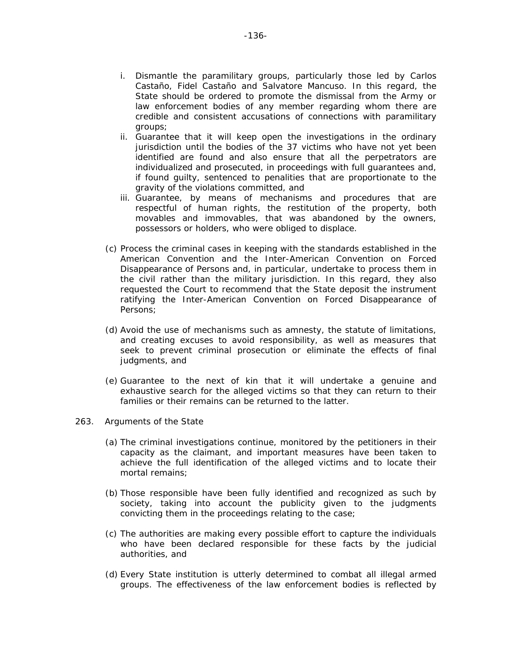- i. Dismantle the paramilitary groups, particularly those led by Carlos Castaño, Fidel Castaño and Salvatore Mancuso. In this regard, the State should be ordered to promote the dismissal from the Army or law enforcement bodies of any member regarding whom there are credible and consistent accusations of connections with paramilitary groups;
- ii. Guarantee that it will keep open the investigations in the ordinary jurisdiction until the bodies of the 37 victims who have not yet been identified are found and also ensure that all the perpetrators are individualized and prosecuted, in proceedings with full guarantees and, if found guilty, sentenced to penalities that are proportionate to the gravity of the violations committed, and
- iii. Guarantee, by means of mechanisms and procedures that are respectful of human rights, the restitution of the property, both movables and immovables, that was abandoned by the owners, possessors or holders, who were obliged to displace.
- (c) Process the criminal cases in keeping with the standards established in the American Convention and the Inter-American Convention on Forced Disappearance of Persons and, in particular, undertake to process them in the civil rather than the military jurisdiction. In this regard, they also requested the Court to recommend that the State deposit the instrument ratifying the Inter-American Convention on Forced Disappearance of Persons;
- (d) Avoid the use of mechanisms such as amnesty, the statute of limitations, and creating excuses to avoid responsibility, as well as measures that seek to prevent criminal prosecution or eliminate the effects of final judgments, and
- (e) Guarantee to the next of kin that it will undertake a genuine and exhaustive search for the alleged victims so that they can return to their families or their remains can be returned to the latter.
- 263*. Arguments of the State* 
	- (a) The criminal investigations continue, monitored by the petitioners in their capacity as the claimant, and important measures have been taken to achieve the full identification of the alleged victims and to locate their mortal remains;
	- (b) Those responsible have been fully identified and recognized as such by society, taking into account the publicity given to the judgments convicting them in the proceedings relating to the case;
	- (c) The authorities are making every possible effort to capture the individuals who have been declared responsible for these facts by the judicial authorities, and
	- (d) Every State institution is utterly determined to combat all illegal armed groups. The effectiveness of the law enforcement bodies is reflected by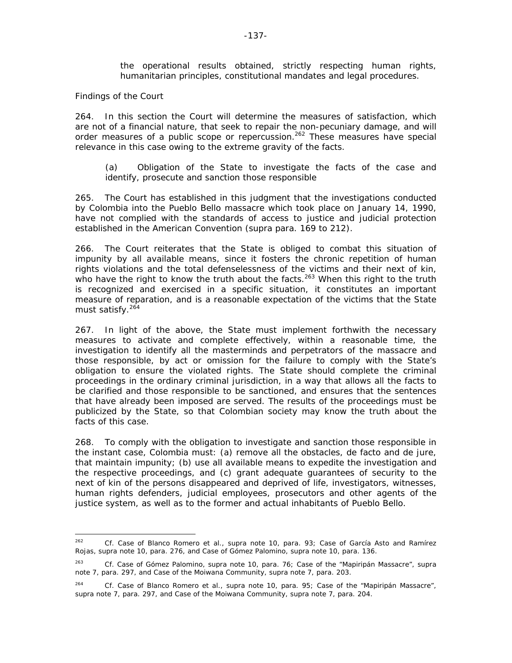the operational results obtained, strictly respecting human rights, humanitarian principles, constitutional mandates and legal procedures.

# *Findings of the Court*

264. In this section the Court will determine the measures of satisfaction, which are not of a financial nature, that seek to repair the non-pecuniary damage, and will order measures of a public scope or repercussion.<sup>262</sup> These measures have special relevance in this case owing to the extreme gravity of the facts.

*(a) Obligation of the State to investigate the facts of the case and identify, prosecute and sanction those responsible* 

265. The Court has established in this judgment that the investigations conducted by Colombia into the Pueblo Bello massacre which took place on January 14, 1990, have not complied with the standards of access to justice and judicial protection established in the American Convention (*supra* para. 169 to 212).

266. The Court reiterates that the State is obliged to combat this situation of impunity by all available means, since it fosters the chronic repetition of human rights violations and the total defenselessness of the victims and their next of kin, who have the right to know the truth about the facts.<sup>263</sup> When this right to the truth is recognized and exercised in a specific situation, it constitutes an important measure of reparation, and is a reasonable expectation of the victims that the State must satisfy.<sup>264</sup>

267. In light of the above, the State must implement forthwith the necessary measures to activate and complete effectively, within a reasonable time, the investigation to identify all the masterminds and perpetrators of the massacre and those responsible, by act or omission for the failure to comply with the State's obligation to ensure the violated rights. The State should complete the criminal proceedings in the ordinary criminal jurisdiction, in a way that allows all the facts to be clarified and those responsible to be sanctioned, and ensures that the sentences that have already been imposed are served. The results of the proceedings must be publicized by the State, so that Colombian society may know the truth about the facts of this case.

268. To comply with the obligation to investigate and sanction those responsible in the instant case, Colombia must: (a) remove all the obstacles, *de facto* and *de jure*, that maintain impunity; (b) use all available means to expedite the investigation and the respective proceedings, and (c) grant adequate guarantees of security to the next of kin of the persons disappeared and deprived of life, investigators, witnesses, human rights defenders, judicial employees, prosecutors and other agents of the justice system, as well as to the former and actual inhabitants of Pueblo Bello.

<sup>262</sup> <sup>262</sup> *Cf. Case of Blanco Romero et al., supra* note 10, para. 93; *Case of García Asto and Ramírez Rojas, supra* note 10, para. 276, and *Case of Gómez Palomino, supra* note 10, para. 136.

<sup>263</sup> *Cf. Case of Gómez Palomino, supra* note 10, para. 76; *Case of the "Mapiripán Massacre", supra note* 7, para. 297, and *Case of the Moiwana Community, supra note* 7, para. 203.

<sup>264</sup> *Cf. Case of Blanco Romero et al., supra* note 10, para. 95; *Case of the "Mapiripán Massacre", supra note* 7, para. 297, and *Case of the Moiwana Community, supra note* 7, para. 204.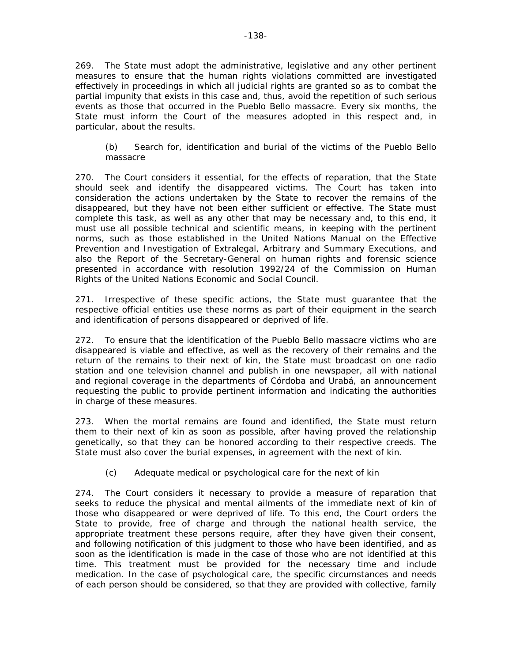269. The State must adopt the administrative, legislative and any other pertinent measures to ensure that the human rights violations committed are investigated effectively in proceedings in which all judicial rights are granted so as to combat the partial impunity that exists in this case and, thus, avoid the repetition of such serious events as those that occurred in the Pueblo Bello massacre. Every six months, the State must inform the Court of the measures adopted in this respect and, in particular, about the results.

# *(b) Search for, identification and burial of the victims of the Pueblo Bello massacre*

270. The Court considers it essential, for the effects of reparation, that the State should seek and identify the disappeared victims. The Court has taken into consideration the actions undertaken by the State to recover the remains of the disappeared, but they have not been either sufficient or effective. The State must complete this task, as well as any other that may be necessary and, to this end, it must use all possible technical and scientific means, in keeping with the pertinent norms, such as those established in the United Nations Manual on the Effective Prevention and Investigation of Extralegal, Arbitrary and Summary Executions, and also the Report of the Secretary-General on human rights and forensic science presented in accordance with resolution 1992/24 of the Commission on Human Rights of the United Nations Economic and Social Council.

271. Irrespective of these specific actions, the State must guarantee that the respective official entities use these norms as part of their equipment in the search and identification of persons disappeared or deprived of life.

272. To ensure that the identification of the Pueblo Bello massacre victims who are disappeared is viable and effective, as well as the recovery of their remains and the return of the remains to their next of kin, the State must broadcast on one radio station and one television channel and publish in one newspaper, all with national and regional coverage in the departments of Córdoba and Urabá, an announcement requesting the public to provide pertinent information and indicating the authorities in charge of these measures.

273. When the mortal remains are found and identified, the State must return them to their next of kin as soon as possible, after having proved the relationship genetically, so that they can be honored according to their respective creeds. The State must also cover the burial expenses, in agreement with the next of kin.

# *(c) Adequate medical or psychological care for the next of kin*

274. The Court considers it necessary to provide a measure of reparation that seeks to reduce the physical and mental ailments of the immediate next of kin of those who disappeared or were deprived of life. To this end, the Court orders the State to provide, free of charge and through the national health service, the appropriate treatment these persons require, after they have given their consent, and following notification of this judgment to those who have been identified, and as soon as the identification is made in the case of those who are not identified at this time. This treatment must be provided for the necessary time and include medication. In the case of psychological care, the specific circumstances and needs of each person should be considered, so that they are provided with collective, family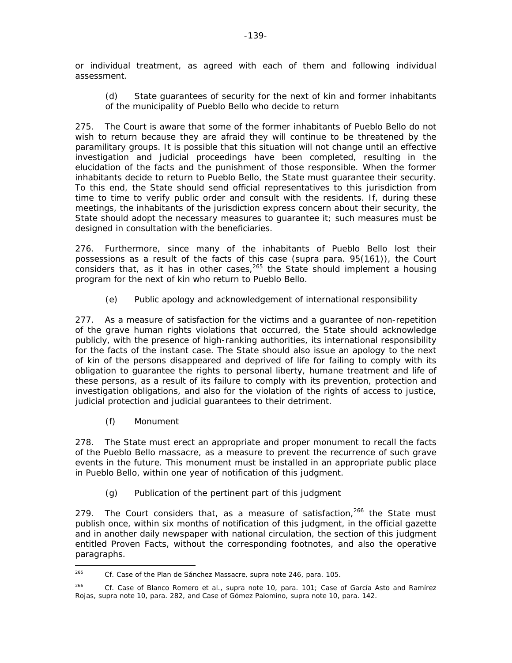or individual treatment, as agreed with each of them and following individual assessment.

# *(d) State guarantees of security for the next of kin and former inhabitants of the municipality of Pueblo Bello who decide to return*

275. The Court is aware that some of the former inhabitants of Pueblo Bello do not wish to return because they are afraid they will continue to be threatened by the paramilitary groups. It is possible that this situation will not change until an effective investigation and judicial proceedings have been completed, resulting in the elucidation of the facts and the punishment of those responsible. When the former inhabitants decide to return to Pueblo Bello, the State must guarantee their security. To this end, the State should send official representatives to this jurisdiction from time to time to verify public order and consult with the residents. If, during these meetings, the inhabitants of the jurisdiction express concern about their security, the State should adopt the necessary measures to guarantee it; such measures must be designed in consultation with the beneficiaries.

276. Furthermore, since many of the inhabitants of Pueblo Bello lost their possessions as a result of the facts of this case (*supra* para. 95(161)), the Court considers that, as it has in other cases,  $265$  the State should implement a housing program for the next of kin who return to Pueblo Bello.

# *(e) Public apology and acknowledgement of international responsibility*

277. As a measure of satisfaction for the victims and a guarantee of non-repetition of the grave human rights violations that occurred, the State should acknowledge publicly, with the presence of high-ranking authorities, its international responsibility for the facts of the instant case. The State should also issue an apology to the next of kin of the persons disappeared and deprived of life for failing to comply with its obligation to guarantee the rights to personal liberty, humane treatment and life of these persons, as a result of its failure to comply with its prevention, protection and investigation obligations, and also for the violation of the rights of access to justice, judicial protection and judicial guarantees to their detriment.

# *(f) Monument*

278. The State must erect an appropriate and proper monument to recall the facts of the Pueblo Bello massacre, as a measure to prevent the recurrence of such grave events in the future. This monument must be installed in an appropriate public place in Pueblo Bello, within one year of notification of this judgment.

# *(g) Publication of the pertinent part of this judgment*

279. The Court considers that, as a measure of satisfaction,  $266$  the State must publish once, within six months of notification of this judgment, in the official gazette and in another daily newspaper with national circulation, the section of this judgment entitled Proven Facts, without the corresponding footnotes, and also the operative paragraphs.

<sup>265</sup> 265 *Cf. Case of the Plan de Sánchez Massacre*, *supra note* 246, para. 105.

<sup>266</sup> *Cf. Case of Blanco Romero et al., supra note* 10, para. 101; *Case of García Asto and Ramírez Rojas, supra note* 10, para. 282, and *Case of Gómez Palomino, supra note* 10, para. 142.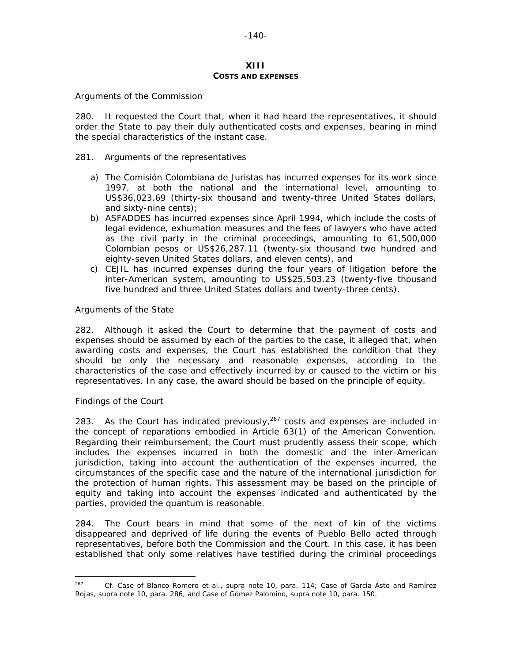## **XIII COSTS AND EXPENSES**

# *Arguments of the Commission*

280. It requested the Court that, when it had heard the representatives, it should order the State to pay their duly authenticated costs and expenses, bearing in mind the special characteristics of the instant case.

# 281. *Arguments of the representatives*

- a) The *Comisión Colombiana de Juristas* has incurred expenses for its work since 1997, at both the national and the international level, amounting to US\$36,023.69 (thirty-six thousand and twenty-three United States dollars, and sixty-nine cents);
- b) ASFADDES has incurred expenses since April 1994, which include the costs of legal evidence, exhumation measures and the fees of lawyers who have acted as the civil party in the criminal proceedings, amounting to 61,500,000 Colombian pesos or US\$26,287.11 (twenty-six thousand two hundred and eighty-seven United States dollars, and eleven cents), and
- c) CEJIL has incurred expenses during the four years of litigation before the inter-American system, amounting to US\$25,503.23 (twenty-five thousand five hundred and three United States dollars and twenty-three cents).

# *Arguments of the State*

282. Although it asked the Court to determine that the payment of costs and expenses should be assumed by each of the parties to the case, it alleged that, when awarding costs and expenses, the Court has established the condition that they should be only the necessary and reasonable expenses, according to the characteristics of the case and effectively incurred by or caused to the victim or his representatives. In any case, the award should be based on the principle of equity.

### *Findings of the Court*

283. As the Court has indicated previously,  $267$  costs and expenses are included in the concept of reparations embodied in Article 63(1) of the American Convention. Regarding their reimbursement, the Court must prudently assess their scope, which includes the expenses incurred in both the domestic and the inter-American jurisdiction, taking into account the authentication of the expenses incurred, the circumstances of the specific case and the nature of the international jurisdiction for the protection of human rights. This assessment may be based on the principle of equity and taking into account the expenses indicated and authenticated by the parties, provided the *quantum* is reasonable.

284. The Court bears in mind that some of the next of kin of the victims disappeared and deprived of life during the events of Pueblo Bello acted through representatives, before both the Commission and the Court. In this case, it has been established that only some relatives have testified during the criminal proceedings

<sup>267</sup> 267 *Cf. Case of Blanco Romero et al., supra note* 10, para. 114; *Case of García Asto and Ramírez Rojas, supra note* 10, para. 286, and *Case of Gómez Palomino, supra note* 10, para. 150.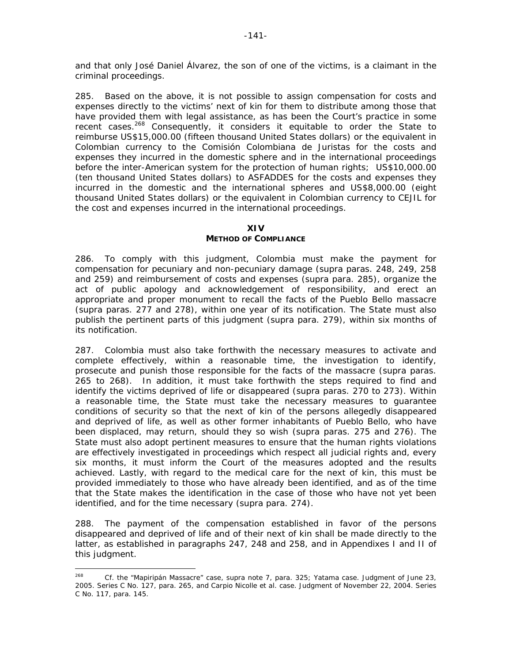and that only José Daniel Álvarez, the son of one of the victims, is a claimant in the criminal proceedings.

285. Based on the above, it is not possible to assign compensation for costs and expenses directly to the victims' next of kin for them to distribute among those that have provided them with legal assistance, as has been the Court's practice in some recent cases.<sup>268</sup> Consequently, it considers it equitable to order the State to reimburse US\$15,000.00 (fifteen thousand United States dollars) or the equivalent in Colombian currency to the *Comisión Colombiana de Juristas* for the costs and expenses they incurred in the domestic sphere and in the international proceedings before the inter-American system for the protection of human rights; US\$10,000.00 (ten thousand United States dollars) to ASFADDES for the costs and expenses they incurred in the domestic and the international spheres and US\$8,000.00 (eight thousand United States dollars) or the equivalent in Colombian currency to CEJIL for the cost and expenses incurred in the international proceedings.

#### **XIV**

### **METHOD OF COMPLIANCE**

286. To comply with this judgment, Colombia must make the payment for compensation for pecuniary and non-pecuniary damage (*supra* paras. 248, 249, 258 and 259) and reimbursement of costs and expenses (*supra* para. 285), organize the act of public apology and acknowledgement of responsibility, and erect an appropriate and proper monument to recall the facts of the Pueblo Bello massacre (*supra* paras. 277 and 278), within one year of its notification. The State must also publish the pertinent parts of this judgment (*supra* para. 279), within six months of its notification.

287. Colombia must also take forthwith the necessary measures to activate and complete effectively, within a reasonable time, the investigation to identify, prosecute and punish those responsible for the facts of the massacre (*supra* paras. 265 to 268). In addition, it must take forthwith the steps required to find and identify the victims deprived of life or disappeared (*supra* paras. 270 to 273). Within a reasonable time, the State must take the necessary measures to guarantee conditions of security so that the next of kin of the persons allegedly disappeared and deprived of life, as well as other former inhabitants of Pueblo Bello, who have been displaced, may return, should they so wish (*supra* paras. 275 and 276). The State must also adopt pertinent measures to ensure that the human rights violations are effectively investigated in proceedings which respect all judicial rights and, every six months, it must inform the Court of the measures adopted and the results achieved. Lastly, with regard to the medical care for the next of kin, this must be provided immediately to those who have already been identified, and as of the time that the State makes the identification in the case of those who have not yet been identified, and for the time necessary (*supra* para. 274).

288. The payment of the compensation established in favor of the persons disappeared and deprived of life and of their next of kin shall be made directly to the latter, as established in paragraphs 247, 248 and 258, and in Appendixes I and II of this judgment.

<sup>268</sup> 268 *Cf. the "Mapiripán Massacre" case, supra note* 7, para. 325; *Yatama case*. Judgment of June 23, 2005. Series C No. 127, para. 265, and *Carpio Nicolle et al. case*. Judgment of November 22, 2004. Series C No. 117, para. 145.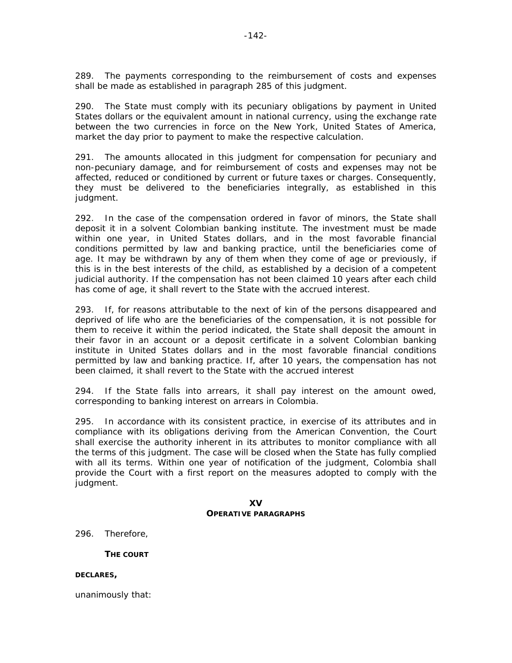289. The payments corresponding to the reimbursement of costs and expenses shall be made as established in paragraph 285 of this judgment.

290. The State must comply with its pecuniary obligations by payment in United States dollars or the equivalent amount in national currency, using the exchange rate between the two currencies in force on the New York, United States of America, market the day prior to payment to make the respective calculation.

291. The amounts allocated in this judgment for compensation for pecuniary and non-pecuniary damage, and for reimbursement of costs and expenses may not be affected, reduced or conditioned by current or future taxes or charges. Consequently, they must be delivered to the beneficiaries integrally, as established in this judgment.

292. In the case of the compensation ordered in favor of minors, the State shall deposit it in a solvent Colombian banking institute. The investment must be made within one year, in United States dollars, and in the most favorable financial conditions permitted by law and banking practice, until the beneficiaries come of age. It may be withdrawn by any of them when they come of age or previously, if this is in the best interests of the child, as established by a decision of a competent judicial authority. If the compensation has not been claimed 10 years after each child has come of age, it shall revert to the State with the accrued interest.

293. If, for reasons attributable to the next of kin of the persons disappeared and deprived of life who are the beneficiaries of the compensation, it is not possible for them to receive it within the period indicated, the State shall deposit the amount in their favor in an account or a deposit certificate in a solvent Colombian banking institute in United States dollars and in the most favorable financial conditions permitted by law and banking practice. If, after 10 years, the compensation has not been claimed, it shall revert to the State with the accrued interest

294. If the State falls into arrears, it shall pay interest on the amount owed, corresponding to banking interest on arrears in Colombia.

295. In accordance with its consistent practice, in exercise of its attributes and in compliance with its obligations deriving from the American Convention, the Court shall exercise the authority inherent in its attributes to monitor compliance with all the terms of this judgment. The case will be closed when the State has fully complied with all its terms. Within one year of notification of the judgment, Colombia shall provide the Court with a first report on the measures adopted to comply with the judgment.

## **XV OPERATIVE PARAGRAPHS**

296. Therefore,

**THE COURT** 

### **DECLARES,**

unanimously that: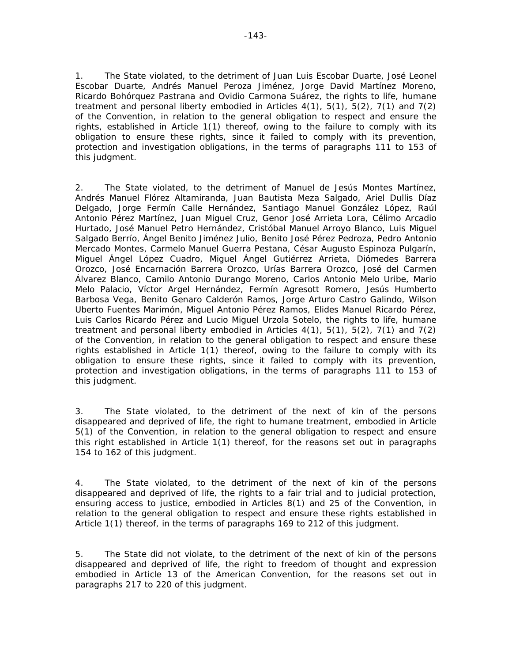1. The State violated, to the detriment of Juan Luis Escobar Duarte, José Leonel Escobar Duarte, Andrés Manuel Peroza Jiménez, Jorge David Martínez Moreno, Ricardo Bohórquez Pastrana and Ovidio Carmona Suárez, the rights to life, humane treatment and personal liberty embodied in Articles  $4(1)$ ,  $5(1)$ ,  $5(2)$ ,  $7(1)$  and  $7(2)$ of the Convention, in relation to the general obligation to respect and ensure the rights, established in Article 1(1) thereof, owing to the failure to comply with its obligation to ensure these rights, since it failed to comply with its prevention, protection and investigation obligations, in the terms of paragraphs 111 to 153 of this judgment.

2. The State violated, to the detriment of Manuel de Jesús Montes Martínez, Andrés Manuel Flórez Altamiranda, Juan Bautista Meza Salgado, Ariel Dullis Díaz Delgado, Jorge Fermín Calle Hernández, Santiago Manuel González López, Raúl Antonio Pérez Martínez, Juan Miguel Cruz, Genor José Arrieta Lora, Célimo Arcadio Hurtado, José Manuel Petro Hernández, Cristóbal Manuel Arroyo Blanco, Luis Miguel Salgado Berrío, Ángel Benito Jiménez Julio, Benito José Pérez Pedroza, Pedro Antonio Mercado Montes, Carmelo Manuel Guerra Pestana, César Augusto Espinoza Pulgarín, Miguel Ángel López Cuadro, Miguel Ángel Gutiérrez Arrieta, Diómedes Barrera Orozco, José Encarnación Barrera Orozco, Urías Barrera Orozco, José del Carmen Álvarez Blanco, Camilo Antonio Durango Moreno, Carlos Antonio Melo Uribe, Mario Melo Palacio, Víctor Argel Hernández, Fermín Agresott Romero, Jesús Humberto Barbosa Vega, Benito Genaro Calderón Ramos, Jorge Arturo Castro Galindo, Wilson Uberto Fuentes Marimón, Miguel Antonio Pérez Ramos, Elides Manuel Ricardo Pérez, Luis Carlos Ricardo Pérez and Lucio Miguel Urzola Sotelo, the rights to life, humane treatment and personal liberty embodied in Articles  $4(1)$ ,  $5(1)$ ,  $5(2)$ ,  $7(1)$  and  $7(2)$ of the Convention, in relation to the general obligation to respect and ensure these rights established in Article 1(1) thereof, owing to the failure to comply with its obligation to ensure these rights, since it failed to comply with its prevention, protection and investigation obligations, in the terms of paragraphs 111 to 153 of this judgment.

3. The State violated, to the detriment of the next of kin of the persons disappeared and deprived of life, the right to humane treatment, embodied in Article 5(1) of the Convention, in relation to the general obligation to respect and ensure this right established in Article 1(1) thereof, for the reasons set out in paragraphs 154 to 162 of this judgment.

4. The State violated, to the detriment of the next of kin of the persons disappeared and deprived of life, the rights to a fair trial and to judicial protection, ensuring access to justice, embodied in Articles 8(1) and 25 of the Convention, in relation to the general obligation to respect and ensure these rights established in Article 1(1) thereof, in the terms of paragraphs 169 to 212 of this judgment.

5. The State did not violate, to the detriment of the next of kin of the persons disappeared and deprived of life, the right to freedom of thought and expression embodied in Article 13 of the American Convention, for the reasons set out in paragraphs 217 to 220 of this judgment.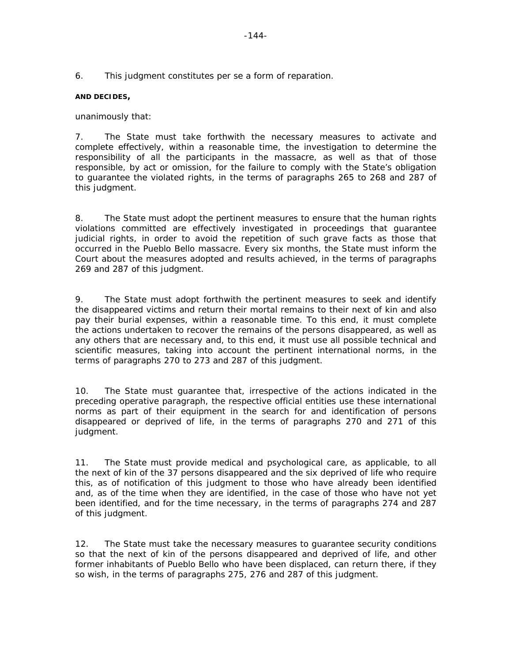6. This judgment constitutes *per se* a form of reparation.

## **AND DECIDES,**

unanimously that:

7. The State must take forthwith the necessary measures to activate and complete effectively, within a reasonable time, the investigation to determine the responsibility of all the participants in the massacre, as well as that of those responsible, by act or omission, for the failure to comply with the State's obligation to guarantee the violated rights, in the terms of paragraphs 265 to 268 and 287 of this judgment.

8. The State must adopt the pertinent measures to ensure that the human rights violations committed are effectively investigated in proceedings that guarantee judicial rights, in order to avoid the repetition of such grave facts as those that occurred in the Pueblo Bello massacre. Every six months, the State must inform the Court about the measures adopted and results achieved, in the terms of paragraphs 269 and 287 of this judgment.

9. The State must adopt forthwith the pertinent measures to seek and identify the disappeared victims and return their mortal remains to their next of kin and also pay their burial expenses, within a reasonable time. To this end, it must complete the actions undertaken to recover the remains of the persons disappeared, as well as any others that are necessary and, to this end, it must use all possible technical and scientific measures, taking into account the pertinent international norms, in the terms of paragraphs 270 to 273 and 287 of this judgment.

10. The State must guarantee that, irrespective of the actions indicated in the preceding operative paragraph, the respective official entities use these international norms as part of their equipment in the search for and identification of persons disappeared or deprived of life, in the terms of paragraphs 270 and 271 of this judgment.

11. The State must provide medical and psychological care, as applicable, to all the next of kin of the 37 persons disappeared and the six deprived of life who require this, as of notification of this judgment to those who have already been identified and, as of the time when they are identified, in the case of those who have not yet been identified, and for the time necessary, in the terms of paragraphs 274 and 287 of this judgment.

12. The State must take the necessary measures to guarantee security conditions so that the next of kin of the persons disappeared and deprived of life, and other former inhabitants of Pueblo Bello who have been displaced, can return there, if they so wish, in the terms of paragraphs 275, 276 and 287 of this judgment.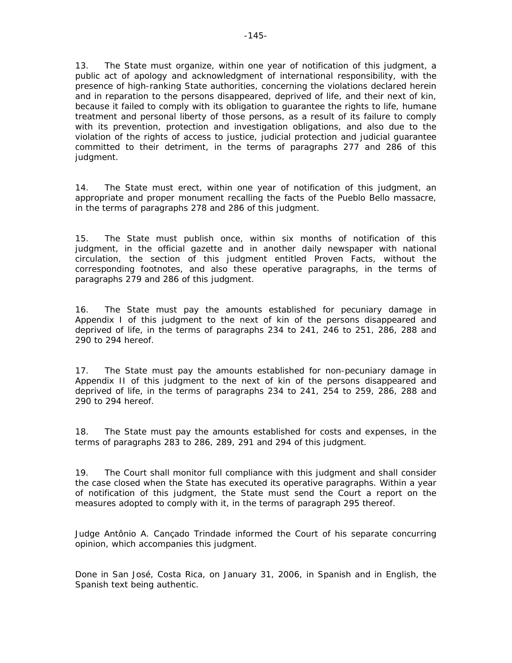13. The State must organize, within one year of notification of this judgment, a public act of apology and acknowledgment of international responsibility, with the presence of high-ranking State authorities, concerning the violations declared herein and in reparation to the persons disappeared, deprived of life, and their next of kin, because it failed to comply with its obligation to guarantee the rights to life, humane treatment and personal liberty of those persons, as a result of its failure to comply with its prevention, protection and investigation obligations, and also due to the violation of the rights of access to justice, judicial protection and judicial guarantee committed to their detriment, in the terms of paragraphs 277 and 286 of this judgment.

14. The State must erect, within one year of notification of this judgment, an appropriate and proper monument recalling the facts of the Pueblo Bello massacre, in the terms of paragraphs 278 and 286 of this judgment.

15. The State must publish once, within six months of notification of this judgment, in the official gazette and in another daily newspaper with national circulation, the section of this judgment entitled Proven Facts, without the corresponding footnotes, and also these operative paragraphs, in the terms of paragraphs 279 and 286 of this judgment.

16. The State must pay the amounts established for pecuniary damage in Appendix I of this judgment to the next of kin of the persons disappeared and deprived of life, in the terms of paragraphs 234 to 241, 246 to 251, 286, 288 and 290 to 294 hereof.

17. The State must pay the amounts established for non-pecuniary damage in Appendix II of this judgment to the next of kin of the persons disappeared and deprived of life, in the terms of paragraphs 234 to 241, 254 to 259, 286, 288 and 290 to 294 hereof.

18. The State must pay the amounts established for costs and expenses, in the terms of paragraphs 283 to 286, 289, 291 and 294 of this judgment.

19. The Court shall monitor full compliance with this judgment and shall consider the case closed when the State has executed its operative paragraphs. Within a year of notification of this judgment, the State must send the Court a report on the measures adopted to comply with it, in the terms of paragraph 295 thereof.

Judge Antônio A. Cançado Trindade informed the Court of his separate concurring opinion, which accompanies this judgment.

Done in San José, Costa Rica, on January 31, 2006, in Spanish and in English, the Spanish text being authentic.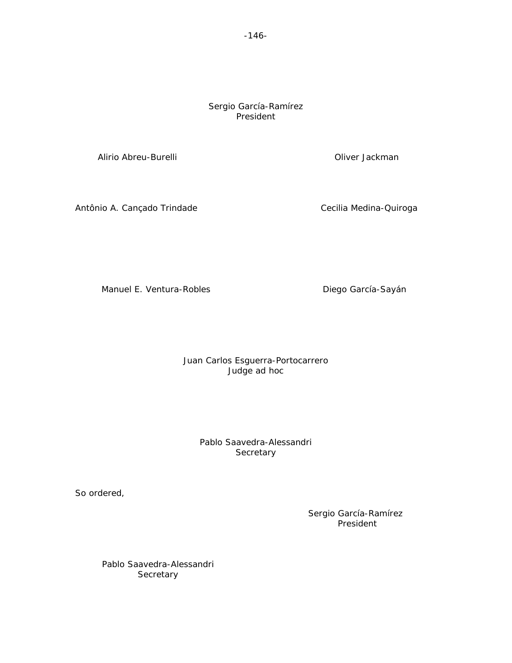Sergio García-Ramírez President

Alirio Abreu-Burelli **Alirio Abreu-Burelli** and a control of the Oliver Jackman

Antônio A. Cançado Trindade **Cecilia Medina-Quiroga** 

Manuel E. Ventura-Robles **Diego García-Sayán** 

Juan Carlos Esguerra-Portocarrero Judge *ad hoc* 

> Pablo Saavedra-Alessandri **Secretary**

So ordered,

Sergio García-Ramírez President

Pablo Saavedra-Alessandri Secretary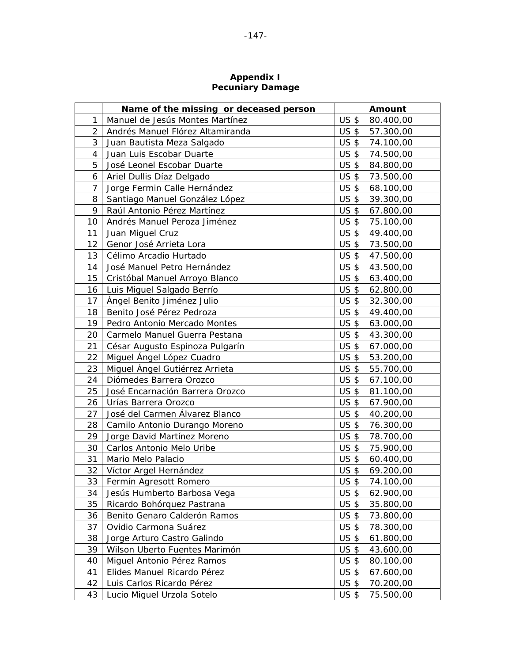#### **Appendix I Pecuniary Damage**

|                | Name of the missing or deceased person |              | Amount    |
|----------------|----------------------------------------|--------------|-----------|
| 1              | Manuel de Jesús Montes Martínez        | $US$ \$      | 80.400,00 |
| $\overline{2}$ | Andrés Manuel Flórez Altamiranda       | $US$ \$      | 57.300,00 |
| 3              | Juan Bautista Meza Salgado             | <b>US \$</b> | 74.100,00 |
| 4              | Juan Luis Escobar Duarte               | $US$ \$      | 74.500,00 |
| 5              | José Leonel Escobar Duarte             | US\$         | 84.800,00 |
| 6              | Ariel Dullis Díaz Delgado              | $US$ \$      | 73.500,00 |
| 7              | Jorge Fermin Calle Hernández           | US\$         | 68.100,00 |
| 8              | Santiago Manuel González López         | <b>US \$</b> | 39.300,00 |
| 9              | Raúl Antonio Pérez Martínez            | US\$         | 67.800,00 |
| 10             | Andrés Manuel Peroza Jiménez           | <b>US \$</b> | 75.100,00 |
| 11             | Juan Miguel Cruz                       | <b>US \$</b> | 49.400,00 |
| 12             | Genor José Arrieta Lora                | $US$ \$      | 73.500,00 |
| 13             | Célimo Arcadio Hurtado                 | US\$         | 47.500,00 |
| 14             | José Manuel Petro Hernández            | $US$ \$      | 43.500,00 |
| 15             | Cristóbal Manuel Arroyo Blanco         | US\$         | 63.400,00 |
| 16             | Luis Miguel Salgado Berrío             | $US$ \$      | 62.800,00 |
| 17             | Ángel Benito Jiménez Julio             | US\$         | 32.300,00 |
| 18             | Benito José Pérez Pedroza              | <b>US \$</b> | 49.400,00 |
| 19             | Pedro Antonio Mercado Montes           | <b>US \$</b> | 63.000,00 |
| 20             | Carmelo Manuel Guerra Pestana          | $US$ \$      | 43.300,00 |
| 21             | César Augusto Espinoza Pulgarín        | US\$         | 67.000,00 |
| 22             | Miguel Ángel López Cuadro              | $US$ \$      | 53.200,00 |
| 23             | Miguel Ángel Gutiérrez Arrieta         | US\$         | 55.700,00 |
| 24             | Diómedes Barrera Orozco                | $US$ \$      | 67.100,00 |
| 25             | José Encarnación Barrera Orozco        | US\$         | 81.100,00 |
| 26             | Urías Barrera Orozco                   | <b>US \$</b> | 67.900,00 |
| 27             | José del Carmen Álvarez Blanco         | <b>US \$</b> | 40.200,00 |
| 28             | Camilo Antonio Durango Moreno          | $US$ \$      | 76.300,00 |
| 29             | Jorge David Martínez Moreno            | US\$         | 78.700,00 |
| 30             | Carlos Antonio Melo Uribe              | $US$ \$      | 75.900,00 |
| 31             | Mario Melo Palacio                     | US\$         | 60.400,00 |
| 32             | Víctor Argel Hernández                 | <b>US \$</b> | 69.200,00 |
| 33             | Fermín Agresott Romero                 | <b>US \$</b> | 74.100,00 |
| 34             | Jesús Humberto Barbosa Vega            | $US$ \$      | 62.900,00 |
| 35             | Ricardo Bohórquez Pastrana             | <b>US \$</b> | 35.800,00 |
| 36             | Benito Genaro Calderón Ramos           | $US$ \$      | 73.800,00 |
| 37             | Ovidio Carmona Suárez                  | <b>US \$</b> | 78.300,00 |
| 38             | Jorge Arturo Castro Galindo            | <b>US \$</b> | 61.800,00 |
| 39             | Wilson Uberto Fuentes Marimón          | <b>US \$</b> | 43.600,00 |
| 40             | Miguel Antonio Pérez Ramos             | $US$ \$      | 80.100,00 |
| 41             | Elides Manuel Ricardo Pérez            | US\$         | 67.600,00 |
| 42             | Luis Carlos Ricardo Pérez              | US\$         | 70.200,00 |
| 43             | Lucio Miguel Urzola Sotelo             | US\$         | 75.500,00 |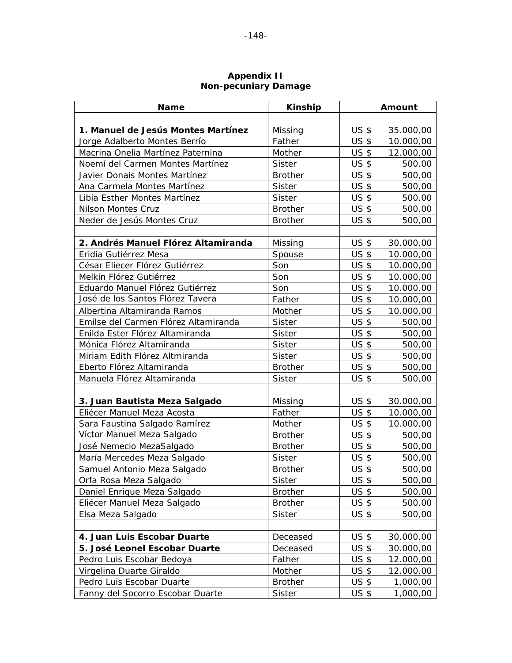#### **Appendix II Non-pecuniary Damage**

| <b>Name</b>                          | <b>Kinship</b> |                 | Amount    |
|--------------------------------------|----------------|-----------------|-----------|
|                                      |                |                 |           |
| 1. Manuel de Jesús Montes Martínez   | Missing        | $US$ \$         | 35.000,00 |
| Jorge Adalberto Montes Berrío        | Father         | <b>US \$</b>    | 10.000,00 |
| Macrina Onelia Martínez Paternina    | Mother         | $US$ \$         | 12.000,00 |
| Noemí del Carmen Montes Martínez     | <b>Sister</b>  | US <sub>s</sub> | 500,00    |
| Javier Donais Montes Martínez        | <b>Brother</b> | <b>US \$</b>    | 500,00    |
| Ana Carmela Montes Martínez          | <b>Sister</b>  | <b>US \$</b>    | 500,00    |
| Libia Esther Montes Martínez         | <b>Sister</b>  | $US$ \$         | 500,00    |
| Nilson Montes Cruz                   | <b>Brother</b> | <b>US \$</b>    | 500,00    |
| Neder de Jesús Montes Cruz           | <b>Brother</b> | <b>US \$</b>    | 500,00    |
|                                      |                |                 |           |
| 2. Andrés Manuel Flórez Altamiranda  | Missing        | $US$ \$         | 30.000,00 |
| Eridia Gutiérrez Mesa                | Spouse         | US <sub>5</sub> | 10.000,00 |
| César Eliecer Flórez Gutiérrez       | Son            | $US$ \$         | 10.000,00 |
| Melkin Flórez Gutiérrez              | Son            | <b>US \$</b>    | 10.000,00 |
| Eduardo Manuel Flórez Gutiérrez      | Son            | <b>US \$</b>    | 10.000,00 |
| José de los Santos Flórez Tavera     | Father         | $US$ \$         | 10.000,00 |
| Albertina Altamiranda Ramos          | Mother         | <b>US \$</b>    | 10.000,00 |
| Emilse del Carmen Flórez Altamiranda | Sister         | <b>US \$</b>    | 500,00    |
| Enilda Ester Flórez Altamiranda      | Sister         | <b>US \$</b>    | 500,00    |
| Mónica Flórez Altamiranda            | <b>Sister</b>  | <b>US \$</b>    | 500,00    |
| Miriam Edith Flórez Altmiranda       | <b>Sister</b>  | <b>US \$</b>    | 500,00    |
| Eberto Flórez Altamiranda            | <b>Brother</b> | <b>US \$</b>    | 500,00    |
| Manuela Flórez Altamiranda           | <b>Sister</b>  | <b>US \$</b>    | 500,00    |
|                                      |                |                 |           |
| 3. Juan Bautista Meza Salgado        | Missing        | <b>US \$</b>    | 30.000,00 |
| Eliécer Manuel Meza Acosta           | Father         | <b>US \$</b>    | 10.000,00 |
| Sara Faustina Salgado Ramírez        | Mother         | <b>US \$</b>    | 10.000,00 |
| Víctor Manuel Meza Salgado           | <b>Brother</b> | US <sub>5</sub> | 500,00    |
| José Nemecio MezaSalgado             | <b>Brother</b> | US <sub>s</sub> | 500,00    |
| María Mercedes Meza Salgado          | <b>Sister</b>  | <b>US \$</b>    | 500,00    |
| Samuel Antonio Meza Salgado          | <b>Brother</b> | <b>US \$</b>    | 500,00    |
| Orfa Rosa Meza Salgado               | <b>Sister</b>  | <b>US \$</b>    | 500,00    |
| Daniel Enrique Meza Salgado          | <b>Brother</b> | $US$ \$         | 500,00    |
| Eliécer Manuel Meza Salgado          | <b>Brother</b> | <b>US \$</b>    | 500,00    |
| Elsa Meza Salgado                    | <b>Sister</b>  | $US$ \$         | 500,00    |
|                                      |                |                 |           |
| 4. Juan Luis Escobar Duarte          | Deceased       | $US$ \$         | 30.000,00 |
| 5. José Leonel Escobar Duarte        | Deceased       | <b>US \$</b>    | 30.000,00 |
| Pedro Luis Escobar Bedoya            | Father         | <b>US \$</b>    | 12.000,00 |
| Virgelina Duarte Giraldo             | Mother         | <b>US \$</b>    | 12.000,00 |
| Pedro Luis Escobar Duarte            | <b>Brother</b> | US\$            | 1,000,00  |
| Fanny del Socorro Escobar Duarte     | Sister         | <b>US \$</b>    | 1,000,00  |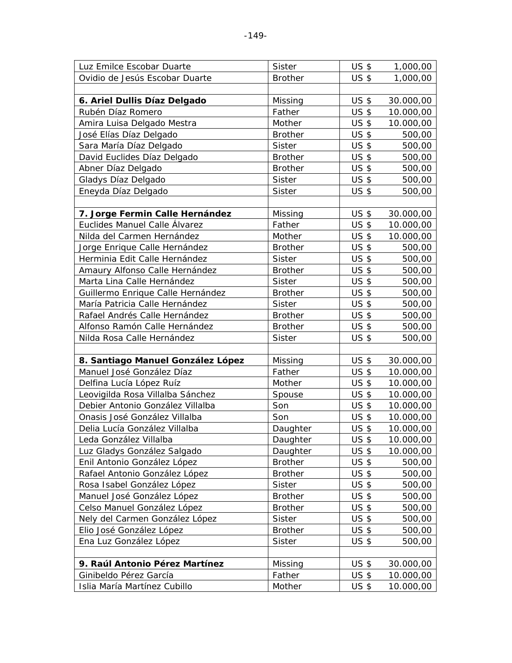| Luz Emilce Escobar Duarte         | <b>Sister</b>  | <b>US \$</b> | 1,000,00  |
|-----------------------------------|----------------|--------------|-----------|
| Ovidio de Jesús Escobar Duarte    | <b>Brother</b> | <b>US \$</b> | 1,000,00  |
|                                   |                |              |           |
| 6. Ariel Dullis Díaz Delgado      | Missing        | <b>US \$</b> | 30.000,00 |
| Rubén Díaz Romero                 | Father         | <b>US \$</b> | 10.000,00 |
| Amira Luisa Delgado Mestra        | Mother         | <b>US \$</b> | 10.000,00 |
| José Elías Díaz Delgado           | <b>Brother</b> | <b>US \$</b> | 500,00    |
| Sara María Díaz Delgado           | <b>Sister</b>  | <b>US \$</b> | 500,00    |
| David Euclides Díaz Delgado       | <b>Brother</b> | <b>US \$</b> | 500,00    |
| Abner Díaz Delgado                | <b>Brother</b> | <b>US \$</b> | 500,00    |
| Gladys Díaz Delgado               | Sister         | <b>US \$</b> | 500,00    |
| Eneyda Díaz Delgado               | Sister         | <b>US \$</b> | 500,00    |
|                                   |                |              |           |
| 7. Jorge Fermin Calle Hernández   | Missing        | <b>US \$</b> | 30.000,00 |
| Euclides Manuel Calle Álvarez     | Father         | <b>US \$</b> | 10.000,00 |
| Nilda del Carmen Hernández        | Mother         | <b>US \$</b> | 10.000,00 |
| Jorge Enrique Calle Hernández     | <b>Brother</b> | <b>US \$</b> | 500,00    |
| Herminia Edit Calle Hernández     | <b>Sister</b>  | <b>US \$</b> | 500,00    |
| Amaury Alfonso Calle Hernández    | <b>Brother</b> | <b>US \$</b> | 500,00    |
| Marta Lina Calle Hernández        | Sister         | <b>US \$</b> | 500,00    |
| Guillermo Enrique Calle Hernández | <b>Brother</b> | <b>US \$</b> | 500,00    |
| María Patricia Calle Hernández    | Sister         | <b>US \$</b> | 500,00    |
| Rafael Andrés Calle Hernández     | <b>Brother</b> | <b>US \$</b> | 500,00    |
| Alfonso Ramón Calle Hernández     | <b>Brother</b> | <b>US \$</b> | 500,00    |
| Nilda Rosa Calle Hernández        | Sister         | <b>US \$</b> | 500,00    |
|                                   |                |              |           |
| 8. Santiago Manuel González López | Missing        | <b>US \$</b> | 30.000,00 |
| Manuel José González Díaz         | Father         | <b>US \$</b> | 10.000,00 |
| Delfina Lucía López Ruíz          | Mother         | <b>US \$</b> | 10.000,00 |
| Leovigilda Rosa Villalba Sánchez  | Spouse         | <b>US \$</b> | 10.000,00 |
| Debier Antonio González Villalba  | Son            | <b>US \$</b> | 10.000,00 |
| Onasis José González Villalba     | Son            | <b>US \$</b> | 10.000,00 |
| Delia Lucía González Villalba     | Daughter       | <b>US \$</b> | 10.000,00 |
| Leda González Villalba            | Daughter       | <b>US \$</b> | 10.000,00 |
| Luz Gladys González Salgado       | Daughter       | <b>US \$</b> | 10.000,00 |
| Enil Antonio González López       | <b>Brother</b> | <b>US \$</b> | 500,00    |
| Rafael Antonio González López     | <b>Brother</b> | <b>US \$</b> | 500,00    |
| Rosa Isabel González López        | Sister         | <b>US \$</b> | 500,00    |
| Manuel José González López        | <b>Brother</b> | <b>US \$</b> | 500,00    |
| Celso Manuel González López       | <b>Brother</b> | <b>US \$</b> | 500,00    |
| Nely del Carmen González López    | Sister         | <b>US \$</b> | 500,00    |
| Elio José González López          | <b>Brother</b> | $US$ \$      | 500,00    |
| Ena Luz González López            | <b>Sister</b>  | <b>US \$</b> | 500,00    |
|                                   |                |              |           |
| 9. Raúl Antonio Pérez Martínez    | Missing        | <b>US \$</b> | 30.000,00 |
| Ginibeldo Pérez García            | Father         | $US$ \$      | 10.000,00 |
| Islia María Martínez Cubillo      | Mother         | <b>US \$</b> | 10.000,00 |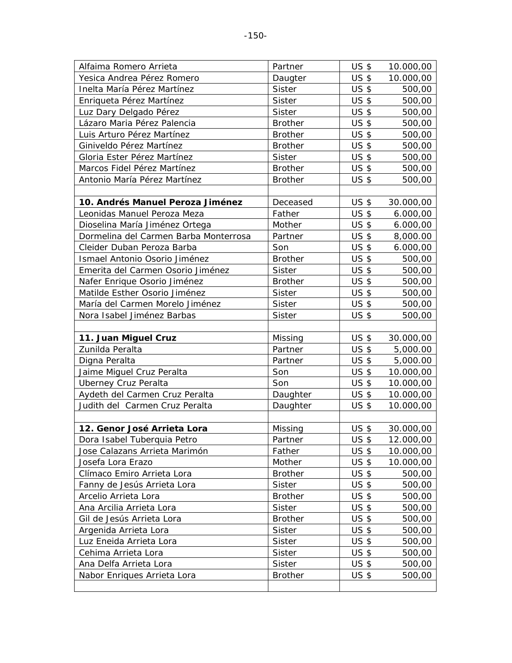| Alfaima Romero Arrieta                | Partner        | <b>US \$</b>    | 10.000,00 |
|---------------------------------------|----------------|-----------------|-----------|
| Yesica Andrea Pérez Romero            | Daugter        | <b>US \$</b>    | 10.000,00 |
| Inelta María Pérez Martínez           | <b>Sister</b>  | <b>US \$</b>    | 500,00    |
| Enriqueta Pérez Martínez              | Sister         | <b>US \$</b>    | 500,00    |
| Luz Dary Delgado Pérez                | Sister         | <b>US \$</b>    | 500,00    |
| Lázaro Maria Pérez Palencia           | <b>Brother</b> | <b>US \$</b>    | 500,00    |
| Luis Arturo Pérez Martínez            | <b>Brother</b> | US <sub>s</sub> | 500,00    |
| Giniveldo Pérez Martínez              | <b>Brother</b> | <b>US \$</b>    | 500,00    |
| Gloria Ester Pérez Martínez           | <b>Sister</b>  | <b>US \$</b>    | 500,00    |
| Marcos Fidel Pérez Martínez           | <b>Brother</b> | <b>US \$</b>    | 500,00    |
| Antonio María Pérez Martínez          | <b>Brother</b> | <b>US \$</b>    | 500,00    |
|                                       |                |                 |           |
| 10. Andrés Manuel Peroza Jiménez      | Deceased       | <b>US \$</b>    | 30.000,00 |
| Leonidas Manuel Peroza Meza           | Father         | <b>US \$</b>    | 6.000,00  |
| Dioselina María Jiménez Ortega        | Mother         | <b>US \$</b>    | 6.000,00  |
| Dormelina del Carmen Barba Monterrosa | Partner        | <b>US \$</b>    | 8,000.00  |
| Cleider Duban Peroza Barba            | Son            | <b>US \$</b>    | 6.000,00  |
| Ismael Antonio Osorio Jiménez         | <b>Brother</b> | <b>US \$</b>    | 500,00    |
| Emerita del Carmen Osorio Jiménez     | Sister         | <b>US \$</b>    | 500,00    |
| Nafer Enrique Osorio Jiménez          | <b>Brother</b> | <b>US \$</b>    | 500,00    |
| Matilde Esther Osorio Jiménez         | Sister         | <b>US \$</b>    | 500,00    |
| María del Carmen Morelo Jiménez       | <b>Sister</b>  | <b>US \$</b>    | 500,00    |
| Nora Isabel Jiménez Barbas            | Sister         | <b>US \$</b>    | 500,00    |
|                                       |                |                 |           |
|                                       |                |                 |           |
| 11. Juan Miguel Cruz                  | Missing        | <b>US \$</b>    | 30.000,00 |
| Zunilda Peralta                       | Partner        | <b>US \$</b>    | 5,000.00  |
| Digna Peralta                         | Partner        | $US$ \$         | 5,000.00  |
| Jaime Miguel Cruz Peralta             | Son            | <b>US \$</b>    | 10.000,00 |
| <b>Uberney Cruz Peralta</b>           | Son            | <b>US \$</b>    | 10.000,00 |
| Aydeth del Carmen Cruz Peralta        | Daughter       | <b>US \$</b>    | 10.000,00 |
| Judith del Carmen Cruz Peralta        | Daughter       | <b>US \$</b>    | 10.000,00 |
|                                       |                |                 |           |
| 12. Genor José Arrieta Lora           | Missing        | <b>US \$</b>    | 30.000,00 |
| Dora Isabel Tuberquia Petro           | Partner        | <b>US \$</b>    | 12.000,00 |
| Jose Calazans Arrieta Marimón         | Father         | US <sub>s</sub> | 10.000,00 |
| Josefa Lora Erazo                     | Mother         | <b>US \$</b>    | 10.000,00 |
| Clímaco Emiro Arrieta Lora            | <b>Brother</b> | <b>US \$</b>    | 500,00    |
| Fanny de Jesús Arrieta Lora           | <b>Sister</b>  | <b>US \$</b>    | 500,00    |
| Arcelio Arrieta Lora                  | <b>Brother</b> | $US$ \$         | 500,00    |
| Ana Arcilia Arrieta Lora              | Sister         | <b>US \$</b>    | 500,00    |
| Gil de Jesús Arrieta Lora             | <b>Brother</b> | $US$ \$         | 500,00    |
| Argenida Arrieta Lora                 | Sister         | <b>US \$</b>    | 500,00    |
| Luz Eneida Arrieta Lora               | Sister         | US <sub>s</sub> | 500,00    |
| Cehima Arrieta Lora                   | Sister         | <b>US \$</b>    | 500,00    |
| Ana Delfa Arrieta Lora                | Sister         | $US$ \$         | 500,00    |
| Nabor Enriques Arrieta Lora           | <b>Brother</b> | $US$ \$         | 500,00    |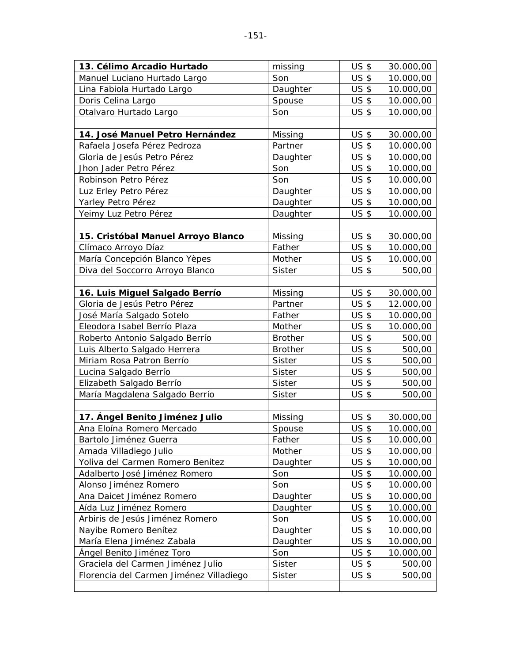| 13. Célimo Arcadio Hurtado              | missing        | <b>US \$</b> | 30.000,00 |
|-----------------------------------------|----------------|--------------|-----------|
| Manuel Luciano Hurtado Largo            | Son            | <b>US \$</b> | 10.000,00 |
| Lina Fabiola Hurtado Largo              | Daughter       | <b>US \$</b> | 10.000,00 |
| Doris Celina Largo                      | Spouse         | US\$         | 10.000,00 |
| Otalvaro Hurtado Largo                  | Son            | <b>US \$</b> | 10.000,00 |
|                                         |                |              |           |
| 14. José Manuel Petro Hernández         | Missing        | <b>US \$</b> | 30.000,00 |
| Rafaela Josefa Pérez Pedroza            | Partner        | <b>US \$</b> | 10.000,00 |
| Gloria de Jesús Petro Pérez             | Daughter       | <b>US \$</b> | 10.000,00 |
| Jhon Jader Petro Pérez                  | Son            | <b>US \$</b> | 10.000,00 |
| Robinson Petro Pérez                    | Son            | <b>US \$</b> | 10.000,00 |
| Luz Erley Petro Pérez                   | Daughter       | <b>US \$</b> | 10.000,00 |
| Yarley Petro Pérez                      | Daughter       | <b>US \$</b> | 10.000,00 |
| Yeimy Luz Petro Pérez                   | Daughter       | <b>US \$</b> | 10.000,00 |
|                                         |                |              |           |
| 15. Cristóbal Manuel Arroyo Blanco      | Missing        | <b>US \$</b> | 30.000,00 |
| Clímaco Arroyo Díaz                     | Father         | <b>US \$</b> | 10.000,00 |
| María Concepción Blanco Yèpes           | Mother         | <b>US \$</b> | 10.000,00 |
| Diva del Soccorro Arroyo Blanco         | <b>Sister</b>  | <b>US \$</b> | 500,00    |
|                                         |                |              |           |
| 16. Luis Miguel Salgado Berrío          | Missing        | <b>US \$</b> | 30.000,00 |
| Gloria de Jesús Petro Pérez             | Partner        | <b>US \$</b> | 12.000,00 |
| José María Salgado Sotelo               | Father         | <b>US \$</b> | 10.000,00 |
| Eleodora Isabel Berrío Plaza            | Mother         | <b>US \$</b> | 10.000,00 |
| Roberto Antonio Salgado Berrío          | <b>Brother</b> | <b>US \$</b> | 500,00    |
| Luis Alberto Salgado Herrera            | <b>Brother</b> | <b>US \$</b> | 500,00    |
| Miriam Rosa Patron Berrío               | Sister         | <b>US \$</b> | 500,00    |
| Lucina Salgado Berrío                   | Sister         | <b>US \$</b> | 500,00    |
| Elizabeth Salgado Berrío                | <b>Sister</b>  | <b>US \$</b> | 500,00    |
| María Magdalena Salgado Berrío          | Sister         | <b>US \$</b> | 500,00    |
|                                         |                |              |           |
| 17. Ángel Benito Jiménez Julio          | Missing        | <b>US \$</b> | 30.000,00 |
| Ana Eloína Romero Mercado               | Spouse         | <b>US \$</b> | 10.000,00 |
| Bartolo Jiménez Guerra                  | Father         | <b>US \$</b> | 10.000,00 |
| Amada Villadiego Julio                  | Mother         | <b>US \$</b> | 10.000,00 |
| Yoliva del Carmen Romero Benitez        | Daughter       | <b>US \$</b> | 10.000,00 |
| Adalberto José Jiménez Romero           | Son            | <b>US \$</b> | 10.000,00 |
| Alonso Jiménez Romero                   | Son            | <b>US \$</b> | 10.000,00 |
| Ana Daicet Jiménez Romero               | Daughter       | <b>US \$</b> | 10.000,00 |
| Aída Luz Jiménez Romero                 | Daughter       | <b>US \$</b> | 10.000,00 |
| Arbiris de Jesús Jiménez Romero         | Son            | <b>US \$</b> | 10.000,00 |
| Nayibe Romero Benítez                   | Daughter       | <b>US \$</b> | 10.000,00 |
| María Elena Jiménez Zabala              | Daughter       | <b>US \$</b> | 10.000,00 |
| Ángel Benito Jiménez Toro               | Son            | <b>US \$</b> | 10.000,00 |
| Graciela del Carmen Jiménez Julio       | <b>Sister</b>  | <b>US \$</b> | 500,00    |
| Florencia del Carmen Jiménez Villadiego | <b>Sister</b>  | <b>US \$</b> | 500,00    |
|                                         |                |              |           |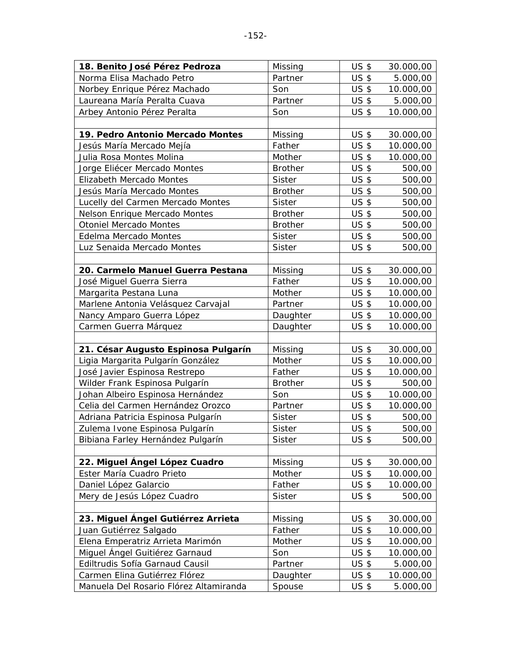| 18. Benito José Pérez Pedroza          | Missing        | <b>US \$</b> | 30.000,00 |
|----------------------------------------|----------------|--------------|-----------|
| Norma Elisa Machado Petro              | Partner        | <b>US \$</b> | 5.000,00  |
| Norbey Enrique Pérez Machado           | Son            | <b>US \$</b> | 10.000,00 |
| Laureana María Peralta Cuava           | Partner        | <b>US \$</b> | 5.000,00  |
| Arbey Antonio Pérez Peralta            | Son            | <b>US \$</b> | 10.000,00 |
|                                        |                |              |           |
| 19. Pedro Antonio Mercado Montes       | Missing        | <b>US \$</b> | 30.000,00 |
| Jesús María Mercado Mejía              | Father         | <b>US \$</b> | 10.000,00 |
| Julia Rosa Montes Molina               | Mother         | <b>US \$</b> | 10.000,00 |
| Jorge Eliécer Mercado Montes           | <b>Brother</b> | <b>US \$</b> | 500,00    |
| Elizabeth Mercado Montes               | Sister         | <b>US \$</b> | 500,00    |
| Jesús María Mercado Montes             | <b>Brother</b> | <b>US \$</b> | 500,00    |
| Lucelly del Carmen Mercado Montes      | Sister         | <b>US \$</b> | 500,00    |
| Nelson Enrique Mercado Montes          | <b>Brother</b> | <b>US \$</b> | 500,00    |
| <b>Otoniel Mercado Montes</b>          | <b>Brother</b> | <b>US \$</b> | 500,00    |
| Edelma Mercado Montes                  | Sister         | <b>US \$</b> | 500,00    |
| Luz Senaida Mercado Montes             | Sister         | <b>US \$</b> | 500,00    |
|                                        |                |              |           |
| 20. Carmelo Manuel Guerra Pestana      | Missing        | <b>US \$</b> | 30.000,00 |
| José Miguel Guerra Sierra              | Father         | <b>US \$</b> | 10.000,00 |
| Margarita Pestana Luna                 | Mother         | <b>US \$</b> | 10.000,00 |
| Marlene Antonia Velásquez Carvajal     | Partner        | <b>US \$</b> | 10.000,00 |
| Nancy Amparo Guerra López              | Daughter       | <b>US \$</b> | 10.000,00 |
| Carmen Guerra Márquez                  | Daughter       | <b>US \$</b> | 10.000,00 |
|                                        |                |              |           |
| 21. César Augusto Espinosa Pulgarín    | Missing        | <b>US \$</b> | 30.000,00 |
| Ligia Margarita Pulgarín González      | Mother         | <b>US \$</b> | 10.000,00 |
| José Javier Espinosa Restrepo          | Father         | <b>US \$</b> | 10.000,00 |
| Wilder Frank Espinosa Pulgarín         | <b>Brother</b> | <b>US \$</b> | 500,00    |
| Johan Albeiro Espinosa Hernández       | Son            | <b>US \$</b> | 10.000,00 |
| Celia del Carmen Hernández Orozco      | Partner        | <b>US \$</b> | 10.000,00 |
| Adriana Patricia Espinosa Pulgarín     | Sister         | <b>US \$</b> | 500,00    |
| Zulema Ivone Espinosa Pulgarín         | Sister         | <b>US \$</b> | 500,00    |
| Bibiana Farley Hernández Pulgarín      | Sister         | <b>US \$</b> | 500,00    |
|                                        |                |              |           |
| 22. Miguel Ángel López Cuadro          | Missing        | <b>US \$</b> | 30.000,00 |
| Ester María Cuadro Prieto              | Mother         | <b>US \$</b> | 10.000,00 |
| Daniel López Galarcio                  | Father         | $US$ \$      | 10.000,00 |
| Mery de Jesús López Cuadro             | <b>Sister</b>  | <b>US \$</b> | 500,00    |
|                                        |                |              |           |
| 23. Miguel Ángel Gutiérrez Arrieta     | Missing        | <b>US \$</b> | 30.000,00 |
| Juan Gutiérrez Salgado                 | Father         | $US$ \$      | 10.000,00 |
| Elena Emperatriz Arrieta Marimón       | Mother         | <b>US \$</b> | 10.000,00 |
| Miguel Ángel Guitiérez Garnaud         | Son            | <b>US \$</b> | 10.000,00 |
| Ediltrudis Sofía Garnaud Causil        | Partner        | <b>US \$</b> | 5.000,00  |
| Carmen Elina Gutiérrez Flórez          | Daughter       | $US$ \$      | 10.000,00 |
| Manuela Del Rosario Flórez Altamiranda | Spouse         | US\$         | 5.000,00  |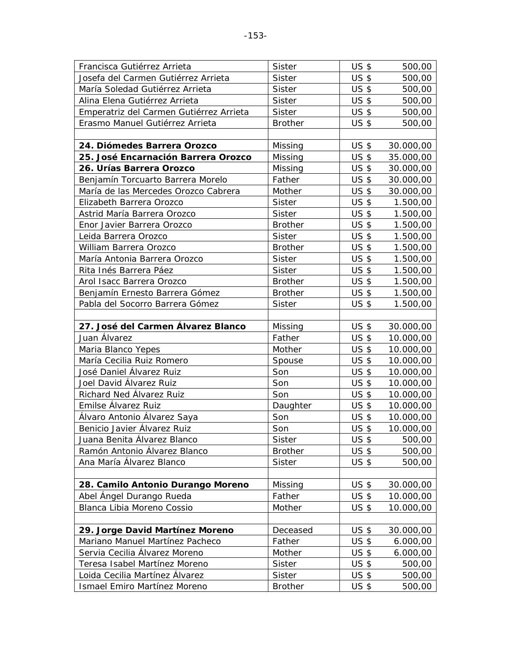| Francisca Gutiérrez Arrieta             | <b>Sister</b>  | <b>US \$</b> | 500,00    |
|-----------------------------------------|----------------|--------------|-----------|
| Josefa del Carmen Gutiérrez Arrieta     | <b>Sister</b>  | <b>US \$</b> | 500,00    |
| María Soledad Gutiérrez Arrieta         | <b>Sister</b>  | <b>US \$</b> | 500,00    |
| Alina Elena Gutiérrez Arrieta           | Sister         | <b>US \$</b> | 500,00    |
| Emperatriz del Carmen Gutiérrez Arrieta | <b>Sister</b>  | <b>US \$</b> | 500,00    |
| Erasmo Manuel Gutiérrez Arrieta         | <b>Brother</b> | <b>US \$</b> | 500,00    |
|                                         |                |              |           |
| 24. Diómedes Barrera Orozco             | Missing        | <b>US \$</b> | 30.000,00 |
| 25. José Encarnación Barrera Orozco     | Missing        | <b>US \$</b> | 35.000,00 |
| 26. Urías Barrera Orozco                | Missing        | <b>US \$</b> | 30.000,00 |
| Benjamín Torcuarto Barrera Morelo       | Father         | <b>US \$</b> | 30.000,00 |
| María de las Mercedes Orozco Cabrera    | Mother         | <b>US \$</b> | 30.000,00 |
| Elizabeth Barrera Orozco                | Sister         | <b>US \$</b> | 1.500,00  |
| Astrid María Barrera Orozco             | <b>Sister</b>  | <b>US \$</b> | 1.500,00  |
| Enor Javier Barrera Orozco              | <b>Brother</b> | <b>US \$</b> | 1.500,00  |
| Leida Barrera Orozco                    | <b>Sister</b>  | <b>US \$</b> | 1.500,00  |
| William Barrera Orozco                  | <b>Brother</b> | <b>US \$</b> | 1.500,00  |
| María Antonia Barrera Orozco            | <b>Sister</b>  | <b>US \$</b> | 1.500,00  |
| Rita Inés Barrera Páez                  | <b>Sister</b>  | <b>US \$</b> | 1.500,00  |
| Arol Isacc Barrera Orozco               | <b>Brother</b> | <b>US \$</b> | 1.500,00  |
| Benjamín Ernesto Barrera Gómez          | <b>Brother</b> | <b>US \$</b> | 1.500,00  |
| Pabla del Socorro Barrera Gómez         | <b>Sister</b>  | <b>US \$</b> | 1.500,00  |
|                                         |                |              |           |
| 27. José del Carmen Álvarez Blanco      | Missing        | <b>US \$</b> | 30.000,00 |
| Juan Álvarez                            | Father         | <b>US \$</b> | 10.000,00 |
| Maria Blanco Yepes                      | Mother         | <b>US \$</b> | 10.000,00 |
| María Cecilia Ruiz Romero               | Spouse         | <b>US \$</b> | 10.000,00 |
| José Daniel Álvarez Ruiz                | Son            | <b>US \$</b> | 10.000,00 |
| Joel David Álvarez Ruiz                 | Son            | <b>US \$</b> | 10.000,00 |
| Richard Ned Álvarez Ruiz                | Son            | <b>US \$</b> | 10.000,00 |
| Emilse Álvarez Ruiz                     | Daughter       | <b>US \$</b> | 10.000,00 |
| Álvaro Antonio Álvarez Saya             | Son            | <b>US \$</b> | 10.000,00 |
| Benicio Javier Álvarez Ruiz             | Son            | <b>US \$</b> | 10.000,00 |
| Juana Benita Álvarez Blanco             | Sister         | <b>US \$</b> | 500,00    |
| Ramón Antonio Álvarez Blanco            | <b>Brother</b> | <b>US \$</b> | 500,00    |
| Ana María Álvarez Blanco                | <b>Sister</b>  | <b>US \$</b> | 500,00    |
|                                         |                |              |           |
| 28. Camilo Antonio Durango Moreno       | Missing        | <b>US \$</b> | 30.000,00 |
| Abel Ángel Durango Rueda                | Father         | <b>US \$</b> | 10.000,00 |
| Blanca Libia Moreno Cossio              | Mother         | <b>US \$</b> | 10.000,00 |
|                                         |                |              |           |
| 29. Jorge David Martínez Moreno         | Deceased       | <b>US \$</b> | 30.000,00 |
| Mariano Manuel Martínez Pacheco         | Father         | <b>US \$</b> | 6.000,00  |
| Servia Cecilia Álvarez Moreno           | Mother         | <b>US \$</b> | 6.000,00  |
| Teresa Isabel Martínez Moreno           | <b>Sister</b>  | <b>US \$</b> | 500,00    |
| Loida Cecilia Martínez Álvarez          | <b>Sister</b>  | $US$ \$      | 500,00    |
| Ismael Emiro Martínez Moreno            | <b>Brother</b> | US\$         | 500,00    |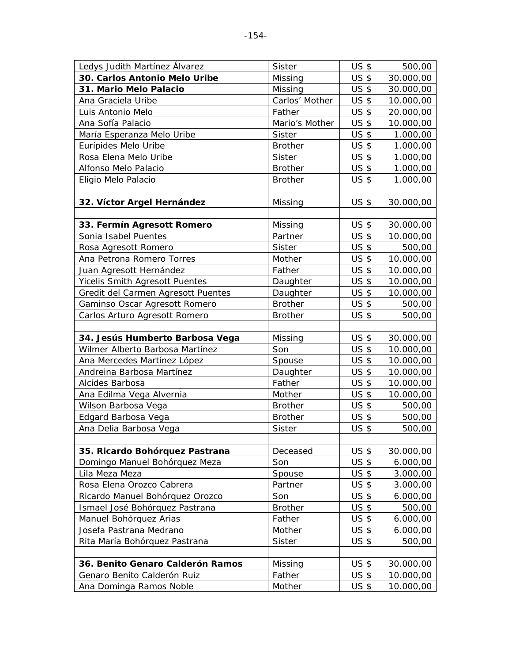| Ledys Judith Martínez Álvarez         | Sister         | <b>US \$</b>    | 500,00    |
|---------------------------------------|----------------|-----------------|-----------|
| 30. Carlos Antonio Melo Uribe         | Missing        | <b>US \$</b>    | 30.000,00 |
| 31. Mario Melo Palacio                | Missing        | <b>US \$</b>    | 30.000,00 |
| Ana Graciela Uribe                    | Carlos' Mother | <b>US \$</b>    | 10.000,00 |
| Luis Antonio Melo                     | Father         | <b>US \$</b>    | 20.000,00 |
| Ana Sofía Palacio                     | Mario's Mother | <b>US \$</b>    | 10.000,00 |
| María Esperanza Melo Uribe            | <b>Sister</b>  | <b>US \$</b>    | 1.000,00  |
| Eurípides Melo Uribe                  | <b>Brother</b> | <b>US \$</b>    | 1.000,00  |
| Rosa Elena Melo Uribe                 | Sister         | <b>US \$</b>    | 1.000,00  |
| Alfonso Melo Palacio                  | <b>Brother</b> | $US$ \$         | 1.000,00  |
| Eligio Melo Palacio                   | <b>Brother</b> | <b>US \$</b>    | 1.000,00  |
|                                       |                |                 |           |
| 32. Víctor Argel Hernández            | Missing        | <b>US \$</b>    | 30.000,00 |
|                                       |                |                 |           |
| 33. Fermín Agresott Romero            | Missing        | <b>US \$</b>    | 30.000,00 |
| Sonia Isabel Puentes                  | Partner        | <b>US \$</b>    | 10.000,00 |
| Rosa Agresott Romero                  | <b>Sister</b>  | <b>US \$</b>    | 500,00    |
| Ana Petrona Romero Torres             | Mother         | <b>US \$</b>    | 10.000,00 |
| Juan Agresott Hernández               | Father         | <b>US \$</b>    | 10.000,00 |
| <b>Yicelis Smith Agresott Puentes</b> | Daughter       | <b>US \$</b>    | 10.000,00 |
| Gredit del Carmen Agresott Puentes    | Daughter       | <b>US \$</b>    | 10.000,00 |
| Gaminso Oscar Agresott Romero         | <b>Brother</b> | US <sub>s</sub> | 500,00    |
| Carlos Arturo Agresott Romero         | <b>Brother</b> | <b>US \$</b>    | 500,00    |
|                                       |                |                 |           |
|                                       |                |                 |           |
| 34. Jesús Humberto Barbosa Vega       | Missing        | <b>US \$</b>    | 30.000,00 |
| Wilmer Alberto Barbosa Martínez       | Son            | <b>US \$</b>    | 10.000,00 |
| Ana Mercedes Martínez López           | Spouse         | <b>US \$</b>    | 10.000,00 |
| Andreina Barbosa Martínez             | Daughter       | <b>US \$</b>    | 10.000,00 |
| Alcides Barbosa                       | Father         | <b>US \$</b>    | 10.000,00 |
| Ana Edilma Vega Alvernia              | Mother         | <b>US \$</b>    | 10.000,00 |
| Wilson Barbosa Vega                   | <b>Brother</b> | <b>US \$</b>    | 500,00    |
| Edgard Barbosa Vega                   | <b>Brother</b> | <b>US \$</b>    | 500,00    |
| Ana Delia Barbosa Vega                | Sister         | <b>US \$</b>    | 500,00    |
|                                       |                |                 |           |
| 35. Ricardo Bohórquez Pastrana        | Deceased       | <b>US \$</b>    | 30.000,00 |
| Domingo Manuel Bohórquez Meza         | Son            | <b>US \$</b>    | 6.000,00  |
| Lila Meza Meza                        | Spouse         | <b>US \$</b>    | 3.000,00  |
| Rosa Elena Orozco Cabrera             | Partner        | <b>US \$</b>    | 3.000,00  |
| Ricardo Manuel Bohórquez Orozco       | Son            | <b>US \$</b>    | 6.000,00  |
| Ismael José Bohórquez Pastrana        | <b>Brother</b> | <b>US \$</b>    | 500,00    |
| Manuel Bohórquez Arias                | Father         | <b>US \$</b>    | 6.000,00  |
| Josefa Pastrana Medrano               | Mother         | $US$ \$         | 6.000,00  |
| Rita María Bohórquez Pastrana         | Sister         | <b>US \$</b>    | 500,00    |
|                                       |                |                 |           |
| 36. Benito Genaro Calderón Ramos      | Missing        | <b>US \$</b>    | 30.000,00 |
| Genaro Benito Calderón Ruiz           | Father         | $US$ \$         | 10.000,00 |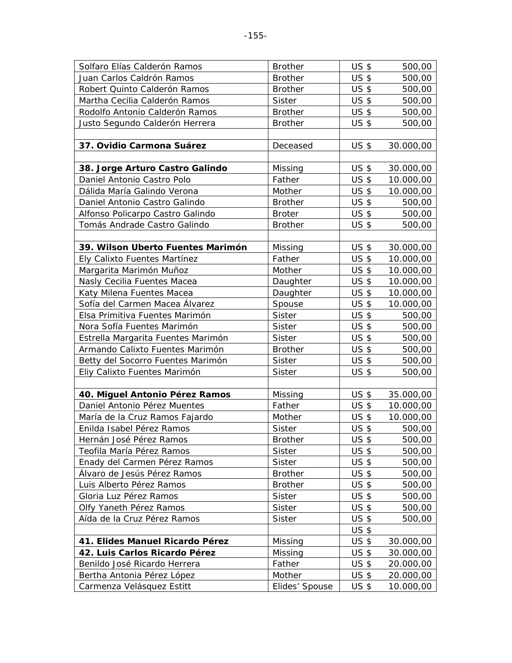| Solfaro Elías Calderón Ramos       | <b>Brother</b> | $US$ \$         | 500,00    |
|------------------------------------|----------------|-----------------|-----------|
| Juan Carlos Caldrón Ramos          | <b>Brother</b> | <b>US \$</b>    | 500,00    |
| Robert Quinto Calderón Ramos       | <b>Brother</b> | <b>US \$</b>    | 500,00    |
| Martha Cecilia Calderón Ramos      | Sister         | <b>US \$</b>    | 500,00    |
| Rodolfo Antonio Calderón Ramos     | <b>Brother</b> | <b>US \$</b>    | 500,00    |
| Justo Segundo Calderón Herrera     | <b>Brother</b> | <b>US \$</b>    | 500,00    |
|                                    |                |                 |           |
| 37. Ovidio Carmona Suárez          | Deceased       | <b>US \$</b>    | 30.000,00 |
|                                    |                |                 |           |
| 38. Jorge Arturo Castro Galindo    | Missing        | <b>US \$</b>    | 30.000,00 |
| Daniel Antonio Castro Polo         | Father         | <b>US \$</b>    | 10.000,00 |
| Dálida María Galindo Verona        | Mother         | <b>US \$</b>    | 10.000,00 |
| Daniel Antonio Castro Galindo      | <b>Brother</b> | <b>US \$</b>    | 500,00    |
| Alfonso Policarpo Castro Galindo   | <b>Broter</b>  | $US$ \$         | 500,00    |
| Tomás Andrade Castro Galindo       | <b>Brother</b> | <b>US \$</b>    | 500,00    |
|                                    |                |                 |           |
| 39. Wilson Uberto Fuentes Marimón  | Missing        | <b>US \$</b>    | 30.000,00 |
| Ely Calixto Fuentes Martínez       | Father         | <b>US \$</b>    | 10.000,00 |
| Margarita Marimón Muñoz            | Mother         | <b>US \$</b>    | 10.000,00 |
| Nasly Cecilia Fuentes Macea        | Daughter       | <b>US \$</b>    | 10.000,00 |
| Katy Milena Fuentes Macea          | Daughter       | <b>US \$</b>    | 10.000,00 |
| Sofía del Carmen Macea Álvarez     | Spouse         | <b>US \$</b>    | 10.000,00 |
| Elsa Primitiva Fuentes Marimón     | Sister         | <b>US \$</b>    | 500,00    |
| Nora Sofía Fuentes Marimón         | Sister         | <b>US \$</b>    | 500,00    |
| Estrella Margarita Fuentes Marimón | Sister         | <b>US \$</b>    | 500,00    |
| Armando Calixto Fuentes Marimón    | <b>Brother</b> | <b>US \$</b>    | 500,00    |
| Betty del Socorro Fuentes Marimón  | Sister         | <b>US \$</b>    | 500,00    |
| Eliy Calixto Fuentes Marimón       | Sister         | <b>US \$</b>    | 500,00    |
|                                    |                |                 |           |
| 40. Miguel Antonio Pérez Ramos     | Missing        | US <sub>s</sub> | 35.000,00 |
| Daniel Antonio Pérez Muentes       | Father         | <b>US \$</b>    | 10.000,00 |
| María de la Cruz Ramos Fajardo     | Mother         | <b>US \$</b>    | 10.000,00 |
| Enilda Isabel Pérez Ramos          | Sister         | <b>US \$</b>    | 500,00    |
| Hernán José Pérez Ramos            | <b>Brother</b> | <b>US \$</b>    | 500,00    |
| Teofila María Pérez Ramos          | Sister         | $US$ \$         | 500,00    |
| Enady del Carmen Pérez Ramos       | Sister         | <b>US \$</b>    | 500,00    |
| Álvaro de Jesús Pérez Ramos        | <b>Brother</b> | <b>US \$</b>    | 500,00    |
| Luis Alberto Pérez Ramos           | <b>Brother</b> | $US$ \$         | 500,00    |
| Gloria Luz Pérez Ramos             | Sister         | <b>US \$</b>    | 500,00    |
| Olfy Yaneth Pérez Ramos            | <b>Sister</b>  | <b>US \$</b>    | 500,00    |
| Aída de la Cruz Pérez Ramos        | Sister         | <b>US \$</b>    | 500,00    |
|                                    |                | $US$ \$         |           |
| 41. Elides Manuel Ricardo Pérez    | Missing        | $US$ \$         | 30.000,00 |
| 42. Luis Carlos Ricardo Pérez      | Missing        | <b>US \$</b>    | 30.000,00 |
| Benildo José Ricardo Herrera       | Father         | <b>US \$</b>    | 20.000,00 |
| Bertha Antonia Pérez López         | Mother         | $US$ \$         | 20.000,00 |
| Carmenza Velásquez Estitt          | Elides' Spouse | US\$            | 10.000,00 |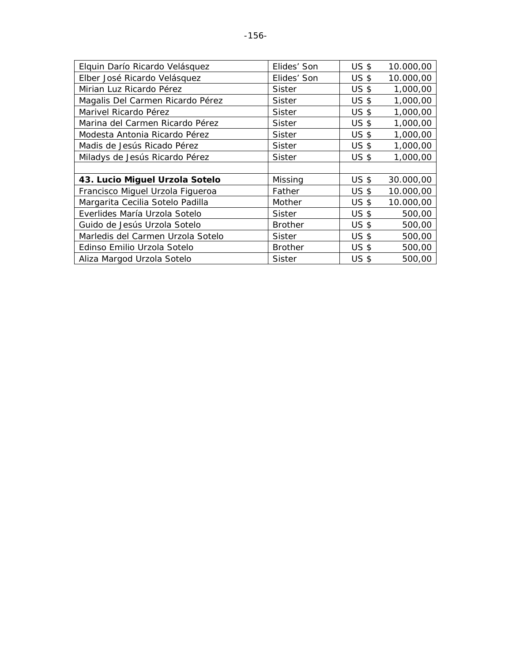| Elquin Darío Ricardo Velásquez    | Elides' Son    | $US$ \$         | 10.000,00 |
|-----------------------------------|----------------|-----------------|-----------|
| Elber José Ricardo Velásquez      | Elides' Son    | US <sub>s</sub> | 10.000,00 |
| Mirian Luz Ricardo Pérez          | <b>Sister</b>  | $US$ \$         | 1,000,00  |
| Magalis Del Carmen Ricardo Pérez  | <b>Sister</b>  | US <sub>s</sub> | 1,000,00  |
| Marivel Ricardo Pérez             | <b>Sister</b>  | US <sub>s</sub> | 1,000,00  |
| Marina del Carmen Ricardo Pérez   | <b>Sister</b>  | $US$ \$         | 1,000,00  |
| Modesta Antonia Ricardo Pérez     | <b>Sister</b>  | $US$ \$         | 1,000,00  |
| Madis de Jesús Ricado Pérez       | <b>Sister</b>  | <b>US \$</b>    | 1,000,00  |
| Miladys de Jesús Ricardo Pérez    | <b>Sister</b>  | US <sub>s</sub> | 1,000,00  |
|                                   |                |                 |           |
| 43. Lucio Miguel Urzola Sotelo    | Missing        | $US$ \$         | 30.000,00 |
| Francisco Miguel Urzola Figueroa  | Father         | $US$ \$         | 10.000,00 |
| Margarita Cecilia Sotelo Padilla  | Mother         | $US$ \$         | 10.000,00 |
| Everlides María Urzola Sotelo     | <b>Sister</b>  | $US$ \$         | 500,00    |
| Guido de Jesús Urzola Sotelo      | <b>Brother</b> | US <sub>s</sub> | 500,00    |
| Marledis del Carmen Urzola Sotelo | Sister         | US <sub>s</sub> | 500,00    |
| Edinso Emilio Urzola Sotelo       | <b>Brother</b> | US <sub>s</sub> | 500,00    |
| Aliza Margod Urzola Sotelo        | <b>Sister</b>  | US <sub>s</sub> | 500,00    |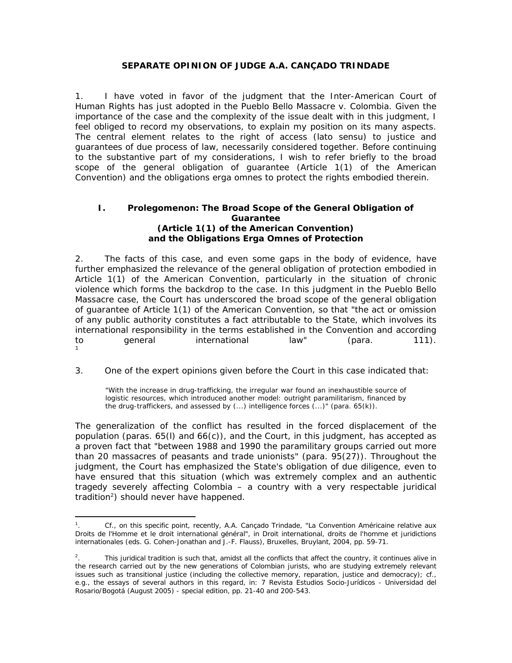#### **SEPARATE OPINION OF JUDGE A.A. CANÇADO TRINDADE**

1. I have voted in favor of the judgment that the Inter-American Court of Human Rights has just adopted in *the Pueblo Bello Massacre v. Colombia*. Given the importance of the case and the complexity of the issue dealt with in this judgment, I feel obliged to record my observations, to explain my position on its many aspects. The central element relates to the right of access (*lato sensu*) to justice and guarantees of due process of law, necessarily considered together. Before continuing to the substantive part of my considerations, I wish to refer briefly to the broad scope of the general obligation of guarantee (Article 1(1) of the American Convention) and the obligations *erga omnes* to protect the rights embodied therein.

### **I.** *Prolegomenon***: The Broad Scope of the General Obligation of Guarantee (Article 1(1) of the American Convention) and the Obligations** *Erga Omnes* **of Protection**

2. The facts of this case, and even some gaps in the body of evidence, have further emphasized the relevance of the general obligation of protection embodied in Article 1(1) of the American Convention, particularly in the situation of chronic violence which forms the backdrop to the case. In this judgment in *the Pueblo Bello Massacre case*, the Court has underscored the broad scope of the general obligation of guarantee of Article 1(1) of the American Convention, so that "the act or omission of any public authority constitutes a fact attributable to the State, which involves its international responsibility in the terms established in the Convention and according to general international law" (para. 111). 1

### 3. One of the expert opinions given before the Court in this case indicated that:

"With the increase in drug-trafficking, the irregular war found an inexhaustible source of logistic resources, which introduced another model: outright paramilitarism, financed by the drug-traffickers, and assessed by (...) intelligence forces (...)" (para. 65(k)).

The generalization of the conflict has resulted in the forced displacement of the population (paras. 65(l) and 66(c)), and the Court, in this judgment, has accepted as a proven fact that "between 1988 and 1990 the paramilitary groups carried out more than 20 massacres of peasants and trade unionists" (para. 95(27)). Throughout the judgment, the Court has emphasized the State's *obligation of due diligence*, even to have ensured that this situation (which was extremely complex and an authentic tragedy severely affecting Colombia – a country with a very respectable juridical tradition<sup>2</sup>) should never have happened.

<sup>1</sup> . Cf., on this specific point, recently, A.A. Cançado Trindade, "La Convention Américaine relative aux Droits de l'Homme et le droit international général", *in Droit international, droits de l'homme et juridictions internationales* (eds. G. Cohen-Jonathan and J.-F. Flauss), Bruxelles, Bruylant, 2004, pp. 59-71.

<sup>2</sup> . This juridical tradition is such that, amidst all the conflicts that affect the country, it continues alive in the research carried out by the new generations of Colombian jurists, who are studying extremely relevant issues such as transitional justice (including the collective memory, reparation, justice and democracy); cf., e.g., the essays of several authors in this regard, *in*: 7 *Revista Estudios Socio-Jurídicos* - Universidad del Rosario/Bogotá (August 2005) - special edition, pp. 21-40 and 200-543.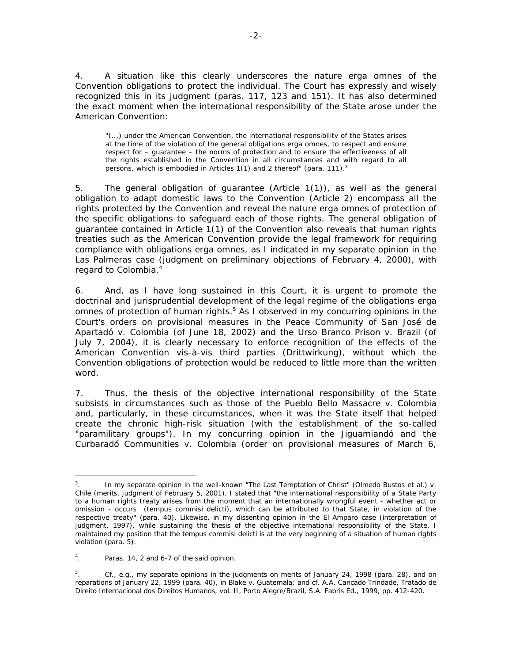4. A situation like this clearly underscores the nature *erga omnes* of the Convention obligations to protect the individual. The Court has expressly and wisely recognized this in its judgment (paras. 117, 123 and 151). It has also determined the exact moment when the international responsibility of the State arose under the American Convention:

"(...) under the American Convention, the international responsibility of the States arises at the time of the violation of the general obligations *erga omnes*, to respect and ensure respect for – guarantee – the norms of protection and to ensure the effectiveness of all the rights established in the Convention in all circumstances and with regard to all persons, which is embodied in Articles  $1(1)$  and 2 thereof" (para. 111).<sup>3</sup>

5. The general obligation of guarantee (Article 1(1)), as well as the general obligation to adapt domestic laws to the Convention (Article 2) encompass all the rights protected by the Convention and reveal the nature *erga omnes* of protection of the specific obligations to safeguard each of those rights. The general obligation of guarantee contained in Article 1(1) of the Convention also reveals that human rights treaties such as the American Convention provide the legal framework for requiring compliance with obligations *erga omnes*, as I indicated in my separate opinion in the *Las Palmeras* case (judgment on preliminary objections of February 4, 2000), with regard to Colombia.<sup>4</sup>

6. And, as I have long sustained in this Court, it is urgent to promote the doctrinal and jurisprudential development of the legal regime of the obligations *erga*  omnes of protection of human rights.<sup>5</sup> As I observed in my concurring opinions in the Court's orders on provisional measures in *the Peace Community of San José de Apartadó v. Colombia* (of June 18, 2002) and *the Urso Branco Prison v. Brazil* (of July 7, 2004), it is clearly necessary to enforce recognition of the effects of the American Convention *vis-à-vis* third parties (*Drittwirkung*), without which the Convention obligations of protection would be reduced to little more than the written word.

7. Thus, the thesis of the *objective* international responsibility of the State subsists in circumstances such as those of *the Pueblo Bello Massacre v. Colombia* and, particularly, in these circumstances, when it was the State itself that helped create the chronic high-risk situation (with the establishment of the so-called "paramilitary groups"). In my concurring opinion in *the Jiguamiandó and the Curbaradó Communities v. Colombia* (order on provisional measures of March 6,

<sup>3</sup> . In my separate opinion in the well-known *"The Last Temptation of Christ"* (*Olmedo Bustos et al.) v. Chile* (merits, judgment of February 5, 2001), I stated that "the international responsibility of a State Party to a human rights treaty arises from the moment that an internationally wrongful event - whether act or omission - occurs (*tempus commisi delicti*), which can be attributed to that State, in violation of the respective treaty" (para. 40). Likewise, in my dissenting opinion in the *El Amparo* case (interpretation of judgment, 1997), while sustaining the thesis of the *objective* international responsibility of the State, I maintained my position that the *tempus commisi delicti* is at the very beginning of a situation of human rights violation (para. 5).

<sup>4</sup> Paras. 14, 2 and 6-7 of the said opinion.

<sup>5</sup> . Cf., e.g., my separate opinions in the judgments on merits of January 24, 1998 (para. 28), and on reparations of January 22, 1999 (para. 40), in *Blake v. Guatemala*; and cf. A.A. Cançado Trindade, *Tratado de Direito Internacional dos Direitos Humanos*, vol. II, Porto Alegre/Brazil, S.A. Fabris Ed., 1999, pp. 412-420.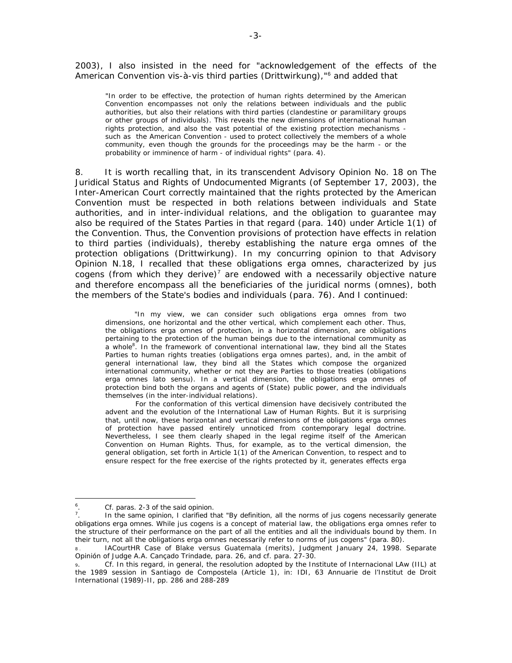2003), I also insisted in the need for "acknowledgement of the effects of the American Convention *vis-à-vis* third parties (*Drittwirkung*),"<sup>6</sup> and added that

"In order to be effective, the protection of human rights determined by the American Convention encompasses not only the relations between individuals and the public authorities, but also their relations with third parties (clandestine or paramilitary groups or other groups of individuals). This reveals the new dimensions of international human rights protection, and also the vast potential of the existing protection mechanisms such as the American Convention - used to protect collectively the members of a whole community, even though the grounds for the proceedings may be the harm - or the probability or imminence of harm - of individual rights" (para. 4).

8. It is worth recalling that, in its transcendent Advisory Opinion No. 18 on *The Juridical Status and Rights of Undocumented Migrants* (of September 17, 2003), the Inter-American Court correctly maintained that the rights protected by the American Convention must be respected in both relations between individuals and State authorities, and in inter-individual relations, and the obligation to guarantee may also be required of the States Parties in that regard (para. 140) under Article 1(1) of the Convention. Thus, the Convention provisions of protection have effects in relation to third parties (individuals), thereby establishing the nature *erga omnes* of the protection obligations (*Drittwirkung*). In my concurring opinion to that Advisory Opinion N.18, I recalled that these obligations *erga omnes*, characterized by *jus*  cogens (from which they derive)<sup>7</sup> are endowed with a necessarily objective nature and therefore encompass all the beneficiaries of the juridical norms (*omnes*), both the members of the State's bodies and individuals (para. 76). And I continued:

 "In my view, we can consider such obligations *erga omnes* from *two dimensions, one horizontal and the other vertical*, which complement each other. Thus, the obligations *erga omnes* of protection, in a horizontal dimension, are obligations pertaining to the protection of the human beings due to the international community as a whole<sup>8</sup>. In the framework of conventional international law, they bind all the States Parties to human rights treaties (obligations *erga omnes partes*), and, in the ambit of general international law, they bind all the States which compose the organized international community, whether or not they are Parties to those treaties (obligations *erga omnes lato sensu*). In a vertical dimension, the obligations *erga omnes* of protection bind both the organs and agents of (State) public power, and the individuals themselves (in the inter-individual relations).

For the conformation of this vertical dimension have decisively contributed the advent and the evolution of the International Law of Human Rights. But it is surprising that, until now, these horizontal and vertical dimensions of the obligations *erga omnes* of protection have passed entirely unnoticed from contemporary legal doctrine. Nevertheless, I see them clearly shaped in the legal regime itself of the American Convention on Human Rights. Thus, for example, as to the vertical dimension, the general obligation, set forth in Article 1(1) of the American Convention, to respect and to ensure respect for the free exercise of the rights protected by it, generates effects *erga* 

<sup>6</sup> . Cf. paras. 2-3 of the said opinion.

<sup>7</sup> . In the same opinion, I clarified that "By definition, all the norms of *jus cogens* necessarily generate obligations *erga omnes*. While *jus cogens* is a concept of material law, the obligations *erga omnes* refer to the structure of their performance on the part of all the entities and all the individuals bound by them. In their turn, not all the obligations *erga omnes* necessarily refer to norms of *jus cogens*" (para. 80).

<sup>8 .</sup> IACourtHR Case of *Blake versus Guatemala (merits)*, Judgment January 24, 1998. Separate Opinión of Judge A.A. Cançado Trindade, para. 26, and cf. para. 27-30.

<sup>9.</sup> Cf. In this regard, in general, the resolution adopted by the Institute of Internacional LAw (IIL) at the 1989 session in Santiago de Compostela (Article 1), *in*: IDI, 63 *Annuarie de l'Institut de Droit International* (1989)-II, pp. 286 and 288-289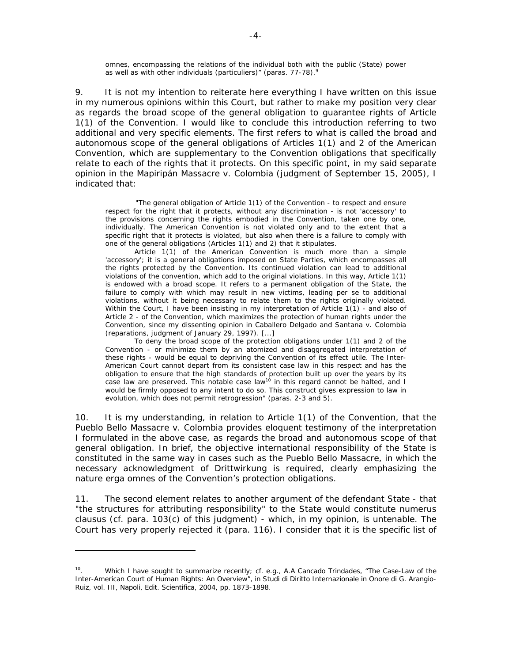*omnes*, encompassing the relations of the individual both with the public (State) power as well as with other individuals (*particuliers*)" (paras. 77-78).9

9. It is not my intention to reiterate here everything I have written on this issue in my numerous opinions within this Court, but rather to make my position very clear as regards the broad scope of the general obligation to guarantee rights of Article 1(1) of the Convention. I would like to conclude this introduction referring to two additional and very specific elements. The first refers to what is called the broad and *autonomous* scope of the general obligations of Articles 1(1) and 2 of the American Convention, which are supplementary to the Convention obligations that specifically relate to each of the rights that it protects. On this specific point, in my said separate opinion in the *Mapiripán Massacre v. Colombia* (judgment of September 15, 2005), I indicated that:

 "The general obligation of Article 1(1) of the Convention - to *respect* and ensure respect for the right that it protects, without any discrimination - is not 'accessory' to the provisions concerning the rights embodied in the Convention, taken one by one, individually. The American Convention is not violated only and to the extent that a specific right that it protects is violated, but also when there is a failure to comply with one of the general obligations (Articles 1(1) and 2) that it stipulates.

 Article 1(1) of the American Convention is much more than a simple 'accessory'; it is a general obligations imposed on State Parties, which encompasses all the rights protected by the Convention. Its continued violation can lead to additional violations of the convention, which add to the original violations. In this way, Article 1(1) is endowed with a broad scope. It refers to a permanent obligation of the State, the failure to comply with which may result in new victims, leading *per se* to additional violations, without it being necessary to relate them to the rights originally violated. Within the Court, I have been insisting in my interpretation of Article 1(1) - and also of Article 2 - of the Convention, which maximizes the protection of human rights under the Convention, since my dissenting opinion in *Caballero Delgado and Santana v. Colombia* (reparations, judgment of January 29, 1997). [...]

To deny the broad scope of the protection obligations under 1(1) and 2 of the Convention - or minimize them by an atomized and disaggregated interpretation of these rights - would be equal to depriving the Convention of its *effect utile*. The Inter-American Court cannot depart from its *consistent case law* in this respect and has the obligation to ensure that the high standards of protection built up over the years by its case law are preserved. This notable case law<sup>10</sup> in this regard cannot be halted, and I would be firmly opposed to any intent to do so. This construct gives expression to law in evolution, which does not permit retrogression" (paras. 2-3 and 5).

10. It is my understanding, in relation to Article 1(1) of the Convention, that *the Pueblo Bello Massacre v. Colombia* provides eloquent testimony of the interpretation I formulated in the above case, as regards the broad and autonomous scope of that general obligation. In brief, the *objective* international responsibility of the State is constituted in the same way in cases such as *the Pueblo Bello Massacre*, in which the necessary acknowledgment of *Drittwirkung* is required, clearly emphasizing the nature *erga omnes* of the Convention's protection obligations.

11. The second element relates to another argument of the defendant State - that "the structures for attributing responsibility" to the State would constitute *numerus clausus* (cf. para. 103(c) of this judgment) - which, in my opinion, is untenable. The Court has very properly rejected it (para. 116). I consider that it is the specific list of

<sup>&</sup>lt;sup>10</sup>. Which I have sought to summarize recently; cf. e.g., A.A Cancado Trindades, "The Case-Law of the Inter-American Court of Human Rights: An Overview", *in Studi di Diritto Internazionale in Onore di G. Arangio-Ruiz,* vol. III, Napoli, Edit. Scientifica, 2004, pp. 1873-1898.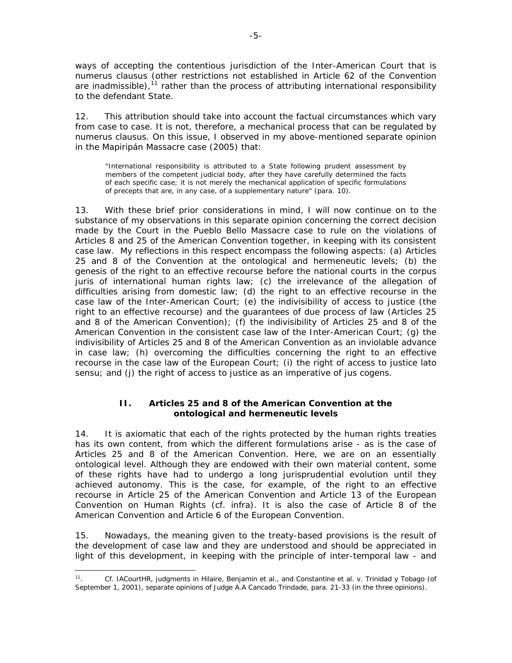ways of accepting the contentious jurisdiction of the Inter-American Court that is *numerus clausus* (other restrictions not established in Article 62 of the Convention are inadmissible),<sup>11</sup> rather than the process of attributing international responsibility to the defendant State.

12. This attribution should take into account the factual circumstances which vary from case to case. It is not, therefore, a mechanical process that can be regulated by *numerus clausus*. On this issue, I observed in my above-mentioned separate opinion in the *Mapiripán Massacre* case (2005) that:

"International responsibility is attributed to a State following prudent assessment by members of the competent judicial body, after they have carefully determined the facts of each specific case; it is not merely the mechanical application of specific formulations of precepts that are, in any case, of a supplementary nature" (para. 10).

13. With these brief prior considerations in mind, I will now continue on to the substance of my observations in this separate opinion concerning the correct decision made by the Court in *the Pueblo Bello Massacre case* to rule on the violations of Articles 8 and 25 of the American Convention *together*, in keeping with its *consistent case law*. My reflections in this respect encompass the following aspects: (a) Articles 25 and 8 of the Convention at the ontological and hermeneutic levels; (b) the genesis of the right to an effective recourse before the national courts in the *corpus juris* of international human rights law; (c) the irrelevance of the allegation of difficulties arising from domestic law; (d) the right to an effective recourse in the case law of the Inter-American Court; (e) the indivisibility of access to justice (the right to an effective recourse) and the guarantees of due process of law (Articles 25 and 8 of the American Convention); (f) the indivisibility of Articles 25 and 8 of the American Convention in the *consistent case law* of the Inter-American Court; (g) the indivisibility of Articles 25 and 8 of the American Convention as an inviolable advance in case law; (h) overcoming the difficulties concerning the right to an effective recourse in the case law of the European Court; (i) the right of access to justice *lato sensu*; and (j) the right of access to justice as an imperative of *jus cogens*.

# **II. Articles 25 and 8 of the American Convention at the ontological and hermeneutic levels**

14. It is axiomatic that each of the rights protected by the human rights treaties has its own content, from which the different formulations arise - as is the case of Articles 25 and 8 of the American Convention. Here, we are on an essentially *ontological* level. Although they are endowed with their own material content, some of these rights have had to undergo a long jurisprudential evolution until they achieved autonomy. This is the case, for example, of the right to an effective recourse in Article 25 of the American Convention and Article 13 of the European Convention on Human Rights (cf. *infra*). It is also the case of Article 8 of the American Convention and Article 6 of the European Convention.

15. Nowadays, the meaning given to the treaty-based provisions is the result of the development of case law and they are understood and should be appreciated in light of this development, in keeping with the principle of inter-temporal law - and

 $\overline{a}$ 11. Cf. IACourtHR, judgments in *Hilaire, Benjamin et al., and Constantine et al. v. Trinidad y Tobago* (of September 1, 2001), separate opinions of Judge A.A Cancado Trindade, para. 21-33 (in the three opinions).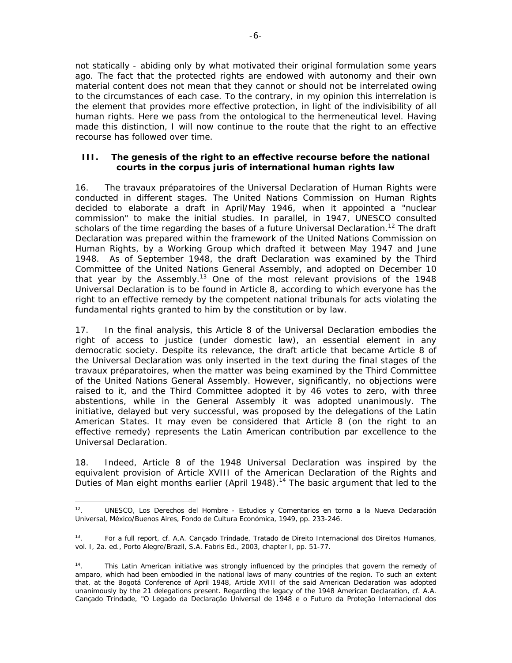not statically - abiding only by what motivated their original formulation some years ago. The fact that the protected rights are endowed with autonomy and their own material content does not mean that they cannot or should not be interrelated owing to the circumstances of each case. To the contrary, in my opinion this interrelation is the element that provides more effective protection, in light of the indivisibility of all human rights. Here we pass from the ontological to the *hermeneutical* level. Having made this distinction, I will now continue to the route that the right to an effective recourse has followed over time.

#### **III. The genesis of the right to an effective recourse before the national courts in the** *corpus juris* **of international human rights law**

16. The *travaux préparatoires* of the Universal Declaration of Human Rights were conducted in different stages. The United Nations Commission on Human Rights decided to elaborate a draft in April/May 1946, when it appointed a "nuclear commission" to make the initial studies. In parallel, in 1947, UNESCO consulted scholars of the time regarding the bases of a future Universal Declaration.<sup>12</sup> The draft Declaration was prepared within the framework of the United Nations Commission on Human Rights, by a Working Group which drafted it between May 1947 and June 1948. As of September 1948, the draft Declaration was examined by the Third Committee of the United Nations General Assembly, and adopted on December 10 that year by the Assembly.<sup>13</sup> One of the most relevant provisions of the 1948 Universal Declaration is to be found in Article 8, according to which everyone has the right to an effective remedy by the competent national tribunals for acts violating the fundamental rights granted to him by the constitution or by law.

17. In the final analysis, this Article 8 of the Universal Declaration embodies the *right of access to justice* (under domestic law), an essential element in any democratic society. Despite its relevance, the draft article that became Article 8 of the Universal Declaration was only inserted in the text during the final stages of the *travaux préparatoires*, when the matter was being examined by the Third Committee of the United Nations General Assembly. However, significantly, no objections were raised to it, and the Third Committee adopted it by 46 votes to zero, with three abstentions, while in the General Assembly it was adopted unanimously. The initiative, delayed but very successful, was proposed by the delegations of the Latin American States. It may even be considered that Article 8 (on the right to an effective remedy) represents the Latin American contribution *par excellence* to the Universal Declaration.

18. Indeed, Article 8 of the 1948 Universal Declaration was inspired by the equivalent provision of Article XVIII of the American Declaration of the Rights and Duties of Man eight months earlier (April 1948).<sup>14</sup> The basic argument that led to the

 $12$ 12. UNESCO, *Los Derechos del Hombre - Estudios y Comentarios en torno a la Nueva Declaración Universal*, México/Buenos Aires, Fondo de Cultura Económica, 1949, pp. 233-246.

<sup>13.</sup> For a full report, cf. A.A. Cançado Trindade, *Tratado de Direito Internacional dos Direitos Humanos*, vol. I, 2a. ed., Porto Alegre/Brazil, S.A. Fabris Ed., 2003, chapter I, pp. 51-77.

<sup>&</sup>lt;sup>14</sup>. This Latin American initiative was strongly influenced by the principles that govern the remedy of *amparo*, which had been embodied in the national laws of many countries of the region. To such an extent that, at the Bogotá Conference of April 1948, Article XVIII of the said American Declaration was adopted unanimously by the 21 delegations present. Regarding the legacy of the 1948 American Declaration, cf. A.A. Cançado Trindade, "O Legado da Declaração Universal de 1948 e o Futuro da Proteção Internacional dos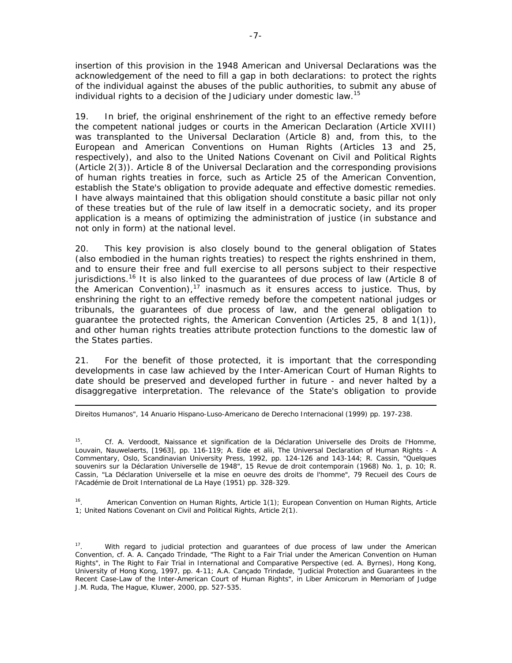insertion of this provision in the 1948 American and Universal Declarations was the acknowledgement of the need to fill a gap in both declarations: to protect the rights of the individual against the abuses of the public authorities, to submit any abuse of individual rights to a decision of the Judiciary under domestic law.<sup>15</sup>

19. In brief, the original enshrinement of the right to an effective remedy before the competent national judges or courts in the American Declaration (Article XVIII) was transplanted to the Universal Declaration (Article 8) and, from this, to the European and American Conventions on Human Rights (Articles 13 and 25, respectively), and also to the United Nations Covenant on Civil and Political Rights (Article 2(3)). Article 8 of the Universal Declaration and the corresponding provisions of human rights treaties in force, such as Article 25 of the American Convention, establish the State's obligation to provide adequate and effective domestic remedies. I have always maintained that this obligation should constitute a basic pillar not only of these treaties but of the rule of law itself in a democratic society, and its proper application is a means of optimizing the administration of justice (in substance and not only in form) at the national level.

20. This key provision is also closely bound to the general obligation of States (also embodied in the human rights treaties) *to respect* the rights enshrined in them, and *to ensure* their free and full exercise to all persons subject to their respective jurisdictions.<sup>16</sup> It is also linked to the guarantees of due process of law (Article 8 of the American Convention), $17$  inasmuch as it ensures access to justice. Thus, by enshrining the right to an effective remedy before the competent national judges or tribunals, the guarantees of due process of law, and the general obligation to *guarantee* the protected rights, the American Convention (Articles 25, 8 and 1(1)), and other human rights treaties attribute protection functions to the domestic law of the States parties.

21. For the benefit of those protected, it is important that the corresponding developments in case law achieved by the Inter-American Court of Human Rights to date should be preserved and developed further in future - and never halted by a disaggregative interpretation. The relevance of the State's obligation to provide

Direitos Humanos", 14 *Anuario Hispano-Luso-Americano de Derecho Internacional* (1999) pp. 197-238.

 $\overline{a}$ 

15. Cf. A. Verdoodt, *Naissance et signification de la Déclaration Universelle des Droits de l'Homme*, Louvain, Nauwelaerts, [1963], pp. 116-119; A. Eide *et alii*, *The Universal Declaration of Human Rights - A Commentary*, Oslo, Scandinavian University Press, 1992, pp. 124-126 and 143-144; R. Cassin, "Quelques souvenirs sur la Déclaration Universelle de 1948", 15 *Revue de droit contemporain* (1968) No. 1, p. 10; R. Cassin, "La Déclaration Universelle et la mise en oeuvre des droits de l'homme", 79 *Recueil des Cours de l'Académie de Droit International de La Haye* (1951) pp. 328-329.

<sup>16</sup>. American Convention on Human Rights, Article 1(1); European Convention on Human Rights, Article 1; United Nations Covenant on Civil and Political Rights, Article 2(1).

<sup>17</sup>. With regard to judicial protection and guarantees of due process of law under the American Convention, cf. A. A. Cançado Trindade, "The Right to a Fair Trial under the American Convention on Human Rights", *in The Right to Fair Trial in International and Comparative Perspective* (ed. A. Byrnes), Hong Kong, University of Hong Kong, 1997, pp. 4-11; A.A. Cançado Trindade, "Judicial Protection and Guarantees in the Recent Case-Law of the Inter-American Court of Human Rights", *in Liber Amicorum in Memoriam of Judge J.M. Ruda*, The Hague, Kluwer, 2000, pp. 527-535.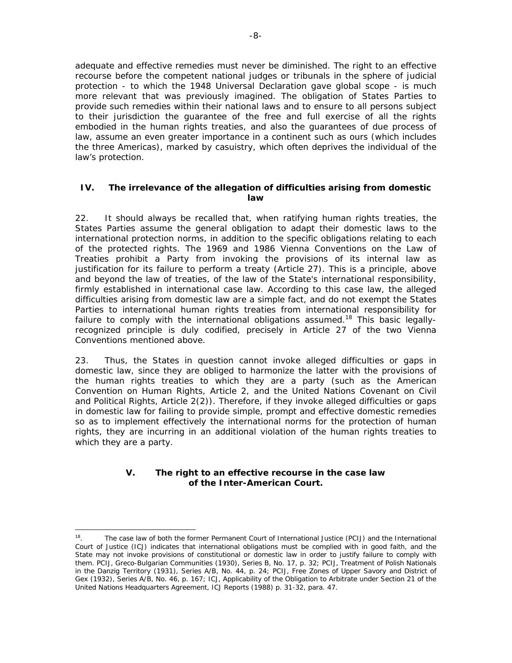adequate and effective remedies must never be diminished. The right to an effective recourse before the competent national judges or tribunals in the sphere of judicial protection - to which the 1948 Universal Declaration gave global scope - is much more relevant that was previously imagined. The obligation of States Parties to provide such remedies within their national laws and to ensure to all persons subject to their jurisdiction the guarantee of the free and full exercise of all the rights embodied in the human rights treaties, and also the guarantees of due process of law, assume an even greater importance in a continent such as ours (which includes the three Americas), marked by casuistry, which often deprives the individual of the law's protection.

#### **IV. The irrelevance of the allegation of difficulties arising from domestic law**

22. It should always be recalled that, when ratifying human rights treaties, the States Parties assume the general obligation to adapt their domestic laws to the international protection norms, in addition to the specific obligations relating to each of the protected rights. The 1969 and 1986 Vienna Conventions on the Law of Treaties prohibit a Party from invoking the provisions of its internal law as justification for its failure to perform a treaty (Article 27). This is a principle, above and beyond the law of treaties, of the law of the State's international responsibility, firmly established in international case law. According to this case law, the alleged difficulties arising from domestic law are a simple fact, and do not exempt the States Parties to international human rights treaties from international responsibility for failure to comply with the international obligations assumed.<sup>18</sup> This basic legallyrecognized principle is duly codified, precisely in Article 27 of the two Vienna Conventions mentioned above.

23. Thus, the States in question cannot invoke alleged difficulties or gaps in domestic law, since they are obliged to harmonize the latter with the provisions of the human rights treaties to which they are a party (such as the American Convention on Human Rights, Article 2, and the United Nations Covenant on Civil and Political Rights, Article 2(2)). Therefore, if they invoke alleged difficulties or gaps in domestic law for failing to provide simple, prompt and effective domestic remedies so as to implement *effectively* the international norms for the protection of human rights, they are incurring in an *additional* violation of the human rights treaties to which they are a party.

### **V. The right to an effective recourse in the case law of the Inter-American Court.**

 $\overline{a}$ <sup>18</sup>. The case law of both the former Permanent Court of International Justice (PCIJ) and the International Court of Justice (ICJ) indicates that international obligations must be complied with in good faith, and the State may not invoke provisions of constitutional or domestic law in order to justify failure to comply with them. PCIJ, *Greco-Bulgarian Communities* (1930), Series B, No. 17, p. 32; PCIJ, *Treatment of Polish Nationals in the Danzig Territory* (1931), Series A/B, No. 44, p. 24; PCIJ, *Free Zones of Upper Savory and District of Gex* (1932), Series A/B, No. 46, p. 167; ICJ, *Applicability of the Obligation to Arbitrate under Section 21 of the United Nations Headquarters Agreement, ICJ Reports* (1988) p. 31-32, para. 47.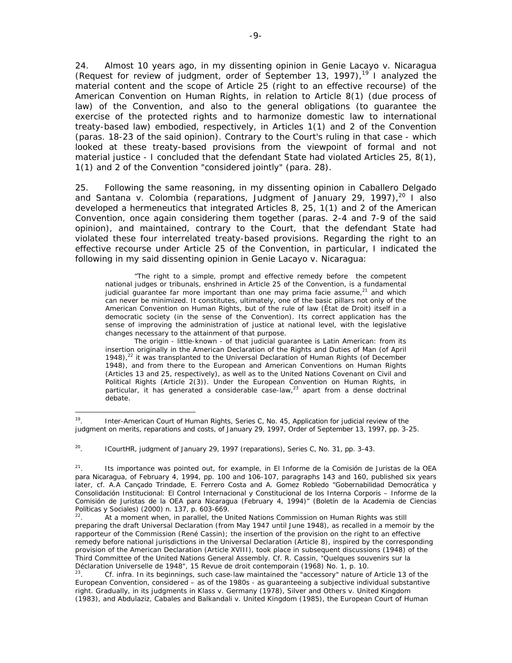24. Almost 10 years ago, in my dissenting opinion in *Genie Lacayo v. Nicaragua* (Request for review of judgment, order of September 13, 1997), <sup>19</sup> I analyzed the material content and the scope of Article 25 (right to an effective recourse) of the American Convention on Human Rights, in relation to Article 8(1) (due process of law) of the Convention, and also to the general obligations (to guarantee the exercise of the protected rights and to harmonize domestic law to international treaty-based law) embodied, respectively, in Articles 1(1) and 2 of the Convention (paras. 18-23 of the said opinion). Contrary to the Court's ruling in that case - which looked at these treaty-based provisions from the viewpoint of formal and not material justice - I concluded that the defendant State had violated Articles 25, 8(1), 1(1) and 2 of the Convention "considered jointly" (para. 28).

25. Following the same reasoning, in my dissenting opinion in *Caballero Delgado*  and Santana v. Colombia (reparations, Judgment of January 29, 1997),<sup>20</sup> I also developed a hermeneutics that integrated Articles 8, 25, 1(1) and 2 of the American Convention, once again considering them together (paras. 2-4 and 7-9 of the said opinion), and maintained, contrary to the Court, that the defendant State had violated these four interrelated treaty-based provisions. Regarding the right to an effective recourse under Article 25 of the Convention, in particular, I indicated the following in my said dissenting opinion in *Genie Lacayo v. Nicaragua*:

 "The right to a simple, prompt and effective remedy before the competent national judges or tribunals, enshrined in Article 25 of the Convention, is a fundamental judicial guarantee far more important than one may *prima facie* assume,<sup>21</sup> and which can never be minimized. It constitutes, ultimately, one of the basic pillars not only of the American Convention on Human Rights, but of the rule of law (*État de Droit*) itself in a democratic society (in the sense of the Convention). Its correct application has the sense of improving the administration of justice at national level, with the legislative changes necessary to the attainment of that purpose.

 The origin - little-known - of that judicial guarantee is Latin American: from its insertion originally in the American Declaration of the Rights and Duties of Man (of April 1948), $22$  it was transplanted to the Universal Declaration of Human Rights (of December 1948), and from there to the European and American Conventions on Human Rights (Articles 13 and 25, respectively), as well as to the United Nations Covenant on Civil and Political Rights (Article 2(3)). Under the European Convention on Human Rights, in particular, it has generated a considerable case-law, $^{23}$  apart from a dense doctrinal debate.

 $\overline{a}$ <sup>19</sup>. Inter-American Court of Human Rights, Series C, No. 45, Application for judicial review of the judgment on merits, reparations and costs, of January 29, 1997, Order of September 13, 1997, pp. 3-25.

<sup>&</sup>lt;sup>20</sup>. ICourtHR, judgment of January 29, 1997 (reparations), Series C, No. 31, pp. 3-43.

<sup>21.</sup> Its importance was pointed out, for example, in *El Informe de la Comisión de Juristas de la OEA para Nicaragua*, of February 4, 1994, pp. 100 and 106-107, paragraphs 143 and 160, published six years later, cf. A.A Cançado Trindade, E. Ferrero Costa and A. Gomez Robledo "Gobernabilidad Democrática y Consolidación Institucional: El Control Internacional y Constitucional de los *Interna Corporis* – Informe de la Comisión de Juristas de la OEA para Nicaragua (February 4, 1994)" (Boletín de la Academia de Ciencias Políticas y Sociales) (2000) n. 137, p. 603-669.

 $22.$  At a moment when, in parallel, the United Nations Commission on Human Rights was still preparing the draft Universal Declaration (from May 1947 until June 1948), as recalled in a memoir by the *rapporteur* of the Commission (René Cassin); the insertion of the provision on the right to an effective remedy before national jurisdictions in the Universal Declaration (Article 8), inspired by the corresponding provision of the American Declaration (Article XVIII), took place in subsequent discussions (1948) of the Third Committee of the United Nations General Assembly. Cf. R. Cassin, "Quelques souvenirs sur la Déclaration Universelle de 1948", 15 *Revue de droit contemporain* (1968) No. 1, p. 10.

<sup>23.</sup> Cf. infra. In its beginnings, such case-law maintained the "accessory" nature of Article 13 of the European Convention, considered – as of the 1980s - as guaranteeing a subjective individual substantive right. Gradually, in its judgments in *Klass v. Germany* (1978), *Silver and Others v. United Kingdom* (1983), and *Abdulaziz, Cabales and Balkandali v. United Kingdom* (1985), the European Court of Human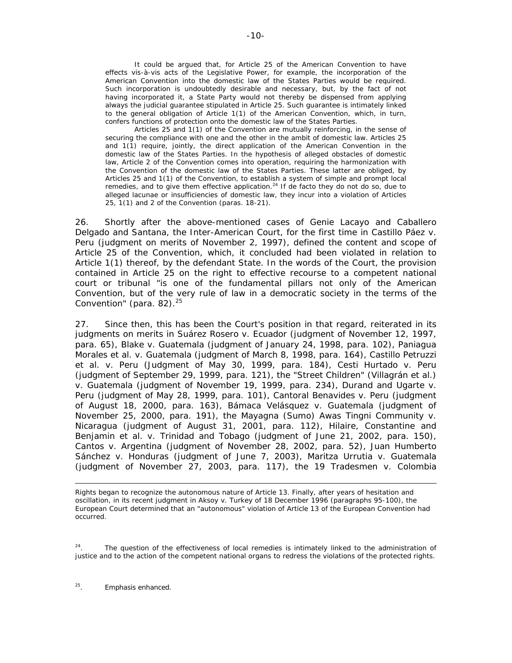It could be argued that, for Article 25 of the American Convention to have effects *vis-à-vis* acts of the Legislative Power, for example, the incorporation of the American Convention into the domestic law of the States Parties would be required. Such incorporation is undoubtedly desirable and necessary, but, by the fact of not having incorporated it, a State Party would not thereby be dispensed from applying always the judicial guarantee stipulated in Article 25. Such guarantee is intimately linked to the general obligation of Article 1(1) of the American Convention, which, in turn, confers functions of protection onto the domestic law of the States Parties.

 Articles 25 and 1(1) of the Convention are mutually reinforcing, in the sense of securing the compliance with one and the other in the ambit of domestic law. Articles 25 and 1(1) require, jointly, the *direct* application of the American Convention in the domestic law of the States Parties. In the hypothesis of alleged obstacles of domestic law, Article 2 of the Convention comes into operation, requiring the *harmonization* with the Convention of the domestic law of the States Parties. These latter are obliged, by Articles 25 and 1(1) of the Convention, to establish a system of simple and prompt local remedies, and to give them *effective* application.<sup>24</sup> If *de facto* they do not do so, due to alleged lacunae or insufficiencies of domestic law, they incur into a violation of Articles 25, 1(1) and 2 of the Convention (paras. 18-21).

26. Shortly after the above-mentioned cases of *Genie Lacayo* and *Caballero Delgado and Santana*, the Inter-American Court, for the first time in *Castillo Páez v. Peru* (judgment on merits of November 2, 1997), defined the content and scope of Article 25 of the Convention, which, it concluded had been violated in relation to Article 1(1) thereof, by the defendant State. In the words of the Court, the provision contained in Article 25 on the right to effective recourse to a competent national court or tribunal "is one of the fundamental pillars not only of the American Convention, but of the very rule of law in a democratic society in the terms of the Convention" (para. 82).<sup>25</sup>

27. Since then, this has been the Court's position in that regard, reiterated in its judgments on merits in *Suárez Rosero v. Ecuador* (judgment of November 12, 1997, para. 65), *Blake v. Guatemala* (judgment of January 24, 1998, para. 102), *Paniagua Morales et al. v. Guatemala* (judgment of March 8, 1998, para. 164), *Castillo Petruzzi et al. v. Peru* (Judgment of May 30, 1999, para. 184), *Cesti Hurtado v. Peru* (judgment of September 29, 1999, para. 121), *the "Street Children"* (*Villagrán et al.) v. Guatemala* (judgment of November 19, 1999, para. 234), *Durand and Ugarte v. Peru* (judgment of May 28, 1999, para. 101), *Cantoral Benavides v. Peru* (judgment of August 18, 2000, para. 163), *Bámaca Velásquez v. Guatemala* (judgment of November 25, 2000, para. 191), *the Mayagna (Sumo) Awas Tingni Community v. Nicaragua* (judgment of August 31, 2001, para. 112), *Hilaire, Constantine and Benjamin et al. v. Trinidad and Tobago* (judgment of June 21, 2002, para. 150), *Cantos v. Argentina* (judgment of November 28, 2002, para. 52), *Juan Humberto Sánchez v. Honduras* (judgment of June 7, 2003), *Maritza Urrutia v. Guatemala* (judgment of November 27, 2003, para. 117), *the 19 Tradesmen v. Colombia*

Rights began to recognize the autonomous nature of Article 13. Finally, after years of hesitation and oscillation, in its recent judgment in *Aksoy v. Turkey* of 18 December 1996 (paragraphs 95-100), the European Court determined that an "autonomous" violation of Article 13 of the European Convention had occurred.

 $24.$  The question of the effectiveness of local remedies is intimately linked to the administration of justice and to the action of the competent national organs to redress the violations of the protected rights.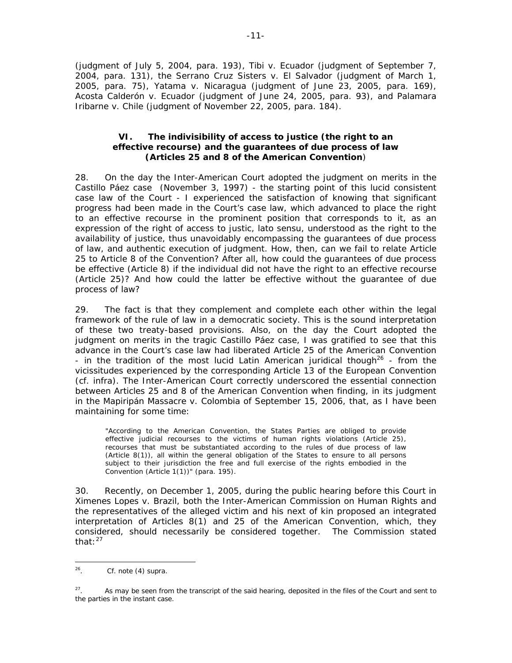(judgment of July 5, 2004, para. 193), *Tibi v. Ecuador* (judgment of September 7, 2004, para. 131), *the Serrano Cruz Sisters v. El Salvador* (judgment of March 1, 2005, para. 75), *Yatama v. Nicaragua* (judgment of June 23, 2005, para. 169), *Acosta Calderón v. Ecuador* (judgment of June 24, 2005, para. 93), and *Palamara Iribarne v. Chile* (judgment of November 22, 2005, para. 184).

### **VI. The indivisibility of access to justice (the right to an effective recourse) and the guarantees of due process of law (Articles 25 and 8 of the American Convention**)

28. On the day the Inter-American Court adopted the judgment on merits in the *Castillo Páez* case (November 3, 1997) - the starting point of this lucid *consistent case law* of the Court - I experienced the satisfaction of knowing that significant progress had been made in the Court's case law, which advanced to place the right to an effective recourse in the prominent position that corresponds to it, as an expression of the right of access to justic, *lato sensu*, understood as the right to the availability of justice, thus unavoidably encompassing the guarantees of due process of law, and authentic execution of judgment. How, then, can we fail to relate Article 25 to Article 8 of the Convention? After all, how could the guarantees of *due process* be effective (Article 8) if the individual did not have the right to an effective recourse (Article 25)? And how could the latter be effective without the guarantee of due process of law?

29. The fact is that they complement and complete each other within the legal framework of the rule of law in a democratic society. This is the sound interpretation of these two treaty-based provisions. Also, on the day the Court adopted the judgment on merits in the tragic *Castillo Páez* case, I was gratified to see that this advance in the Court's case law had liberated Article 25 of the American Convention - in the tradition of the most lucid Latin American juridical though<sup>26</sup> - from the vicissitudes experienced by the corresponding Article 13 of the European Convention (cf. *infra*). The Inter-American Court correctly underscored the essential connection between Articles 25 and 8 of the American Convention when finding, in its judgment in *the Mapiripán Massacre v. Colombia* of September 15, 2006, that, as I have been maintaining for some time:

"According to the American Convention, the States Parties are obliged to provide effective judicial recourses to the victims of human rights violations (Article 25), recourses that must be substantiated according to the rules of due process of law (Article  $8(1)$ ), all within the general obligation of the States to ensure to all persons subject to their jurisdiction the free and full exercise of the rights embodied in the Convention (Article 1(1))" (para. 195).

30. Recently, on December 1, 2005, during the public hearing before this Court in *Ximenes Lopes v. Brazil*, both the Inter-American Commission on Human Rights and the representatives of the alleged victim and his next of kin proposed an *integrated* interpretation of Articles 8(1) and 25 of the American Convention, which, they considered, should necessarily be considered *together*. The Commission stated that: $27$ 

 $\overline{a}$ 26. Cf. note (4) *supra*.

<sup>&</sup>lt;sup>27</sup>. As may be seen from the transcript of the said hearing, deposited in the files of the Court and sent to the parties in the instant case.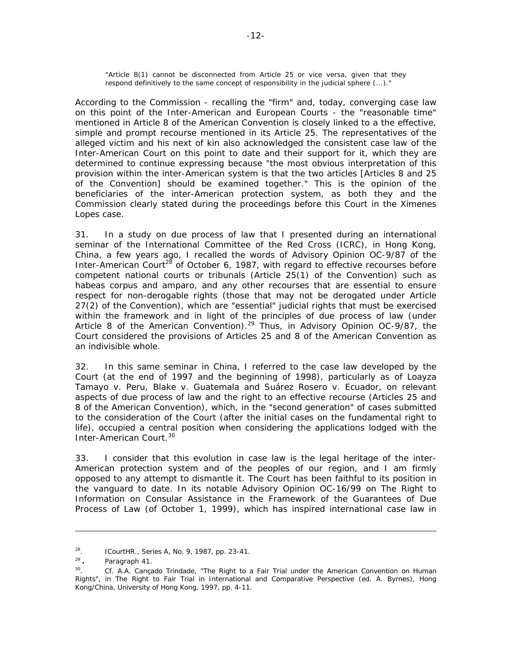"Article 8(1) cannot be disconnected from Article 25 or vice versa, given that they respond definitively to the same concept of responsibility in the judicial sphere (...)."

According to the Commission - recalling the "firm" and, today, converging case law on this point of the Inter-American and European Courts - the "reasonable time" mentioned in Article 8 of the American Convention is closely linked to a the effective, simple and prompt recourse mentioned in its Article 25. The representatives of the alleged victim and his next of kin also acknowledged the consistent case law of the Inter-American Court on this point to date and their support for it, which they are determined to continue expressing because "the most obvious interpretation of this provision within the inter-American system is that the two articles [Articles 8 and 25 of the Convention] should be examined together." This is the opinion of the beneficiaries of the inter-American protection system, as both they and the Commission clearly stated during the proceedings before this Court in the *Ximenes Lopes* case.

31. In a study on due process of law that I presented during an international seminar of the International Committee of the Red Cross (ICRC), in Hong Kong, China, a few years ago, I recalled the words of Advisory Opinion OC-9/87 of the Inter-American Court<sup>28</sup> of October 6, 1987, with regard to effective recourses before competent national courts or tribunals (Article 25(1) of the Convention) such as *habeas corpus* and *amparo*, and any other recourses that are essential to ensure respect for non-derogable rights (those that may not be derogated under Article 27(2) of the Convention), which are "essential" judicial rights that must be exercised within the framework and in light of the principles of due process of law (under Article 8 of the American Convention).<sup>29</sup> Thus, in Advisory Opinion OC-9/87, the Court considered the provisions of Articles 25 and 8 of the American Convention as an indivisible whole.

32. In this same seminar in China, I referred to the case law developed by the Court (at the end of 1997 and the beginning of 1998), particularly as of *Loayza Tamayo v. Peru*, *Blake v. Guatemala* and *Suárez Rosero v. Ecuador*, on relevant aspects of due process of law and the right to an effective recourse (Articles 25 and 8 of the American Convention), which, in the "second generation" of cases submitted to the consideration of the Court (after the initial cases on the fundamental right to life), occupied a central position when considering the applications lodged with the Inter-American Court.<sup>30</sup>

33. I consider that this evolution in case law is the legal heritage of the inter-American protection system and of the peoples of our region, and I am firmly opposed to any attempt to dismantle it. The Court has been faithful to its position in the vanguard to date. In its notable Advisory Opinion OC-16/99 on *The Right to Information on Consular Assistance in the Framework of the Guarantees of Due Process of Law* (of October 1, 1999), which has inspired international case law *in*

<sup>28.</sup> ICourtHR., Series A, No. 9, 1987, pp. 23-41.

 $29.$  Paragraph 41.

Cf. A.A. Cançado Trindade, "The Right to a Fair Trial under the American Convention on Human Rights", *in The Right to Fair Trial in International and Comparative Perspective* (ed. A. Byrnes), Hong Kong/China, University of Hong Kong, 1997, pp. 4-11.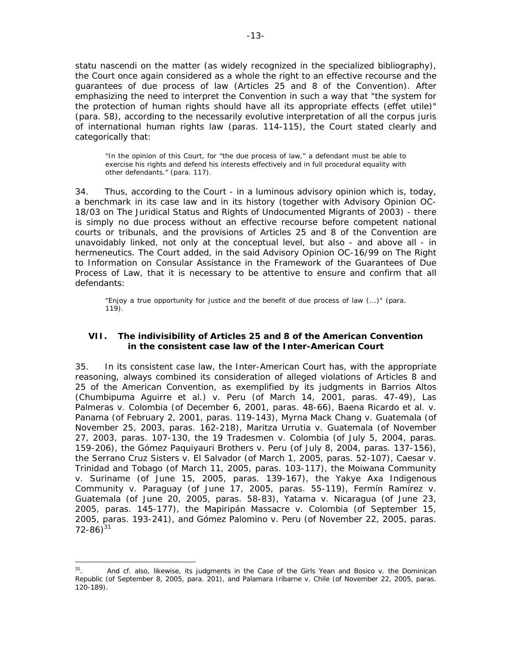*statu nascendi* on the matter (as widely recognized in the specialized bibliography), the Court once again considered *as a whole* the right to an effective recourse and the guarantees of due process of law (Articles 25 and 8 of the Convention). After emphasizing the need to *interpret* the Convention in such a way that "the system for the protection of human rights should have all its appropriate effects (*effet utile*)" (para. 58), according to the necessarily *evolutive* interpretation of all the *corpus juris* of international human rights law (paras. 114-115), the Court stated clearly and categorically that:

"In the opinion of this Court, for "the due process of law," a defendant must be able to exercise his rights and defend his interests effectively and in full procedural equality with other defendants." (para. 117).

34. Thus, according to the Court - in a luminous advisory opinion which is, today, a benchmark in its case law and in its history (together with Advisory Opinion OC-18/03 on *The Juridical Status and Rights of Undocumented Migrants* of 2003) - there is simply no due process without an effective recourse before competent national courts or tribunals, and the provisions of Articles 25 and 8 of the Convention are unavoidably linked, not only at the conceptual level, but also - and above all - in hermeneutics. The Court added, in the said Advisory Opinion OC-16/99 on *The Right to Information on Consular Assistance in the Framework of the Guarantees of Due Process of Law,* that it is necessary to be attentive to ensure and confirm that all defendants:

"Enjoy a true opportunity for justice and the benefit of due process of law (...)" (para. 119).

## **VII. The indivisibility of Articles 25 and 8 of the American Convention in the** *consistent case law* **of the Inter-American Court**

35. In its *consistent case law*, the Inter-American Court has, with the appropriate reasoning, always combined its consideration of alleged violations of Articles 8 and 25 of the American Convention, as exemplified by its judgments in *Barrios Altos (Chumbipuma Aguirre et al.) v. Peru* (of March 14, 2001, paras. 47-49), *Las Palmeras v. Colombia* (of December 6, 2001, paras. 48-66), *Baena Ricardo et al. v. Panama* (of February 2, 2001, paras. 119-143), *Myrna Mack Chang v. Guatemala* (of November 25, 2003, paras. 162-218), *Maritza Urrutia v. Guatemala* (of November 27, 2003, paras. 107-130, *the 19 Tradesmen v. Colombia* (of July 5, 2004, paras. 159-206), *the Gómez Paquiyauri Brothers v. Peru* (of July 8, 2004, paras. 137-156), *the Serrano Cruz Sisters v. El Salvador* (of March 1, 2005, paras. 52-107), *Caesar v. Trinidad and Tobago* (of March 11, 2005, paras. 103-117), *the Moiwana Community v. Suriname* (of June 15, 2005, paras. 139-167), *the Yakye Axa Indigenous Community v. Paraguay* (of June 17, 2005, paras. 55-119), *Fermín Ramírez v. Guatemala* (of June 20, 2005, paras. 58-83), *Yatama v. Nicaragua* (of June 23, 2005, paras. 145-177), *the Mapiripán Massacre v. Colombia* (of September 15, 2005, paras. 193-241), and *Gómez Palomino v. Peru* (of November 22, 2005, paras.  $72 - 86$ )<sup>31</sup>

 $\overline{a}$ 31. And cf. also, likewise, its judgments in the *Case of the Girls Yean and Bosico v. the Dominican Republic* (of September 8, 2005, para. 201), and *Palamara Iribarne v. Chile* (of November 22, 2005, paras. 120-189).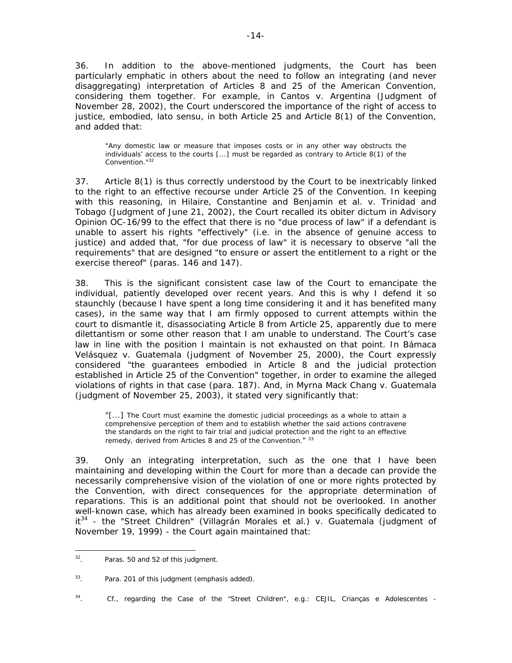36. In addition to the above-mentioned judgments, the Court has been particularly emphatic in others about the need to follow an integrating (and never disaggregating) interpretation of Articles 8 and 25 of the American Convention, considering them together. For example, in *Cantos v. Argentina* (Judgment of November 28, 2002), the Court underscored the importance of the *right of access to justice*, embodied, *lato sensu*, in both Article 25 and Article 8(1) of the Convention, and added that:

"Any domestic law or measure that imposes costs or in any other way obstructs the individuals' access to the courts [...] must be regarded as contrary to Article 8(1) of the Convention."<sup>32</sup>

37. Article 8(1) is thus correctly understood by the Court to be inextricably linked to the right to an effective recourse under Article 25 of the Convention. In keeping with this reasoning, in *Hilaire, Constantine and Benjamin et al. v. Trinidad and Tobago* (Judgment of June 21, 2002), the Court recalled its *obiter dictum* in Advisory Opinion OC-16/99 to the effect that there is no "due process of law" if a defendant is unable to assert his rights "effectively" (i.e. in the absence of genuine access to justice) and added that, "for due process of law" it is necessary to observe "all the requirements" that are designed "to ensure or assert the entitlement to a right or the exercise thereof" (paras. 146 and 147).

38. This is the significant consistent case law of the Court to emancipate the individual, patiently developed over recent years. And this is why I defend it so staunchly (because I have spent a long time considering it and it has benefited many cases), in the same way that I am firmly opposed to current attempts within the court to dismantle it, disassociating Article 8 from Article 25, apparently due to mere dilettantism or some other reason that I am unable to understand. The Court's case law in line with the position I maintain is not exhausted on that point. In *Bámaca Velásquez v. Guatemala* (judgment of November 25, 2000), the Court expressly considered "the guarantees embodied in Article 8 and the judicial protection established in Article 25 of the Convention" together, in order to examine the alleged violations of rights in that case (para. 187). And, in *Myrna Mack Chang v. Guatemala* (judgment of November 25, 2003), it stated very significantly that:

"[...] The Court must *examine the domestic judicial proceedings as a whole to attain a comprehensive perception of them and to establish whether the said actions contravene the standards on the right to fair trial and judicial protection and the right to an effective remedy, derived from Articles 8 and 25 of the Convention*." <sup>33</sup>

39. Only an integrating interpretation, such as the one that I have been maintaining and developing within the Court for more than a decade can provide the necessarily *comprehensive* vision of the violation of one or more rights protected by the Convention, *with direct consequences for the appropriate determination of reparations*. This is an additional point that should not be overlooked. In another well-known case, which has already been examined in books specifically dedicated to it34 - *the "Street Children*" (*Villagrán Morales et al.) v. Guatemala* (judgment of November 19, 1999) - the Court again maintained that:

 $32<sub>1</sub>$ Paras. 50 and 52 of this judgment.

 $33$ . Para. 201 of this judgment (emphasis added).

<sup>34.</sup> Cf., regarding the *Case of the "Street Children"*, e.g.: CEJIL, *Crianças e Adolescentes -*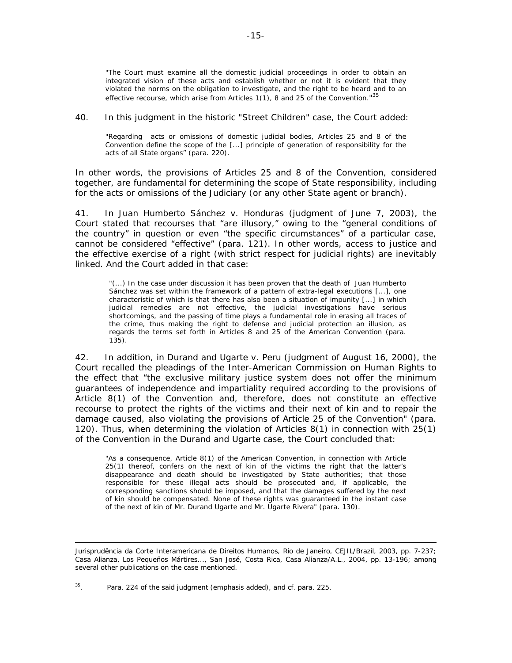"The Court must examine *all* the domestic judicial proceedings in order to obtain an *integrated* vision of these acts and establish whether or not it is evident that they violated the norms on the obligation to investigate, and the right to be heard and to an effective recourse, which arise from Articles 1(1), 8 and 25 of the Convention." $35$ 

40. In this judgment in the historic "*Street Children"* case, the Court added:

"Regarding acts or omissions of domestic judicial bodies, Articles 25 and 8 of the Convention define the scope of the [...] principle of generation of responsibility for the acts of all State organs" (para. 220).

In other words, the provisions of Articles 25 and 8 of the Convention, considered together, are fundamental for determining the scope of State responsibility, including for the acts or omissions of the Judiciary (or any other State agent or branch).

41. In *Juan Humberto Sánchez v. Honduras* (judgment of June 7, 2003), the Court stated that recourses that "are illusory," owing to the "general conditions of the country" in question or even "the specific circumstances" of a particular case, cannot be considered "effective" (para. 121). In other words, access to justice and the effective exercise of a right (with strict respect for judicial rights) are inevitably linked. And the Court added in that case:

"(...) In the case under discussion it has been proven that the death of Juan Humberto Sánchez was set within the framework of a pattern of extra-legal executions [...], one characteristic of which is that there has also been a situation of impunity [...] in which judicial remedies are not effective, the judicial investigations have serious shortcomings, and the passing of time plays a fundamental role in erasing all traces of the crime, thus making the right to defense and judicial protection an illusion, as regards the terms set forth in Articles 8 and 25 of the American Convention (para. 135).

42. In addition, in *Durand and Ugarte v. Peru* (judgment of August 16, 2000), the Court recalled the pleadings of the Inter-American Commission on Human Rights to the effect that "the exclusive military justice system does not offer the minimum guarantees of independence and impartiality required according to the provisions of Article 8(1) of the Convention and, therefore, does not constitute an effective recourse to protect the rights of the victims and their next of kin and to repair the damage caused, also violating the provisions of Article 25 of the Convention" (para. 120). Thus, when determining the violation of Articles 8(1) in connection with 25(1) of the Convention in the *Durand and Ugarte* case, the Court concluded that:

"As a consequence, Article 8(1) of the American Convention, in connection with Article 25(1) thereof, confers on the next of kin of the victims the right that the latter's disappearance and death should be investigated by State authorities; that those responsible for these illegal acts should be prosecuted and, if applicable, the corresponding sanctions should be imposed, and that the damages suffered by the next of kin should be compensated. None of these rights was guaranteed in the instant case of the next of kin of Mr. Durand Ugarte and Mr. Ugarte Rivera" (para. 130).

*Jurisprudência da Corte Interamericana de Direitos Humanos*, Rio de Janeiro, CEJIL/Brazil, 2003, pp. 7-237; Casa Alianza, *Los Pequeños Mártires...*, San José, Costa Rica, Casa Alianza/A.L., 2004, pp. 13-196; among several other publications on the case mentioned.

 $35.$  Para. 224 of the said judgment (emphasis added), and cf. para. 225.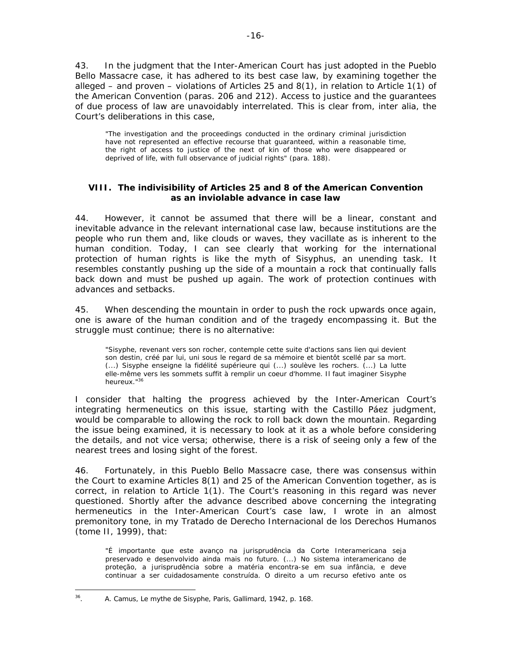43. In the judgment that the Inter-American Court has just adopted in *the Pueblo Bello Massacre* case, it has adhered to its best case law, by examining *together* the alleged – and proven – violations of Articles 25 and 8(1), in relation to Article 1(1) of the American Convention (paras. 206 and 212). Access to justice and the guarantees of due process of law are unavoidably interrelated. This is clear from, *inter alia*, the Court's deliberations in this case,

"The investigation and the proceedings conducted in the ordinary criminal jurisdiction have not represented an effective recourse that guaranteed, within a reasonable time, the right of access to justice of the next of kin of those who were disappeared or deprived of life, with full observance of judicial rights" (para. 188).

### **VIII. The indivisibility of Articles 25 and 8 of the American Convention as an inviolable advance in case law**

44. However, it cannot be assumed that there will be a linear, constant and inevitable advance in the relevant international case law, because institutions are the people who run them and, like clouds or waves, they vacillate as is inherent to the human condition. Today, I can see clearly that working for the international protection of human rights is like the myth of Sisyphus, an unending task. It resembles constantly pushing up the side of a mountain a rock that continually falls back down and must be pushed up again. The work of protection continues with advances and setbacks.

45. When descending the mountain in order to push the rock upwards once again, one is aware of the human condition and of the tragedy encompassing it. But the struggle must continue; there is no alternative:

"Sisyphe, revenant vers son rocher, contemple cette suite d'actions sans lien qui devient son destin, créé par lui, uni sous le regard de sa mémoire et bientôt scellé par sa mort. (...) Sisyphe enseigne la fidélité supérieure qui (...) soulève les rochers. (...) La lutte elle-même vers les sommets suffit à remplir un coeur d'homme. Il faut imaginer Sisyphe heureux."36

I consider that halting the progress achieved by the Inter-American Court's integrating hermeneutics on this issue, starting with the *Castillo Páez* judgment, would be comparable to allowing the rock to roll back down the mountain. Regarding the issue being examined, it is necessary to look at it as a whole before considering the details, and not vice versa; otherwise, there is a risk of seeing only a few of the nearest trees and losing sight of the forest.

46. Fortunately, in this *Pueblo Bello Massacre* case, there was consensus within the Court to examine Articles 8(1) and 25 of the American Convention together, as is correct, in relation to Article 1(1). The Court's reasoning in this regard was never questioned. Shortly after the advance described above concerning the integrating hermeneutics in the Inter-American Court's case law, I wrote in an almost premonitory tone, in my *Tratado de Derecho Internacional de los Derechos Humanos* (tome II, 1999), that:

"É importante que este avanço na jurisprudência da Corte Interamericana seja preservado e desenvolvido ainda mais no futuro. (...) No sistema interamericano de proteção, a jurisprudência sobre a matéria encontra-se em sua infância, e deve continuar a ser cuidadosamente construída. O direito a um recurso efetivo ante os

<sup>36.</sup> A. Camus, *Le mythe de Sisyphe*, Paris, Gallimard, 1942, p. 168.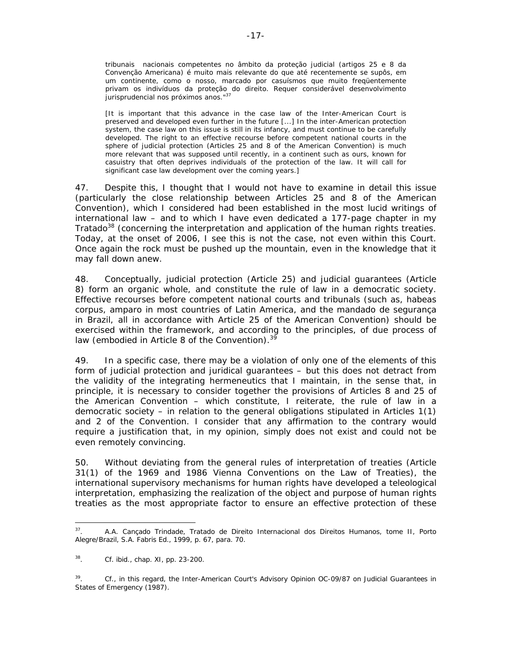tribunais nacionais competentes no âmbito da proteção judicial (artigos 25 e 8 da Convenção Americana) é muito mais relevante do que até recentemente se supôs, em um continente, como o nosso, marcado por casuísmos que muito freqüentemente privam os indivíduos da proteção do direito. Requer considerável desenvolvimento jurisprudencial nos próximos anos."<sup>37</sup>

[It is important that this advance in the case law of the Inter-American Court is preserved and developed even further in the future [...] In the inter-American protection system, the case law on this issue is still in its infancy, and must continue to be carefully developed. The right to an effective recourse before competent national courts in the sphere of judicial protection (Articles 25 and 8 of the American Convention) is much more relevant that was supposed until recently, in a continent such as ours, known for casuistry that often deprives individuals of the protection of the law. It will call for significant case law development over the coming years.]

47. Despite this, I thought that I would not have to examine in detail this issue (particularly the close relationship between Articles 25 and 8 of the American Convention), which I considered had been established in the most lucid writings of international law – and to which I have even dedicated a 177-page chapter in my *Tratado<sup>38</sup>* (concerning the interpretation and application of the human rights treaties. Today, at the onset of 2006, I see this is not the case, not even within this Court. Once again the rock must be pushed up the mountain, even in the knowledge that it may fall down anew.

48. Conceptually, judicial protection (Article 25) and judicial guarantees (Article 8) form an organic whole, and constitute the *rule of law* in a democratic society. Effective recourses before competent national courts and tribunals (such as, *habeas corpus*, *amparo* in most countries of Latin America, and the *mandado de segurança* in Brazil, all in accordance with Article 25 of the American Convention) should be exercised within the framework, and according to the principles, of due process of law (embodied in Article 8 of the Convention).<sup>39</sup>

49. In a specific case, there may be a violation of only one of the elements of this form of judicial protection and juridical guarantees – but this does not detract from the validity of the integrating hermeneutics that I maintain, in the sense that, *in principle*, it is necessary to consider together the provisions of Articles 8 and 25 of the American Convention – which constitute, I reiterate, the *rule of law* in a democratic society – in relation to the general obligations stipulated in Articles 1(1) and 2 of the Convention. I consider that any affirmation to the contrary would require a justification that, in my opinion, simply does not exist and could not be even remotely convincing.

50. Without deviating from the general rules of interpretation of treaties (Article 31(1) of the 1969 and 1986 Vienna Conventions on the Law of Treaties), the international supervisory mechanisms for human rights have developed a teleological interpretation, emphasizing the realization of the object and purpose of human rights treaties as the most appropriate factor to ensure an effective protection of these

 $\overline{a}$ 37. A.A. Cançado Trindade, *Tratado de Direito Internacional dos Direitos Humanos*, tome II, Porto Alegre/Brazil, S.A. Fabris Ed., 1999, p. 67, para. 70.

<sup>38.</sup> Cf. *ibid*., chap. XI, pp. 23-200.

<sup>39.</sup> Cf., in this regard, the Inter-American Court's Advisory Opinion OC-09/87 on *Judicial Guarantees in States of Emergency* (1987).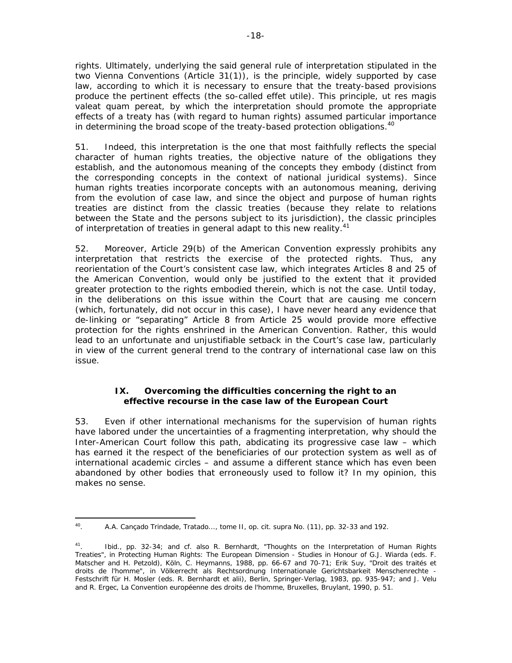rights. Ultimately, underlying the said general rule of interpretation stipulated in the two Vienna Conventions (Article 31(1)), is the principle, widely supported by case law, according to which it is necessary to ensure that the treaty-based provisions produce the pertinent effects (the so-called *effet utile*). This principle, *ut res magis valeat quam pereat*, by which the interpretation should promote the appropriate effects of a treaty has (with regard to human rights) assumed particular importance in determining the broad scope of the treaty-based protection obligations.<sup>40</sup>

51. Indeed, this interpretation is the one that most faithfully reflects the special character of human rights treaties, the objective nature of the obligations they establish, and the autonomous meaning of the concepts they embody (distinct from the corresponding concepts in the context of national juridical systems). Since human rights treaties incorporate concepts with an autonomous meaning, deriving from the evolution of case law, and since the object and purpose of human rights treaties are distinct from the classic treaties (because they relate to relations between the State and the persons subject to its jurisdiction), the classic principles of interpretation of treaties in general adapt to this new reality.<sup>41</sup>

52. Moreover, Article 29(b) of the American Convention expressly prohibits any interpretation that restricts the exercise of the protected rights. Thus, any reorientation of the Court's *consistent case law*, which integrates Articles 8 and 25 of the American Convention, would only be justified to the extent that it provided greater protection to the rights embodied therein, which is not the case. Until today, in the deliberations on this issue within the Court that are causing me concern (which, fortunately, did not occur in this case), I have never heard any evidence that de-linking or "separating" Article 8 from Article 25 would provide more effective protection for the rights enshrined in the American Convention. Rather, this would lead to an unfortunate and unjustifiable setback in the Court's case law, particularly in view of the current general trend to the contrary of international case law on this issue.

# **IX. Overcoming the difficulties concerning the right to an effective recourse in the case law of the European Court**

53. Even if other international mechanisms for the supervision of human rights have labored under the uncertainties of a fragmenting interpretation, why should the Inter-American Court follow this path, abdicating its progressive case law – which has earned it the respect of the beneficiaries of our protection system as well as of international academic circles – and assume a different stance which has even been abandoned by other bodies that erroneously used to follow it? In my opinion, this makes no sense.

 $\overline{a}$ 40. A.A. Cançado Trindade, *Tratado*..., tome II, *op. cit. supra* No. (11), pp. 32-33 and 192.

<sup>41.</sup> *Ibid*., pp. 32-34; and cf. also R. Bernhardt, "Thoughts on the Interpretation of Human Rights Treaties", *in Protecting Human Rights: The European Dimension - Studies in Honour of G.J. Wiarda* (eds. F. Matscher and H. Petzold), Köln, C. Heymanns, 1988, pp. 66-67 and 70-71; Erik Suy, "Droit des traités et droits de l'homme", *in Völkerrecht als Rechtsordnung Internationale Gerichtsbarkeit Menschenrechte - Festschrift für H. Mosler* (eds. R. Bernhardt *et alii*), Berlin, Springer-Verlag, 1983, pp. 935-947; and J. Velu and R. Ergec, *La Convention européenne des droits de l'homme*, Bruxelles, Bruylant, 1990, p. 51.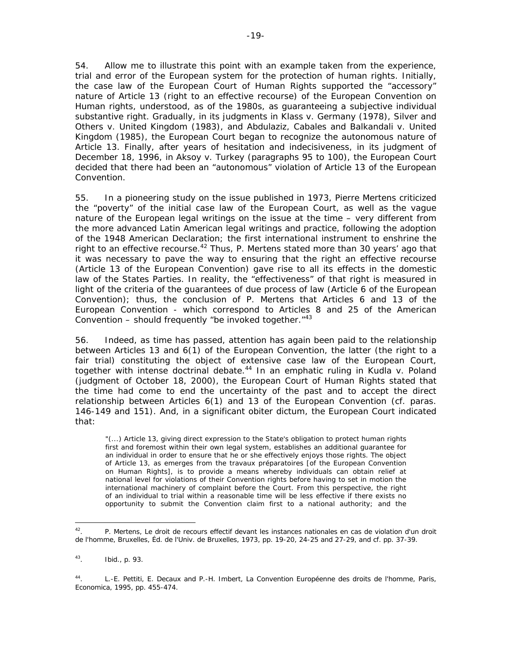54. Allow me to illustrate this point with an example taken from the experience, trial and error of the European system for the protection of human rights. Initially, the case law of the European Court of Human Rights supported the "accessory" nature of Article 13 (right to an effective recourse) of the European Convention on Human rights, understood, as of the 1980s, as guaranteeing a subjective individual substantive right. Gradually, in its judgments in *Klass v. Germany* (1978), *Silver and Others v. United Kingdom* (1983), and *Abdulaziz, Cabales and Balkandali v. United Kingdom* (1985), the European Court began to recognize the autonomous nature of Article 13. Finally, after years of hesitation and indecisiveness, in its judgment of December 18, 1996, in *Aksoy v. Turkey* (paragraphs 95 to 100), the European Court decided that there had been an "autonomous" violation of Article 13 of the European Convention.

55. In a pioneering study on the issue published in 1973, Pierre Mertens criticized the "poverty" of the initial case law of the European Court, as well as the vague nature of the European legal writings on the issue at the time – very different from the more advanced Latin American legal writings and practice, following the adoption of the 1948 American Declaration; the first international instrument to enshrine the right to an effective recourse. $42$  Thus, P. Mertens stated more than 30 years' ago that it was necessary to pave the way to ensuring that the right an effective recourse (Article 13 of the European Convention) gave rise to all its effects in the domestic law of the States Parties. In reality, the "effectiveness" of that right is measured in light of the criteria of the guarantees of due process of law (Article 6 of the European Convention); thus, the conclusion of P. Mertens that Articles 6 and 13 of the European Convention - which correspond to Articles 8 and 25 of the American Convention – should frequently "be invoked together. $143$ 

56. Indeed, as time has passed, attention has again been paid to the relationship between Articles 13 and 6(1) of the European Convention, the latter (the right to a *fair trial*) constituting the object of extensive case law of the European Court, together with intense doctrinal debate.44 In an emphatic ruling in *Kudla v. Poland* (judgment of October 18, 2000), the European Court of Human Rights stated that the time had come to end the uncertainty of the past and to accept the direct relationship between Articles 6(1) and 13 of the European Convention (cf. paras. 146-149 and 151). And, in a significant *obiter dictum*, the European Court indicated that:

"(...) Article 13, giving direct expression to the State's obligation to protect human rights first and foremost within their own legal system, establishes an additional guarantee for an individual in order to ensure that he or she effectively enjoys those rights. The object of Article 13, as emerges from the *travaux préparatoires* [of the European Convention on Human Rights], is to provide a means whereby individuals can obtain relief at national level for violations of their Convention rights before having to set in motion the international machinery of complaint before the Court. From this perspective, the right of an individual to trial within a reasonable time will be less effective if there exists no opportunity to submit the Convention claim first to a national authority; and the

 $\overline{a}$ 42. P. Mertens, *Le droit de recours effectif devant les instances nationales en cas de violation d'un droit de l'homme*, Bruxelles, Éd. de l'Univ. de Bruxelles, 1973, pp. 19-20, 24-25 and 27-29, and cf. pp. 37-39.

<sup>43.</sup> *Ibid*., p. 93.

<sup>44.</sup> L.-E. Pettiti, E. Decaux and P.-H. Imbert, *La Convention Européenne des droits de l'homme*, Paris, Economica, 1995, pp. 455-474.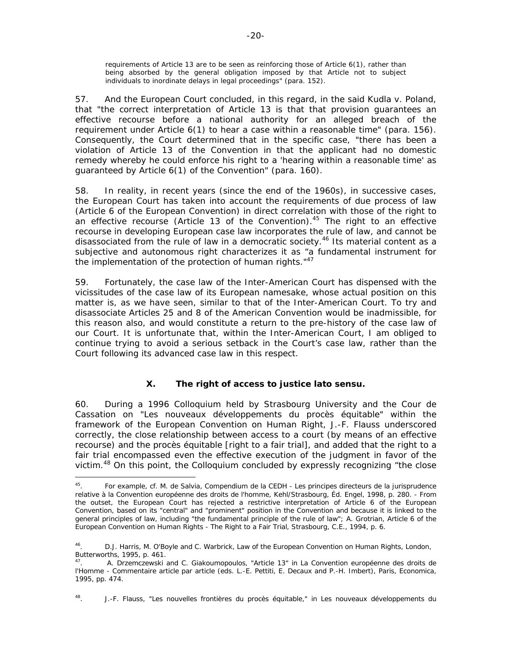requirements of Article 13 are to be seen as reinforcing those of Article 6(1), rather than being absorbed by the general obligation imposed by that Article not to subject individuals to inordinate delays in legal proceedings" (para. 152).

57. And the European Court concluded, in this regard, in the said *Kudla v. Poland*, that "the correct interpretation of Article 13 is that that provision guarantees an effective recourse before a national authority for an alleged breach of the requirement under Article 6(1) to hear a case within a reasonable time" (para. 156). Consequently, the Court determined that in the specific case, "there has been a violation of Article 13 of the Convention in that the applicant had no domestic remedy whereby he could enforce his right to a 'hearing within a reasonable time' as guaranteed by Article 6(1) of the Convention" (para. 160).

58. In reality, in recent years (since the end of the 1960s), in successive cases, the European Court has taken into account the requirements of due process of law (Article 6 of the European Convention) in direct correlation with those of the right to an effective recourse (Article 13 of the Convention). $45$  The right to an effective recourse in developing European case law incorporates the rule of law, and cannot be disassociated from the *rule of law* in a democratic society.<sup>46</sup> Its material content as a subjective and autonomous right characterizes it as "a fundamental instrument for the implementation of the protection of human rights."<sup>47</sup>

59. Fortunately, the case law of the Inter-American Court has dispensed with the vicissitudes of the case law of its European namesake, whose actual position on this matter is, as we have seen, similar to that of the Inter-American Court. To try and disassociate Articles 25 and 8 of the American Convention would be inadmissible, for this reason also, and would constitute a return to the pre-history of the case law of our Court. It is unfortunate that, within the Inter-American Court, I am obliged to continue trying to avoid a serious setback in the Court's case law, rather than the Court following its advanced case law in this respect.

# **X. The right of access to justice** *lato sensu***.**

60. During a 1996 Colloquium held by Strasbourg University and the *Cour de Cassation* on "*Les nouveaux développements du procès équitable*" within the framework of the European Convention on Human Right, J.-F. Flauss underscored correctly, the close relationship between access to a court (by means of an effective recourse) and the *procès équitable* [right to a fair trial], and added that the right to a fair trial encompassed even the effective execution of the judgment in favor of the victim.48 On this point, the Colloquium concluded by expressly recognizing "the close

<sup>45</sup> 45. For example, cf. M. de Salvia, *Compendium de la CEDH - Les principes directeurs de la jurisprudence relative à la Convention européenne des droits de l'homme*, Kehl/Strasbourg, Éd. Engel, 1998, p. 280. - From the outset, the European Court has rejected a restrictive interpretation of Article 6 of the European Convention, based on its "central" and "prominent" position in the Convention and because it is linked to the general principles of law, including "the fundamental principle of the rule of law"; A. Grotrian, *Article 6 of the European Convention on Human Rights - The Right to a Fair Trial*, Strasbourg, C.E., 1994, p. 6.

<sup>46.</sup> D.J. Harris, M. O'Boyle and C. Warbrick, *Law of the European Convention on Human Rights*, London, Butterworths, 1995, p. 461.

<sup>47.</sup> A. Drzemczewski and C. Giakoumopoulos, "Article 13" *in La Convention européenne des droits de l'Homme - Commentaire article par article* (eds. L.-E. Pettiti, E. Decaux and P.-H. Imbert), Paris, Economica, 1995, pp. 474.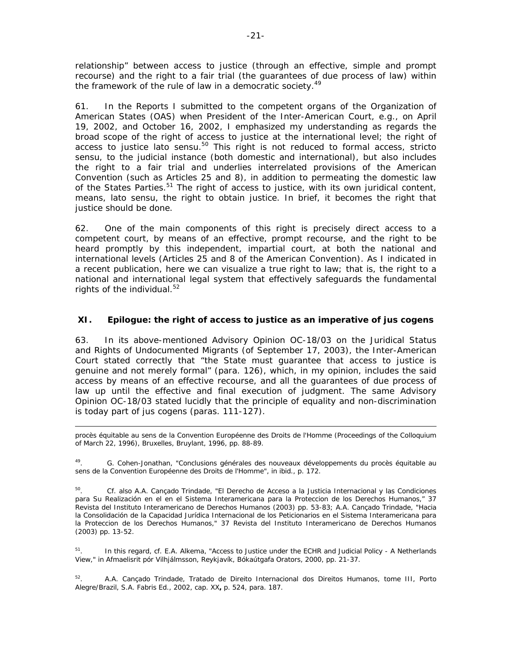relationship" between access to justice (through an effective, simple and prompt recourse) and the right to a fair trial (the guarantees of due process of law) within the framework of the rule of law in a democratic society.<sup>49</sup>

61. In the *Reports* I submitted to the competent organs of the Organization of American States (OAS) when President of the Inter-American Court, e.g., on April 19, 2002, and October 16, 2002, I emphasized my understanding as regards the broad scope of the right of access to justice at the international level; the right of access to justice *lato sensu.50* This right is not reduced to formal access, *stricto sensu*, to the judicial instance (both domestic and international), but also includes the right to a fair trial and underlies interrelated provisions of the American Convention (such as Articles 25 and 8), in addition to permeating the domestic law of the States Parties.<sup>51</sup> The right of access to justice, with its own juridical content, means, *lato sensu*, the right to obtain justice. In brief, it becomes the right that justice *should be done*.

62. One of the main components of this right is precisely direct access to a competent court, by means of an effective, prompt recourse, and the right to be heard promptly by this independent, impartial court, at both the national and international levels (Articles 25 and 8 of the American Convention). As I indicated in a recent publication, here we can visualize a true *right to law*; that is, the right to a national and international legal system that effectively safeguards the fundamental rights of the individual. $52$ 

## **XI. Epilogue: the right of access to justice as an imperative of** *jus cogens*

63. In its above-mentioned Advisory Opinion OC-18/03 on the *Juridical Status and Rights of Undocumented Migrants* (of September 17, 2003), the Inter-American Court stated correctly that "the State must guarantee that access to justice is genuine and not merely formal" (para. 126), which, in my opinion, *includes the said access by means of an effective recourse, and all the guarantees of due process of law up until the effective and final execution of judgment*. The same Advisory Opinion OC-18/03 stated lucidly that the principle of equality and non-discrimination is today part of *jus cogens* (paras. 111-127).

 $\overline{a}$ *procès équitable au sens de la Convention Européenne des Droits de l'Homme* (Proceedings of the Colloquium of March 22, 1996), Bruxelles, Bruylant, 1996, pp. 88-89.

49. G. Cohen-Jonathan, "Conclusions générales des nouveaux développements du procès équitable au sens de la Convention Européenne des Droits de l'Homme", *in ibid*., p. 172.

<sup>50</sup>. Cf. also A.A. Cançado Trindade, "El Derecho de Acceso a la Justicia Internacional y las Condiciones para Su Realización en el en el Sistema Interamericana para la Proteccion de los Derechos Humanos," 37 *Revista del Instituto Interamericano de Derechos Humanos* (2003) pp. 53-83; A.A. Cançado Trindade, "Hacia la Consolidación de la Capacidad Jurídica Internacional de los Peticionarios en el Sistema Interamericana para la Proteccion de los Derechos Humanos," 37 *Revista del Instituto Interamericano de Derechos Humanos* (2003) pp. 13-52.

51. In this regard, cf. E.A. Alkema, "Access to Justice under the ECHR and Judicial Policy - A Netherlands View," *in Afmaelisrit pór Vilhjálmsson*, Reykjavík, Bókaútgafa Orators, 2000, pp. 21-37.

52. A.A. Cançado Trindade, *Tratado de Direito Internacional dos Direitos Humanos*, tome III, Porto Alegre/Brazil, S.A. Fabris Ed., 2002, cap. XX**,** p. 524, para. 187.